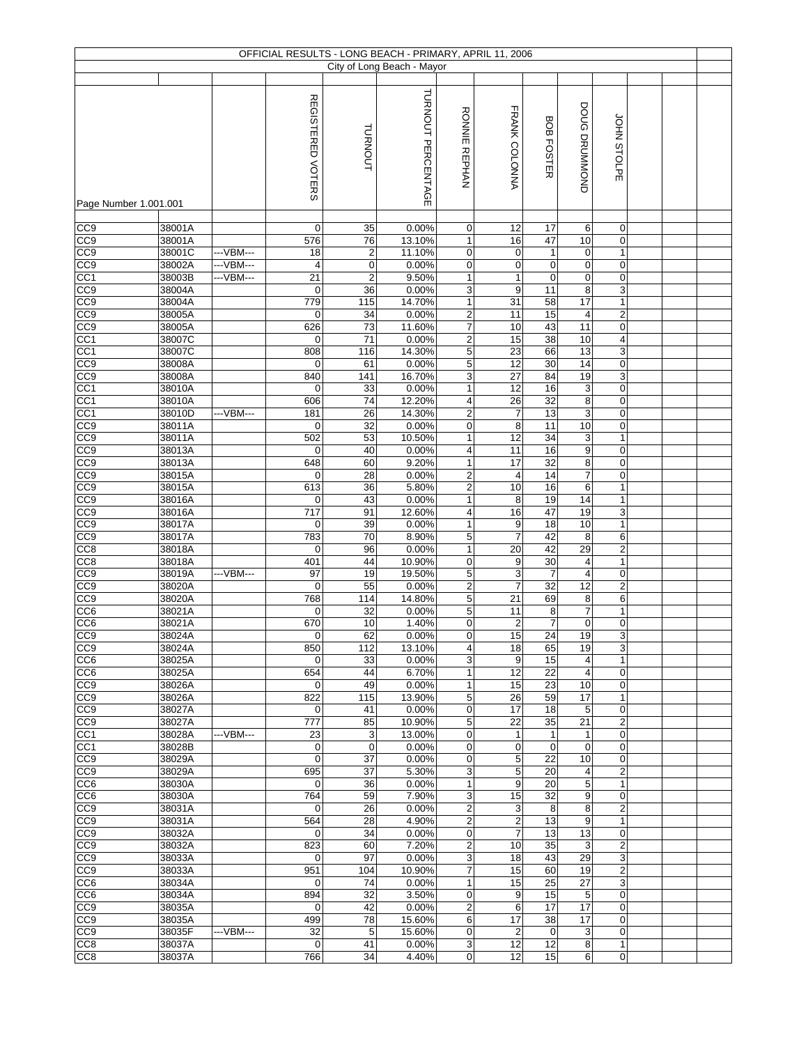|                                    |                  |            |                    |                         | OFFICIAL RESULTS - LONG BEACH - PRIMARY, APRIL 11, 2006 |                                |                       |                       |                         |                                 |  |  |
|------------------------------------|------------------|------------|--------------------|-------------------------|---------------------------------------------------------|--------------------------------|-----------------------|-----------------------|-------------------------|---------------------------------|--|--|
|                                    |                  |            |                    |                         | City of Long Beach - Mayor                              |                                |                       |                       |                         |                                 |  |  |
|                                    |                  |            |                    |                         |                                                         |                                |                       |                       |                         |                                 |  |  |
|                                    |                  |            | REGISTERED VOTERS  | <b>TURNOUT</b>          | TURNOUT PERCENTAGE                                      | <b>RONNIE</b><br><b>REPHAN</b> | FRANK COLONNA         | BOB FOSTER            | DOUG DRUMMOND           | JOHN STOLPE                     |  |  |
| Page Number 1.001.001              |                  |            |                    |                         |                                                         |                                |                       |                       |                         |                                 |  |  |
|                                    |                  |            |                    |                         |                                                         |                                |                       |                       |                         |                                 |  |  |
| CC <sub>0</sub>                    | 38001A<br>38001A |            | $\mathbf 0$<br>576 | 35<br>76                | 0.00%                                                   | 0<br>$\mathbf{1}$              | 12<br>16              | 17<br>47              | 6<br>10                 | 0                               |  |  |
| CC9<br>CC9                         | 38001C           | ---VBM---  | 18                 | $\overline{\mathbf{c}}$ | 13.10%<br>11.10%                                        | 0                              | 0                     | $\mathbf{1}$          | $\mathbf 0$             | 0<br>$\mathbf{1}$               |  |  |
| CC <sub>9</sub>                    | 38002A           | --- VBM--- | $\overline{4}$     | $\pmb{0}$               | 0.00%                                                   | $\mathbf 0$                    | 0                     | 0                     | $\pmb{0}$               | $\pmb{0}$                       |  |  |
| CC1                                | 38003B           | ---VBM---  | 21                 | $\overline{2}$          | 9.50%                                                   | 1                              | $\mathbf{1}$          | 0                     | $\pmb{0}$               | $\pmb{0}$                       |  |  |
| CC <sub>9</sub>                    | 38004A           |            | $\mathbf 0$        | 36                      | 0.00%                                                   | 3                              | 9                     | 11                    | 8                       | $\ensuremath{\mathsf{3}}$       |  |  |
| CC <sub>9</sub>                    | 38004A           |            | 779                | 115                     | 14.70%                                                  | 1                              | 31                    | 58                    | 17                      | 1                               |  |  |
| $\overline{CC9}$                   | 38005A           |            | $\mathbf 0$        | 34                      | 0.00%                                                   | $\overline{c}$                 | 11                    | 15                    | $\overline{\mathbf{4}}$ | $\overline{2}$                  |  |  |
| CC9                                | 38005A           |            | 626                | $\overline{73}$         | 11.60%                                                  | $\overline{7}$                 | 10                    | 43                    | 11                      | $\pmb{0}$                       |  |  |
| CC <sub>1</sub>                    | 38007C           |            | 0                  | 71                      | 0.00%                                                   | $\overline{2}$                 | 15                    | 38                    | 10                      | $\overline{\mathbf{4}}$         |  |  |
| CC <sub>1</sub>                    | 38007C           |            | 808                | 116                     | 14.30%                                                  | 5                              | 23                    | 66                    | 13                      | $\mathsf 3$                     |  |  |
| CC <sub>9</sub>                    | 38008A           |            | $\mathbf 0$        | 61                      | 0.00%                                                   | 5                              | 12                    | 30                    | $\overline{14}$         | $\pmb{0}$                       |  |  |
| CC <sub>9</sub>                    | 38008A           |            | 840                | 141                     | 16.70%                                                  | 3                              | 27                    | 84                    | 19                      | $\mathsf 3$                     |  |  |
| CC1                                | 38010A           |            | $\mathbf 0$        | 33                      | 0.00%                                                   | 1                              | 12                    | 16                    | 3                       | $\pmb{0}$                       |  |  |
| CC <sub>1</sub>                    | 38010A           |            | 606                | 74                      | 12.20%                                                  | 4                              | $\overline{26}$       | 32                    | 8                       | $\mathbf 0$                     |  |  |
| CC <sub>1</sub>                    | 38010D           | --VBM---   | 181                | 26                      | 14.30%                                                  | $\overline{c}$                 | 7                     | 13                    | $\overline{3}$          | $\pmb{0}$                       |  |  |
| CC9                                | 38011A           |            | $\mathbf 0$        | 32                      | 0.00%                                                   | 0                              | 8                     | 11                    | 10                      | $\mathbf 0$                     |  |  |
| CC <sub>9</sub>                    | 38011A           |            | 502                | 53<br>40                | 10.50%                                                  | 1                              | $\overline{12}$       | $\overline{34}$<br>16 | 3                       | $\mathbf{1}$                    |  |  |
| CC <sub>0</sub><br>CC <sub>9</sub> | 38013A<br>38013A |            | 0<br>648           | 60                      | 0.00%<br>9.20%                                          | 4<br>$\mathbf{1}$              | 11<br>$\overline{17}$ | $\overline{32}$       | 9<br>8                  | $\mathbf 0$<br>$\boldsymbol{0}$ |  |  |
| CC <sub>9</sub>                    | 38015A           |            | $\mathbf 0$        | 28                      | 0.00%                                                   | $\overline{\mathbf{c}}$        | $\overline{4}$        | 14                    | $\boldsymbol{7}$        | $\pmb{0}$                       |  |  |
| CC <sub>9</sub>                    | 38015A           |            | 613                | 36                      | 5.80%                                                   | $\overline{2}$                 | 10                    | 16                    | 6                       | $\mathbf{1}$                    |  |  |
| CC9                                | 38016A           |            | $\mathbf 0$        | 43                      | 0.00%                                                   | 1                              | 8                     | 19                    | 14                      | $\mathbf{1}$                    |  |  |
| CC9                                | 38016A           |            | 717                | 91                      | 12.60%                                                  | 4                              | 16                    | 47                    | 19                      | 3                               |  |  |
| CC <sub>9</sub>                    | 38017A           |            | $\mathbf 0$        | 39                      | 0.00%                                                   | $\mathbf{1}$                   | 9                     | 18                    | 10                      | $\overline{1}$                  |  |  |
| $\overline{CC9}$                   | 38017A           |            | 783                | 70                      | 8.90%                                                   | 5                              | $\overline{7}$        | 42                    | 8                       | 6                               |  |  |
| CC8                                | 38018A           |            | $\mathbf 0$        | 96                      | 0.00%                                                   | $\mathbf{1}$                   | 20                    | 42                    | 29                      | $\overline{c}$                  |  |  |
| CC8                                | 38018A           |            | 401                | 44                      | 10.90%                                                  | 0                              | $\overline{9}$        | 30                    | $\overline{\mathbf{4}}$ | $\mathbf{1}$                    |  |  |
| CC <sub>9</sub>                    | 38019A           | ---VBM---  | 97                 | 19                      | 19.50%                                                  | $\overline{5}$                 | 3                     | $\overline{7}$        | $\overline{4}$          | $\mathbf 0$                     |  |  |
| CC9                                | 38020A           |            | $\mathbf 0$        | 55                      | 0.00%                                                   | $\overline{c}$                 | $\overline{7}$        | 32                    | 12                      | $\overline{c}$                  |  |  |
| CC <sub>9</sub>                    | 38020A           |            | 768                | 114                     | 14.80%                                                  | 5                              | 21                    | 69                    | 8                       | 6                               |  |  |
| CC6                                | 38021A           |            | $\mathbf 0$        | 32                      | 0.00%                                                   | 5                              | 11                    | 8                     | $\overline{7}$          | 1                               |  |  |
| CC <sub>6</sub>                    | 38021A           |            | 670                | 10                      | 1.40%                                                   | 0                              | $\overline{2}$        | $\overline{7}$        | $\mathbf 0$             | $\mathbf 0$                     |  |  |
| CC <sub>9</sub>                    | 38024A           |            | $\boldsymbol{0}$   | 62                      | 0.00%                                                   | 0                              | 15                    | 24                    | 19                      | 3                               |  |  |
| CC <sub>9</sub>                    | 38024A           |            | 850                | 112                     | 13.10%                                                  | 4                              | 18                    | 65                    | 19                      | 3                               |  |  |
| CC <sub>6</sub>                    | 38025A           |            | $\mathbf 0$<br>654 | 33                      | 0.00%                                                   | 3                              | 9<br>12               | 15<br>22              | 4<br>$\overline{4}$     | $\mathbf{1}$<br>$\overline{0}$  |  |  |
| CC <sub>6</sub>                    | 38025A           |            | $\mathbf 0$        | 44<br>49                | 6.70%<br>0.00%                                          | 1                              | 15                    | 23                    | 10                      | $\mathbf 0$                     |  |  |
| CC <sub>9</sub><br>CC <sub>9</sub> | 38026A<br>38026A |            | 822                | 115                     | 13.90%                                                  | $\mathbf{1}$<br>5              | 26                    | 59                    | 17                      | $\mathbf{1}$                    |  |  |
| CC9                                | 38027A           |            | 0                  | 41                      | 0.00%                                                   | 0                              | 17                    | 18                    | 5                       | $\mathbf 0$                     |  |  |
| CC <sub>9</sub>                    | 38027A           |            | 777                | 85                      | 10.90%                                                  | 5                              | 22                    | 35                    | 21                      | $\overline{c}$                  |  |  |
| CC1                                | 38028A           | ---VBM---  | 23                 | 3                       | 13.00%                                                  | 0                              | $\mathbf{1}$          | $\mathbf{1}$          | $\mathbf{1}$            | $\mathbf 0$                     |  |  |
| CC1                                | 38028B           |            | $\mathbf 0$        | $\mathbf 0$             | 0.00%                                                   | 0                              | 0                     | 0                     | 0                       | 0                               |  |  |
| CC <sub>9</sub>                    | 38029A           |            | $\mathbf 0$        | 37                      | 0.00%                                                   | 0                              | 5                     | $\overline{22}$       | 10                      | 0                               |  |  |
| CC <sub>9</sub>                    | 38029A           |            | 695                | $\overline{37}$         | 5.30%                                                   | 3                              | $\overline{5}$        | 20                    | $\overline{\mathbf{4}}$ | $\overline{2}$                  |  |  |
| CC <sub>6</sub>                    | 38030A           |            | $\mathbf 0$        | 36                      | 0.00%                                                   | 1                              | 9                     | 20                    | 5                       | $\mathbf{1}$                    |  |  |
| CC6                                | 38030A           |            | 764                | 59                      | 7.90%                                                   | 3                              | 15                    | 32                    | 9                       | $\mathbf 0$                     |  |  |
| CC <sub>9</sub>                    | 38031A           |            | $\mathbf 0$        | 26                      | 0.00%                                                   | 2                              | 3                     | 8                     | 8                       | $\overline{c}$                  |  |  |
| CC9                                | 38031A           |            | 564                | 28                      | 4.90%                                                   | $\overline{c}$                 | $\overline{2}$        | 13                    | 9                       | $\mathbf{1}$                    |  |  |
| CC <sub>9</sub>                    | 38032A           |            | 0                  | 34                      | 0.00%                                                   | 0                              | $\overline{7}$        | 13                    | 13                      | $\mathbf 0$                     |  |  |
| CC9                                | 38032A           |            | 823                | 60                      | 7.20%                                                   | $\overline{c}$                 | 10                    | 35                    | 3                       | $\overline{2}$                  |  |  |
| CC <sub>9</sub>                    | 38033A           |            | $\mathbf 0$        | 97                      | 0.00%                                                   | 3                              | 18                    | 43                    | 29                      | $\mathbf{3}$                    |  |  |
| CC <sub>9</sub>                    | 38033A           |            | 951                | 104                     | 10.90%                                                  | 7                              | 15                    | 60                    | 19                      | $\overline{a}$                  |  |  |
| CC <sub>6</sub>                    | 38034A           |            | 0                  | 74                      | 0.00%                                                   | $\mathbf{1}$                   | 15                    | 25                    | 27                      | $\mathbf{3}$                    |  |  |
| CC <sub>6</sub>                    | 38034A           |            | 894                | 32<br>42                | 3.50%                                                   | 0                              | 9<br>6                | 15<br>17              | 5<br>17                 | $\mathbf 0$<br>$\mathbf 0$      |  |  |
| CC <sub>9</sub>                    | 38035A<br>38035A |            | $\mathbf 0$<br>499 | 78                      | 0.00%<br>15.60%                                         | 2<br>6                         | 17                    | 38                    | 17                      | 0                               |  |  |
| CC <sub>9</sub><br>CC <sub>9</sub> | 38035F           | ---VBM---  | 32                 | 5                       | 15.60%                                                  | 0                              | $\overline{c}$        | $\mathbf 0$           | 3                       | $\mathbf 0$                     |  |  |
| CC <sub>8</sub>                    | 38037A           |            | $\mathbf 0$        | 41                      | 0.00%                                                   | 3                              | 12                    | 12                    | 8                       | $\mathbf{1}$                    |  |  |
| CC <sub>8</sub>                    | 38037A           |            | 766                | 34                      | 4.40%                                                   | $\mathsf 0$                    | 12                    | 15                    | 6                       | $\pmb{0}$                       |  |  |
|                                    |                  |            |                    |                         |                                                         |                                |                       |                       |                         |                                 |  |  |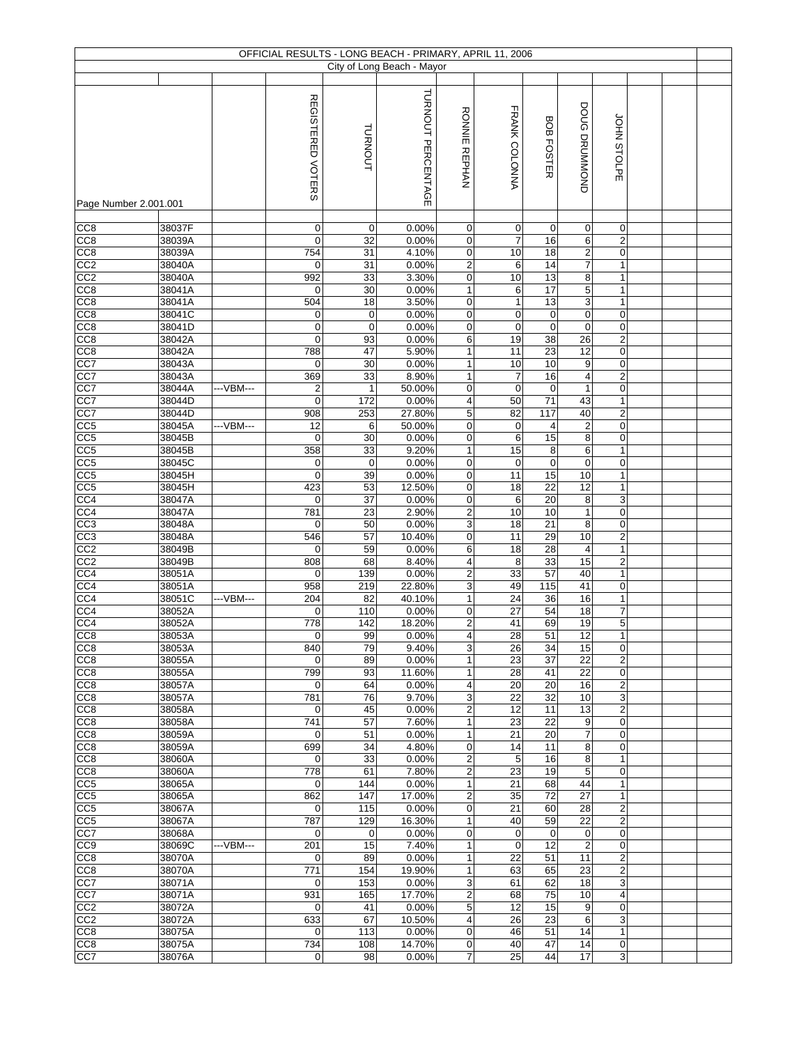|                                    |                  |           |                                 |                   | OFFICIAL RESULTS - LONG BEACH - PRIMARY, APRIL 11, 2006 |                                |                     |                         |                         |                                          |  |  |
|------------------------------------|------------------|-----------|---------------------------------|-------------------|---------------------------------------------------------|--------------------------------|---------------------|-------------------------|-------------------------|------------------------------------------|--|--|
|                                    |                  |           |                                 |                   | City of Long Beach - Mayor                              |                                |                     |                         |                         |                                          |  |  |
|                                    |                  |           |                                 |                   |                                                         |                                |                     |                         |                         |                                          |  |  |
|                                    |                  |           | REGISTERED VOTERS               | <b>TURNOUT</b>    | TURNOUT PERCENTAGE                                      | <b>RONNIE</b><br><b>REPHAN</b> | FRANK COLONNA       | BOB FOSTER              | DOUG DRUMMOND           | JOHN STOLPE                              |  |  |
| Page Number 2.001.001              |                  |           |                                 |                   |                                                         |                                |                     |                         |                         |                                          |  |  |
|                                    | 38037F           |           |                                 |                   |                                                         |                                |                     |                         |                         |                                          |  |  |
| CC8<br>CC8                         | 38039A           |           | $\mathbf 0$<br>$\mathbf 0$      | $\mathbf 0$<br>32 | 0.00%<br>0.00%                                          | $\mathbf 0$<br>0               | 0<br>$\overline{7}$ | 0<br>16                 | $\mathbf 0$<br>6        | 0<br>$\overline{c}$                      |  |  |
| CC8                                | 38039A           |           | 754                             | 31                | 4.10%                                                   | 0                              | 10                  | 18                      | $\overline{\mathbf{c}}$ | $\pmb{0}$                                |  |  |
| CC <sub>2</sub>                    | 38040A           |           | $\mathbf 0$                     | 31                | 0.00%                                                   | $\overline{\mathbf{c}}$        | 6                   | 14                      | $\boldsymbol{7}$        | $\mathbf{1}$                             |  |  |
| CC2                                | 38040A           |           | 992                             | 33                | 3.30%                                                   | 0                              | 10                  | 13                      | 8                       | $\mathbf{1}$                             |  |  |
| CC <sub>8</sub>                    | 38041A           |           | $\mathbf 0$                     | 30                | 0.00%                                                   | 1                              | 6                   | 17                      | 5                       | $\mathbf{1}$                             |  |  |
| CC <sub>8</sub>                    | 38041A           |           | 504                             | 18                | 3.50%                                                   | 0                              | $\mathbf{1}$        | 13                      | 3                       | $\mathbf{1}$                             |  |  |
| CC8                                | 38041C           |           | $\mathbf 0$                     | $\mathbf 0$       | 0.00%                                                   | 0                              | 0                   | $\mathbf 0$             | $\mathbf 0$             | $\mathbf 0$                              |  |  |
| CC8                                | 38041D           |           | $\mathbf 0$                     | $\mathbf 0$       | 0.00%                                                   | 0                              | $\mathbf 0$         | $\mathbf 0$             | $\mathbf 0$             | 0                                        |  |  |
| CC8                                | 38042A           |           | $\mathbf 0$                     | 93                | 0.00%                                                   | 6                              | 19                  | 38                      | 26                      | $\overline{c}$                           |  |  |
| CC <sub>8</sub>                    | 38042A           |           | 788<br>$\mathbf 0$              | 47                | 5.90%                                                   | $\mathbf{1}$                   | 11<br>10            | 23<br>10                | 12                      | $\mathbf 0$                              |  |  |
| CC7<br>CC7                         | 38043A<br>38043A |           | 369                             | 30<br>33          | 0.00%<br>8.90%                                          | $\mathbf{1}$<br>$\mathbf{1}$   | $\overline{7}$      | 16                      | 9<br>4                  | $\pmb{0}$<br>$\overline{2}$              |  |  |
| CC7                                | 38044A           | --VBM---  | $\overline{2}$                  | $\mathbf{1}$      | 50.00%                                                  | 0                              | $\pmb{0}$           | $\pmb{0}$               | $\mathbf{1}$            | $\mathbf 0$                              |  |  |
| CC7                                | 38044D           |           | $\mathbf 0$                     | 172               | 0.00%                                                   | 4                              | 50                  | $\overline{71}$         | 43                      | $\mathbf{1}$                             |  |  |
| CC7                                | 38044D           |           | 908                             | 253               | 27.80%                                                  | 5                              | 82                  | 117                     | 40                      | $\mathbf{p}$                             |  |  |
| CC5                                | 38045A           | ---VBM--- | 12                              | 6                 | 50.00%                                                  | 0                              | $\mathbf 0$         | $\overline{\mathbf{4}}$ | $\boldsymbol{2}$        | $\mathbf 0$                              |  |  |
| CC <sub>5</sub>                    | 38045B           |           | $\mathbf 0$                     | 30                | 0.00%                                                   | 0                              | 6                   | 15                      | 8                       | $\boldsymbol{0}$                         |  |  |
| CC <sub>5</sub>                    | 38045B           |           | 358                             | 33                | 9.20%                                                   | 1                              | 15                  | $\overline{8}$          | 6                       | $\mathbf{1}$                             |  |  |
| CC <sub>5</sub>                    | 38045C           |           | $\mathbf 0$                     | $\mathbf 0$       | 0.00%                                                   | 0                              | $\pmb{0}$           | $\pmb{0}$               | $\pmb{0}$               | $\pmb{0}$                                |  |  |
| CC <sub>5</sub>                    | 38045H           |           | $\mathbf 0$                     | 39                | 0.00%                                                   | $\pmb{0}$                      | $\overline{11}$     | 15                      | 10                      | $\mathbf{1}$                             |  |  |
| CC5                                | 38045H           |           | 423                             | 53                | 12.50%                                                  | 0                              | 18                  | $\overline{22}$         | 12                      | $\mathbf{1}$                             |  |  |
| CC4<br>CC4                         | 38047A           |           | $\mathbf 0$<br>781              | 37                | 0.00%                                                   | 0                              | 6<br>10             | 20<br>10                | 8<br>$\mathbf{1}$       | $\ensuremath{\mathsf{3}}$<br>$\mathbf 0$ |  |  |
| CC3                                | 38047A<br>38048A |           | $\mathbf 0$                     | 23<br>50          | 2.90%<br>0.00%                                          | $\overline{\mathbf{c}}$<br>3   | 18                  | 21                      | $\bf 8$                 | 0                                        |  |  |
| CC3                                | 38048A           |           | 546                             | 57                | 10.40%                                                  | 0                              | 11                  | 29                      | 10                      | $\overline{2}$                           |  |  |
| CC2                                | 38049B           |           | $\Omega$                        | 59                | 0.00%                                                   | 6                              | 18                  | 28                      | $\overline{\mathbf{4}}$ | $\mathbf{1}$                             |  |  |
| CC2                                | 38049B           |           | 808                             | 68                | 8.40%                                                   | 4                              | 8                   | 33                      | 15                      | $\overline{c}$                           |  |  |
| CC <sub>4</sub>                    | 38051A           |           | $\mathbf 0$                     | 139               | 0.00%                                                   | $\overline{\mathbf{c}}$        | 33                  | 57                      | 40                      | $\mathbf{1}$                             |  |  |
| CC4                                | 38051A           |           | 958                             | 219               | 22.80%                                                  | 3                              | 49                  | 115                     | 41                      | $\pmb{0}$                                |  |  |
| CC <sub>4</sub>                    | 38051C           | ---VBM--- | 204                             | 82                | 40.10%                                                  | $\mathbf{1}$                   | 24                  | 36                      | 16                      | $\mathbf{1}$                             |  |  |
| CC4                                | 38052A           |           | $\mathbf 0$                     | 110               | 0.00%                                                   | 0                              | 27                  | 54                      | 18                      | $\overline{7}$                           |  |  |
| CC <sub>4</sub>                    | 38052A           |           | 778                             | 142               | 18.20%                                                  | $\overline{\mathbf{c}}$        | 41                  | 69                      | 19                      | $\overline{5}$                           |  |  |
| CC <sub>8</sub>                    | 38053A           |           | $\mathbf 0$                     | 99                | 0.00%                                                   | 4                              | 28                  | 51                      | 12                      | $\mathbf{1}$                             |  |  |
| CC <sub>8</sub><br>CC <sub>8</sub> | 38053A<br>38055A |           | 840<br>$\mathbf 0$              | 79<br>89          | 9.40%<br>0.00%                                          | 3<br>1                         | 26<br>23            | 34<br>37                | 15<br>22                | 0<br>$\overline{2}$                      |  |  |
| CC <sub>8</sub>                    | 38055A           |           | 799                             | 93                | 11.60%                                                  | 1                              | 28                  | 41                      | 22                      | $\mathbf 0$                              |  |  |
| CC <sub>8</sub>                    | 38057A           |           | $\mathbf 0$                     | 64                | 0.00%                                                   | 4                              | 20                  | 20                      | 16                      | $\mathbf 2$                              |  |  |
| CC <sub>8</sub>                    | 38057A           |           | 781                             | 76                | 9.70%                                                   | 3                              | 22                  | 32                      | 10                      | 3                                        |  |  |
| CC8                                | 38058A           |           | 0                               | 45                | 0.00%                                                   | $\overline{\mathbf{c}}$        | 12                  | 11                      | 13                      | $\overline{2}$                           |  |  |
| CC <sub>8</sub>                    | 38058A           |           | 741                             | 57                | 7.60%                                                   | $\mathbf{1}$                   | 23                  | 22                      | 9                       | $\mathbf 0$                              |  |  |
| CC8                                | 38059A           |           | $\mathbf 0$                     | 51                | 0.00%                                                   | $\mathbf{1}$                   | 21                  | 20                      | $\overline{7}$          | $\mathbf 0$                              |  |  |
| CC8                                | 38059A           |           | 699                             | 34                | 4.80%                                                   | 0                              | 14                  | 11                      | 8                       | 0                                        |  |  |
| CC <sub>8</sub>                    | 38060A           |           | $\mathbf 0$<br>$\overline{778}$ | 33                | 0.00%<br>7.80%                                          | $\overline{2}$                 | 5<br>23             | 16<br>19                | 8                       | 1                                        |  |  |
| CC8                                | 38060A           |           |                                 | 61                |                                                         | $\overline{2}$                 |                     |                         | 5<br>44                 | $\mathbf 0$                              |  |  |
| CC <sub>5</sub><br>CC5             | 38065A<br>38065A |           | 0<br>862                        | 144<br>147        | 0.00%<br>17.00%                                         | 1<br>$\overline{c}$            | 21<br>35            | 68<br>72                | 27                      | $\mathbf{1}$<br>$\mathbf{1}$             |  |  |
| CC <sub>5</sub>                    | 38067A           |           | $\mathbf 0$                     | 115               | 0.00%                                                   | 0                              | 21                  | 60                      | 28                      | $\overline{c}$                           |  |  |
| CC5                                | 38067A           |           | 787                             | 129               | 16.30%                                                  | 1                              | 40                  | 59                      | 22                      | $\overline{2}$                           |  |  |
| CC7                                | 38068A           |           | $\mathbf 0$                     | $\mathbf 0$       | 0.00%                                                   | 0                              | 0                   | $\mathbf 0$             | $\mathbf 0$             | $\mathbf 0$                              |  |  |
| CC9                                | 38069C           | ---VBM--- | 201                             | 15                | 7.40%                                                   | $\mathbf{1}$                   | $\mathbf 0$         | 12                      | $\overline{2}$          | $\mathbf 0$                              |  |  |
| CC <sub>8</sub>                    | 38070A           |           | $\mathbf 0$                     | 89                | 0.00%                                                   | $\mathbf{1}$                   | 22                  | 51                      | 11                      | $\overline{c}$                           |  |  |
| CC <sub>8</sub>                    | 38070A           |           | 771                             | 154               | 19.90%                                                  | $\mathbf{1}$                   | 63                  | 65                      | 23                      | $\overline{c}$                           |  |  |
| CC7                                | 38071A           |           | $\mathbf 0$                     | 153               | 0.00%                                                   | 3                              | 61                  | 62                      | 18                      | 3                                        |  |  |
| CC7                                | 38071A           |           | 931                             | 165               | 17.70%                                                  | 2                              | 68                  | 75                      | 10                      | $\overline{4}$                           |  |  |
| CC <sub>2</sub>                    | 38072A           |           | $\mathbf 0$                     | 41                | 0.00%                                                   | 5                              | 12                  | 15                      | 9                       | $\mathbf 0$                              |  |  |
| CC2                                | 38072A           |           | 633<br>$\mathbf 0$              | 67<br>113         | 10.50%                                                  | 4<br>0                         | 26<br>46            | 23<br>51                | 6<br>14                 | 3<br>$\mathbf{1}$                        |  |  |
| CC <sub>8</sub><br>CC <sub>8</sub> | 38075A<br>38075A |           | 734                             | 108               | 0.00%<br>14.70%                                         | 0                              | 40                  | 47                      | 14                      | $\boldsymbol{0}$                         |  |  |
| CC7                                | 38076A           |           | $\mathbf 0$                     | 98                | 0.00%                                                   | 7                              | 25                  | 44                      | 17                      | $\mathbf{3}$                             |  |  |
|                                    |                  |           |                                 |                   |                                                         |                                |                     |                         |                         |                                          |  |  |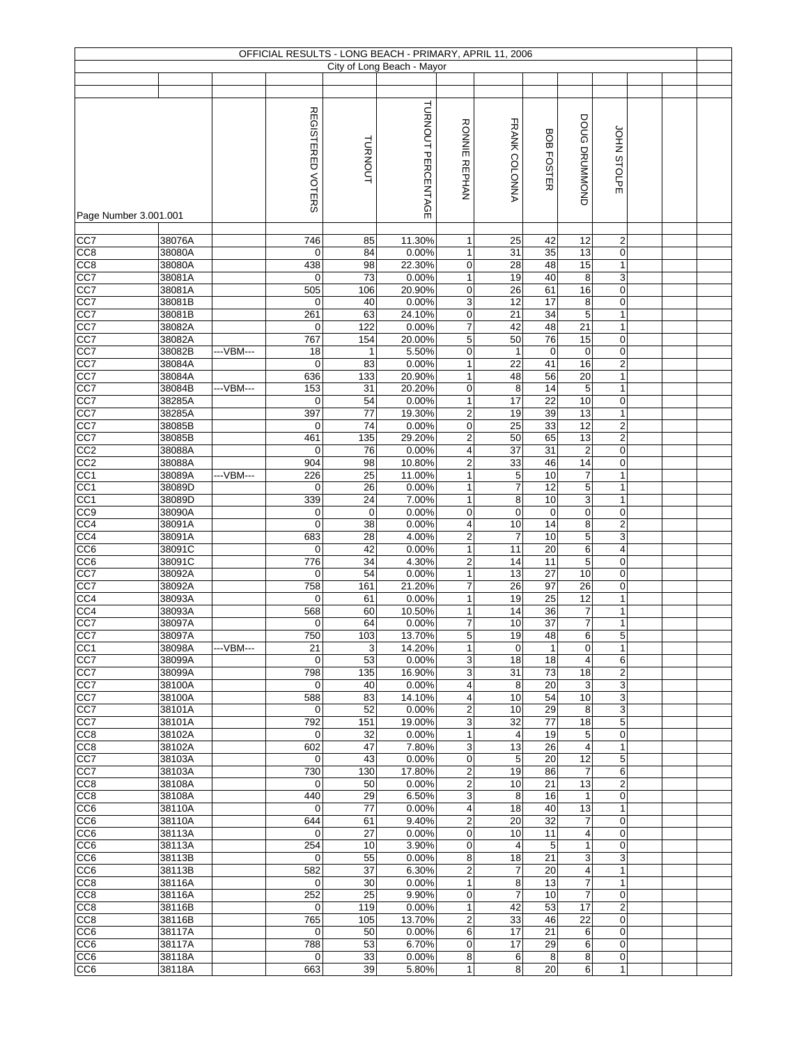|                                    |                  |           |                    |             | OFFICIAL RESULTS - LONG BEACH - PRIMARY, APRIL 11, 2006 |                                |                               |                       |                                            |                              |  |  |
|------------------------------------|------------------|-----------|--------------------|-------------|---------------------------------------------------------|--------------------------------|-------------------------------|-----------------------|--------------------------------------------|------------------------------|--|--|
|                                    |                  |           |                    |             | City of Long Beach - Mayor                              |                                |                               |                       |                                            |                              |  |  |
|                                    |                  |           |                    |             |                                                         |                                |                               |                       |                                            |                              |  |  |
|                                    |                  |           |                    |             |                                                         |                                |                               |                       |                                            |                              |  |  |
|                                    |                  |           | REGISTERED VOTERS  | TURNOUT     | TURNOUT PERCENTAGE                                      | <b>RONNIE REPHAN</b>           | FRANK COLONNA                 | <b>BOB FOSTER</b>     | DOUG DRUMMOND                              | JOHN STOLPE                  |  |  |
| Page Number 3.001.001              |                  |           |                    |             |                                                         |                                |                               |                       |                                            |                              |  |  |
|                                    |                  |           |                    |             |                                                         |                                |                               |                       |                                            |                              |  |  |
| CC7                                | 38076A           |           | $\overline{746}$   | 85          | 11.30%                                                  | $\mathbf{1}$                   | 25                            | 42                    | 12                                         | $\overline{c}$               |  |  |
| CC8                                | 38080A           |           | $\mathbf 0$        | 84          | 0.00%                                                   | $\mathbf{1}$                   | 31                            | 35                    | 13                                         | $\pmb{0}$                    |  |  |
| CC8                                | 38080A           |           | 438                | 98          | 22.30%                                                  | 0                              | 28                            | 48                    | 15                                         | $\mathbf{1}$                 |  |  |
| CC7                                | 38081A           |           | $\mathbf 0$        | 73          | 0.00%                                                   | $\mathbf{1}$                   | 19                            | 40                    | 8                                          | $\mathbf{3}$                 |  |  |
| CC7                                | 38081A           |           | 505                | 106         | 20.90%                                                  | 0                              | 26                            | 61                    | 16                                         | 0                            |  |  |
| CC7                                | 38081B           |           | $\mathbf 0$        | 40          | 0.00%                                                   | 3                              | 12                            | 17                    | 8                                          | 0                            |  |  |
| CC7                                | 38081B           |           | 261                | 63          | 24.10%                                                  | $\mathbf 0$                    | $\overline{21}$               | 34                    | $\mathbf 5$                                | $\mathbf{1}$                 |  |  |
| CC7                                | 38082A           |           | $\mathbf 0$        | 122         | 0.00%                                                   | $\overline{7}$                 | 42                            | 48                    | 21                                         | $\mathbf{1}$                 |  |  |
| CC7                                | 38082A           |           | 767                | 154         | 20.00%                                                  | 5                              | 50                            | 76                    | 15                                         | $\mathbf 0$                  |  |  |
| CC7                                | 38082B           | ---VBM--- | 18                 | 1           | 5.50%                                                   | 0                              | $\mathbf{1}$                  | 0                     | 0                                          | $\pmb{0}$                    |  |  |
| CC7                                | 38084A           |           | $\mathbf 0$        | 83          | 0.00%                                                   | $\mathbf{1}$                   | 22                            | 41                    | 16                                         | $\overline{2}$               |  |  |
| CC7                                | 38084A           |           | 636                | 133         | 20.90%                                                  | $\mathbf{1}$                   | 48                            | 56<br>14              | 20                                         | $\mathbf{1}$                 |  |  |
| CC7<br>CC7                         | 38084B<br>38285A | ---VBM--- | 153<br>$\mathbf 0$ | 31<br>54    | 20.20%<br>0.00%                                         | 0<br>$\mathbf{1}$              | 8<br>$\overline{17}$          | 22                    | $\,$ 5 $\,$<br>10                          | $\mathbf{1}$<br>$\mathbf 0$  |  |  |
| CC7                                | 38285A           |           | 397                | 77          | 19.30%                                                  | $\overline{\mathbf{c}}$        | 19                            | 39                    | 13                                         | $\mathbf{1}$                 |  |  |
| CC7                                | 38085B           |           | 0                  | 74          | 0.00%                                                   | 0                              | $\overline{25}$               | 33                    | 12                                         | $\mathbf 2$                  |  |  |
| CC7                                | 38085B           |           | 461                | 135         | 29.20%                                                  | $\overline{\mathbf{c}}$        | 50                            | 65                    | 13                                         | $\mathbf 2$                  |  |  |
| CC <sub>2</sub>                    | 38088A           |           | $\mathbf 0$        | 76          | 0.00%                                                   | 4                              | $\overline{37}$               | $\overline{31}$       | $\sqrt{2}$                                 | $\mathbf 0$                  |  |  |
| CC <sub>2</sub>                    | 38088A           |           | 904                | 98          | 10.80%                                                  | $\overline{\mathbf{2}}$        | 33                            | 46                    | 14                                         | $\pmb{0}$                    |  |  |
| CC <sub>1</sub>                    | 38089A           | ---VBM--- | 226                | 25          | 11.00%                                                  | $\mathbf{1}$                   | $\,$ 5 $\,$                   | 10                    | $\overline{7}$                             | $\mathbf{1}$                 |  |  |
| CC <sub>1</sub>                    | 38089D           |           | 0                  | 26          | 0.00%                                                   | $\mathbf{1}$                   | $\overline{7}$                | 12                    | $\overline{5}$                             | $\mathbf{1}$                 |  |  |
| CC1                                | 38089D           |           | 339                | 24          | 7.00%                                                   | $\mathbf{1}$                   | 8                             | 10                    | 3                                          | $\mathbf{1}$                 |  |  |
| CC9                                | 38090A           |           | $\mathbf 0$        | $\mathbf 0$ | 0.00%                                                   | $\mathsf 0$                    | $\mathbf 0$                   | $\mathbf 0$           | 0                                          | $\mathbf 0$                  |  |  |
| CC4                                | 38091A           |           | $\mathbf 0$        | 38          | 0.00%                                                   | 4                              | 10                            | 14                    | 8                                          | $\boldsymbol{2}$             |  |  |
| CC <sub>4</sub>                    | 38091A           |           | 683                | 28          | 4.00%                                                   | $\overline{\mathbf{c}}$        | $\overline{7}$                | 10                    | 5                                          | $\overline{3}$               |  |  |
| CC6                                | 38091C           |           | 0                  | 42          | 0.00%                                                   | $\mathbf{1}$                   | 11                            | 20                    | 6                                          | 4                            |  |  |
| CC6                                | 38091C           |           | 776                | 34          | 4.30%                                                   | $\overline{2}$                 | 14                            | 11                    | $\mathbf 5$                                | $\mathbf 0$                  |  |  |
| CC7<br>CC7                         | 38092A<br>38092A |           | 0<br>758           | 54<br>161   | 0.00%<br>21.20%                                         | $\mathbf{1}$<br>7              | 13<br>26                      | $\overline{27}$<br>97 | 10<br>26                                   | $\mathbf 0$<br>$\pmb{0}$     |  |  |
| CC4                                | 38093A           |           | 0                  | 61          | 0.00%                                                   | $\mathbf{1}$                   | 19                            | 25                    | 12                                         | $\mathbf{1}$                 |  |  |
| CC4                                | 38093A           |           | 568                | 60          | 10.50%                                                  | $\mathbf{1}$                   | 14                            | 36                    | $\overline{\mathcal{I}}$                   | $\mathbf{1}$                 |  |  |
| CC7                                | 38097A           |           | 0                  | 64          | 0.00%                                                   | $\overline{7}$                 | 10                            | 37                    | $\overline{\mathcal{I}}$                   | $\mathbf{1}$                 |  |  |
| CC7                                | 38097A           |           | 750                | 103         | 13.70%                                                  | 5                              | 19                            | 48                    | 6                                          | 5                            |  |  |
| CC <sub>1</sub>                    | 38098A           | ---VBM--- | 21                 | 3           | 14.20%                                                  | $\mathbf{1}$                   | $\mathbf 0$                   | $\mathbf{1}$          | $\mathbf 0$                                | $\mathbf{1}$                 |  |  |
| CC7                                | 38099A           |           | 0                  | 53          | 0.00%                                                   | 3                              | 18                            | 18                    | $\overline{4}$                             | 6                            |  |  |
| CC7                                | 38099A           |           | 798                | 135         | 16.90%                                                  | 3                              | 31                            | 73                    | 18                                         | $\boldsymbol{2}$             |  |  |
| CC7                                | 38100A           |           | 0                  | 40          | 0.00%                                                   | 4                              | 8                             | 20                    | 3                                          | $\mathbf{3}$                 |  |  |
| CC7                                | 38100A           |           | 588                | 83          | 14.10%                                                  | 4                              | 10                            | 54                    | 10                                         | 3                            |  |  |
| CC7                                | 38101A           |           | $\mathbf 0$        | 52          | 0.00%                                                   | $\overline{\mathbf{c}}$        | 10                            | 29                    | 8                                          | 3                            |  |  |
| CC7<br>CC8                         | 38101A<br>38102A |           | 792<br>0           | 151<br>32   | 19.00%<br>0.00%                                         | 3<br>$\mathbf{1}$              | 32<br>4                       | 77<br>19              | 18                                         | 5<br>$\mathbf 0$             |  |  |
| CC <sub>8</sub>                    | 38102A           |           | 602                | 47          | 7.80%                                                   | 3                              | 13                            | 26                    | 5<br>$\overline{4}$                        | $\mathbf{1}$                 |  |  |
| CC7                                | 38103A           |           | 0                  | 43          | 0.00%                                                   | 0                              | $\overline{5}$                | 20                    | $\overline{12}$                            | 5                            |  |  |
| CC7                                | 38103A           |           | 730                | 130         | 17.80%                                                  | $\overline{2}$                 | 19                            | 86                    | $\overline{7}$                             | 6                            |  |  |
| CC <sub>8</sub>                    | 38108A           |           | $\mathbf 0$        | 50          | 0.00%                                                   | $\overline{\mathbf{c}}$        | 10                            | $\overline{21}$       | $\overline{13}$                            | $\overline{c}$               |  |  |
| CC <sub>8</sub>                    | 38108A           |           | 440                | 29          | 6.50%                                                   | 3                              | 8                             | 16                    | $\mathbf{1}$                               | $\mathbf 0$                  |  |  |
| CC <sub>6</sub>                    | 38110A           |           | $\mathbf 0$        | 77          | 0.00%                                                   | 4                              | 18                            | 40                    | 13                                         | $\mathbf{1}$                 |  |  |
| CC6                                | 38110A           |           | 644                | 61          | 9.40%                                                   | $\overline{\mathbf{c}}$        | 20                            | 32                    | $\overline{7}$                             | $\mathbf 0$                  |  |  |
| CC <sub>6</sub>                    | 38113A           |           | 0                  | 27          | 0.00%                                                   | 0                              | 10                            | 11                    | 4                                          | $\mathbf 0$                  |  |  |
| CC6                                | 38113A           |           | 254                | 10          | 3.90%                                                   | 0                              | $\overline{\mathbf{4}}$       | 5                     | 1                                          | 0                            |  |  |
| CC <sub>6</sub>                    | 38113B           |           | 0                  | 55          | 0.00%                                                   | 8                              | 18                            | 21                    | 3                                          | 3                            |  |  |
| CC <sub>6</sub><br>CC <sub>8</sub> | 38113B<br>38116A |           | 582<br>0           | 37<br>30    | 6.30%<br>0.00%                                          | $\overline{2}$<br>$\mathbf{1}$ | $\overline{\mathcal{I}}$<br>8 | 20<br>13              | $\overline{\mathcal{A}}$<br>$\overline{7}$ | $\mathbf{1}$<br>$\mathbf{1}$ |  |  |
| CC <sub>8</sub>                    | 38116A           |           | 252                | 25          | 9.90%                                                   | 0                              | $\overline{7}$                | 10                    | $\overline{7}$                             | $\mathbf 0$                  |  |  |
| CC <sub>8</sub>                    | 38116B           |           | 0                  | 119         | 0.00%                                                   | $\mathbf{1}$                   | 42                            | 53                    | 17                                         | $\overline{2}$               |  |  |
| CC <sub>8</sub>                    | 38116B           |           | 765                | 105         | 13.70%                                                  | $\overline{\mathbf{c}}$        | 33                            | 46                    | 22                                         | $\mathbf 0$                  |  |  |
| CC <sub>6</sub>                    | 38117A           |           | $\mathbf 0$        | 50          | 0.00%                                                   | 6                              | 17                            | 21                    | $\,6$                                      | $\mathbf 0$                  |  |  |
| CC <sub>6</sub>                    | 38117A           |           | 788                | 53          | 6.70%                                                   | 0                              | 17                            | 29                    | 6                                          | 0                            |  |  |
| CC <sub>6</sub>                    | 38118A           |           | 0                  | 33          | 0.00%                                                   | 8                              | 6                             | 8                     | 8                                          | $\mathbf 0$                  |  |  |
| CC <sub>6</sub>                    | 38118A           |           | 663                | 39          | 5.80%                                                   | $\mathbf{1}$                   | 8                             | 20                    | 6                                          | $\mathbf{1}$                 |  |  |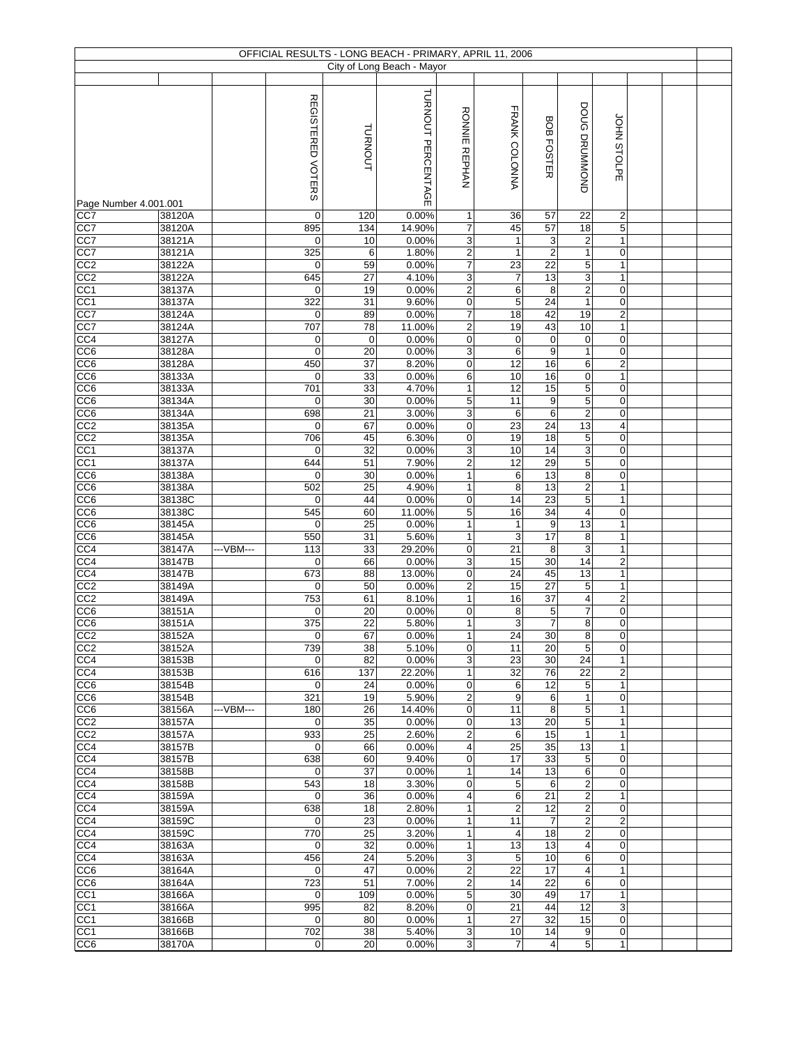|                                     |                  |           |                    |                       | OFFICIAL RESULTS - LONG BEACH - PRIMARY, APRIL 11, 2006 |                                |                                    |                               |                                         |                                  |  |  |
|-------------------------------------|------------------|-----------|--------------------|-----------------------|---------------------------------------------------------|--------------------------------|------------------------------------|-------------------------------|-----------------------------------------|----------------------------------|--|--|
|                                     |                  |           |                    |                       | City of Long Beach - Mayor                              |                                |                                    |                               |                                         |                                  |  |  |
|                                     |                  |           | REGISTERED VOTERS  | <b>TURNOUT</b>        | TURNOUT PERCENTAGE                                      | <b>RONNIE</b><br><b>REPHAN</b> | FRANK COLONNA                      | BOB FOSTER                    | DOUG DRUMMOND                           | JOHN STOLPE                      |  |  |
| Page Number 4.001.001               |                  |           |                    |                       |                                                         |                                |                                    |                               |                                         |                                  |  |  |
| CC7                                 | 38120A           |           | $\mathbf 0$        | 120                   | 0.00%                                                   | 1                              | 36                                 | 57                            | 22                                      | 2                                |  |  |
| CC7                                 | 38120A           |           | 895                | 134                   | 14.90%                                                  | 7                              | 45                                 | 57                            | 18                                      | 5                                |  |  |
| CC7<br>CC7                          | 38121A<br>38121A |           | $\mathbf 0$<br>325 | 10<br>6               | 0.00%<br>1.80%                                          | 3<br>$\overline{c}$            | $\mathbf{1}$<br>$\mathbf{1}$       | 3<br>$\overline{2}$           | $\overline{\mathbf{c}}$<br>$\mathbf{1}$ | $\mathbf{1}$<br>$\pmb{0}$        |  |  |
| CC <sub>2</sub>                     | 38122A           |           | $\mathbf 0$        | 59                    | 0.00%                                                   | $\overline{7}$                 | 23                                 | 22                            | 5                                       | $\mathbf{1}$                     |  |  |
| CC2                                 | 38122A           |           | 645                | 27                    | 4.10%                                                   | 3                              | $\overline{7}$                     | 13                            | $\overline{3}$                          | $\mathbf{1}$                     |  |  |
| CC <sub>1</sub>                     | 38137A           |           | $\mathbf 0$        | 19                    | 0.00%                                                   | $\overline{\mathbf{c}}$        | 6                                  | 8                             | $\mathbf 2$                             | $\mathsf{O}\xspace$              |  |  |
| CC <sub>1</sub>                     | 38137A           |           | 322                | 31                    | 9.60%                                                   | 0                              | 5                                  | 24                            | $\mathbf{1}$                            | $\pmb{0}$                        |  |  |
| CC7<br>CC7                          | 38124A           |           | $\mathbf 0$<br>707 | 89<br>78              | 0.00%<br>11.00%                                         | 7<br>$\overline{c}$            | $\overline{18}$<br>19              | 42<br>43                      | 19<br>10                                | $\overline{2}$                   |  |  |
| CC <sub>4</sub>                     | 38124A<br>38127A |           | 0                  | $\mathbf 0$           | 0.00%                                                   | 0                              | 0                                  | $\pmb{0}$                     | $\pmb{0}$                               | $\mathbf{1}$<br>$\mathbf 0$      |  |  |
| CC <sub>6</sub>                     | 38128A           |           | $\mathbf 0$        | 20                    | 0.00%                                                   | 3                              | 6                                  | 9                             | $\mathbf{1}$                            | $\pmb{0}$                        |  |  |
| CC6                                 | 38128A           |           | 450                | 37                    | 8.20%                                                   | $\pmb{0}$                      | 12                                 | 16                            | 6                                       | $\overline{2}$                   |  |  |
| CC6                                 | 38133A           |           | $\mathbf 0$        | 33                    | 0.00%                                                   | 6                              | 10                                 | 16                            | $\pmb{0}$                               | $\mathbf{1}$                     |  |  |
| CC6<br>CC <sub>6</sub>              | 38133A<br>38134A |           | 701<br>$\mathbf 0$ | 33<br>30              | 4.70%<br>0.00%                                          | 1<br>5                         | $\overline{12}$<br>$\overline{11}$ | 15<br>$\boldsymbol{9}$        | $\overline{5}$<br>5                     | $\pmb{0}$<br>$\mathbf 0$         |  |  |
| CC <sub>6</sub>                     | 38134A           |           | 698                | $\overline{21}$       | 3.00%                                                   | 3                              | 6                                  | 6                             | $\overline{2}$                          | $\boldsymbol{0}$                 |  |  |
| CC2                                 | 38135A           |           | $\mathbf 0$        | 67                    | 0.00%                                                   | 0                              | 23                                 | $\overline{24}$               | 13                                      | $\overline{\mathbf{4}}$          |  |  |
| CC <sub>2</sub>                     | 38135A           |           | 706                | 45                    | 6.30%                                                   | 0                              | 19                                 | $\overline{18}$               | 5                                       | $\boldsymbol{0}$                 |  |  |
| CC <sub>1</sub>                     | 38137A           |           | $\mathbf 0$        | $\overline{32}$       | 0.00%                                                   | 3                              | 10                                 | 14                            | 3                                       | $\mathbf 0$                      |  |  |
| CC <sub>1</sub>                     | 38137A           |           | 644                | 51                    | 7.90%                                                   | $\overline{\mathbf{c}}$        | $\overline{12}$                    | 29<br>13                      | 5<br>$\bf 8$                            | $\boldsymbol{0}$                 |  |  |
| CC6<br>CC6                          | 38138A<br>38138A |           | $\mathbf 0$<br>502 | 30<br>25              | 0.00%<br>4.90%                                          | $\mathbf{1}$<br>$\mathbf{1}$   | 6<br>8                             | 13                            | $\mathbf 2$                             | $\mathbf 0$<br>$\mathbf{1}$      |  |  |
| CC6                                 | 38138C           |           | $\mathbf 0$        | 44                    | 0.00%                                                   | 0                              | 14                                 | 23                            | $\overline{5}$                          | $\mathbf{1}$                     |  |  |
| CC <sub>6</sub>                     | 38138C           |           | 545                | 60                    | 11.00%                                                  | 5                              | 16                                 | $\overline{34}$               | 4                                       | $\mathbf 0$                      |  |  |
| CC <sub>6</sub>                     | 38145A           |           | $\mathbf 0$        | 25                    | 0.00%                                                   | 1                              | $\mathbf{1}$                       | $\boldsymbol{9}$              | 13                                      | $\mathbf{1}$                     |  |  |
| CC <sub>6</sub>                     | 38145A           |           | 550                | 31                    | 5.60%                                                   | 1                              | 3                                  | $\overline{17}$               | 8                                       | 1                                |  |  |
| CC4<br>CC <sub>4</sub>              | 38147A<br>38147B | ---VBM--- | 113<br>$\mathbf 0$ | 33<br>66              | 29.20%<br>0.00%                                         | 0<br>3                         | 21<br>15                           | 8<br>30                       | 3<br>14                                 | $\mathbf{1}$<br>$\overline{c}$   |  |  |
| CC <sub>4</sub>                     | 38147B           |           | 673                | 88                    | 13.00%                                                  | $\mathbf 0$                    | 24                                 | 45                            | 13                                      | $\mathbf{1}$                     |  |  |
| CC2                                 | 38149A           |           | $\mathbf 0$        | 50                    | 0.00%                                                   | 2                              | 15                                 | 27                            | 5                                       | $\mathbf{1}$                     |  |  |
| CC <sub>2</sub>                     | 38149A           |           | 753                | 61                    | 8.10%                                                   | $\mathbf{1}$                   | 16                                 | 37                            | 4                                       | $\mathbf 2$                      |  |  |
| CC <sub>6</sub><br>$\overline{CC6}$ | 38151A<br>38151A |           | $\mathbf 0$<br>375 | 20<br>22              | 0.00%<br>5.80%                                          | 0<br>$\mathbf{1}$              | 8<br>$\overline{3}$                | $\,$ 5 $\,$<br>$\overline{7}$ | $\overline{7}$<br>8                     | $\mathbf 0$<br>$\mathbf 0$       |  |  |
| CC <sub>2</sub>                     | 38152A           |           | $\boldsymbol{0}$   | 67                    | 0.00%                                                   | 1                              | 24                                 | 30                            | 8                                       | $\mathsf{O}\xspace$              |  |  |
| CC2                                 | 38152A           |           | 739                | 38                    | 5.10%                                                   | 0                              | 11                                 | 20                            | 5                                       | 0                                |  |  |
| CC4                                 | 38153B           |           | $\mathbf 0$        | 82                    | 0.00%                                                   | 3                              | 23                                 | 30                            | 24                                      | $\mathbf{1}$                     |  |  |
| CC4                                 | 38153B           |           | 616                | 137                   | 22.20%                                                  | 1                              | 32                                 | 76                            | 22                                      | $\overline{2}$                   |  |  |
| CC6                                 | 38154B<br>38154B |           | $\mathbf 0$<br>321 | 24<br>19              | 0.00%<br>5.90%                                          | $\pmb{0}$                      | 6<br>9                             | 12                            | 5<br>1                                  | $\mathbf{1}$                     |  |  |
| CC <sub>6</sub><br>CC6              | 38156A           | ---VBM--- | 180                | 26                    | 14.40%                                                  | 2<br>0                         | 11                                 | 6<br>8                        | 5                                       | $\boldsymbol{0}$<br>$\mathbf{1}$ |  |  |
| CC2                                 | 38157A           |           | $\mathbf 0$        | 35                    | 0.00%                                                   | 0                              | 13                                 | 20                            | 5                                       | 1                                |  |  |
| CC2                                 | 38157A           |           | 933                | 25                    | 2.60%                                                   | 2                              | 6                                  | 15                            | $\mathbf{1}$                            | $\mathbf{1}$                     |  |  |
| CC4                                 | 38157B           |           | $\mathbf 0$        | 66                    | 0.00%                                                   | 4                              | 25<br>$\overline{17}$              | 35                            | 13                                      | $\mathbf{1}$                     |  |  |
| CC4<br>CC4                          | 38157B<br>38158B |           | 638<br>$\mathbf 0$ | 60<br>$\overline{37}$ | 9.40%<br>0.00%                                          | 0<br>$\mathbf{1}$              | 14                                 | 33<br>13                      | 5<br>6                                  | 0<br>$\mathbf 0$                 |  |  |
| CC4                                 | 38158B           |           | 543                | 18                    | 3.30%                                                   | 0                              | 5                                  | 6                             | $\overline{\mathbf{c}}$                 | $\mathbf 0$                      |  |  |
| CC4                                 | 38159A           |           | $\mathbf 0$        | 36                    | 0.00%                                                   | 4                              | 6                                  | 21                            | $\boldsymbol{2}$                        | $\mathbf{1}$                     |  |  |
| CC4                                 | 38159A           |           | 638                | 18                    | 2.80%                                                   | 1                              | $\overline{c}$                     | 12                            | $\overline{c}$                          | 0                                |  |  |
| CC4                                 | 38159C           |           | $\mathbf 0$        | 23                    | 0.00%                                                   | $\mathbf{1}$                   | 11                                 | $\overline{7}$                | $\overline{2}$                          | $\overline{2}$                   |  |  |
| CC4<br>CC4                          | 38159C<br>38163A |           | 770<br>$\mathbf 0$ | 25<br>32              | 3.20%<br>0.00%                                          | 1<br>$\mathbf{1}$              | 4<br>13                            | 18<br>13                      | $\overline{c}$<br>4                     | $\mathbf 0$<br>$\mathbf 0$       |  |  |
| CC4                                 | 38163A           |           | 456                | 24                    | 5.20%                                                   | 3                              | 5                                  | 10                            | 6                                       | 0                                |  |  |
| CC6                                 | 38164A           |           | $\mathbf 0$        | 47                    | 0.00%                                                   | $\overline{\mathbf{c}}$        | 22                                 | 17                            | $\overline{\mathbf{4}}$                 | $\mathbf{1}$                     |  |  |
| CC <sub>6</sub>                     | 38164A           |           | 723                | 51                    | 7.00%                                                   | $\overline{\mathbf{c}}$        | 14                                 | 22                            | 6                                       | $\mathbf 0$                      |  |  |
| CC <sub>1</sub>                     | 38166A           |           | $\mathbf 0$        | 109                   | 0.00%                                                   | 5                              | 30                                 | 49                            | 17                                      | $\mathbf{1}$                     |  |  |
| CC <sub>1</sub><br>CC <sub>1</sub>  | 38166A<br>38166B |           | 995<br>$\mathbf 0$ | 82<br>80              | 8.20%<br>0.00%                                          | 0<br>1                         | 21<br>27                           | 44<br>32                      | 12<br>15                                | 3<br>$\mathbf 0$                 |  |  |
| CC <sub>1</sub>                     | 38166B           |           | 702                | 38                    | 5.40%                                                   | 3                              | 10                                 | 14                            | 9                                       | 0                                |  |  |
| CC6                                 | 38170A           |           | $\mathbf 0$        | 20                    | 0.00%                                                   | 3                              | $\overline{7}$                     | $\overline{4}$                | 5                                       | $\mathbf{1}$                     |  |  |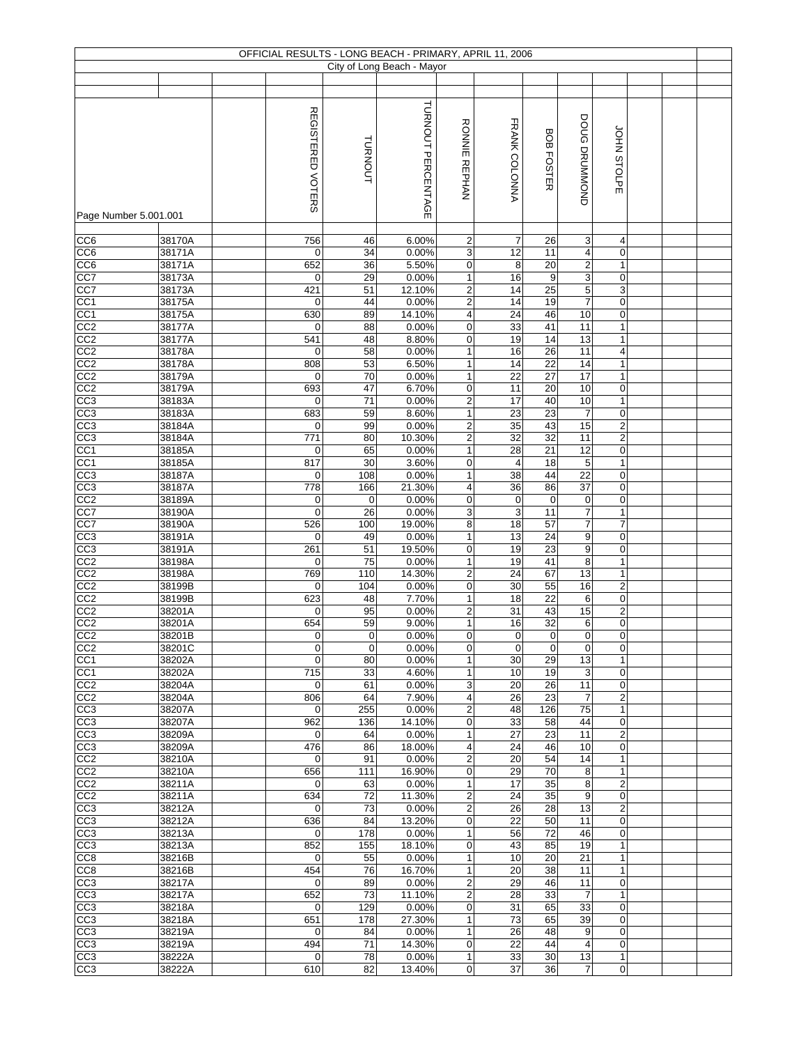|                         |                  |                    |             | OFFICIAL RESULTS - LONG BEACH - PRIMARY, APRIL 11, 2006 |                                        |                         |                   |                           |                                  |  |  |
|-------------------------|------------------|--------------------|-------------|---------------------------------------------------------|----------------------------------------|-------------------------|-------------------|---------------------------|----------------------------------|--|--|
|                         |                  |                    |             | City of Long Beach - Mayor                              |                                        |                         |                   |                           |                                  |  |  |
|                         |                  |                    |             |                                                         |                                        |                         |                   |                           |                                  |  |  |
|                         |                  |                    |             |                                                         |                                        |                         |                   |                           |                                  |  |  |
|                         |                  | REGISTERED VOTERS  | TURNOUT     | TURNOUT PERCENTAGE                                      | <b>RONNIE REPHAN</b>                   | FRANK COLONNA           | <b>BOB FOSTER</b> | DOUG DRUMMOND             | JOHN STOLPE                      |  |  |
|                         |                  |                    |             |                                                         |                                        |                         |                   |                           |                                  |  |  |
|                         |                  |                    |             |                                                         |                                        |                         |                   |                           |                                  |  |  |
| Page Number 5.001.001   |                  |                    |             |                                                         |                                        |                         |                   |                           |                                  |  |  |
| CC <sub>6</sub>         | 38170A           | 756                | 46          | 6.00%                                                   | 2                                      | $\overline{7}$          | 26                | 3                         | 4                                |  |  |
| CC6                     | 38171A           | $\mathbf 0$        | 34          | 0.00%                                                   | 3                                      | 12                      | 11                | 4                         | $\mathbf 0$                      |  |  |
| CC6                     | 38171A           | 652                | 36          | 5.50%                                                   | $\mathsf 0$                            | 8                       | 20                | $\overline{2}$            | $\mathbf{1}$                     |  |  |
| CC7                     | 38173A           | $\mathbf 0$        | 29          | 0.00%                                                   | $\mathbf{1}$                           | 16                      | $\boldsymbol{9}$  | $\overline{3}$            | $\pmb{0}$                        |  |  |
| CC7                     | 38173A           | 421                | 51          | 12.10%                                                  | 2                                      | 14                      | 25                | $\overline{5}$            | 3                                |  |  |
| CC1                     | 38175A           | $\mathbf 0$        | 44          | 0.00%                                                   | $\overline{\mathbf{c}}$                | 14                      | 19                | $\overline{7}$            | $\boldsymbol{0}$                 |  |  |
| CC <sub>1</sub>         | 38175A           | 630                | 89          | 14.10%                                                  | 4                                      | $\overline{24}$         | 46                | 10                        | 0                                |  |  |
| CC2                     | 38177A           | 0                  | 88          | 0.00%                                                   | 0                                      | 33                      | 41                | 11                        | $\mathbf{1}$                     |  |  |
| CC2                     | 38177A           | 541                | 48          | 8.80%                                                   | 0                                      | 19                      | 14                | 13                        | $\mathbf{1}$                     |  |  |
| CC2                     | 38178A           | 0                  | 58          | 0.00%                                                   | $\mathbf{1}$                           | 16                      | 26                | 11                        | $\overline{4}$                   |  |  |
| CC2                     | 38178A           | 808                | 53          | 6.50%                                                   | $\mathbf{1}$                           | 14                      | 22                | 14                        | $\mathbf{1}$                     |  |  |
| CC <sub>2</sub>         | 38179A           | 0                  | 70          | 0.00%                                                   | $\mathbf{1}$                           | $\overline{22}$         | $\overline{27}$   | $\overline{17}$           | $\mathbf{1}$                     |  |  |
| CC2                     | 38179A           | 693                | 47          | 6.70%                                                   | 0                                      | 11                      | 20                | 10                        | $\pmb{0}$                        |  |  |
| CC3                     | 38183A           | $\mathbf 0$        | 71          | 0.00%                                                   | $\overline{\mathbf{c}}$                | 17                      | 40                | 10                        | $\mathbf{1}$                     |  |  |
| CC <sub>3</sub>         | 38183A           | 683                | 59          | 8.60%                                                   | $\mathbf{1}$                           | 23                      | 23                | $\boldsymbol{7}$          | $\pmb{0}$                        |  |  |
| CC3                     | 38184A           | 0                  | 99          | 0.00%                                                   | $\overline{2}$                         | 35                      | 43                | 15                        | $\mathbf 2$                      |  |  |
| CC <sub>3</sub>         | 38184A           | 771                | 80          | 10.30%                                                  | $\overline{\mathbf{c}}$                | $\overline{32}$         | $\overline{32}$   | 11                        | $\boldsymbol{2}$                 |  |  |
| CC <sub>1</sub>         | 38185A           | $\mathbf 0$        | 65          | 0.00%                                                   | $\mathbf{1}$                           | $\overline{28}$         | $\overline{21}$   | 12                        | $\pmb{0}$                        |  |  |
| CC <sub>1</sub>         | 38185A           | 817                | 30          | 3.60%                                                   | 0                                      | $\overline{\mathbf{4}}$ | $\overline{18}$   | $\overline{5}$            | $\mathbf{1}$                     |  |  |
| CC3                     | 38187A           | $\pmb{0}$          | 108         | 0.00%                                                   | $\mathbf{1}$                           | 38                      | 44                | $\overline{22}$           | $\pmb{0}$                        |  |  |
| CC <sub>3</sub>         | 38187A           | 778                | 166         | 21.30%                                                  | 4                                      | 36                      | 86                | 37                        | 0                                |  |  |
| CC2                     | 38189A           | 0                  | $\mathbf 0$ | 0.00%                                                   | 0                                      | $\pmb{0}$               | $\pmb{0}$         | $\pmb{0}$                 | 0                                |  |  |
| CC7                     | 38190A           | $\mathbf 0$        | 26          | 0.00%                                                   | 3                                      | 3                       | 11                | $\overline{7}$            | $\mathbf{1}$                     |  |  |
| CC7                     | 38190A           | 526                | 100         | 19.00%                                                  | 8                                      | 18                      | 57                | $\overline{\mathfrak{c}}$ | $\overline{7}$                   |  |  |
| $\overline{CC3}$        | 38191A           | 0                  | 49          | 0.00%                                                   | $\mathbf{1}$                           | 13                      | 24                | $\boldsymbol{9}$          | 0                                |  |  |
| CC3<br>$\overline{CC2}$ | 38191A<br>38198A | 261<br>$\mathbf 0$ | 51<br>75    | 19.50%<br>0.00%                                         | 0<br>$\mathbf{1}$                      | 19<br>19                | 23<br>41          | 9<br>8                    | $\boldsymbol{0}$<br>$\mathbf{1}$ |  |  |
| CC <sub>2</sub>         | 38198A           | 769                | 110         | 14.30%                                                  | $\mathbf 2$                            | 24                      | 67                | 13                        | $\mathbf{1}$                     |  |  |
| CC2                     | 38199B           | $\mathbf 0$        | 104         | 0.00%                                                   | 0                                      | 30                      | 55                | 16                        | $\mathbf 2$                      |  |  |
| CC2                     | 38199B           | 623                | 48          | 7.70%                                                   | $\mathbf{1}$                           | 18                      | 22                | 6                         | 0                                |  |  |
| CC2                     | 38201A           | $\mathbf 0$        | 95          | 0.00%                                                   | 2                                      | 31                      | 43                | 15                        | $\overline{c}$                   |  |  |
| CC <sub>2</sub>         | 38201A           | 654                | 59          | 9.00%                                                   | $\mathbf{1}$                           | 16                      | 32                | 6                         | $\mathbf 0$                      |  |  |
| CC <sub>2</sub>         | 38201B           | $\overline{0}$     | $\pmb{0}$   | 0.00%                                                   | 0                                      | $\overline{0}$          | 0                 | 0                         | $\pmb{0}$                        |  |  |
| CC <sub>2</sub>         | 38201C           | 0                  | $\mathbf 0$ | 0.00%                                                   | 0                                      | $\mathbf 0$             | $\mathbf 0$       | $\mathbf 0$               | $\mathbf 0$                      |  |  |
| CC <sub>1</sub>         | 38202A           | $\mathbf 0$        | 80          | 0.00%                                                   | $\mathbf{1}$                           | 30                      | 29                | 13                        | $\mathbf{1}$                     |  |  |
| CC <sub>1</sub>         | 38202A           | 715                | 33          | 4.60%                                                   | $\mathbf{1}$                           | 10                      | 19                | 3                         | $\overline{0}$                   |  |  |
| CC <sub>2</sub>         | 38204A           | 0                  | 61          | 0.00%                                                   | 3                                      | 20                      | 26                | 11                        | 0                                |  |  |
| CC <sub>2</sub>         | 38204A           | 806                | 64          | 7.90%                                                   | 4                                      | 26                      | 23                | $\overline{7}$            | $\overline{c}$                   |  |  |
| CC3                     | 38207A           | $\mathbf 0$        | 255         | 0.00%                                                   | $\overline{\mathbf{c}}$                | 48                      | 126               | 75                        | $\mathbf{1}$                     |  |  |
| CC3                     | 38207A           | 962                | 136         | 14.10%                                                  | $\mathbf 0$                            | 33                      | 58                | 44                        | $\mathbf 0$                      |  |  |
| CC3                     | 38209A           | 0                  | 64          | 0.00%                                                   | $\mathbf{1}$                           | 27                      | 23                | 11                        | $\overline{2}$                   |  |  |
| CC3                     | 38209A           | 476                | 86          | 18.00%                                                  | 4                                      | 24                      | 46                | 10                        | $\mathbf 0$                      |  |  |
| CC2                     | 38210A           | 0                  | 91          | 0.00%                                                   | $\overline{2}$                         | 20                      | 54                | 14                        | $\mathbf{1}$                     |  |  |
| CC2                     | 38210A           | 656                | 111         | 16.90%                                                  | 0                                      | 29                      | 70                | 8                         | $\mathbf{1}$                     |  |  |
| CC <sub>2</sub>         | 38211A           | $\mathbf 0$        | 63          | 0.00%                                                   | $\mathbf{1}$                           | 17                      | 35                | 8                         | $\overline{c}$                   |  |  |
| CC <sub>2</sub>         | 38211A           | 634                | 72          | 11.30%                                                  | $\overline{\mathbf{c}}$                | 24                      | 35                | 9                         | $\mathbf 0$                      |  |  |
| CC <sub>3</sub>         | 38212A           | $\mathbf 0$        | 73          | 0.00%                                                   | $\overline{\mathbf{c}}$<br>$\mathbf 0$ | 26<br>22                | 28<br>50          | 13<br>11                  | $\overline{c}$<br>$\mathbf 0$    |  |  |
| CC <sub>3</sub>         | 38212A           | 636                | 84          | 13.20%                                                  |                                        |                         |                   |                           |                                  |  |  |
| CC <sub>3</sub><br>CC3  | 38213A<br>38213A | $\mathbf 0$<br>852 | 178<br>155  | 0.00%<br>18.10%                                         | $\mathbf{1}$<br>0                      | 56<br>43                | 72<br>85          | 46<br>19                  | $\mathbf 0$<br>1                 |  |  |
| CC <sub>8</sub>         | 38216B           | 0                  | 55          | 0.00%                                                   | $\mathbf{1}$                           | 10                      | 20                | 21                        | $\mathbf{1}$                     |  |  |
| CC <sub>8</sub>         | 38216B           | 454                | 76          | 16.70%                                                  | $\mathbf{1}$                           | 20                      | 38                | 11                        | $\mathbf{1}$                     |  |  |
| CC <sub>3</sub>         | 38217A           | $\mathbf 0$        | 89          | 0.00%                                                   | $\mathbf 2$                            | 29                      | 46                | 11                        | $\overline{0}$                   |  |  |
| CC <sub>3</sub>         | 38217A           | 652                | 73          | 11.10%                                                  | $\overline{\mathbf{c}}$                | 28                      | 33                | $\overline{7}$            | $\mathbf{1}$                     |  |  |
| CC <sub>3</sub>         | 38218A           | 0                  | 129         | 0.00%                                                   | 0                                      | 31                      | 65                | 33                        | $\mathbf 0$                      |  |  |
| CC <sub>3</sub>         | 38218A           | 651                | 178         | 27.30%                                                  | $\mathbf{1}$                           | 73                      | 65                | 39                        | $\mathbf 0$                      |  |  |
| CC <sub>3</sub>         | 38219A           | $\mathbf 0$        | 84          | 0.00%                                                   | $\mathbf{1}$                           | 26                      | 48                | 9                         | $\mathbf 0$                      |  |  |
| CC3                     | 38219A           | 494                | 71          | 14.30%                                                  | 0                                      | 22                      | 44                | 4                         | $\mathbf 0$                      |  |  |
| CC3                     | 38222A           | 0                  | 78          | 0.00%                                                   | $\mathbf{1}$                           | 33                      | 30                | 13                        | $\mathbf{1}$                     |  |  |
| CC <sub>3</sub>         | 38222A           | 610                | 82          | 13.40%                                                  | $\mathbf 0$                            | 37                      | 36                | $\overline{7}$            | $\boldsymbol{0}$                 |  |  |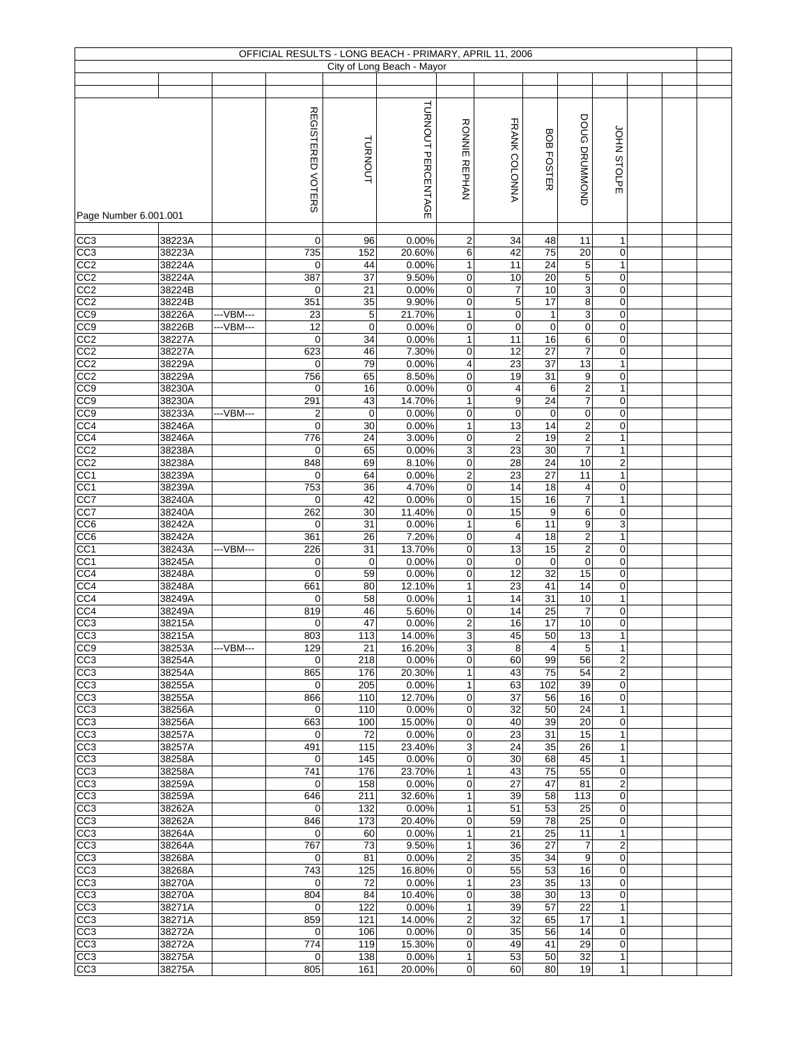|                                    |                  |           |                                |                   | OFFICIAL RESULTS - LONG BEACH - PRIMARY, APRIL 11, 2006 |                         |                         |                   |                          |                              |  |  |
|------------------------------------|------------------|-----------|--------------------------------|-------------------|---------------------------------------------------------|-------------------------|-------------------------|-------------------|--------------------------|------------------------------|--|--|
|                                    |                  |           |                                |                   | City of Long Beach - Mayor                              |                         |                         |                   |                          |                              |  |  |
|                                    |                  |           |                                |                   |                                                         |                         |                         |                   |                          |                              |  |  |
|                                    |                  |           |                                |                   |                                                         |                         |                         |                   |                          |                              |  |  |
|                                    |                  |           | REGISTERED VOTERS              | TURNOUT           | TURNOUT PERCENTAGE                                      | <b>RONNIE REPHAN</b>    | FRANK COLONNA           | <b>BOB FOSTER</b> | DOUG DRUMMOND            | JOHN STOLPE                  |  |  |
|                                    |                  |           |                                |                   |                                                         |                         |                         |                   |                          |                              |  |  |
| Page Number 6.001.001              |                  |           |                                |                   |                                                         |                         |                         |                   |                          |                              |  |  |
|                                    |                  |           |                                |                   |                                                         |                         |                         |                   |                          |                              |  |  |
| CC <sub>3</sub>                    | 38223A           |           | 0                              | 96                | 0.00%                                                   | 2                       | 34                      | 48                | 11                       | 1                            |  |  |
| CC3                                | 38223A           |           | 735                            | 152               | 20.60%                                                  | 6                       | 42                      | 75                | 20                       | $\pmb{0}$                    |  |  |
| CC <sub>2</sub>                    | 38224A           |           | 0                              | 44                | 0.00%                                                   | $\mathbf{1}$            | 11                      | $\overline{24}$   | 5                        | $\mathbf{1}$                 |  |  |
| CC2                                | 38224A           |           | 387                            | 37                | 9.50%                                                   | 0                       | 10                      | 20                | $\overline{5}$           | $\pmb{0}$                    |  |  |
| CC <sub>2</sub>                    | 38224B           |           | 0                              | 21                | 0.00%                                                   | 0                       | 7                       | 10                | 3                        | 0                            |  |  |
| CC2                                | 38224B           |           | 351                            | 35                | 9.90%                                                   | 0                       | 5                       | $\overline{17}$   | 8                        | 0                            |  |  |
| CC9                                | 38226A           | ---VBM--- | 23                             | 5                 | 21.70%                                                  | $\mathbf{1}$            | 0                       | $\mathbf{1}$      | 3                        | 0                            |  |  |
| CC9                                | 38226B           | ---VBM--- | 12                             | $\mathbf 0$       | 0.00%                                                   | 0                       | $\mathbf 0$             | $\mathbf 0$       | 0                        | 0                            |  |  |
| CC2                                | 38227A           |           | $\mathbf 0$                    | 34                | 0.00%                                                   | $\mathbf{1}$            | 11                      | 16                | 6                        | 0                            |  |  |
| CC2                                | 38227A           |           | 623                            | 46                | 7.30%                                                   | 0                       | 12                      | 27                | $\overline{7}$           | $\pmb{0}$                    |  |  |
| CC2                                | 38229A           |           | 0                              | 79                | 0.00%                                                   | 4                       | 23                      | 37                | 13                       | $\mathbf{1}$                 |  |  |
| CC <sub>2</sub>                    | 38229A           |           | 756                            | 65                | 8.50%                                                   | 0                       | 19                      | 31                | 9                        | $\mathbf 0$                  |  |  |
| CC9                                | 38230A           |           | 0                              | 16                | 0.00%                                                   | 0                       | $\overline{\mathbf{4}}$ | 6                 | 2                        | $\mathbf{1}$                 |  |  |
| CC9<br>CC9                         | 38230A<br>38233A | ---VBM--- | 291<br>$\overline{\mathbf{c}}$ | 43<br>$\mathbf 0$ | 14.70%<br>0.00%                                         | $\mathbf{1}$<br>0       | $9\,$<br>0              | 24<br>$\pmb{0}$   | $\overline{7}$<br>0      | $\mathbf 0$<br>0             |  |  |
| CC <sub>4</sub>                    | 38246A           |           | $\mathbf 0$                    | 30                | 0.00%                                                   | $\mathbf{1}$            | 13                      | $\overline{14}$   | $\mathbf 2$              | 0                            |  |  |
| CC4                                | 38246A           |           | 776                            | 24                | 3.00%                                                   | 0                       | $\boldsymbol{2}$        | 19                | 2                        | $\mathbf{1}$                 |  |  |
| CC <sub>2</sub>                    | 38238A           |           | $\mathbf 0$                    | 65                | 0.00%                                                   | 3                       | 23                      | 30                | $\overline{7}$           | $\mathbf{1}$                 |  |  |
| CC2                                | 38238A           |           | 848                            | 69                | 8.10%                                                   | $\overline{0}$          | $\overline{28}$         | $\overline{24}$   | 10                       | $\overline{c}$               |  |  |
| CC <sub>1</sub>                    | 38239A           |           | $\mathbf 0$                    | 64                | 0.00%                                                   | $\overline{2}$          | 23                      | 27                | 11                       | $\mathbf{1}$                 |  |  |
| CC <sub>1</sub>                    | 38239A           |           | 753                            | 36                | 4.70%                                                   | 0                       | 14                      | 18                | 4                        | $\mathbf 0$                  |  |  |
| CC7                                | 38240A           |           | 0                              | 42                | 0.00%                                                   | 0                       | 15                      | 16                | $\overline{\mathcal{I}}$ | $\mathbf{1}$                 |  |  |
| CC7                                | 38240A           |           | 262                            | 30                | 11.40%                                                  | $\mathsf 0$             | 15                      | 9                 | 6                        | $\mathbf 0$                  |  |  |
| CC6                                | 38242A           |           | 0                              | 31                | 0.00%                                                   | $\mathbf{1}$            | 6                       | 11                | 9                        | 3                            |  |  |
| CC <sub>6</sub>                    | 38242A           |           | 361                            | 26                | 7.20%                                                   | 0                       | $\overline{\mathbf{4}}$ | 18                | $\mathbf 2$              | 1                            |  |  |
| CC <sub>1</sub>                    | 38243A           | ---VBM--- | 226                            | 31                | 13.70%                                                  | 0                       | 13                      | 15                | 2                        | $\boldsymbol{0}$             |  |  |
| CC1                                | 38245A           |           | $\pmb{0}$                      | $\mathbf 0$       | 0.00%                                                   | 0                       | $\pmb{0}$               | $\mathbf 0$       | $\pmb{0}$                | $\pmb{0}$                    |  |  |
| CC4                                | 38248A           |           | 0                              | 59                | 0.00%                                                   | $\mathsf 0$             | $\overline{12}$         | 32                | 15                       | $\pmb{0}$                    |  |  |
| CC4                                | 38248A           |           | 661                            | 80                | 12.10%                                                  | 1                       | 23                      | 41                | 14                       | $\pmb{0}$                    |  |  |
| CC4                                | 38249A           |           | 0                              | 58                | 0.00%                                                   | 1                       | 14                      | 31                | 10                       | $\mathbf{1}$                 |  |  |
| CC4                                | 38249A           |           | 819                            | 46                | 5.60%                                                   | 0                       | 14                      | 25                | $\overline{\mathcal{I}}$ | 0                            |  |  |
| CC <sub>3</sub>                    | 38215A           |           | 0                              | 47                | 0.00%                                                   | $\overline{2}$          | 16                      | 17                | 10                       | 0                            |  |  |
| CC <sub>3</sub><br>CC <sub>9</sub> | 38215A<br>38253A | ---VBM--- | 803<br>129                     | 113<br>21         | 14.00%<br>16.20%                                        | 3<br>3                  | 45<br>8                 | 50<br>4           | 13<br>5                  | $\mathbf{1}$<br>$\mathbf{1}$ |  |  |
| CC <sub>3</sub>                    | 38254A           |           | 0                              | 218               | 0.00%                                                   | 0                       | 60                      | 99                | 56                       | $\overline{2}$               |  |  |
| CC <sub>3</sub>                    | 38254A           |           | 865                            | 176               | 20.30%                                                  | 1                       | 43                      | 75                | 54                       | $\overline{\mathbf{c}}$      |  |  |
| CC <sub>3</sub>                    | 38255A           |           | 0                              | 205               | 0.00%                                                   | 1                       | 63                      | 102               | 39                       | $\mathbf 0$                  |  |  |
| CC <sub>3</sub>                    | 38255A           |           | 866                            | 110               | 12.70%                                                  | 0                       | 37                      | 56                | 16                       | $\mathbf 0$                  |  |  |
| CC3                                | 38256A           |           | $\mathbf 0$                    | 110               | 0.00%                                                   | 0                       | 32                      | 50                | 24                       | $\mathbf{1}$                 |  |  |
| CC <sub>3</sub>                    | 38256A           |           | 663                            | 100               | 15.00%                                                  | $\mathbf 0$             | 40                      | 39                | 20                       | $\mathbf 0$                  |  |  |
| CC3                                | 38257A           |           | 0                              | 72                | 0.00%                                                   | 0                       | 23                      | 31                | 15                       | 1                            |  |  |
| CC3                                | 38257A           |           | 491                            | 115               | 23.40%                                                  | 3                       | 24                      | 35                | 26                       | $\mathbf{1}$                 |  |  |
| CC3                                | 38258A           |           | 0                              | 145               | 0.00%                                                   | 0                       | 30                      | 68                | 45                       | $\mathbf{1}$                 |  |  |
| CC3                                | 38258A           |           | 741                            | 176               | 23.70%                                                  | $\mathbf{1}$            | 43                      | $\overline{75}$   | 55                       | $\mathbf 0$                  |  |  |
| CC <sub>3</sub>                    | 38259A           |           | $\mathbf 0$                    | 158               | 0.00%                                                   | 0                       | 27                      | 47                | 81                       | $\overline{\mathbf{c}}$      |  |  |
| CC <sub>3</sub>                    | 38259A           |           | 646                            | 211               | 32.60%                                                  | $\mathbf{1}$            | 39                      | 58                | 113                      | $\mathbf 0$                  |  |  |
| CC <sub>3</sub>                    | 38262A           |           | 0                              | 132               | 0.00%                                                   | $\mathbf{1}$<br>0       | 51                      | 53<br>78          | 25<br>25                 | $\mathbf 0$<br>$\mathbf 0$   |  |  |
| CC3                                | 38262A<br>38264A |           | 846<br>$\mathbf 0$             | 173               | 20.40%                                                  | $\mathbf{1}$            | 59<br>21                | 25                | 11                       | $\mathbf{1}$                 |  |  |
| CC <sub>3</sub><br>CC3             | 38264A           |           | 767                            | 60<br>73          | 0.00%<br>9.50%                                          | $\mathbf{1}$            | 36                      | 27                | $\overline{7}$           | $\overline{2}$               |  |  |
| CC <sub>3</sub>                    | 38268A           |           | 0                              | 81                | 0.00%                                                   | $\overline{\mathbf{c}}$ | 35                      | 34                | 9                        | $\mathbf 0$                  |  |  |
| CC <sub>3</sub>                    | 38268A           |           | 743                            | 125               | 16.80%                                                  | 0                       | 55                      | 53                | 16                       | $\mathbf 0$                  |  |  |
| CC <sub>3</sub>                    | 38270A           |           | 0                              | 72                | 0.00%                                                   | $\mathbf{1}$            | 23                      | 35                | 13                       | $\overline{0}$               |  |  |
| CC <sub>3</sub>                    | 38270A           |           | 804                            | 84                | 10.40%                                                  | 0                       | 38                      | 30                | 13                       | $\mathbf 0$                  |  |  |
| CC <sub>3</sub>                    | 38271A           |           | 0                              | 122               | 0.00%                                                   | $\mathbf{1}$            | 39                      | 57                | 22                       | $\mathbf{1}$                 |  |  |
| CC <sub>3</sub>                    | 38271A           |           | 859                            | 121               | 14.00%                                                  | $\overline{\mathbf{c}}$ | 32                      | 65                | 17                       | $\mathbf{1}$                 |  |  |
| CC <sub>3</sub>                    | 38272A           |           | $\mathbf 0$                    | 106               | 0.00%                                                   | 0                       | 35                      | 56                | 14                       | $\mathbf 0$                  |  |  |
| CC3                                | 38272A           |           | 774                            | 119               | 15.30%                                                  | 0                       | 49                      | 41                | 29                       | $\mathbf 0$                  |  |  |
| CC <sub>3</sub>                    | 38275A           |           | 0                              | 138               | 0.00%                                                   | 1                       | 53                      | 50                | 32                       | $\mathbf{1}$                 |  |  |
| CC <sub>3</sub>                    | 38275A           |           | 805                            | 161               | 20.00%                                                  | $\mathbf 0$             | 60                      | 80                | 19                       | $\mathbf{1}$                 |  |  |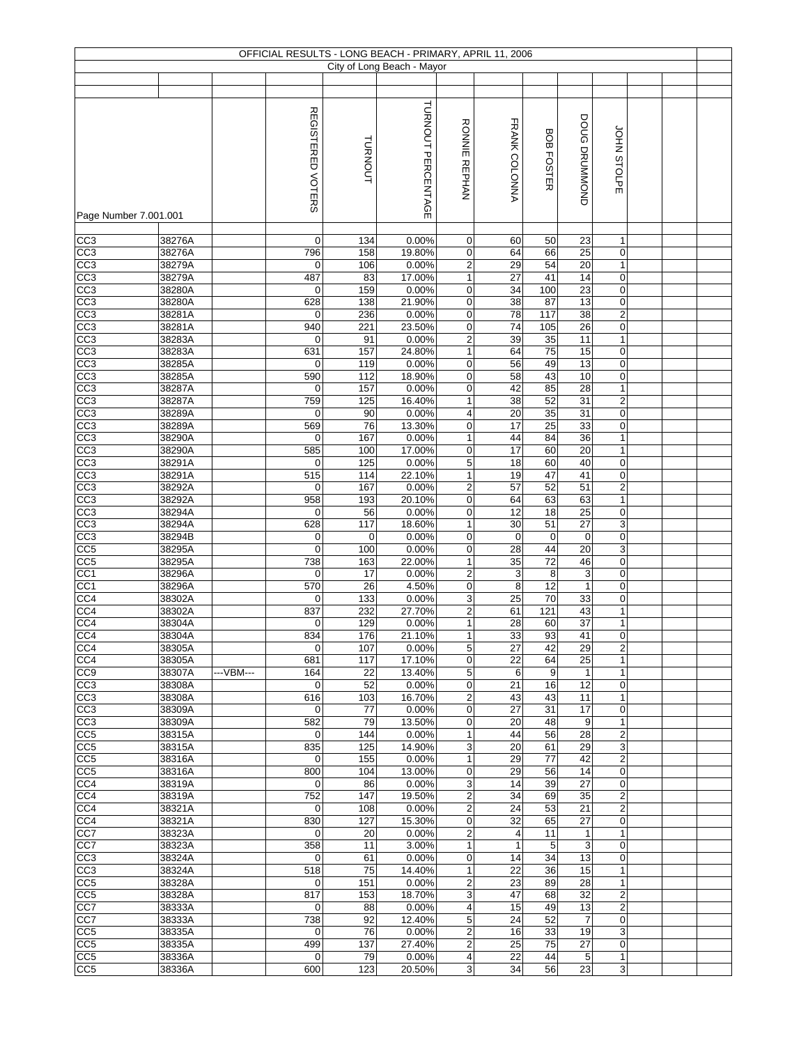|                       |        |            |                   |             | OFFICIAL RESULTS - LONG BEACH - PRIMARY, APRIL 11, 2006 |                         |                |                   |                 |                  |  |
|-----------------------|--------|------------|-------------------|-------------|---------------------------------------------------------|-------------------------|----------------|-------------------|-----------------|------------------|--|
|                       |        |            |                   |             | City of Long Beach - Mayor                              |                         |                |                   |                 |                  |  |
|                       |        |            |                   |             |                                                         |                         |                |                   |                 |                  |  |
|                       |        |            |                   |             |                                                         |                         |                |                   |                 |                  |  |
|                       |        |            |                   |             | TURNOUT PERCENTAGE                                      |                         |                |                   |                 |                  |  |
|                       |        |            | REGISTERED VOTERS |             |                                                         |                         |                |                   |                 |                  |  |
|                       |        |            |                   |             |                                                         | <b>RONNIE REPHAN</b>    | FRANK COLONNA  |                   | DOUG DRUMMOND   |                  |  |
|                       |        |            |                   |             |                                                         |                         |                |                   |                 |                  |  |
|                       |        |            |                   |             |                                                         |                         |                |                   |                 |                  |  |
|                       |        |            |                   |             |                                                         |                         |                |                   |                 |                  |  |
|                       |        |            |                   | TURNOUT     |                                                         |                         |                | <b>BOB FOSTER</b> |                 | JOHN STOLPE      |  |
|                       |        |            |                   |             |                                                         |                         |                |                   |                 |                  |  |
|                       |        |            |                   |             |                                                         |                         |                |                   |                 |                  |  |
|                       |        |            |                   |             |                                                         |                         |                |                   |                 |                  |  |
| Page Number 7.001.001 |        |            |                   |             |                                                         |                         |                |                   |                 |                  |  |
| CC3                   | 38276A |            | $\mathbf 0$       | 134         | 0.00%                                                   | 0                       | 60             | 50                | 23              | $\mathbf{1}$     |  |
| CC <sub>3</sub>       | 38276A |            | 796               | 158         | 19.80%                                                  | 0                       | 64             | 66                | 25              | $\boldsymbol{0}$ |  |
|                       |        |            |                   |             |                                                         |                         |                |                   |                 |                  |  |
| CC <sub>3</sub>       | 38279A |            | $\mathbf 0$       | 106         | 0.00%                                                   | $\overline{c}$          | 29             | 54                | 20              | $\mathbf{1}$     |  |
| CC3                   | 38279A |            | 487               | 83          | 17.00%                                                  | $\mathbf{1}$            | 27             | 41                | 14              | $\mathbf 0$      |  |
| CC3                   | 38280A |            | 0                 | 159         | 0.00%                                                   | 0                       | 34             | 100               | 23              | $\mathbf 0$      |  |
| CC3                   | 38280A |            | 628               | 138         | 21.90%                                                  | 0                       | 38             | 87                | 13              | $\boldsymbol{0}$ |  |
| CC <sub>3</sub>       | 38281A |            | $\mathbf 0$       | 236         | 0.00%                                                   | $\mathbf 0$             | 78             | 117               | 38              | $\overline{2}$   |  |
| CC3                   | 38281A |            | 940               | 221         | 23.50%                                                  | 0                       | 74             | 105               | 26              | $\pmb{0}$        |  |
| CC3                   | 38283A |            | 0                 | 91          | 0.00%                                                   | 2                       | 39             | 35                | 11              | $\mathbf{1}$     |  |
| CC <sub>3</sub>       | 38283A |            | 631               | 157         | 24.80%                                                  | $\mathbf{1}$            | 64             | 75                | 15              | $\boldsymbol{0}$ |  |
| CC <sub>3</sub>       | 38285A |            | $\mathbf 0$       | 119         | 0.00%                                                   | 0                       | 56             | 49                | 13              | $\pmb{0}$        |  |
| CC <sub>3</sub>       | 38285A |            | 590               | 112         | 18.90%                                                  | 0                       | 58             | 43                | 10              | $\mathbf 0$      |  |
| CC3                   | 38287A |            | 0                 | 157         | 0.00%                                                   | 0                       | 42             | 85                | 28              | $\mathbf{1}$     |  |
| CC3                   | 38287A |            | 759               | 125         | 16.40%                                                  | $\mathbf{1}$            | 38             | 52                | 31              | $\overline{2}$   |  |
| CC <sub>3</sub>       | 38289A |            | $\mathbf 0$       | 90          | 0.00%                                                   | 4                       | 20             | 35                | 31              | $\pmb{0}$        |  |
| CC3                   | 38289A |            |                   |             |                                                         | $\mathbf 0$             | 17             | 25                |                 | $\mathbf 0$      |  |
|                       |        |            | 569               | 76          | 13.30%                                                  |                         |                |                   | 33              |                  |  |
| CC <sub>3</sub>       | 38290A |            | 0                 | 167         | 0.00%                                                   | 1                       | 44             | 84                | 36              | $\mathbf{1}$     |  |
| CC <sub>3</sub>       | 38290A |            | 585               | 100         | 17.00%                                                  | 0                       | 17             | 60                | $\overline{20}$ | $\mathbf{1}$     |  |
| CC <sub>3</sub>       | 38291A |            | $\mathbf 0$       | 125         | 0.00%                                                   | $\overline{5}$          | 18             | 60                | 40              | $\boldsymbol{0}$ |  |
| CC3                   | 38291A |            | 515               | 114         | 22.10%                                                  | $\mathbf{1}$            | 19             | 47                | 41              | $\pmb{0}$        |  |
| CC <sub>3</sub>       | 38292A |            | $\mathbf 0$       | 167         | 0.00%                                                   | $\overline{c}$          | 57             | 52                | 51              | $\overline{2}$   |  |
| CC3                   | 38292A |            | 958               | 193         | 20.10%                                                  | 0                       | 64             | 63                | 63              | $\mathbf{1}$     |  |
| $\overline{CC3}$      | 38294A |            | $\mathbf 0$       | 56          | 0.00%                                                   | 0                       | 12             | 18                | 25              | $\mathbf 0$      |  |
| CC <sub>3</sub>       | 38294A |            | 628               | 117         | 18.60%                                                  | 1                       | 30             | 51                | 27              | $\overline{3}$   |  |
| $\overline{CC3}$      | 38294B |            | $\mathbf 0$       | $\mathbf 0$ | 0.00%                                                   | 0                       | $\mathbf 0$    | $\mathbf 0$       | $\mathbf 0$     | $\mathbf 0$      |  |
| CC5                   | 38295A |            | $\mathbf 0$       | 100         | 0.00%                                                   | 0                       | 28             | 44                | 20              | $\sqrt{3}$       |  |
| CC <sub>5</sub>       | 38295A |            | 738               | 163         | 22.00%                                                  | 1                       | 35             | 72                | 46              | $\boldsymbol{0}$ |  |
| CC1                   | 38296A |            | $\mathbf 0$       | 17          | 0.00%                                                   | $\overline{c}$          | 3              | 8                 | $\mathsf 3$     | $\boldsymbol{0}$ |  |
| CC1                   | 38296A |            | 570               | 26          | 4.50%                                                   | 0                       | $\overline{8}$ | 12                | $\mathbf{1}$    | $\boldsymbol{0}$ |  |
|                       |        |            |                   |             |                                                         |                         | 25             | 70                | 33              |                  |  |
| CC4                   | 38302A |            | 0                 | 133         | 0.00%                                                   | 3                       |                |                   |                 | $\mathbf 0$      |  |
| CC4                   | 38302A |            | 837               | 232         | 27.70%                                                  | 2                       | 61             | 121               | 43              | $\mathbf{1}$     |  |
| CC4                   | 38304A |            | $\mathbf 0$       | 129         | 0.00%                                                   | $\mathbf{1}$            | 28             | 60                | 37              | $\mathbf{1}$     |  |
| CC4                   | 38304A |            | 834               | 176         | 21.10%                                                  | $\mathbf{1}$            | 33             | 93                | 41              | $\overline{0}$   |  |
| CC4                   | 38305A |            | $\mathbf 0$       | 107         | 0.00%                                                   | 5                       | 27             | 42                | 29              | $\overline{c}$   |  |
| CC4                   | 38305A |            | 681               | 117         | 17.10%                                                  | 0                       | 22             | 64                | 25              | $\mathbf{1}$     |  |
| CC <sub>9</sub>       | 38307A | --- VBM--- | 164               | 22          | 13.40%                                                  | 5                       | 6              | 9                 | $\mathbf{1}$    | $\mathbf{1}$     |  |
| CC3                   | 38308A |            | $\mathbf 0$       | 52          | 0.00%                                                   | 0                       | 21             | 16                | 12              | $\mathbf 0$      |  |
| CC <sub>3</sub>       | 38308A |            | 616               | 103         | 16.70%                                                  | 2                       | 43             | 43                | 11              | $\mathbf{1}$     |  |
| CC3                   | 38309A |            | $\mathbf 0$       | 77          | 0.00%                                                   | $\mathbf 0$             | 27             | 31                | 17              | $\mathbf 0$      |  |
| CC3                   | 38309A |            | 582               | 79          | 13.50%                                                  | 0                       | 20             | 48                | 9               | $\mathbf{1}$     |  |
| CC5                   | 38315A |            | $\mathbf 0$       | 144         | 0.00%                                                   | 1                       | 44             | 56                | 28              | $\overline{2}$   |  |
| CC <sub>5</sub>       | 38315A |            | 835               | 125         | 14.90%                                                  | 3                       | 20             | 61                | 29              | $\sqrt{3}$       |  |
| CC <sub>5</sub>       | 38316A |            | $\mathbf 0$       | 155         | 0.00%                                                   | $\mathbf{1}$            | 29             | $\overline{77}$   | 42              | $\overline{c}$   |  |
| CC <sub>5</sub>       | 38316A |            | 800               | 104         | 13.00%                                                  | 0                       | 29             | 56                | 14              | $\mathbf 0$      |  |
| CC4                   | 38319A |            | 0                 | 86          | 0.00%                                                   | 3                       | 14             | 39                | $\overline{27}$ | $\mathbf 0$      |  |
| CC4                   | 38319A |            | 752               | 147         | 19.50%                                                  | $\overline{c}$          | 34             | 69                | 35              | $\overline{2}$   |  |
|                       |        |            |                   |             |                                                         |                         |                |                   |                 |                  |  |
| CC4                   | 38321A |            | 0                 | 108         | 0.00%                                                   | 2                       | 24             | 53                | 21              | $\overline{2}$   |  |
| CC4                   | 38321A |            | 830               | 127         | 15.30%                                                  | $\mathbf 0$             | 32             | 65                | 27              | $\mathbf 0$      |  |
| CC7                   | 38323A |            | 0                 | 20          | 0.00%                                                   | $\overline{\mathbf{c}}$ | 4              | 11                | $\mathbf{1}$    | $\mathbf{1}$     |  |
| CC7                   | 38323A |            | 358               | 11          | 3.00%                                                   | 1                       | $\mathbf{1}$   | 5                 | 3               | $\mathbf 0$      |  |
| CC <sub>3</sub>       | 38324A |            | $\mathbf 0$       | 61          | 0.00%                                                   | 0                       | 14             | 34                | 13              | $\mathbf 0$      |  |
| CC3                   | 38324A |            | 518               | 75          | 14.40%                                                  | $\mathbf{1}$            | 22             | 36                | 15              | $\mathbf{1}$     |  |
| CC <sub>5</sub>       | 38328A |            | 0                 | 151         | 0.00%                                                   | $\overline{c}$          | 23             | 89                | 28              | $\mathbf{1}$     |  |
| CC <sub>5</sub>       | 38328A |            | 817               | 153         | 18.70%                                                  | 3                       | 47             | 68                | 32              | $\overline{2}$   |  |
| CC7                   | 38333A |            | $\mathbf 0$       | 88          | 0.00%                                                   | 4                       | 15             | 49                | 13              | $\overline{2}$   |  |
| CC7                   | 38333A |            | 738               | 92          | 12.40%                                                  | 5                       | 24             | 52                | $\overline{7}$  | $\mathbf 0$      |  |
| CC5                   | 38335A |            | $\mathbf 0$       | 76          | 0.00%                                                   | $\overline{\mathbf{c}}$ | 16             | 33                | 19              | 3                |  |
| CC <sub>5</sub>       | 38335A |            | 499               | 137         | 27.40%                                                  | $\overline{\mathbf{c}}$ | 25             | 75                | 27              | $\mathbf 0$      |  |
| CC <sub>5</sub>       | 38336A |            | 0                 | 79          | 0.00%                                                   | 4                       | 22             | 44                | 5               | $\mathbf{1}$     |  |
| CC5                   | 38336A |            | 600               | 123         | 20.50%                                                  | 3                       | 34             | 56                | 23              | $\mathbf{3}$     |  |
|                       |        |            |                   |             |                                                         |                         |                |                   |                 |                  |  |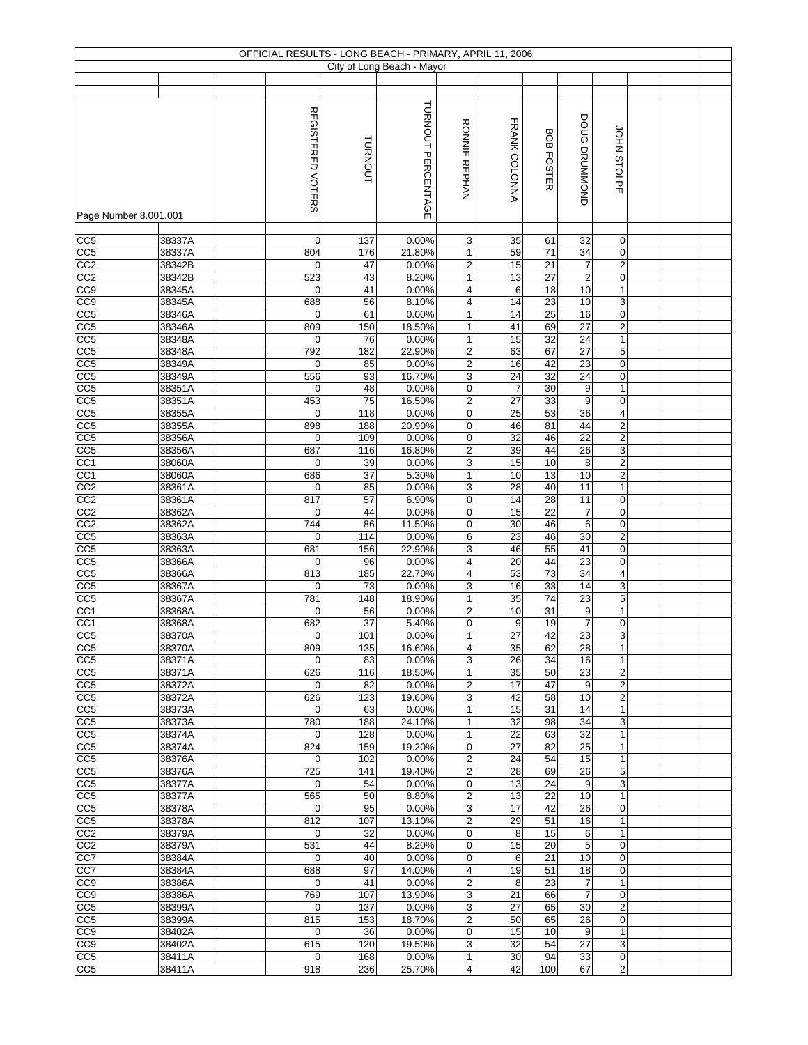|                       |        |                   |         | OFFICIAL RESULTS - LONG BEACH - PRIMARY, APRIL 11, 2006 |                         |                  |                   |                 |                             |  |
|-----------------------|--------|-------------------|---------|---------------------------------------------------------|-------------------------|------------------|-------------------|-----------------|-----------------------------|--|
|                       |        |                   |         | City of Long Beach - Mayor                              |                         |                  |                   |                 |                             |  |
|                       |        |                   |         |                                                         |                         |                  |                   |                 |                             |  |
|                       |        |                   |         |                                                         |                         |                  |                   |                 |                             |  |
|                       |        |                   |         |                                                         |                         |                  |                   |                 |                             |  |
|                       |        | REGISTERED VOTERS |         | TURNOUT PERCENTAGE                                      |                         |                  |                   |                 |                             |  |
|                       |        |                   |         |                                                         |                         |                  |                   |                 |                             |  |
|                       |        |                   |         |                                                         |                         |                  |                   |                 |                             |  |
|                       |        |                   |         |                                                         |                         |                  |                   |                 |                             |  |
|                       |        |                   | TURNOUT |                                                         | <b>RONNIE REPHAN</b>    | FRANK COLONNA    | <b>BOB FOSTER</b> | DOUG DRUMMOND   | JOHN STOLPE                 |  |
|                       |        |                   |         |                                                         |                         |                  |                   |                 |                             |  |
|                       |        |                   |         |                                                         |                         |                  |                   |                 |                             |  |
|                       |        |                   |         |                                                         |                         |                  |                   |                 |                             |  |
| Page Number 8.001.001 |        |                   |         |                                                         |                         |                  |                   |                 |                             |  |
|                       |        |                   |         |                                                         |                         |                  |                   |                 |                             |  |
| CC5                   | 38337A | $\mathbf 0$       | 137     | 0.00%                                                   | 3                       | 35               | 61                | 32              | $\mathbf 0$                 |  |
| CC5                   | 38337A | 804               | 176     | 21.80%                                                  | $\mathbf{1}$            | 59               | 71                | 34              | $\boldsymbol{0}$            |  |
| CC2                   | 38342B | 0                 | 47      | 0.00%                                                   | $\overline{c}$          | 15               | 21                | $\overline{7}$  | $\sqrt{2}$                  |  |
| CC2                   | 38342B | 523               | 43      | 8.20%                                                   | $\mathbf{1}$            | 13               | 27                | $\mathbf 2$     | 0                           |  |
| $\overline{CC9}$      | 38345A | 0                 | 41      | 0.00%                                                   | 4                       | 6                | 18                | 10              | $\mathbf{1}$                |  |
|                       |        | 688               |         |                                                         |                         | 14               |                   |                 |                             |  |
| CC <sub>0</sub>       | 38345A |                   | 56      | 8.10%<br>0.00%                                          | 4                       |                  | 23                | $10$            | $\ensuremath{\mathsf{3}}$   |  |
| CC <sub>5</sub>       | 38346A | $\mathbf 0$       | 61      |                                                         | $\mathbf{1}$            | 14               | 25                | 16              | $\boldsymbol{0}$            |  |
| CC5                   | 38346A | 809               | 150     | 18.50%                                                  | 1                       | 41               | 69                | 27              | $\boldsymbol{2}$            |  |
| CC <sub>5</sub>       | 38348A | 0                 | 76      | 0.00%                                                   | $\mathbf{1}$            | 15               | 32                | 24              | $\mathbf{1}$                |  |
| CC <sub>5</sub>       | 38348A | 792               | 182     | 22.90%                                                  | $\boldsymbol{2}$        | 63               | 67                | 27              | $\,$ 5 $\,$                 |  |
| CC5                   | 38349A | $\mathbf 0$       | 85      | 0.00%                                                   | $\boldsymbol{2}$        | 16               | 42                | 23              | $\pmb{0}$                   |  |
| CC <sub>5</sub>       | 38349A | 556               | 93      | 16.70%                                                  | 3                       | 24               | 32                | $\overline{24}$ | $\mathbf 0$                 |  |
| CC5                   | 38351A | 0                 | 48      | 0.00%                                                   | 0                       | $\overline{7}$   | 30                | 9               | $\mathbf{1}$                |  |
| CC <sub>5</sub>       | 38351A | 453               | 75      | 16.50%                                                  | $\mathbf 2$             | $\overline{27}$  | 33                | 9               | $\mathbf 0$                 |  |
| CC5                   | 38355A | $\mathbf 0$       | 118     | 0.00%                                                   | $\mathbf 0$             | 25               | 53                | 36              | $\overline{\mathbf{4}}$     |  |
| CC5                   | 38355A | 898               | 188     | 20.90%                                                  | $\mathbf 0$             | 46               | 81                | 44              | $\overline{2}$              |  |
| CC <sub>5</sub>       | 38356A | 0                 | 109     | 0.00%                                                   | 0                       | $\overline{32}$  | 46                | $\overline{22}$ | $\sqrt{2}$                  |  |
| CC <sub>5</sub>       | 38356A | 687               | 116     | 16.80%                                                  | 2                       | 39               | 44                | $\overline{26}$ | $\ensuremath{\mathsf{3}}$   |  |
| CC <sub>1</sub>       | 38060A | $\mathbf 0$       | 39      | 0.00%                                                   | 3                       | 15               | 10                | $\overline{8}$  | $\overline{2}$              |  |
| CC1                   | 38060A | 686               | 37      | 5.30%                                                   | $\mathbf{1}$            | 10               | 13                | 10              | $\overline{2}$              |  |
| CC <sub>2</sub>       | 38361A | $\mathbf 0$       | 85      | 0.00%                                                   | 3                       | 28               | 40                | 11              | $\mathbf{1}$                |  |
| CC2                   | 38361A | 817               | 57      | 6.90%                                                   | 0                       | 14               | 28                | 11              | 0                           |  |
| CC <sub>2</sub>       | 38362A | 0                 | 44      | 0.00%                                                   | 0                       | 15               | $\overline{22}$   | $\overline{7}$  | $\mathbf 0$                 |  |
| CC <sub>2</sub>       | 38362A | 744               | 86      | 11.50%                                                  | $\mathbf 0$             | 30               | 46                | 6               | $\pmb{0}$                   |  |
| $\overline{CC5}$      | 38363A | $\mathbf 0$       | 114     | 0.00%                                                   | 6                       | 23               | 46                | 30              | $\sqrt{2}$                  |  |
| CC5                   | 38363A | 681               | 156     | 22.90%                                                  | 3                       | 46               | 55                | 41              | $\mathbf 0$                 |  |
| CC <sub>5</sub>       | 38366A | 0                 | 96      | 0.00%                                                   | 4                       | 20               | 44                | 23              | $\boldsymbol{0}$            |  |
| CC5                   | 38366A | 813               | 185     | 22.70%                                                  | $\overline{\mathbf{4}}$ | 53               | 73                | 34              | $\overline{4}$              |  |
|                       |        | $\mathbf 0$       | 73      |                                                         | 3                       | 16               | 33                | 14              | $\ensuremath{\mathsf{3}}$   |  |
| CC5                   | 38367A |                   |         | 0.00%                                                   |                         | 35               | 74                | 23              |                             |  |
| CC5                   | 38367A | 781               | 148     | 18.90%                                                  | $\mathbf{1}$            |                  |                   |                 | 5                           |  |
| CC <sub>1</sub>       | 38368A | 0                 | 56      | 0.00%                                                   | 2                       | 10               | 31                | 9               | $\mathbf{1}$                |  |
| CC1                   | 38368A | 682               | 37      | 5.40%                                                   | $\mathbf 0$             | $\boldsymbol{9}$ | 19                | $\overline{7}$  | $\boldsymbol{0}$            |  |
| CC <sub>5</sub>       | 38370A | $\boldsymbol{0}$  | 101     | 0.00%                                                   | $\mathbf{1}$            | 27               | 42                | 23              | 3                           |  |
| CC <sub>5</sub>       | 38370A | 809               | 135     | 16.60%                                                  | $\overline{4}$          | 35               | 62                | 28              | $\mathbf{1}$                |  |
| CC <sub>5</sub>       | 38371A | $\mathbf 0$       | 83      | 0.00%                                                   | 3                       | 26               | 34                | 16              | $\mathbf{1}$                |  |
| CC <sub>5</sub>       | 38371A | 626               | 116     | 18.50%                                                  | 1                       | 35               | 50                | 23              | $\overline{2}$              |  |
| CC <sub>5</sub>       | 38372A | $\mathbf 0$       | 82      | 0.00%                                                   | $\overline{c}$          | 17               | 47                | 9               | $\overline{2}$              |  |
| CC <sub>5</sub>       | 38372A | 626               | 123     | 19.60%                                                  | 3                       | 42               | 58                | 10              | $\overline{c}$              |  |
| CC5                   | 38373A | $\mathbf 0$       | 63      | 0.00%                                                   | $\mathbf{1}$            | 15               | 31                | 14              | $\mathbf{1}$                |  |
| CC <sub>5</sub>       | 38373A | 780               | 188     | 24.10%                                                  | $\mathbf{1}$            | 32               | 98                | 34              | $\ensuremath{\mathsf{3}}$   |  |
| CC5                   | 38374A | $\mathbf 0$       | 128     | 0.00%                                                   | $\mathbf{1}$            | 22               | 63                | 32              | $\mathbf{1}$                |  |
| CC <sub>5</sub>       | 38374A | 824               | 159     | 19.20%                                                  | 0                       | 27               | 82                | 25              | $\mathbf{1}$                |  |
| CC <sub>5</sub>       | 38376A | $\mathbf 0$       | 102     | 0.00%                                                   | $\overline{\mathbf{c}}$ | 24               | 54                | 15              | $\mathbf{1}$                |  |
| CC5                   | 38376A | $\overline{725}$  | 141     | 19.40%                                                  | $\overline{\mathbf{c}}$ | 28               | 69                | 26              | 5                           |  |
| CC <sub>5</sub>       | 38377A | $\mathbf 0$       | 54      | 0.00%                                                   | 0                       | 13               | 24                | 9               | 3                           |  |
| CC <sub>5</sub>       | 38377A | 565               | 50      | 8.80%                                                   | $\overline{2}$          | 13               | 22                | 10              | $\mathbf{1}$                |  |
| CC <sub>5</sub>       | 38378A | 0                 | 95      | 0.00%                                                   | 3                       | 17               | 42                | 26              | $\mathbf 0$                 |  |
| CC <sub>5</sub>       | 38378A | 812               | 107     | 13.10%                                                  | $\overline{2}$          | 29               | 51                | 16              | $\mathbf{1}$                |  |
| CC <sub>2</sub>       | 38379A | $\mathbf 0$       | 32      | 0.00%                                                   | $\mathbf 0$             | 8                | 15                | 6               | $\mathbf{1}$                |  |
| CC2                   | 38379A | 531               | 44      | 8.20%                                                   | 0                       | 15               | 20                | 5               | $\mathbf 0$                 |  |
| CC7                   | 38384A | $\mathbf 0$       | 40      | 0.00%                                                   | 0                       | 6                | 21                | 10              | $\mathbf 0$                 |  |
| CC7                   | 38384A | 688               | 97      | 14.00%                                                  | $\overline{4}$          | 19               | 51                | 18              | $\mathbf 0$                 |  |
| CC <sub>9</sub>       | 38386A | $\mathbf 0$       | 41      | 0.00%                                                   | $\overline{2}$          | 8                | 23                | $\overline{7}$  | $\mathbf{1}$                |  |
| CC <sub>9</sub>       | 38386A | 769               | 107     | 13.90%                                                  | 3                       | 21               | 66                | $\overline{7}$  | $\mathbf 0$                 |  |
| CC <sub>5</sub>       | 38399A | $\mathbf 0$       | 137     | 0.00%                                                   | 3                       | 27               | 65                | 30              | $\overline{2}$              |  |
|                       |        |                   |         |                                                         |                         |                  |                   |                 |                             |  |
| CC <sub>5</sub>       | 38399A | 815               | 153     | 18.70%                                                  | $\overline{\mathbf{c}}$ | 50<br>15         | 65                | 26              | $\mathbf 0$<br>$\mathbf{1}$ |  |
| CC <sub>9</sub>       | 38402A | $\mathbf 0$       | 36      | 0.00%                                                   | $\mathbf 0$             |                  | 10                | 9               |                             |  |
| CC <sub>9</sub>       | 38402A | 615               | 120     | 19.50%                                                  | 3                       | 32               | 54                | 27              | 3                           |  |
| CC <sub>5</sub>       | 38411A | 0                 | 168     | 0.00%                                                   | 1                       | 30               | 94                | 33              | $\mathbf 0$                 |  |
| CC5                   | 38411A | 918               | 236     | 25.70%                                                  | 4                       | 42               | 100               | 67              | $\mathbf 2$                 |  |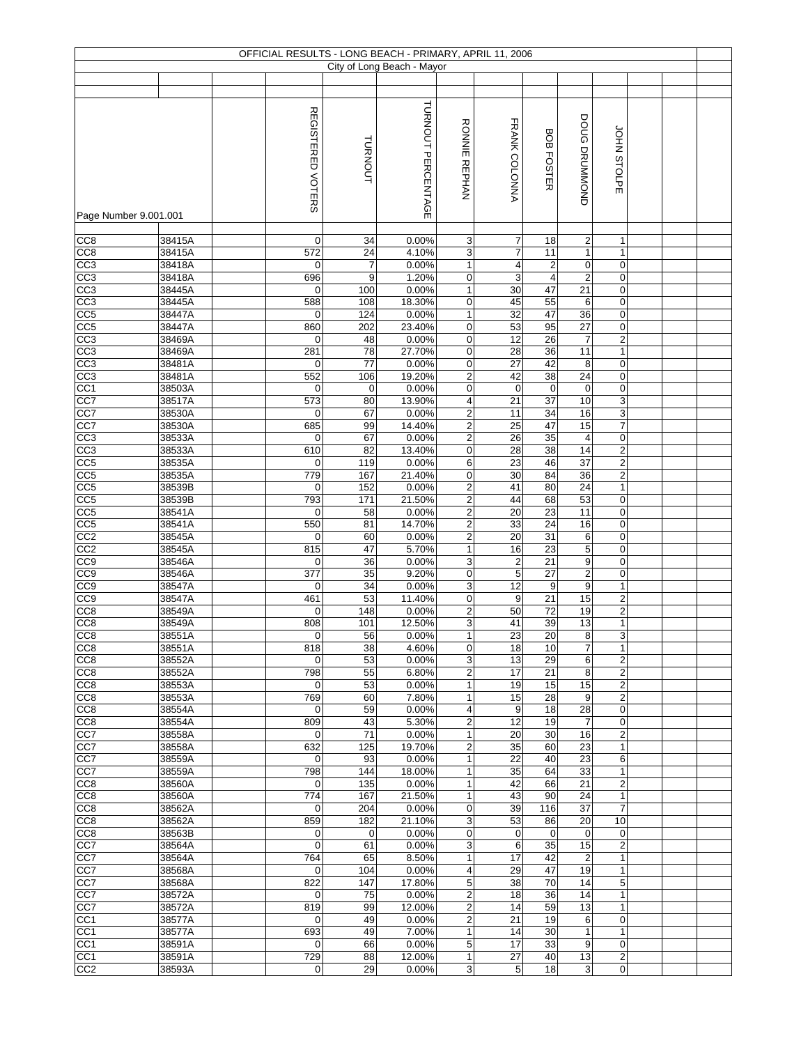|                                    |                  |                    |                                    | OFFICIAL RESULTS - LONG BEACH - PRIMARY, APRIL 11, 2006 |                                  |                              |                                    |                                    |                                  |  |  |
|------------------------------------|------------------|--------------------|------------------------------------|---------------------------------------------------------|----------------------------------|------------------------------|------------------------------------|------------------------------------|----------------------------------|--|--|
|                                    |                  |                    |                                    | City of Long Beach - Mayor                              |                                  |                              |                                    |                                    |                                  |  |  |
|                                    |                  |                    |                                    |                                                         |                                  |                              |                                    |                                    |                                  |  |  |
| Page Number 9.001.001              |                  | REGISTERED VOTERS  | TURNOUT                            | TURNOUT PERCENTAGE                                      | <b>RONNIE</b><br><b>REPHAN</b>   | FRANK COLONNA                | BOB FOSTER                         | DOUG DRUMMOND                      | JOHN STOLPE                      |  |  |
|                                    |                  |                    |                                    |                                                         |                                  |                              |                                    |                                    |                                  |  |  |
| CC <sub>8</sub>                    | 38415A           | 0                  | 34                                 | 0.00%                                                   | 3                                | 7                            | 18                                 | $\overline{c}$                     | 1                                |  |  |
| CC8                                | 38415A           | 572                | 24                                 | 4.10%                                                   | 3                                | $\overline{\mathbf{7}}$      | 11                                 | $\mathbf{1}$                       | $\mathbf{1}$                     |  |  |
| CC <sub>3</sub><br>CC3             | 38418A<br>38418A | 0<br>696           | $\overline{7}$<br>$\boldsymbol{9}$ | 0.00%<br>1.20%                                          | $\mathbf{1}$<br>0                | $\overline{\mathbf{4}}$<br>3 | $\boldsymbol{2}$<br>$\overline{4}$ | 0<br>$\overline{2}$                | $\mathbf 0$<br>$\mathbf 0$       |  |  |
| CC3                                | 38445A           | 0                  | 100                                | 0.00%                                                   | $\mathbf{1}$                     | 30                           | 47                                 | 21                                 | $\mathbf 0$                      |  |  |
| CC3                                | 38445A           | 588                | 108                                | 18.30%                                                  | 0                                | 45                           | 55                                 | 6                                  | $\pmb{0}$                        |  |  |
| CC5                                | 38447A           | $\mathbf 0$        | 124                                | 0.00%                                                   | $\mathbf{1}$                     | 32                           | 47                                 | 36                                 | $\mathbf 0$                      |  |  |
| CC <sub>5</sub>                    | 38447A           | 860                | 202                                | 23.40%                                                  | 0                                | 53                           | 95                                 | 27                                 | 0                                |  |  |
| CC3                                | 38469A           | 0                  | 48                                 | 0.00%                                                   | 0                                | 12                           | 26                                 | $\overline{7}$                     | $\mathbf 2$                      |  |  |
| CC3                                | 38469A           | 281                | 78                                 | 27.70%                                                  | 0                                | 28                           | 36                                 | 11                                 | $\mathbf{1}$                     |  |  |
| CC3                                | 38481A           | $\mathbf 0$<br>552 | 77                                 | 0.00%                                                   | 0                                | $\overline{27}$              | 42<br>38                           | $\bf 8$<br>24                      | $\mathbf 0$<br>$\mathbf 0$       |  |  |
| CC <sub>3</sub><br>CC1             | 38481A<br>38503A | $\mathbf 0$        | 106<br>$\mathbf 0$                 | 19.20%<br>0.00%                                         | $\mathbf 2$<br>0                 | 42<br>$\pmb{0}$              | $\mathbf 0$                        | $\pmb{0}$                          | $\pmb{0}$                        |  |  |
| CC7                                | 38517A           | 573                | 80                                 | 13.90%                                                  | 4                                | 21                           | 37                                 | 10                                 | 3                                |  |  |
| CC7                                | 38530A           | $\mathbf 0$        | 67                                 | 0.00%                                                   | 2                                | 11                           | 34                                 | 16                                 | $\mathsf 3$                      |  |  |
| CC7                                | 38530A           | 685                | 99                                 | 14.40%                                                  | $\overline{2}$                   | $\overline{25}$              | 47                                 | 15                                 | $\overline{7}$                   |  |  |
| CC <sub>3</sub>                    | 38533A           | 0                  | 67                                 | 0.00%                                                   | $\overline{\mathbf{c}}$          | 26                           | $\overline{35}$                    | 4                                  | 0                                |  |  |
| CC <sub>3</sub>                    | 38533A           | 610                | 82                                 | 13.40%                                                  | 0                                | $\overline{28}$              | $\overline{38}$                    | 14                                 | $\overline{2}$                   |  |  |
| CC <sub>5</sub>                    | 38535A           | 0                  | 119                                | 0.00%                                                   | 6                                | $\overline{23}$              | 46                                 | $\overline{37}$                    | $\overline{2}$                   |  |  |
| CC <sub>5</sub>                    | 38535A           | 779                | 167                                | 21.40%                                                  | 0                                | 30<br>41                     | 84<br>80                           | 36<br>24                           | $\mathbf 2$                      |  |  |
| CC5<br>CC5                         | 38539B<br>38539B | 0<br>793           | 152<br>171                         | 0.00%<br>21.50%                                         | $\overline{2}$<br>$\overline{c}$ | 44                           | 68                                 | 53                                 | $\mathbf{1}$<br>$\pmb{0}$        |  |  |
| CC <sub>5</sub>                    | 38541A           | 0                  | 58                                 | 0.00%                                                   | $\overline{\mathbf{c}}$          | 20                           | 23                                 | 11                                 | 0                                |  |  |
| CC5                                | 38541A           | 550                | 81                                 | 14.70%                                                  | $\overline{2}$                   | 33                           | 24                                 | 16                                 | $\boldsymbol{0}$                 |  |  |
| CC2                                | 38545A           | $\mathbf 0$        | 60                                 | 0.00%                                                   | $\overline{2}$                   | $\overline{20}$              | 31                                 | 6                                  | $\boldsymbol{0}$                 |  |  |
| CC2                                | 38545A           | 815                | 47                                 | 5.70%                                                   | $\mathbf{1}$                     | 16                           | 23                                 | 5                                  | 0                                |  |  |
| CC <sub>9</sub>                    | 38546A           | 0                  | 36                                 | 0.00%                                                   | 3                                | $\boldsymbol{2}$             | 21                                 | 9                                  | 0                                |  |  |
| CC <sub>9</sub>                    | 38546A           | $\overline{377}$   | 35                                 | 9.20%                                                   | 0                                | 5                            | 27                                 | $\overline{\mathbf{c}}$            | $\pmb{0}$                        |  |  |
| CC9<br>CC9                         | 38547A<br>38547A | $\mathbf 0$<br>461 | 34<br>53                           | 0.00%<br>11.40%                                         | 3<br>$\mathsf 0$                 | 12<br>9                      | $\boldsymbol{9}$<br>21             | 9<br>15                            | $\mathbf{1}$<br>$\mathbf 2$      |  |  |
| CC8                                | 38549A           | 0                  | 148                                | 0.00%                                                   | 2                                | 50                           | 72                                 | 19                                 | $\boldsymbol{2}$                 |  |  |
| CC <sub>8</sub>                    | 38549A           | 808                | 101                                | 12.50%                                                  | 3                                | 41                           | 39                                 | 13                                 | $\mathbf{1}$                     |  |  |
| CC8                                | 38551A           | $\vert 0 \vert$    | 56                                 | 0.00%                                                   | 1                                | 23                           | $\overline{20}$                    | 8                                  | 3                                |  |  |
| CC <sub>8</sub>                    | 38551A           | 818                | 38                                 | 4.60%                                                   | 0                                | 18                           | 10                                 | 7                                  | 1                                |  |  |
| CC <sub>8</sub>                    | 38552A           | 0                  | 53                                 | 0.00%                                                   | 3                                | 13                           | 29                                 | 6                                  | $\overline{c}$                   |  |  |
| CC <sub>8</sub>                    | 38552A           | 798                | 55                                 | 6.80%                                                   | $\overline{\mathbf{c}}$          | 17                           | 21                                 | 8                                  | $\overline{2}$                   |  |  |
| CC <sub>8</sub><br>CC <sub>8</sub> | 38553A<br>38553A | 0<br>769           | 53<br>60                           | 0.00%<br>7.80%                                          | $\mathbf{1}$<br>$\mathbf{1}$     | 19<br>15                     | 15<br>28                           | 15<br>9                            | $\overline{2}$<br>$\overline{2}$ |  |  |
| CC <sub>8</sub>                    | 38554A           | 0                  | 59                                 | 0.00%                                                   | 4                                | 9                            | 18                                 | 28                                 | $\mathbf 0$                      |  |  |
| CC <sub>8</sub>                    | 38554A           | 809                | 43                                 | 5.30%                                                   | $\overline{c}$                   | 12                           | 19                                 | $\overline{7}$                     | $\mathbf 0$                      |  |  |
| CC7                                | 38558A           | $\mathbf 0$        | 71                                 | 0.00%                                                   | $\mathbf{1}$                     | 20                           | 30                                 | 16                                 | $\overline{2}$                   |  |  |
| CC7                                | 38558A           | 632                | 125                                | 19.70%                                                  | $\overline{c}$                   | 35                           | 60                                 | 23                                 | 1                                |  |  |
| CC7                                | 38559A           | 0                  | 93                                 | 0.00%                                                   | $\mathbf{1}$                     | $\overline{22}$              | 40                                 | 23                                 | 6                                |  |  |
| CC7<br>CC <sub>8</sub>             | 38559A<br>38560A | 798<br>0           | 144<br>135                         | 18.00%<br>0.00%                                         | $\mathbf{1}$<br>$\mathbf{1}$     | 35<br>42                     | 64<br>66                           | $\overline{33}$<br>$\overline{21}$ | $\mathbf{1}$<br>$\overline{2}$   |  |  |
| CC <sub>8</sub>                    | 38560A           | 774                | 167                                | 21.50%                                                  | $\mathbf{1}$                     | 43                           | 90                                 | 24                                 | $\mathbf{1}$                     |  |  |
| CC <sub>8</sub>                    | 38562A           | 0                  | 204                                | 0.00%                                                   | 0                                | 39                           | 116                                | 37                                 | $\overline{7}$                   |  |  |
| CC <sub>8</sub>                    | 38562A           | 859                | 182                                | 21.10%                                                  | 3                                | 53                           | 86                                 | 20                                 | 10                               |  |  |
| CC <sub>8</sub>                    | 38563B           | 0                  | $\mathbf 0$                        | 0.00%                                                   | 0                                | $\mathbf 0$                  | 0                                  | $\mathbf 0$                        | $\mathbf 0$                      |  |  |
| CC7                                | 38564A           | 0                  | 61                                 | 0.00%                                                   | 3                                | 6                            | 35                                 | 15                                 | $\overline{2}$                   |  |  |
| CC7                                | 38564A           | 764                | 65                                 | 8.50%                                                   | $\mathbf{1}$                     | 17                           | 42                                 | $\overline{2}$                     | 1                                |  |  |
| CC7                                | 38568A           | 0                  | 104                                | 0.00%                                                   | 4                                | 29                           | 47                                 | 19                                 | $\mathbf{1}$                     |  |  |
| CC7<br>CC7                         | 38568A<br>38572A | 822<br>0           | 147<br>75                          | 17.80%<br>0.00%                                         | 5<br>$\overline{c}$              | 38<br>18                     | 70<br>36                           | 14<br>14                           | 5<br>$\mathbf{1}$                |  |  |
| CC7                                | 38572A           | 819                | 99                                 | 12.00%                                                  | $\overline{\mathbf{c}}$          | 14                           | 59                                 | 13                                 | $\mathbf{1}$                     |  |  |
| CC <sub>1</sub>                    | 38577A           | $\mathbf 0$        | 49                                 | 0.00%                                                   | 2                                | 21                           | 19                                 | 6                                  | $\mathbf 0$                      |  |  |
| CC <sub>1</sub>                    | 38577A           | 693                | 49                                 | 7.00%                                                   | $\mathbf{1}$                     | 14                           | 30                                 | $\mathbf{1}$                       | $\mathbf{1}$                     |  |  |
| CC <sub>1</sub>                    | 38591A           | $\mathbf 0$        | 66                                 | 0.00%                                                   | 5                                | 17                           | 33                                 | 9                                  | $\mathbf 0$                      |  |  |
| CC <sub>1</sub>                    | 38591A           | 729                | 88                                 | 12.00%                                                  | $\mathbf{1}$                     | 27                           | 40                                 | 13                                 | $\overline{c}$                   |  |  |
| CC <sub>2</sub>                    | 38593A           | 0                  | 29                                 | 0.00%                                                   | 3                                | 5                            | 18                                 | 3                                  | $\mathbf 0$                      |  |  |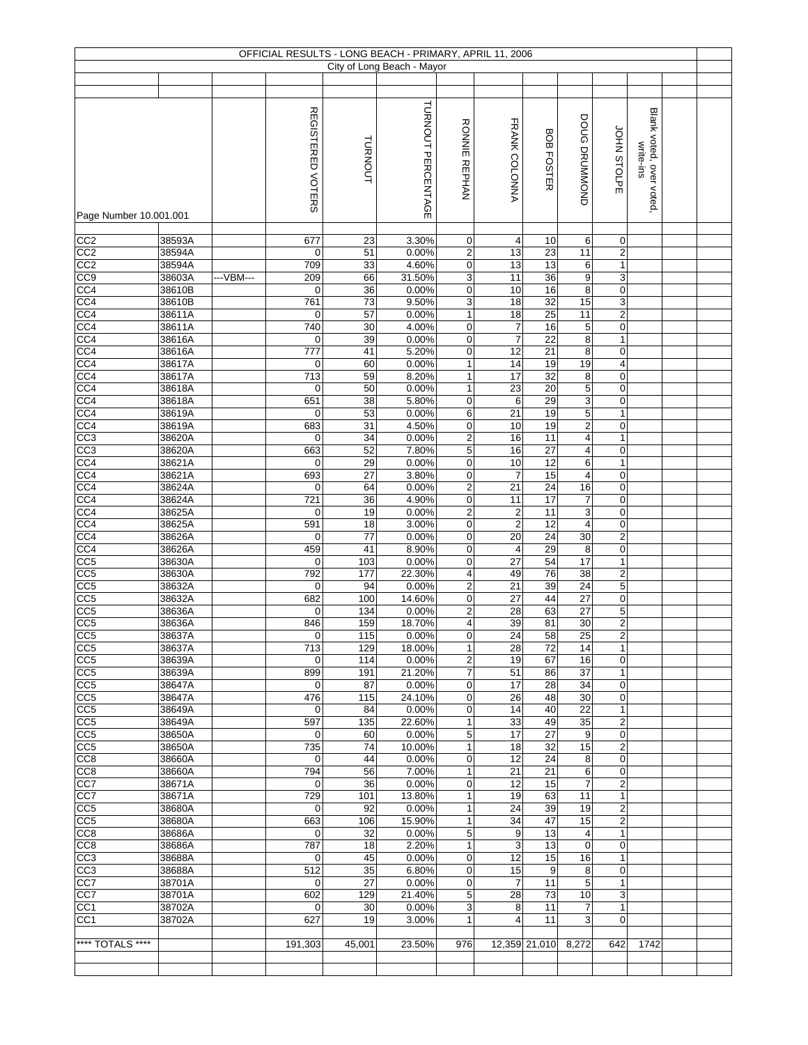|                                    |                  |           |                    |            | OFFICIAL RESULTS - LONG BEACH - PRIMARY, APRIL 11, 2006 |                              |                      |                                    |                                           |                                  |                         |  |
|------------------------------------|------------------|-----------|--------------------|------------|---------------------------------------------------------|------------------------------|----------------------|------------------------------------|-------------------------------------------|----------------------------------|-------------------------|--|
|                                    |                  |           |                    |            | City of Long Beach - Mayor                              |                              |                      |                                    |                                           |                                  |                         |  |
|                                    |                  |           |                    |            |                                                         |                              |                      |                                    |                                           |                                  |                         |  |
|                                    |                  |           |                    |            |                                                         |                              |                      |                                    |                                           |                                  |                         |  |
|                                    |                  |           | REGISTERED VOTERS  |            | TURNOUT PERCENTAGE                                      |                              |                      |                                    | DOUG DRUMMOND                             |                                  | Blank voted, over voted |  |
|                                    |                  |           |                    |            |                                                         |                              |                      |                                    |                                           |                                  |                         |  |
|                                    |                  |           |                    |            |                                                         |                              |                      |                                    |                                           |                                  |                         |  |
|                                    |                  |           |                    |            |                                                         |                              |                      |                                    |                                           |                                  | write-ins               |  |
|                                    |                  |           |                    | TURNOUT    |                                                         |                              |                      | <b>BOB FOSTER</b>                  |                                           | JOHN STOLPE                      |                         |  |
|                                    |                  |           |                    |            |                                                         | RONNIE REPHAN                | FRANK COLONNA        |                                    |                                           |                                  |                         |  |
|                                    |                  |           |                    |            |                                                         |                              |                      |                                    |                                           |                                  |                         |  |
| Page Number 10.001.001             |                  |           |                    |            |                                                         |                              |                      |                                    |                                           |                                  |                         |  |
|                                    |                  |           |                    |            |                                                         |                              |                      |                                    |                                           |                                  |                         |  |
| CC2<br>CC2                         | 38593A<br>38594A |           | 677<br>$\mathbf 0$ | 23<br>51   | 3.30%<br>0.00%                                          | 0<br>2                       | 4<br>13              | 10<br>23                           | 6<br>11                                   | $\mathbf 0$<br>$\sqrt{2}$        |                         |  |
| CC <sub>2</sub>                    | 38594A           |           | 709                | 33         | 4.60%                                                   | $\mathbf 0$                  | 13                   | 13                                 | 6                                         | $\mathbf{1}$                     |                         |  |
| CC9                                | 38603A           | ---VBM--- | 209                | 66         | 31.50%                                                  | 3                            | 11                   | 36                                 | 9                                         | $\sqrt{3}$                       |                         |  |
| CC <sub>4</sub>                    | 38610B           |           | 0                  | 36         | 0.00%                                                   | 0                            | 10                   | 16                                 | 8                                         | $\mathbf 0$                      |                         |  |
| CC <sub>4</sub>                    | 38610B           |           | 761                | 73         | 9.50%                                                   | 3                            | 18                   | 32                                 | 15                                        | $\sqrt{3}$                       |                         |  |
| CC <sub>4</sub>                    | 38611A           |           | $\mathbf 0$        | 57         | 0.00%                                                   | $\mathbf{1}$                 | 18                   | $\overline{25}$                    | 11                                        | $\overline{2}$                   |                         |  |
| CC <sub>4</sub>                    | 38611A           |           | 740                | 30         | 4.00%                                                   | 0                            | 7                    | 16                                 | $\,$ 5 $\,$                               | $\pmb{0}$                        |                         |  |
| CC <sub>4</sub><br>CC <sub>4</sub> | 38616A<br>38616A |           | $\pmb{0}$<br>777   | 39<br>41   | 0.00%<br>5.20%                                          | 0<br>0                       | $\overline{7}$<br>12 | 22<br>21                           | 8<br>8                                    | $\mathbf{1}$<br>$\mathbf 0$      |                         |  |
| CC4                                | 38617A           |           | $\pmb{0}$          | 60         | 0.00%                                                   | 1                            | 14                   | 19                                 | 19                                        | $\overline{4}$                   |                         |  |
| CC4                                | 38617A           |           | 713                | 59         | 8.20%                                                   | $\mathbf{1}$                 | 17                   | 32                                 | 8                                         | $\mathbf 0$                      |                         |  |
| CC4                                | 38618A           |           | 0                  | 50         | 0.00%                                                   | 1                            | $\overline{23}$      | 20                                 | $\overline{5}$                            | $\pmb{0}$                        |                         |  |
| CC <sub>4</sub>                    | 38618A           |           | 651                | 38         | 5.80%                                                   | 0                            | 6                    | 29                                 | $\ensuremath{\mathsf{3}}$                 | $\mathbf 0$                      |                         |  |
| CC <sub>4</sub>                    | 38619A           |           | $\mathbf 0$        | 53         | 0.00%                                                   | 6                            | 21                   | 19                                 | $\overline{5}$                            | $\mathbf{1}$                     |                         |  |
| CC <sub>4</sub>                    | 38619A           |           | 683                | 31         | 4.50%                                                   | 0                            | 10                   | 19                                 | $\mathbf 2$                               | $\mathbf 0$                      |                         |  |
| CC <sub>3</sub><br>CC <sub>3</sub> | 38620A<br>38620A |           | 0<br>663           | 34<br>52   | 0.00%<br>7.80%                                          | $\overline{\mathbf{c}}$<br>5 | 16<br>16             | $\overline{11}$<br>$\overline{27}$ | $\overline{4}$<br>$\overline{\mathbf{4}}$ | $\mathbf{1}$<br>$\pmb{0}$        |                         |  |
| CC <sub>4</sub>                    | 38621A           |           | $\mathbf 0$        | 29         | 0.00%                                                   | 0                            | 10                   | 12                                 | $\,6$                                     | $\mathbf{1}$                     |                         |  |
| CC4                                | 38621A           |           | 693                | 27         | 3.80%                                                   | $\pmb{0}$                    | $\overline{7}$       | 15                                 | $\overline{\mathbf{4}}$                   | $\pmb{0}$                        |                         |  |
| CC4                                | 38624A           |           | 0                  | 64         | 0.00%                                                   | $\overline{\mathbf{c}}$      | 21                   | 24                                 | 16                                        | $\mathbf 0$                      |                         |  |
| CC4                                | 38624A           |           | 721                | 36         | 4.90%                                                   | $\pmb{0}$                    | 11                   | 17                                 | $\overline{7}$                            | $\pmb{0}$                        |                         |  |
| CC <sub>4</sub>                    | 38625A           |           | 0                  | 19         | 0.00%                                                   | $\overline{c}$               | $\boldsymbol{2}$     | 11                                 | 3                                         | $\mathbf 0$                      |                         |  |
| CC <sub>4</sub>                    | 38625A           |           | 591                | 18         | 3.00%                                                   | $\mathbf 0$                  | $\overline{2}$       | 12                                 | $\overline{\mathbf{4}}$                   | $\pmb{0}$                        |                         |  |
| CC <sub>4</sub><br>CC <sub>4</sub> | 38626A<br>38626A |           | $\mathbf 0$<br>459 | 77<br>41   | 0.00%<br>8.90%                                          | 0<br>0                       | $\overline{20}$<br>4 | $\overline{24}$<br>29              | $30\,$<br>8                               | $\overline{2}$<br>$\pmb{0}$      |                         |  |
| CC <sub>5</sub>                    | 38630A           |           | $\mathbf 0$        | 103        | 0.00%                                                   | 0                            | 27                   | 54                                 | 17                                        | $\mathbf{1}$                     |                         |  |
| CC5                                | 38630A           |           | 792                | 177        | 22.30%                                                  | 4                            | 49                   | 76                                 | 38                                        | $\overline{2}$                   |                         |  |
| CC5                                | 38632A           |           | $\mathbf 0$        | 94         | 0.00%                                                   | 2                            | 21                   | 39                                 | 24                                        | 5                                |                         |  |
| CC5                                | 38632A           |           | 682                | 100        | 14.60%                                                  | 0                            | 27                   | 44                                 | $\overline{27}$                           | $\mathbf 0$                      |                         |  |
| CC5                                | 38636A           |           | 0                  | 134        | 0.00%                                                   | 2                            | 28                   | 63                                 | 27                                        | 5                                |                         |  |
| CC <sub>5</sub><br>CC <sub>5</sub> | 38636A<br>38637A |           | 846<br>0           | 159<br>115 | 18.70%<br>0.00%                                         | 4<br>0                       | 39<br>24             | 81<br>58                           | 30<br>25                                  | $\overline{2}$<br>$\sqrt{2}$     |                         |  |
| CC <sub>5</sub>                    | 38637A           |           | 713                | 129        | 18.00%                                                  | 1                            | 28                   | 72                                 | 14                                        | $\mathbf{1}$                     |                         |  |
| CC <sub>5</sub>                    | 38639A           |           | 0                  | 114        | 0.00%                                                   | 2                            | 19                   | 67                                 | 16                                        | $\mathbf 0$                      |                         |  |
| CC <sub>5</sub>                    | 38639A           |           | 899                | 191        | 21.20%                                                  | 7                            | 51                   | 86                                 | 37                                        | $\mathbf{1}$                     |                         |  |
| CC <sub>5</sub>                    | 38647A           |           | $\mathbf 0$        | 87         | 0.00%                                                   | $\mathbf 0$                  | 17                   | 28                                 | 34                                        | $\mathbf 0$                      |                         |  |
| CC <sub>5</sub>                    | 38647A           |           | 476                | 115        | 24.10%                                                  | 0                            | 26                   | 48                                 | 30                                        | $\mathbf 0$                      |                         |  |
| CC5                                | 38649A           |           | 0                  | 84         | 0.00%                                                   | $\mathbf 0$                  | 14                   | 40<br>49                           | 22                                        | $\mathbf{1}$<br>$\overline{2}$   |                         |  |
| CC <sub>5</sub><br>CC5             | 38649A<br>38650A |           | 597<br>$\mathbf 0$ | 135<br>60  | 22.60%<br>0.00%                                         | 1<br>5                       | 33<br>17             | 27                                 | 35<br>9                                   | $\mathbf 0$                      |                         |  |
| CC5                                | 38650A           |           | 735                | 74         | 10.00%                                                  | $\mathbf{1}$                 | 18                   | 32                                 | 15                                        | $\overline{c}$                   |                         |  |
| CC8                                | 38660A           |           | 0                  | 44         | 0.00%                                                   | 0                            | 12                   | 24                                 | 8                                         | $\mathbf 0$                      |                         |  |
| CC <sub>8</sub>                    | 38660A           |           | 794                | 56         | 7.00%                                                   | $\mathbf{1}$                 | $\overline{21}$      | $\overline{21}$                    | 6                                         | $\mathbf 0$                      |                         |  |
| CC7                                | 38671A           |           | 0                  | 36         | 0.00%                                                   | 0                            | 12                   | 15                                 | $\overline{7}$                            | $\overline{2}$                   |                         |  |
| CC7                                | 38671A           |           | 729                | 101        | 13.80%                                                  | $\mathbf{1}$                 | 19                   | 63                                 | 11                                        | $\mathbf{1}$                     |                         |  |
| CC <sub>5</sub><br>CC <sub>5</sub> | 38680A<br>38680A |           | 0<br>663           | 92<br>106  | 0.00%<br>15.90%                                         | 1<br>1                       | 24<br>34             | 39<br>47                           | 19<br>15                                  | $\overline{2}$<br>$\overline{2}$ |                         |  |
| CC8                                | 38686A           |           | 0                  | 32         | 0.00%                                                   | 5                            | 9                    | 13                                 | 4                                         | $\mathbf{1}$                     |                         |  |
| CC8                                | 38686A           |           | 787                | 18         | 2.20%                                                   | 1                            | 3                    | 13                                 | $\pmb{0}$                                 | $\mathbf 0$                      |                         |  |
| CC3                                | 38688A           |           | 0                  | 45         | 0.00%                                                   | $\mathbf 0$                  | 12                   | 15                                 | 16                                        | $\mathbf{1}$                     |                         |  |
| CC3                                | 38688A           |           | 512                | 35         | 6.80%                                                   | 0                            | 15                   | 9                                  | 8                                         | $\mathbf 0$                      |                         |  |
| CC7                                | 38701A           |           | 0                  | 27         | 0.00%                                                   | $\mathbf 0$                  | $\overline{7}$       | 11                                 | 5                                         | $\mathbf{1}$                     |                         |  |
| CC7                                | 38701A           |           | 602                | 129        | 21.40%                                                  | 5                            | 28                   | 73                                 | 10<br>$\overline{7}$                      | 3<br>$\mathbf{1}$                |                         |  |
| CC <sub>1</sub><br>CC <sub>1</sub> | 38702A<br>38702A |           | 0<br>627           | 30<br>19   | 0.00%<br>3.00%                                          | 3<br>1                       | 8<br>4               | 11<br>11                           | 3                                         | $\mathbf 0$                      |                         |  |
|                                    |                  |           |                    |            |                                                         |                              |                      |                                    |                                           |                                  |                         |  |
| **** TOTALS ****                   |                  |           | 191,303            | 45,001     | 23.50%                                                  | 976                          |                      | 12,359 21,010                      | 8,272                                     | 642                              | 1742                    |  |
|                                    |                  |           |                    |            |                                                         |                              |                      |                                    |                                           |                                  |                         |  |
|                                    |                  |           |                    |            |                                                         |                              |                      |                                    |                                           |                                  |                         |  |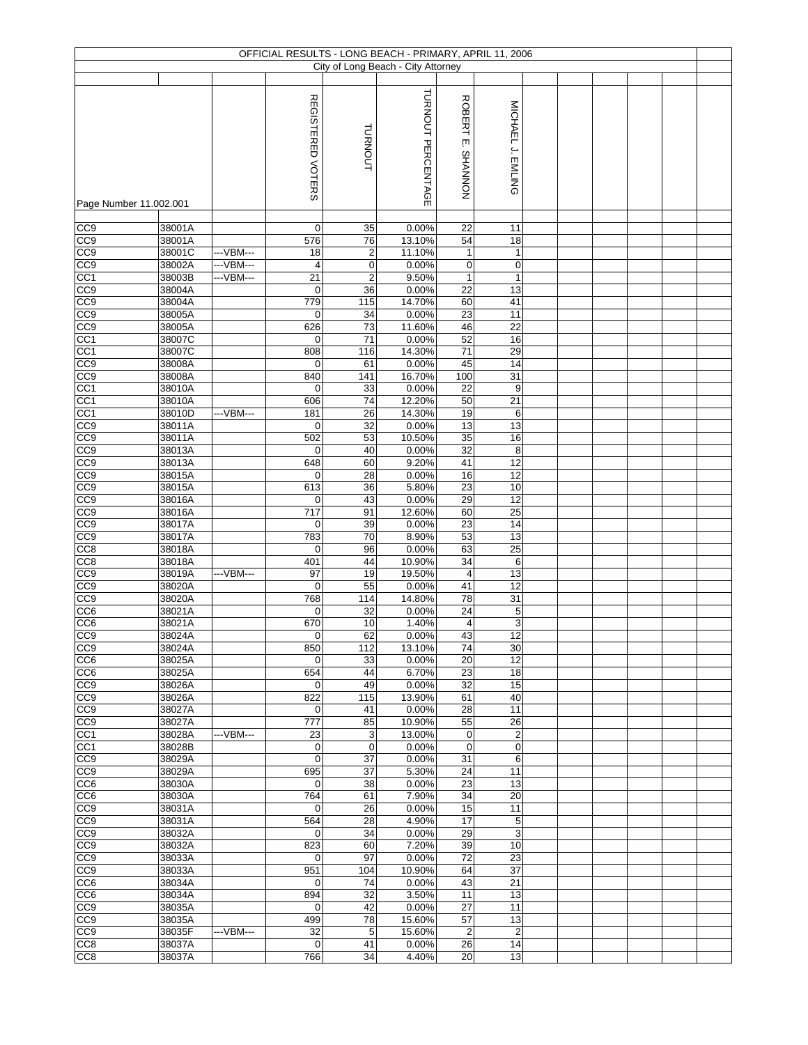|                                    |                  |            | OFFICIAL RESULTS - LONG BEACH - PRIMARY, APRIL 11, 2006 |                      |                                    |                                 |                    |  |  |  |
|------------------------------------|------------------|------------|---------------------------------------------------------|----------------------|------------------------------------|---------------------------------|--------------------|--|--|--|
|                                    |                  |            |                                                         |                      | City of Long Beach - City Attorney |                                 |                    |  |  |  |
|                                    |                  |            | REGISTERED VOTERS                                       | <b>TURNOUT</b>       | TURNOUT PERCENTAGE                 | <b>ROBERT</b><br>ίш.<br>NONNVHS | MICHAEL J. EMLING  |  |  |  |
| Page Number 11.002.001             |                  |            |                                                         |                      |                                    |                                 |                    |  |  |  |
|                                    |                  |            |                                                         |                      |                                    |                                 |                    |  |  |  |
| CC <sub>0</sub>                    | 38001A<br>38001A |            | $\mathbf 0$                                             | 35                   | 0.00%                              | 22                              | 11                 |  |  |  |
| CC <sub>9</sub><br>CC9             | 38001C           | --- VBM--- | 576<br>18                                               | 76<br>$\overline{2}$ | 13.10%<br>11.10%                   | 54<br>$\mathbf{1}$              | 18<br>$\mathbf{1}$ |  |  |  |
| CC <sub>9</sub>                    | 38002A           | ---VBM---  | 4                                                       | $\mathbf 0$          | 0.00%                              | $\mathbf 0$                     | $\mathsf 0$        |  |  |  |
| CC <sub>1</sub>                    | 38003B           | ---VBM---  | 21                                                      | 2                    | 9.50%                              | 1                               | $\mathbf{1}$       |  |  |  |
| CC <sub>9</sub>                    | 38004A           |            | $\mathbf 0$                                             | 36                   | 0.00%                              | 22                              | 13                 |  |  |  |
| CC <sub>9</sub>                    | 38004A           |            | 779                                                     | 115                  | 14.70%                             | 60                              | 41                 |  |  |  |
| CC9                                | 38005A           |            | 0                                                       | 34                   | 0.00%                              | 23                              | 11                 |  |  |  |
| CC9                                | 38005A           |            | 626                                                     | 73                   | 11.60%                             | 46                              | 22                 |  |  |  |
| CC <sub>1</sub>                    | 38007C           |            | 0                                                       | 71                   | 0.00%                              | 52                              | 16                 |  |  |  |
| CC <sub>1</sub>                    | 38007C           |            | 808                                                     | 116                  | 14.30%                             | 71                              | 29                 |  |  |  |
| CC9                                | 38008A           |            | $\mathbf 0$                                             | 61                   | 0.00%                              | 45                              | 14                 |  |  |  |
| CC <sub>9</sub>                    | 38008A           |            | 840                                                     | 141                  | 16.70%                             | 100                             | 31                 |  |  |  |
| CC <sub>1</sub>                    | 38010A           |            | $\mathbf 0$                                             | 33                   | 0.00%                              | 22                              | 9                  |  |  |  |
| CC <sub>1</sub>                    | 38010A           |            | 606                                                     | 74                   | 12.20%                             | 50                              | 21                 |  |  |  |
| CC <sub>1</sub>                    | 38010D           | ---VBM---  | 181                                                     | 26                   | 14.30%                             | 19                              | 6                  |  |  |  |
| CC <sub>9</sub>                    | 38011A           |            | $\mathbf 0$                                             | 32                   | 0.00%                              | 13                              | 13                 |  |  |  |
| CC <sub>8</sub>                    | 38011A           |            | 502                                                     | 53                   | 10.50%                             | $\overline{35}$                 | 16                 |  |  |  |
| CC <sub>0</sub>                    | 38013A           |            | 0                                                       | 40                   | 0.00%                              | $\overline{32}$                 | 8                  |  |  |  |
| CC <sub>9</sub>                    | 38013A           |            | 648                                                     | 60                   | 9.20%                              | 41                              | 12                 |  |  |  |
| CC9                                | 38015A           |            | $\mathbf 0$                                             | 28                   | 0.00%                              | 16                              | 12                 |  |  |  |
| CC <sub>9</sub>                    | 38015A           |            | 613                                                     | 36                   | 5.80%                              | 23                              | 10                 |  |  |  |
| CC9                                | 38016A           |            | $\mathbf 0$                                             | 43                   | 0.00%                              | 29                              | 12                 |  |  |  |
| $\overline{CC9}$                   | 38016A           |            | 717                                                     | 91                   | 12.60%                             | 60                              | $\overline{25}$    |  |  |  |
| CC9                                | 38017A           |            | $\mathbf 0$                                             | 39                   | 0.00%                              | 23                              | 14                 |  |  |  |
| CC <sub>9</sub>                    | 38017A           |            | 783                                                     | 70                   | 8.90%                              | 53                              | 13                 |  |  |  |
| CC <sub>8</sub><br>CC <sub>8</sub> | 38018A<br>38018A |            | $\mathbf 0$<br>401                                      | 96<br>44             | 0.00%<br>10.90%                    | 63<br>34                        | 25<br>6            |  |  |  |
| CC <sub>9</sub>                    | 38019A           | --- VBM--- | 97                                                      | 19                   | 19.50%                             | 4                               | 13                 |  |  |  |
| CC9                                | 38020A           |            | $\mathbf 0$                                             | 55                   | 0.00%                              | 41                              | 12                 |  |  |  |
| CC <sub>9</sub>                    | 38020A           |            | 768                                                     | 114                  | 14.80%                             | 78                              | 31                 |  |  |  |
| CC6                                | 38021A           |            | 0                                                       | 32                   | 0.00%                              | 24                              | 5                  |  |  |  |
| CC <sub>6</sub>                    | 38021A           |            | 670                                                     | 10                   | 1.40%                              | 4                               | 3                  |  |  |  |
| CC9                                | 38024A           |            | $\pmb{0}$                                               | 62                   | 0.00%                              | 43                              | 12                 |  |  |  |
| CC <sub>9</sub>                    | 38024A           |            | 850                                                     | 112                  | 13.10%                             | 74                              | 30                 |  |  |  |
| CC <sub>6</sub>                    | 38025A           |            | $\mathbf 0$                                             | 33                   | 0.00%                              | 20                              | 12                 |  |  |  |
| CC <sub>6</sub>                    | 38025A           |            | 654                                                     | 44                   | 6.70%                              | 23                              | 18                 |  |  |  |
| CC9                                | 38026A           |            | $\mathbf 0$                                             | 49                   | 0.00%                              | 32                              | 15                 |  |  |  |
| CC <sub>9</sub>                    | 38026A           |            | 822                                                     | 115                  | 13.90%                             | 61                              | 40                 |  |  |  |
| CC <sub>9</sub>                    | 38027A           |            | $\mathbf 0$                                             | 41                   | 0.00%                              | 28                              | $\overline{11}$    |  |  |  |
| CC9                                | 38027A           |            | 777                                                     | 85                   | 10.90%                             | 55                              | 26                 |  |  |  |
| CC1                                | 38028A           | ---VBM---  | 23                                                      | 3                    | 13.00%                             | $\pmb{0}$                       | $\boldsymbol{2}$   |  |  |  |
| CC1                                | 38028B           |            | $\mathbf 0$                                             | $\pmb{0}$            | 0.00%                              | $\pmb{0}$                       | 0                  |  |  |  |
| CC <sub>9</sub>                    | 38029A           |            | $\mathbf 0$                                             | $\overline{37}$      | 0.00%                              | 31                              | 6                  |  |  |  |
| CC <sub>9</sub>                    | 38029A           |            | 695                                                     | $\overline{37}$      | 5.30%                              | $\overline{24}$                 | 11                 |  |  |  |
| CC6                                | 38030A           |            | $\mathbf 0$                                             | 38                   | 0.00%                              | 23                              | 13                 |  |  |  |
| CC6                                | 38030A           |            | 764                                                     | 61                   | 7.90%                              | 34                              | 20                 |  |  |  |
| CC9                                | 38031A           |            | $\mathbf 0$                                             | 26                   | 0.00%                              | 15                              | 11                 |  |  |  |
| CC <sub>9</sub>                    | 38031A           |            | 564                                                     | 28                   | 4.90%                              | 17                              | $\overline{5}$     |  |  |  |
| CC9                                | 38032A           |            | $\mathbf 0$                                             | 34                   | 0.00%                              | 29                              | 3<br>10            |  |  |  |
| CC9<br>CC9                         | 38032A<br>38033A |            | 823<br>$\mathbf 0$                                      | 60<br>97             | 7.20%<br>0.00%                     | 39<br>72                        | 23                 |  |  |  |
| CC9                                | 38033A           |            | 951                                                     | 104                  | 10.90%                             | 64                              | 37                 |  |  |  |
| CC6                                | 38034A           |            | $\mathbf 0$                                             | 74                   | 0.00%                              | 43                              | 21                 |  |  |  |
| CC <sub>6</sub>                    | 38034A           |            | 894                                                     | 32                   | 3.50%                              | 11                              | 13                 |  |  |  |
| CC9                                | 38035A           |            | $\mathbf 0$                                             | 42                   | 0.00%                              | 27                              | 11                 |  |  |  |
| CC9                                | 38035A           |            | 499                                                     | 78                   | 15.60%                             | 57                              | 13                 |  |  |  |
| CC9                                | 38035F           | ---VBM---  | 32                                                      | 5                    | 15.60%                             | $\overline{c}$                  | $\overline{c}$     |  |  |  |
| CC8                                | 38037A           |            | $\mathbf 0$                                             | 41                   | 0.00%                              | 26                              | 14                 |  |  |  |
| CC <sub>8</sub>                    | 38037A           |            | 766                                                     | 34                   | 4.40%                              | 20                              | 13                 |  |  |  |
|                                    |                  |            |                                                         |                      |                                    |                                 |                    |  |  |  |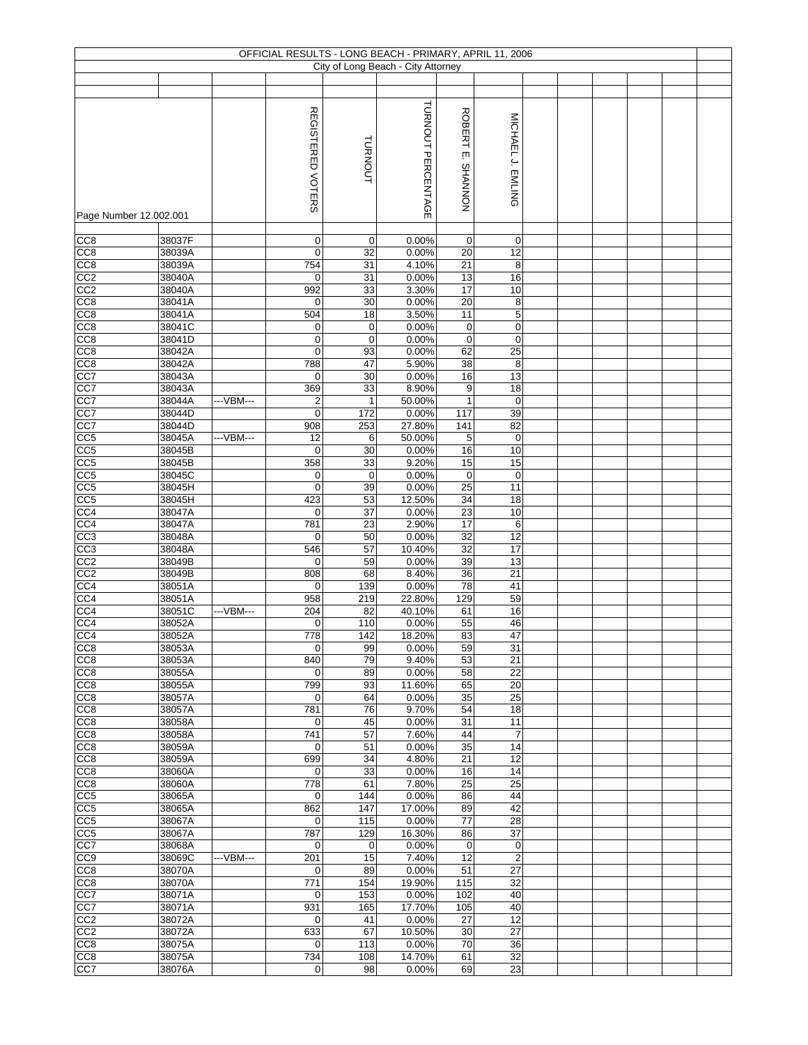|                                    |                  |           |                                        |             | OFFICIAL RESULTS - LONG BEACH - PRIMARY, APRIL 11, 2006 |                                 |                       |  |  |  |
|------------------------------------|------------------|-----------|----------------------------------------|-------------|---------------------------------------------------------|---------------------------------|-----------------------|--|--|--|
|                                    |                  |           |                                        |             | City of Long Beach - City Attorney                      |                                 |                       |  |  |  |
|                                    |                  |           |                                        |             |                                                         |                                 |                       |  |  |  |
|                                    |                  |           |                                        |             |                                                         |                                 |                       |  |  |  |
|                                    |                  |           | <b>REGISTERED</b><br><b>VOTERS</b>     | TURNOUT     | TURNOUT PERCENTAGE                                      | <b>ROBERT</b><br>ίш.<br>NONNVHS | MICHAEL J. EMLING     |  |  |  |
|                                    |                  |           |                                        |             |                                                         |                                 |                       |  |  |  |
| Page Number 12.002.001             |                  |           |                                        |             |                                                         |                                 |                       |  |  |  |
|                                    |                  |           |                                        |             |                                                         |                                 |                       |  |  |  |
| CC <sub>8</sub>                    | 38037F           |           | 0                                      | $\mathbf 0$ | 0.00%                                                   | 0                               | $\mathbf 0$           |  |  |  |
| CC8                                | 38039A           |           | $\mathbf 0$                            | 32          | 0.00%                                                   | 20                              | 12                    |  |  |  |
| CC8                                | 38039A           |           | 754                                    | 31          | 4.10%                                                   | 21                              | 8                     |  |  |  |
| CC2                                | 38040A           |           | $\mathbf 0$                            | 31          | 0.00%                                                   | 13                              | 16                    |  |  |  |
| CC2                                | 38040A           |           | 992                                    | 33          | 3.30%                                                   | 17                              | 10                    |  |  |  |
| CC8<br>CC <sub>8</sub>             | 38041A<br>38041A |           | $\mathbf 0$<br>504                     | 30<br>18    | 0.00%<br>3.50%                                          | 20<br>11                        | 8<br>$\overline{5}$   |  |  |  |
| CC8                                | 38041C           |           | 0                                      | 0           | 0.00%                                                   | 0                               | 0                     |  |  |  |
| CC8                                | 38041D           |           | 0                                      | $\mathbf 0$ | 0.00%                                                   | $\pmb{0}$                       | $\pmb{0}$             |  |  |  |
| CC <sub>8</sub>                    | 38042A           |           | $\mathbf 0$                            | 93          | 0.00%                                                   | 62                              | 25                    |  |  |  |
| CC8                                | 38042A           |           | 788                                    | 47          | 5.90%                                                   | 38                              | 8                     |  |  |  |
| CC7                                | 38043A           |           | 0                                      | 30          | 0.00%                                                   | 16                              | 13                    |  |  |  |
| CC7                                | 38043A           |           | 369                                    | 33          | 8.90%                                                   | 9                               | 18                    |  |  |  |
| CC7                                | 38044A<br>38044D | ---VBM--- | $\overline{\mathbf{c}}$<br>$\mathbf 0$ | 1<br>172    | 50.00%<br>0.00%                                         | $\mathbf{1}$<br>117             | $\pmb{0}$<br>39       |  |  |  |
| CC7<br>CC7                         | 38044D           |           | 908                                    | 253         | 27.80%                                                  | 141                             | 82                    |  |  |  |
| CC <sub>5</sub>                    | 38045A           | ---VBM--- | 12                                     | 6           | 50.00%                                                  | 5                               | $\pmb{0}$             |  |  |  |
| CC <sub>5</sub>                    | 38045B           |           | $\mathbf 0$                            | 30          | 0.00%                                                   | 16                              | 10                    |  |  |  |
| CC <sub>5</sub>                    | 38045B           |           | 358                                    | 33          | 9.20%                                                   | 15                              | 15                    |  |  |  |
| CC5                                | 38045C           |           | $\pmb{0}$                              | $\mathbf 0$ | 0.00%                                                   | $\mathsf 0$                     | $\mathbf 0$           |  |  |  |
| CC <sub>5</sub>                    | 38045H           |           | $\mathbf 0$                            | 39          | 0.00%                                                   | 25                              | 11                    |  |  |  |
| CC5                                | 38045H           |           | 423                                    | 53<br>37    | 12.50%                                                  | 34<br>23                        | 18                    |  |  |  |
| CC <sub>4</sub><br>CC <sub>4</sub> | 38047A<br>38047A |           | $\mathbf 0$<br>781                     | 23          | 0.00%<br>2.90%                                          | 17                              | 10<br>6               |  |  |  |
| CC3                                | 38048A           |           | 0                                      | 50          | 0.00%                                                   | 32                              | 12                    |  |  |  |
| CC3                                | 38048A           |           | 546                                    | 57          | 10.40%                                                  | 32                              | 17                    |  |  |  |
| CC2                                | 38049B           |           | 0                                      | 59          | 0.00%                                                   | 39                              | 13                    |  |  |  |
| CC <sub>2</sub>                    | 38049B           |           | 808                                    | 68          | 8.40%                                                   | 36                              | 21                    |  |  |  |
| CC4                                | 38051A           |           | $\mathbf 0$                            | 139         | 0.00%                                                   | 78                              | 41                    |  |  |  |
| CC4<br>CC4                         | 38051A<br>38051C | ---VBM--- | 958<br>204                             | 219<br>82   | 22.80%<br>40.10%                                        | 129<br>61                       | 59<br>16              |  |  |  |
| CC4                                | 38052A           |           | $\mathbf 0$                            | 110         | 0.00%                                                   | 55                              | 46                    |  |  |  |
| CC4                                | 38052A           |           | 778                                    | 142         | 18.20%                                                  | 83                              | 47                    |  |  |  |
| CC <sub>8</sub>                    | 38053A           |           | $\mathbf 0$                            | 99          | 0.00%                                                   | 59                              | 31                    |  |  |  |
| CC <sub>8</sub>                    | 38053A           |           | 840                                    | 79          | 9.40%                                                   | 53                              | 21                    |  |  |  |
| CC <sub>8</sub>                    | 38055A           |           | $\mathbf 0$                            | 89          | 0.00%                                                   | 58                              | 22                    |  |  |  |
| CC <sub>8</sub><br>CC <sub>8</sub> | 38055A<br>38057A |           | 799<br>0                               | 93<br>64    | 11.60%<br>0.00%                                         | 65<br>35                        | 20<br>25              |  |  |  |
| CC <sub>8</sub>                    | 38057A           |           | 781                                    | 76          | 9.70%                                                   | 54                              | 18                    |  |  |  |
| CC8                                | 38058A           |           | 0                                      | 45          | 0.00%                                                   | 31                              | 11                    |  |  |  |
| CC8                                | 38058A           |           | 741                                    | 57          | 7.60%                                                   | 44                              | $\overline{7}$        |  |  |  |
| CC8                                | 38059A           |           | 0                                      | 51          | 0.00%                                                   | 35                              | 14                    |  |  |  |
| CC8                                | 38059A           |           | 699                                    | 34          | 4.80%                                                   | $\overline{21}$                 | 12                    |  |  |  |
| CC <sub>8</sub><br>CC <sub>8</sub> | 38060A<br>38060A |           | 0<br>778                               | 33<br>61    | 0.00%<br>7.80%                                          | 16<br>$\overline{25}$           | 14<br>$\overline{25}$ |  |  |  |
| CC <sub>5</sub>                    | 38065A           |           | 0                                      | 144         | 0.00%                                                   | 86                              | 44                    |  |  |  |
| CC <sub>5</sub>                    | 38065A           |           | 862                                    | 147         | 17.00%                                                  | 89                              | 42                    |  |  |  |
| CC <sub>5</sub>                    | 38067A           |           | $\mathbf 0$                            | 115         | 0.00%                                                   | $77 \,$                         | $\overline{28}$       |  |  |  |
| CC5                                | 38067A           |           | 787                                    | 129         | 16.30%                                                  | 86                              | 37                    |  |  |  |
| CC7                                | 38068A           |           | 0                                      | $\mathbf 0$ | 0.00%                                                   | $\boldsymbol{0}$                | $\pmb{0}$             |  |  |  |
| CC9                                | 38069C           | ---VBM--- | 201                                    | 15          | 7.40%                                                   | 12                              | $\overline{c}$        |  |  |  |
| CC8<br>CC <sub>8</sub>             | 38070A<br>38070A |           | 0<br>771                               | 89<br>154   | 0.00%<br>19.90%                                         | 51<br>115                       | 27<br>32              |  |  |  |
| CC7                                | 38071A           |           | $\mathbf 0$                            | 153         | 0.00%                                                   | 102                             | 40                    |  |  |  |
| CC7                                | 38071A           |           | 931                                    | 165         | 17.70%                                                  | 105                             | 40                    |  |  |  |
| CC2                                | 38072A           |           | 0                                      | 41          | 0.00%                                                   | 27                              | 12                    |  |  |  |
| CC <sub>2</sub>                    | 38072A           |           | 633                                    | 67          | 10.50%                                                  | 30                              | $\overline{27}$       |  |  |  |
| CC8                                | 38075A           |           | $\mathbf 0$                            | 113         | 0.00%                                                   | 70                              | 36                    |  |  |  |
| CC8                                | 38075A           |           | 734                                    | 108         | 14.70%                                                  | 61                              | 32                    |  |  |  |
| CC7                                | 38076A           |           | 0                                      | 98          | 0.00%                                                   | 69                              | 23                    |  |  |  |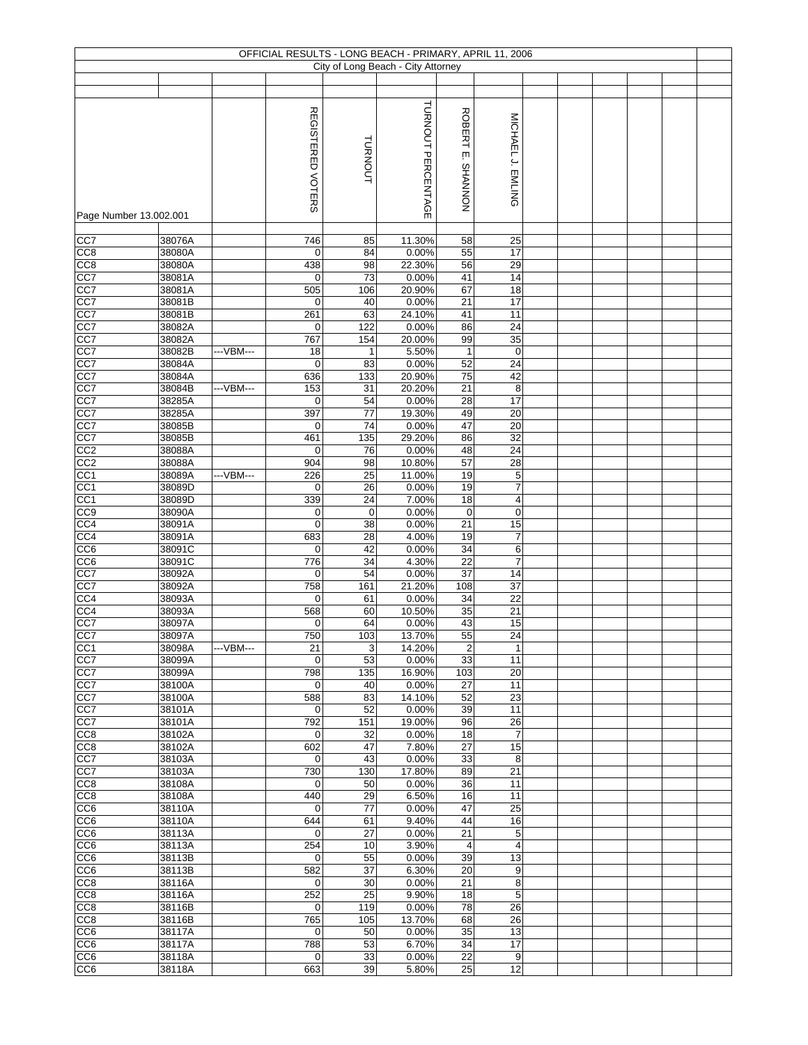|                                    |                  |            |                          |                | OFFICIAL RESULTS - LONG BEACH - PRIMARY, APRIL 11, 2006 |                                |                                        |  |  |  |
|------------------------------------|------------------|------------|--------------------------|----------------|---------------------------------------------------------|--------------------------------|----------------------------------------|--|--|--|
|                                    |                  |            |                          |                | City of Long Beach - City Attorney                      |                                |                                        |  |  |  |
|                                    |                  |            |                          |                |                                                         |                                |                                        |  |  |  |
|                                    |                  |            | <b>REGISTERED VOTERS</b> | <b>TURNOUT</b> | TURNOUT PERCENTAGE                                      | <b>ROBERT</b><br>įm<br>NONNVHS | MICHAEL J. EMLING                      |  |  |  |
| Page Number 13.002.001             |                  |            |                          |                |                                                         |                                |                                        |  |  |  |
| CC7                                | 38076A           |            | $\overline{746}$         | 85             | 11.30%                                                  | 58                             | 25                                     |  |  |  |
| CC <sub>8</sub>                    | 38080A           |            | $\mathbf 0$              | 84             | 0.00%                                                   | 55                             | 17                                     |  |  |  |
| CC8                                | 38080A           |            | 438                      | 98             | 22.30%                                                  | 56                             | 29                                     |  |  |  |
| CC7                                | 38081A           |            | $\mathbf 0$              | 73             | 0.00%                                                   | 41                             | 14                                     |  |  |  |
| CC7                                | 38081A           |            | 505                      | 106            | 20.90%                                                  | 67                             | 18                                     |  |  |  |
| CC7<br>CC7                         | 38081B<br>38081B |            | $\mathbf 0$<br>261       | 40<br>63       | 0.00%<br>24.10%                                         | 21<br>41                       | 17<br>11                               |  |  |  |
| CC7                                | 38082A           |            | $\mathbf 0$              | 122            | 0.00%                                                   | 86                             | 24                                     |  |  |  |
| CC7                                | 38082A           |            | 767                      | 154            | 20.00%                                                  | 99                             | 35                                     |  |  |  |
| CC7                                | 38082B           | --- VBM--- | 18                       | $\mathbf{1}$   | 5.50%                                                   | $\mathbf{1}$                   | $\pmb{0}$                              |  |  |  |
| CC7                                | 38084A           |            | $\mathbf 0$              | 83             | 0.00%                                                   | 52                             | 24                                     |  |  |  |
| CC7                                | 38084A           |            | 636                      | 133            | 20.90%                                                  | 75                             | 42                                     |  |  |  |
| CC7<br>CC7                         | 38084B<br>38285A | --VBM---   | 153<br>$\mathbf 0$       | 31<br>54       | 20.20%<br>0.00%                                         | 21<br>28                       | 8<br>17                                |  |  |  |
| CC7                                | 38285A           |            | 397                      | 77             | 19.30%                                                  | 49                             | 20                                     |  |  |  |
| CC7                                | 38085B           |            | $\mathbf 0$              | 74             | 0.00%                                                   | 47                             | 20                                     |  |  |  |
| CC7                                | 38085B           |            | 461                      | 135            | 29.20%                                                  | 86                             | 32                                     |  |  |  |
| CC2                                | 38088A           |            | 0                        | 76             | 0.00%                                                   | 48                             | $\overline{24}$                        |  |  |  |
| CC <sub>2</sub>                    | 38088A           |            | 904                      | 98             | 10.80%                                                  | 57                             | $\overline{28}$                        |  |  |  |
| CC <sub>1</sub>                    | 38089A           | ---VBM---  | 226                      | 25             | 11.00%                                                  | 19                             | $\,$ 5 $\,$                            |  |  |  |
| CC <sub>1</sub><br>CC <sub>1</sub> | 38089D<br>38089D |            | $\mathbf 0$<br>339       | 26<br>24       | 0.00%<br>7.00%                                          | 19<br>18                       | $\overline{7}$<br>4                    |  |  |  |
| CC <sub>9</sub>                    | 38090A           |            | $\mathbf 0$              | $\mathbf 0$    | 0.00%                                                   | $\mathbf 0$                    | 0                                      |  |  |  |
| CC4                                | 38091A           |            | $\mathbf 0$              | 38             | 0.00%                                                   | 21                             | 15                                     |  |  |  |
| CC <sub>4</sub>                    | 38091A           |            | 683                      | 28             | 4.00%                                                   | 19                             | $\overline{7}$                         |  |  |  |
| CC <sub>6</sub>                    | 38091C           |            | $\mathbf 0$              | 42             | 0.00%                                                   | 34                             | 6                                      |  |  |  |
| CC6                                | 38091C           |            | 776                      | 34             | 4.30%                                                   | 22                             | $\overline{7}$                         |  |  |  |
| CC7<br>CC7                         | 38092A<br>38092A |            | $\mathbf 0$<br>758       | 54<br>161      | 0.00%<br>21.20%                                         | 37<br>108                      | 14<br>37                               |  |  |  |
| $\overline{CC4}$                   | 38093A           |            | $\mathbf 0$              | 61             | 0.00%                                                   | 34                             | 22                                     |  |  |  |
| CC4                                | 38093A           |            | 568                      | 60             | 10.50%                                                  | 35                             | 21                                     |  |  |  |
| CC7                                | 38097A           |            | 0                        | 64             | 0.00%                                                   | 43                             | 15                                     |  |  |  |
| CC7                                | 38097A           |            | 750                      | 103            | 13.70%                                                  | 55                             | 24                                     |  |  |  |
| CC <sub>1</sub>                    | 38098A           | ---VBM---  | 21                       | 3              | 14.20%                                                  | $\boldsymbol{2}$               | $\mathbf{1}$                           |  |  |  |
| CC7<br>CC7                         | 38099A<br>38099A |            | $\mathbf 0$<br>798       | 53<br>135      | 0.00%<br>16.90%                                         | 33<br>103                      | 11<br>20                               |  |  |  |
| CC7                                | 38100A           |            | $\mathbf 0$              | 40             | 0.00%                                                   | 27                             | 11                                     |  |  |  |
| CC7                                | 38100A           |            | 588                      | 83             | 14.10%                                                  | 52                             | 23                                     |  |  |  |
| CC7                                | 38101A           |            | $\mathbf 0$              | 52             | 0.00%                                                   | 39                             | 11                                     |  |  |  |
| CC7                                | 38101A           |            | 792                      | 151            | 19.00%                                                  | 96                             | 26                                     |  |  |  |
| CC8                                | 38102A           |            | $\mathbf 0$              | 32             | 0.00%                                                   | 18                             | $\overline{7}$                         |  |  |  |
| CC8<br>CC7                         | 38102A<br>38103A |            | 602<br>0                 | 47<br>43       | 7.80%<br>0.00%                                          | 27<br>33                       | 15<br>8                                |  |  |  |
| CC7                                | 38103A           |            | 730                      | 130            | 17.80%                                                  | 89                             | 21                                     |  |  |  |
| CC <sub>8</sub>                    | 38108A           |            | $\mathbf 0$              | 50             | 0.00%                                                   | 36                             | 11                                     |  |  |  |
| CC8                                | 38108A           |            | 440                      | 29             | 6.50%                                                   | 16                             | 11                                     |  |  |  |
| CC <sub>6</sub>                    | 38110A           |            | 0                        | 77             | 0.00%                                                   | 47                             | 25                                     |  |  |  |
| CC6                                | 38110A           |            | 644                      | 61             | 9.40%                                                   | 44                             | 16                                     |  |  |  |
| CC6<br>CC6                         | 38113A<br>38113A |            | $\mathbf 0$<br>254       | 27<br>10       | 0.00%<br>3.90%                                          | 21<br>4                        | $\,$ 5 $\,$<br>$\overline{\mathbf{4}}$ |  |  |  |
| CC <sub>6</sub>                    | 38113B           |            | $\mathbf 0$              | 55             | 0.00%                                                   | 39                             | 13                                     |  |  |  |
| CC <sub>6</sub>                    | 38113B           |            | 582                      | 37             | 6.30%                                                   | 20                             | 9                                      |  |  |  |
| CC8                                | 38116A           |            | $\mathbf 0$              | 30             | 0.00%                                                   | 21                             | 8                                      |  |  |  |
| CC <sub>8</sub>                    | 38116A           |            | 252                      | 25             | 9.90%                                                   | 18                             | 5                                      |  |  |  |
| CC8                                | 38116B           |            | $\mathbf 0$              | 119            | 0.00%                                                   | 78                             | 26                                     |  |  |  |
| CC <sub>8</sub><br>CC6             | 38116B<br>38117A |            | 765<br>$\mathbf 0$       | 105<br>50      | 13.70%<br>0.00%                                         | 68<br>35                       | 26<br>13                               |  |  |  |
| CC <sub>6</sub>                    | 38117A           |            | 788                      | 53             | 6.70%                                                   | 34                             | 17                                     |  |  |  |
| CC <sub>6</sub>                    | 38118A           |            | $\mathbf 0$              | 33             | 0.00%                                                   | 22                             | 9                                      |  |  |  |
| CC <sub>6</sub>                    | 38118A           |            | 663                      | 39             | 5.80%                                                   | 25                             | 12                                     |  |  |  |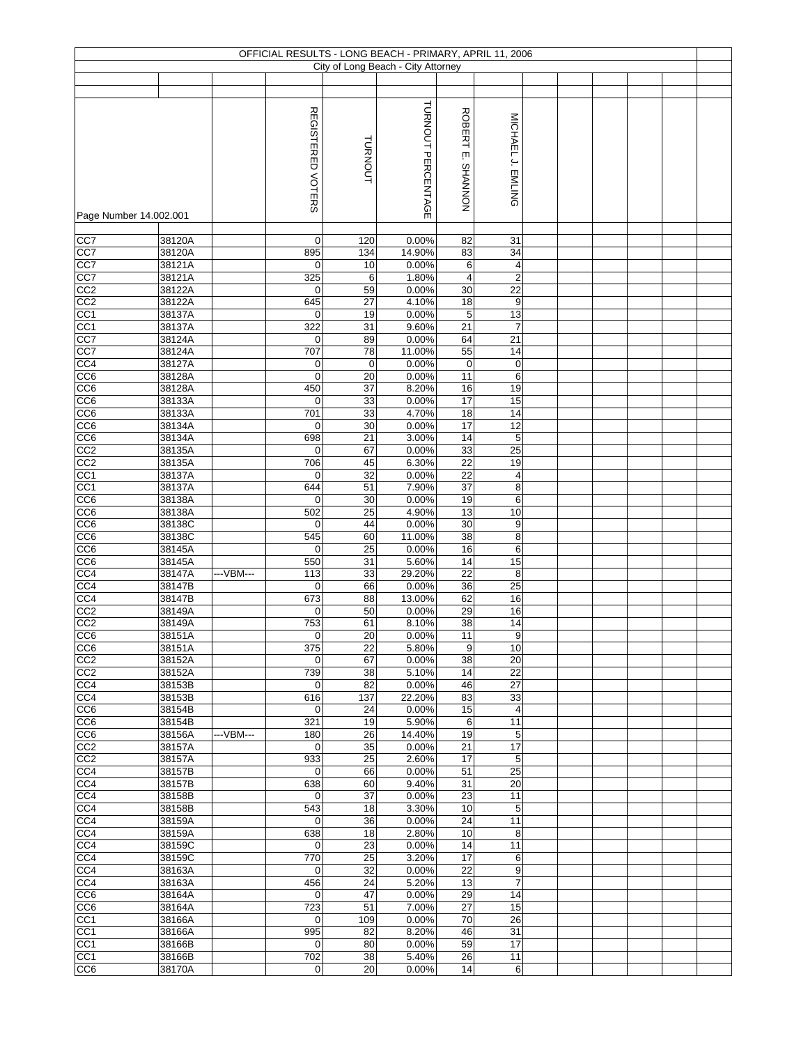|                                    |                  |           |                    |                | OFFICIAL RESULTS - LONG BEACH - PRIMARY, APRIL 11, 2006 |                                    |                         |  |  |  |
|------------------------------------|------------------|-----------|--------------------|----------------|---------------------------------------------------------|------------------------------------|-------------------------|--|--|--|
|                                    |                  |           |                    |                | City of Long Beach - City Attorney                      |                                    |                         |  |  |  |
|                                    |                  |           |                    |                |                                                         |                                    |                         |  |  |  |
| Page Number 14.002.001             |                  |           | REGISTERED VOTERS  | <b>TURNOUT</b> | TURNOUT PERCENTAGE                                      | <b>ROBERT</b><br>įm<br>NONNVHS     | MICHAEL J. EMLING       |  |  |  |
|                                    |                  |           |                    |                |                                                         |                                    |                         |  |  |  |
| CC7                                | 38120A           |           | $\mathbf 0$        | 120            | 0.00%                                                   | 82                                 | 31                      |  |  |  |
| CC7<br>CC7                         | 38120A<br>38121A |           | 895<br>$\mathbf 0$ | 134<br>10      | 14.90%<br>0.00%                                         | 83<br>6                            | 34<br>4                 |  |  |  |
| CC7                                | 38121A           |           | 325                | 6              | 1.80%                                                   | 4                                  | $\overline{\mathbf{c}}$ |  |  |  |
| CC2                                | 38122A           |           | $\mathbf 0$        | 59             | 0.00%                                                   | 30                                 | $\overline{22}$         |  |  |  |
| CC2                                | 38122A           |           | 645                | 27             | 4.10%                                                   | $\overline{18}$                    | 9                       |  |  |  |
| CC <sub>1</sub><br>CC <sub>1</sub> | 38137A<br>38137A |           | $\mathbf 0$<br>322 | 19<br>31       | 0.00%<br>9.60%                                          | 5<br>21                            | 13<br>$\overline{7}$    |  |  |  |
| CC7                                | 38124A           |           | 0                  | 89             | 0.00%                                                   | 64                                 | 21                      |  |  |  |
| CC7                                | 38124A           |           | 707                | 78             | 11.00%                                                  | 55                                 | 14                      |  |  |  |
| CC4                                | 38127A           |           | 0                  | $\mathbf 0$    | 0.00%                                                   | $\pmb{0}$                          | $\pmb{0}$               |  |  |  |
| CC6                                | 38128A           |           | $\mathbf 0$        | 20             | 0.00%                                                   | 11                                 | 6                       |  |  |  |
| CC6<br>$\overline{CC6}$            | 38128A<br>38133A |           | 450<br>$\mathbf 0$ | 37<br>33       | 8.20%<br>0.00%                                          | 16<br>17                           | 19<br>15                |  |  |  |
| CC6                                | 38133A           |           | 701                | 33             | 4.70%                                                   | 18                                 | 14                      |  |  |  |
| CC6                                | 38134A           |           | $\mathbf 0$        | 30             | 0.00%                                                   | 17                                 | 12                      |  |  |  |
| CC <sub>6</sub>                    | 38134A           |           | 698                | 21             | 3.00%                                                   | $\overline{14}$                    | 5                       |  |  |  |
| CC2                                | 38135A           |           | $\mathbf 0$        | 67             | 0.00%                                                   | 33                                 | $\overline{25}$         |  |  |  |
| CC2                                | 38135A           |           | 706                | 45             | 6.30%                                                   | $\overline{22}$                    | 19                      |  |  |  |
| CC <sub>1</sub><br>CC <sub>1</sub> | 38137A<br>38137A |           | $\mathbf 0$<br>644 | 32<br>51       | 0.00%<br>7.90%                                          | 22<br>37                           | 4<br>8                  |  |  |  |
| CC6                                | 38138A           |           | $\mathbf 0$        | 30             | 0.00%                                                   | 19                                 | 6                       |  |  |  |
| CC <sub>6</sub>                    | 38138A           |           | 502                | 25             | 4.90%                                                   | 13                                 | 10                      |  |  |  |
| CC6                                | 38138C           |           | $\mathbf 0$        | 44             | 0.00%                                                   | 30                                 | 9                       |  |  |  |
| CC6                                | 38138C           |           | 545                | 60             | 11.00%                                                  | 38                                 | 8                       |  |  |  |
| CC6<br>CC6                         | 38145A<br>38145A |           | $\mathbf 0$<br>550 | 25<br>31       | 0.00%<br>5.60%                                          | 16<br>14                           | 6<br>15                 |  |  |  |
| CC4                                | 38147A           | ---VBM--- | 113                | 33             | 29.20%                                                  | 22                                 | 8                       |  |  |  |
| CC4                                | 38147B           |           | $\mathbf 0$        | 66             | 0.00%                                                   | 36                                 | 25                      |  |  |  |
| CC <sub>4</sub>                    | 38147B           |           | 673                | 88             | 13.00%                                                  | 62                                 | 16                      |  |  |  |
| CC2                                | 38149A           |           | $\mathbf 0$        | 50             | 0.00%                                                   | 29                                 | 16                      |  |  |  |
| CC <sub>2</sub><br>CC <sub>6</sub> | 38149A<br>38151A |           | 753<br>$\pmb{0}$   | 61<br>20       | 8.10%<br>0.00%                                          | $\overline{38}$<br>$\overline{11}$ | 14<br>9                 |  |  |  |
| CC <sub>6</sub>                    | 38151A           |           | 375                | 22             | 5.80%                                                   | 9                                  | 10                      |  |  |  |
| CC <sub>2</sub>                    | 38152A           |           | $\mathbf 0$        | 67             | 0.00%                                                   | 38                                 | 20                      |  |  |  |
| CC <sub>2</sub>                    | 38152A           |           | 739                | 38             | 5.10%                                                   | 14                                 | 22                      |  |  |  |
| CC4                                | 38153B           |           | $\mathbf 0$        | 82             | 0.00%                                                   | 46                                 | $\overline{27}$<br>33   |  |  |  |
| CC4<br>CC <sub>6</sub>             | 38153B<br>38154B |           | 616<br>$\mathbf 0$ | 137<br>24      | 22.20%<br>0.00%                                         | 83<br>15                           | 4                       |  |  |  |
| CC6                                | 38154B           |           | 321                | 19             | 5.90%                                                   | 6                                  | 11                      |  |  |  |
| CC6                                | 38156A           | ---VBM--- | 180                | 26             | 14.40%                                                  | 19                                 | 5                       |  |  |  |
| CC2                                | 38157A           |           | $\mathbf 0$        | 35             | 0.00%                                                   | 21                                 | 17                      |  |  |  |
| CC <sub>2</sub><br>CC4             | 38157A<br>38157B |           | 933<br>$\mathbf 0$ | 25<br>66       | 2.60%<br>0.00%                                          | 17<br>51                           | 5<br>25                 |  |  |  |
| CC4                                | 38157B           |           | 638                | 60             | 9.40%                                                   | 31                                 | 20                      |  |  |  |
| CC4                                | 38158B           |           | $\mathbf 0$        | 37             | 0.00%                                                   | 23                                 | 11                      |  |  |  |
| CC4                                | 38158B           |           | 543                | 18             | 3.30%                                                   | 10                                 | 5                       |  |  |  |
| CC4                                | 38159A           |           | $\mathbf 0$        | 36             | 0.00%                                                   | 24                                 | 11                      |  |  |  |
| CC4<br>CC4                         | 38159A<br>38159C |           | 638<br>$\mathbf 0$ | 18<br>23       | 2.80%<br>0.00%                                          | 10<br>14                           | 8<br>11                 |  |  |  |
| CC4                                | 38159C           |           | 770                | 25             | 3.20%                                                   | 17                                 | 6                       |  |  |  |
| CC4                                | 38163A           |           | 0                  | 32             | 0.00%                                                   | 22                                 | 9                       |  |  |  |
| CC4                                | 38163A           |           | 456                | 24             | 5.20%                                                   | 13                                 | $\overline{7}$          |  |  |  |
| CC6                                | 38164A           |           | $\mathbf 0$        | 47             | 0.00%                                                   | 29                                 | 14                      |  |  |  |
| CC6<br>CC1                         | 38164A<br>38166A |           | 723<br>$\mathbf 0$ | 51<br>109      | 7.00%<br>0.00%                                          | 27<br>70                           | 15<br>26                |  |  |  |
| CC1                                | 38166A           |           | 995                | 82             | 8.20%                                                   | 46                                 | 31                      |  |  |  |
| CC <sub>1</sub>                    | 38166B           |           | $\mathbf 0$        | 80             | 0.00%                                                   | 59                                 | 17                      |  |  |  |
| CC <sub>1</sub>                    | 38166B           |           | 702                | 38             | 5.40%                                                   | 26                                 | 11                      |  |  |  |
| CC <sub>6</sub>                    | 38170A           |           | $\boldsymbol{0}$   | 20             | 0.00%                                                   | 14                                 | 6                       |  |  |  |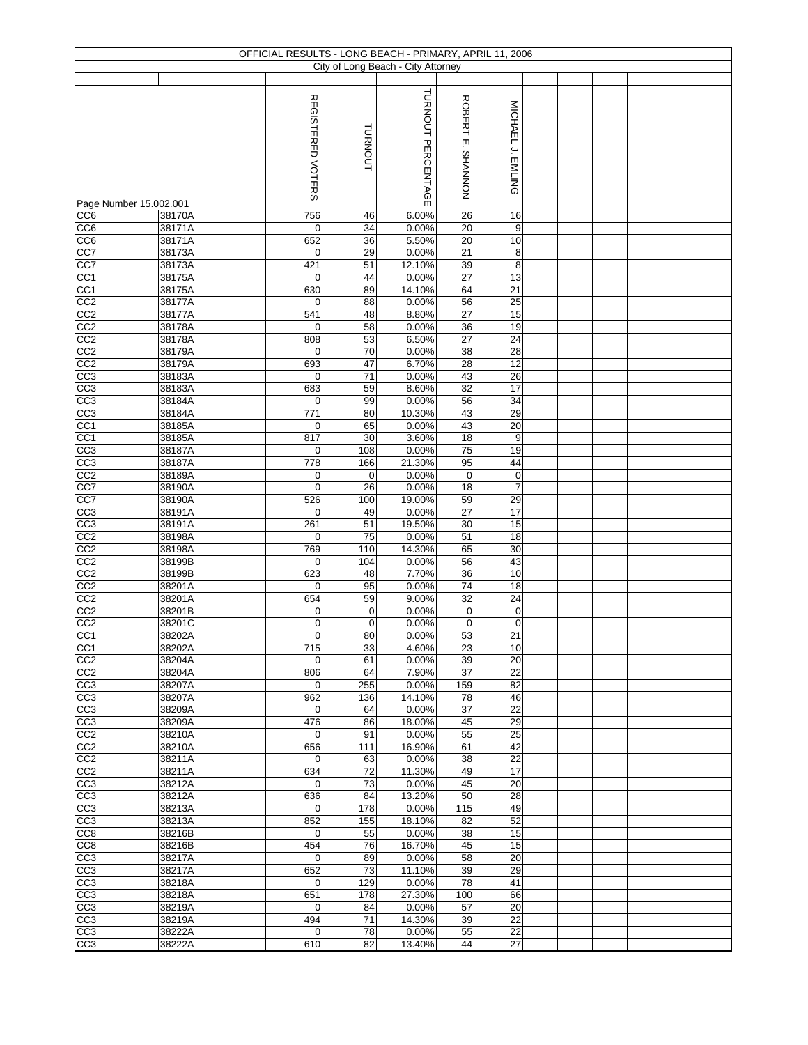|                                    |                  | OFFICIAL RESULTS - LONG BEACH - PRIMARY, APRIL 11, 2006 |                 |                                    |                       |                       |  |  |  |
|------------------------------------|------------------|---------------------------------------------------------|-----------------|------------------------------------|-----------------------|-----------------------|--|--|--|
|                                    |                  |                                                         |                 | City of Long Beach - City Attorney |                       |                       |  |  |  |
|                                    |                  |                                                         |                 | TURNOUT PERCENTAGE                 | <b>ROBERT</b>         |                       |  |  |  |
|                                    |                  | REGISTERED VOTERS                                       | TURNOUT         |                                    | ίш.                   | MICHAEL J. EMLING     |  |  |  |
|                                    |                  |                                                         |                 |                                    | NONNVHS               |                       |  |  |  |
|                                    |                  |                                                         |                 |                                    |                       |                       |  |  |  |
| Page Number 15.002.001             |                  |                                                         |                 |                                    |                       |                       |  |  |  |
| CC <sub>6</sub><br>CC6             | 38170A<br>38171A | 756<br>$\mathbf 0$                                      | 46<br>34        | 6.00%<br>0.00%                     | 26<br>20              | 16<br>9               |  |  |  |
| CC6                                | 38171A           | 652                                                     | 36              | 5.50%                              | $\overline{20}$       | 10                    |  |  |  |
| CC7                                | 38173A           | $\mathbf 0$                                             | 29              | 0.00%                              | $\overline{21}$       | 8                     |  |  |  |
| CC7                                | 38173A<br>38175A | 421<br>0                                                | 51<br>44        | 12.10%<br>0.00%                    | 39<br>27              | 8<br>13               |  |  |  |
| CC1<br>CC <sub>1</sub>             | 38175A           | 630                                                     | 89              | 14.10%                             | 64                    | 21                    |  |  |  |
| CC2                                | 38177A           | $\mathbf 0$                                             | 88              | 0.00%                              | 56                    | 25                    |  |  |  |
| CC <sub>2</sub>                    | 38177A           | 541                                                     | 48              | 8.80%                              | 27                    | 15                    |  |  |  |
| CC2<br>$\overline{CC2}$            | 38178A<br>38178A | $\mathbf 0$<br>808                                      | 58<br>53        | 0.00%<br>6.50%                     | $\overline{36}$<br>27 | 19<br>24              |  |  |  |
| CC <sub>2</sub>                    | 38179A           | $\mathbf 0$                                             | 70              | 0.00%                              | 38                    | 28                    |  |  |  |
| CC <sub>2</sub>                    | 38179A           | 693                                                     | 47              | 6.70%                              | 28                    | 12                    |  |  |  |
| CC <sub>3</sub><br>CC3             | 38183A<br>38183A | $\mathbf 0$<br>683                                      | 71<br>59        | 0.00%<br>8.60%                     | 43<br>32              | 26<br>17              |  |  |  |
| CC3                                | 38184A           | $\mathbf 0$                                             | 99              | 0.00%                              | 56                    | $\overline{34}$       |  |  |  |
| CC <sub>3</sub><br>CC <sub>1</sub> | 38184A           | 771                                                     | 80              | 10.30%                             | 43                    | 29                    |  |  |  |
| CC <sub>1</sub>                    | 38185A<br>38185A | $\mathbf 0$<br>817                                      | 65<br>30        | 0.00%<br>3.60%                     | 43<br>$\overline{18}$ | 20<br>9               |  |  |  |
| CC <sub>3</sub>                    | 38187A           | $\mathbf 0$                                             | 108             | 0.00%                              | $\overline{75}$       | 19                    |  |  |  |
| CC3                                | 38187A           | 778                                                     | 166             | 21.30%                             | 95                    | 44                    |  |  |  |
| CC2                                | 38189A           | $\mathbf 0$                                             | $\mathbf 0$     | 0.00%                              | $\pmb{0}$             | $\pmb{0}$             |  |  |  |
| CC7<br>CC7                         | 38190A<br>38190A | $\mathbf 0$<br>526                                      | 26<br>100       | 0.00%<br>19.00%                    | 18<br>59              | $\overline{7}$<br>29  |  |  |  |
| CC3                                | 38191A           | $\mathbf 0$                                             | 49              | 0.00%                              | 27                    | $\overline{17}$       |  |  |  |
| CC <sub>3</sub>                    | 38191A           | 261                                                     | 51              | 19.50%                             | 30                    | 15                    |  |  |  |
| CC2<br>CC2                         | 38198A<br>38198A | $\mathbf 0$<br>769                                      | 75<br>110       | 0.00%<br>14.30%                    | 51<br>65              | 18<br>30              |  |  |  |
| CC2                                | 38199B           | $\mathbf 0$                                             | 104             | 0.00%                              | 56                    | 43                    |  |  |  |
| CC <sub>2</sub>                    | 38199B           | 623                                                     | 48              | 7.70%                              | 36                    | 10                    |  |  |  |
| CC2<br>CC2                         | 38201A<br>38201A | $\mathbf 0$<br>654                                      | 95<br>59        | 0.00%<br>9.00%                     | 74<br>32              | 18<br>24              |  |  |  |
| CC2                                | 38201B           | 0                                                       | 0               | 0.00%                              | $\pmb{0}$             | $\pmb{0}$             |  |  |  |
| CC <sub>2</sub>                    | 38201C           | $\mathbf 0$                                             | $\mathbf 0$     | 0.00%                              | $\pmb{0}$             | $\pmb{0}$             |  |  |  |
| CC <sub>1</sub>                    | 38202A           | $\Omega$                                                | 80              | 0.00%                              | 53                    | 21                    |  |  |  |
| CC1<br>CC <sub>2</sub>             | 38202A<br>38204A | 715<br>$\mathbf 0$                                      | 33<br>61        | 4.60%<br>0.00%                     | 23<br>39              | 10<br>20              |  |  |  |
| CC2                                | 38204A           | 806                                                     | 64              | 7.90%                              | 37                    | 22                    |  |  |  |
| CC3                                | 38207A           | $\mathbf 0$                                             | 255             | 0.00%                              | 159                   | 82                    |  |  |  |
| CC <sub>3</sub><br>CC <sub>3</sub> | 38207A<br>38209A | 962<br>$\mathbf 0$                                      | 136<br>64       | 14.10%<br>0.00%                    | 78<br>37              | 46<br>22              |  |  |  |
| CC3                                | 38209A           | 476                                                     | 86              | 18.00%                             | 45                    | 29                    |  |  |  |
| CC <sub>2</sub>                    | 38210A           | $\mathbf 0$                                             | 91              | 0.00%                              | 55                    | 25                    |  |  |  |
| CC2<br>CC <sub>2</sub>             | 38210A<br>38211A | 656<br>0                                                | 111<br>63       | 16.90%<br>0.00%                    | 61<br>38              | 42<br>$\overline{22}$ |  |  |  |
| CC <sub>2</sub>                    | 38211A           | 634                                                     | $\overline{72}$ | 11.30%                             | 49                    | $\overline{17}$       |  |  |  |
| CC3                                | 38212A           | $\mathbf 0$                                             | 73              | 0.00%                              | 45                    | 20                    |  |  |  |
| CC3                                | 38212A           | 636                                                     | 84              | 13.20%                             | 50                    | 28                    |  |  |  |
| CC3<br>$\overline{CC3}$            | 38213A<br>38213A | $\mathbf 0$<br>852                                      | 178<br>155      | 0.00%<br>18.10%                    | 115<br>82             | 49<br>52              |  |  |  |
| CC8                                | 38216B           | $\mathbf 0$                                             | 55              | 0.00%                              | 38                    | 15                    |  |  |  |
| CC8                                | 38216B           | 454                                                     | 76              | 16.70%                             | 45                    | 15                    |  |  |  |
| CC3<br>CC3                         | 38217A<br>38217A | $\mathbf 0$<br>652                                      | 89<br>73        | 0.00%<br>11.10%                    | 58<br>39              | 20<br>29              |  |  |  |
| CC <sub>3</sub>                    | 38218A           | $\mathbf 0$                                             | 129             | 0.00%                              | 78                    | 41                    |  |  |  |
| CC <sub>3</sub>                    | 38218A           | 651                                                     | 178             | 27.30%                             | 100                   | 66                    |  |  |  |
| CC <sub>3</sub><br>CC3             | 38219A<br>38219A | $\mathbf 0$<br>494                                      | 84<br>71        | 0.00%<br>14.30%                    | 57<br>39              | 20<br>22              |  |  |  |
| CC <sub>3</sub>                    | 38222A           | $\mathbf 0$                                             | 78              | 0.00%                              | 55                    | 22                    |  |  |  |
| CC3                                | 38222A           | 610                                                     | 82              | 13.40%                             | 44                    | 27                    |  |  |  |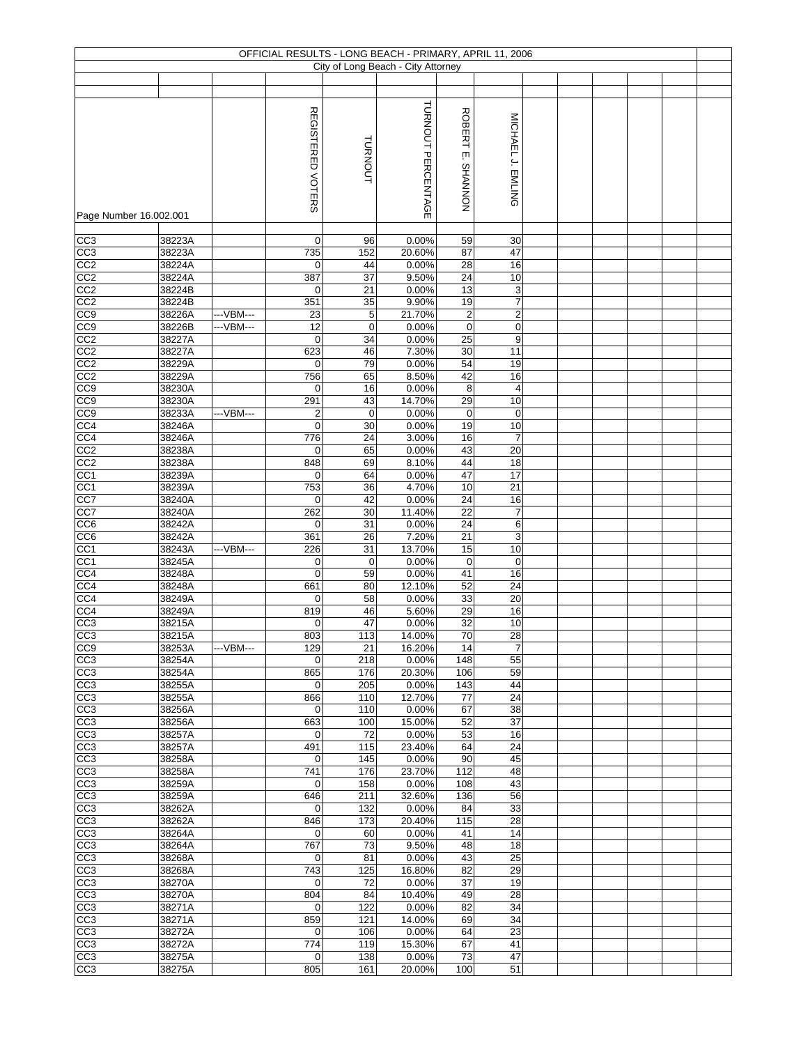|                                    |                  |            |                         |             | OFFICIAL RESULTS - LONG BEACH - PRIMARY, APRIL 11, 2006<br>City of Long Beach - City Attorney |                                |                                   |  |  |  |
|------------------------------------|------------------|------------|-------------------------|-------------|-----------------------------------------------------------------------------------------------|--------------------------------|-----------------------------------|--|--|--|
|                                    |                  |            |                         |             |                                                                                               |                                |                                   |  |  |  |
|                                    |                  |            |                         |             |                                                                                               |                                |                                   |  |  |  |
| Page Number 16.002.001             |                  |            | REGISTERED VOTERS       | TURNOUT     | TURNOUT PERCENTAGE                                                                            | <b>ROBERT</b><br>įm<br>NONNVHS | MICHAEL J. EMLING                 |  |  |  |
|                                    |                  |            |                         |             |                                                                                               |                                |                                   |  |  |  |
| CC3<br>CC3                         | 38223A<br>38223A |            | 0<br>735                | 96<br>152   | 0.00%<br>20.60%                                                                               | 59<br>87                       | 30<br>47                          |  |  |  |
| CC <sub>2</sub>                    | 38224A           |            | 0                       | 44          | 0.00%                                                                                         | 28                             | 16                                |  |  |  |
| CC2                                | 38224A           |            | 387                     | 37          | 9.50%                                                                                         | 24                             | 10                                |  |  |  |
| CC <sub>2</sub>                    | 38224B           |            | 0                       | 21          | 0.00%                                                                                         | 13                             | 3                                 |  |  |  |
| CC2                                | 38224B           |            | 351                     | 35          | 9.90%                                                                                         | 19                             | $\overline{\mathcal{I}}$          |  |  |  |
| CC9                                | 38226A           | ---VBM---  | 23                      | 5           | 21.70%                                                                                        | $\overline{c}$                 | $\overline{2}$                    |  |  |  |
| CC <sub>9</sub>                    | 38226B           | ---VBM---  | 12                      | $\mathbf 0$ | 0.00%                                                                                         | $\pmb{0}$                      | 0                                 |  |  |  |
| CC2<br>CC <sub>2</sub>             | 38227A<br>38227A |            | $\mathbf 0$<br>623      | 34<br>46    | 0.00%<br>7.30%                                                                                | 25<br>$30\,$                   | $\mathsf 9$<br>11                 |  |  |  |
| CC2                                | 38229A           |            | $\mathbf 0$             | 79          | 0.00%                                                                                         | 54                             | 19                                |  |  |  |
| CC2                                | 38229A           |            | 756                     | 65          | 8.50%                                                                                         | 42                             | 16                                |  |  |  |
| CC9                                | 38230A           |            | 0                       | 16          | 0.00%                                                                                         | 8                              | 4                                 |  |  |  |
| CC <sub>0</sub>                    | 38230A           |            | 291                     | 43          | 14.70%                                                                                        | 29                             | 10                                |  |  |  |
| CC <sub>9</sub>                    | 38233A           | --- VBM--- | $\overline{\mathbf{c}}$ | $\mathbf 0$ | 0.00%                                                                                         | 0                              | $\mathbf 0$                       |  |  |  |
| CC <sub>4</sub>                    | 38246A           |            | $\mathbf 0$             | 30          | 0.00%                                                                                         | 19                             | 10<br>$\overline{7}$              |  |  |  |
| CC <sub>4</sub><br>CC <sub>2</sub> | 38246A<br>38238A |            | 776<br>$\mathbf 0$      | 24<br>65    | 3.00%<br>0.00%                                                                                | 16<br>43                       | 20                                |  |  |  |
| CC2                                | 38238A           |            | 848                     | 69          | 8.10%                                                                                         | 44                             | $\overline{18}$                   |  |  |  |
| CC1                                | 38239A           |            | $\mathbf 0$             | 64          | 0.00%                                                                                         | 47                             | 17                                |  |  |  |
| CC <sub>1</sub>                    | 38239A           |            | 753                     | 36          | 4.70%                                                                                         | $10$                           | 21                                |  |  |  |
| CC7                                | 38240A           |            | $\mathbf 0$             | 42          | 0.00%                                                                                         | 24                             | 16                                |  |  |  |
| CC7                                | 38240A           |            | 262                     | 30          | 11.40%                                                                                        | 22                             | $\boldsymbol{7}$                  |  |  |  |
| CC <sub>6</sub>                    | 38242A           |            | $\mathbf 0$             | 31          | 0.00%                                                                                         | 24                             | 6                                 |  |  |  |
| CC6<br>CC <sub>1</sub>             | 38242A<br>38243A | ---VBM---  | 361<br>226              | 26<br>31    | 7.20%<br>13.70%                                                                               | $\overline{21}$<br>15          | $\ensuremath{\mathsf{3}}$<br>$10$ |  |  |  |
| CC1                                | 38245A           |            | $\pmb{0}$               | $\mathbf 0$ | 0.00%                                                                                         | $\pmb{0}$                      | $\mathbf 0$                       |  |  |  |
| CC4                                | 38248A           |            | $\mathbf 0$             | 59          | 0.00%                                                                                         | 41                             | 16                                |  |  |  |
| CC4                                | 38248A           |            | 661                     | 80          | 12.10%                                                                                        | 52                             | 24                                |  |  |  |
| CC4                                | 38249A           |            | 0                       | 58          | 0.00%                                                                                         | 33                             | 20                                |  |  |  |
| CC4                                | 38249A           |            | 819                     | 46          | 5.60%                                                                                         | 29                             | 16                                |  |  |  |
| CC <sub>3</sub>                    | 38215A           |            | 0                       | 47          | 0.00%                                                                                         | 32                             | 10                                |  |  |  |
| CC3<br>CC9                         | 38215A<br>38253A | ---VBM---  | 803<br>129              | 113<br>21   | 14.00%<br>16.20%                                                                              | 70<br>14                       | 28<br>$\overline{7}$              |  |  |  |
| CC <sub>3</sub>                    | 38254A           |            | 0                       | 218         | 0.00%                                                                                         | 148                            | 55                                |  |  |  |
| CC <sub>3</sub>                    | 38254A           |            | 865                     | 176         | 20.30%                                                                                        | 106                            | 59                                |  |  |  |
| CC3                                | 38255A           |            | 0                       | 205         | 0.00%                                                                                         | 143                            | 44                                |  |  |  |
| CC3                                | 38255A           |            | 866                     | 110         | 12.70%                                                                                        | 77                             | 24                                |  |  |  |
| CC <sub>3</sub>                    | 38256A           |            | $\mathbf 0$             | 110         | 0.00%                                                                                         | 67                             | 38                                |  |  |  |
| CC3<br>CC <sub>3</sub>             | 38256A<br>38257A |            | 663<br>$\mathbf 0$      | 100<br>72   | 15.00%<br>0.00%                                                                               | 52<br>53                       | 37<br>16                          |  |  |  |
| CC3                                | 38257A           |            | 491                     | 115         | 23.40%                                                                                        | 64                             | 24                                |  |  |  |
| CC3                                | 38258A           |            | $\mathbf 0$             | 145         | 0.00%                                                                                         | 90                             | 45                                |  |  |  |
| CC <sub>3</sub>                    | 38258A           |            | 741                     | 176         | 23.70%                                                                                        | 112                            | 48                                |  |  |  |
| CC3                                | 38259A           |            | 0                       | 158         | 0.00%                                                                                         | 108                            | 43                                |  |  |  |
| $\overline{CC3}$                   | 38259A<br>38262A |            | 646<br>$\mathbf 0$      | 211<br>132  | 32.60%<br>0.00%                                                                               | 136<br>84                      | 56<br>33                          |  |  |  |
| CC3<br>CC <sub>3</sub>             | 38262A           |            | 846                     | 173         | 20.40%                                                                                        | 115                            | 28                                |  |  |  |
| CC3                                | 38264A           |            | $\mathbf 0$             | 60          | 0.00%                                                                                         | 41                             | 14                                |  |  |  |
| CC3                                | 38264A           |            | 767                     | 73          | 9.50%                                                                                         | 48                             | 18                                |  |  |  |
| CC3                                | 38268A           |            | 0                       | 81          | 0.00%                                                                                         | 43                             | 25                                |  |  |  |
| CC3                                | 38268A           |            | 743                     | 125         | 16.80%                                                                                        | 82                             | 29                                |  |  |  |
| CC3                                | 38270A           |            | 0                       | 72          | 0.00%                                                                                         | 37                             | 19                                |  |  |  |
| CC3<br>$\overline{CC3}$            | 38270A<br>38271A |            | 804<br>$\mathbf 0$      | 84<br>122   | 10.40%<br>0.00%                                                                               | 49<br>82                       | 28<br>34                          |  |  |  |
| CC3                                | 38271A           |            | 859                     | 121         | 14.00%                                                                                        | 69                             | 34                                |  |  |  |
| CC <sub>3</sub>                    | 38272A           |            | $\mathbf 0$             | 106         | 0.00%                                                                                         | 64                             | 23                                |  |  |  |
| CC3                                | 38272A           |            | 774                     | 119         | 15.30%                                                                                        | 67                             | 41                                |  |  |  |
| CC3                                | 38275A           |            | 0                       | 138         | 0.00%                                                                                         | 73                             | 47                                |  |  |  |
| CC3                                | 38275A           |            | 805                     | 161         | 20.00%                                                                                        | 100                            | 51                                |  |  |  |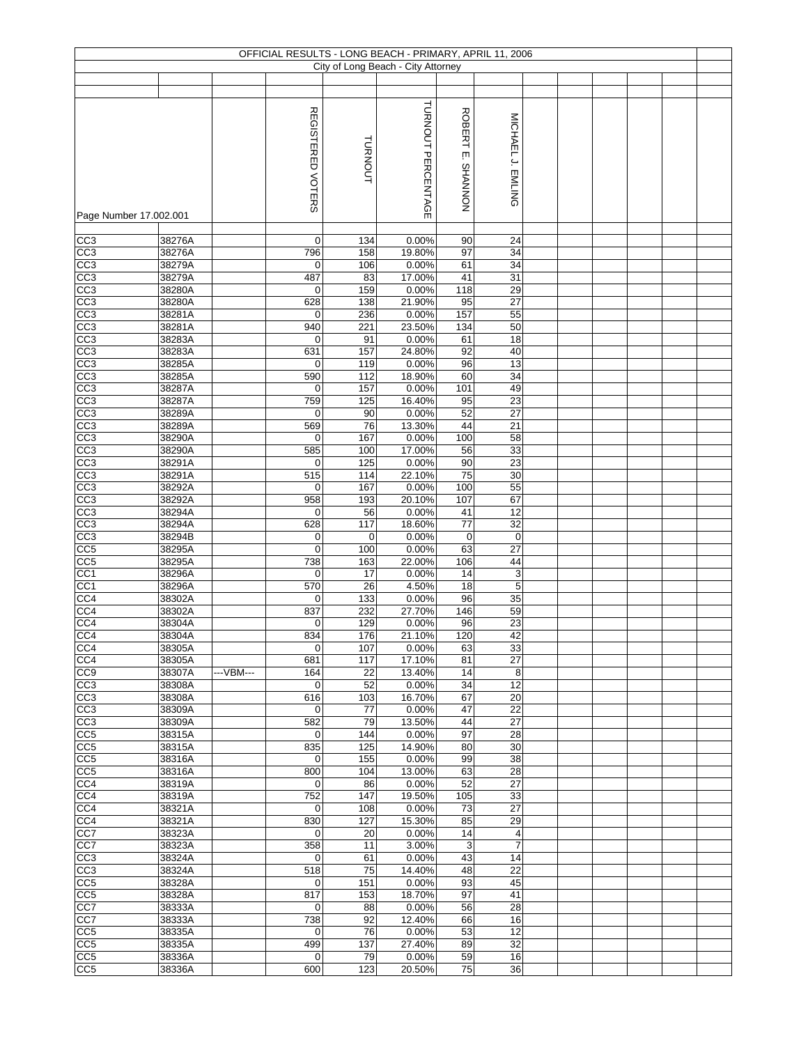|                                    |                  |           |                          |            | OFFICIAL RESULTS - LONG BEACH - PRIMARY, APRIL 11, 2006 |                                |                   |  |  |  |
|------------------------------------|------------------|-----------|--------------------------|------------|---------------------------------------------------------|--------------------------------|-------------------|--|--|--|
|                                    |                  |           |                          |            | City of Long Beach - City Attorney                      |                                |                   |  |  |  |
|                                    |                  |           |                          |            |                                                         |                                |                   |  |  |  |
|                                    |                  |           | <b>REGISTERED VOTERS</b> | TURNOUT    | TURNOUT PERCENTAGE                                      | <b>ROBERT</b><br>ŗπ<br>NONNVHS | MICHAEL J. EMLING |  |  |  |
| Page Number 17.002.001             |                  |           |                          |            |                                                         |                                |                   |  |  |  |
| CC3                                | 38276A           |           | $\mathbf 0$              | 134        | 0.00%                                                   | 90                             | 24                |  |  |  |
| CC3                                | 38276A           |           | 796                      | 158        | 19.80%                                                  | 97                             | 34                |  |  |  |
| CC3                                | 38279A           |           | $\mathbf 0$              | 106        | 0.00%                                                   | 61                             | 34                |  |  |  |
| CC3                                | 38279A           |           | 487                      | 83         | 17.00%                                                  | 41                             | 31                |  |  |  |
| CC3<br>CC <sub>3</sub>             | 38280A<br>38280A |           | 0<br>628                 | 159<br>138 | 0.00%<br>21.90%                                         | 118<br>95                      | 29<br>27          |  |  |  |
| $\overline{CC3}$                   | 38281A           |           | 0                        | 236        | 0.00%                                                   | 157                            | 55                |  |  |  |
| CC3                                | 38281A           |           | 940                      | 221        | 23.50%                                                  | 134                            | 50                |  |  |  |
| CC3                                | 38283A           |           | 0                        | 91         | 0.00%                                                   | 61                             | 18                |  |  |  |
| CC <sub>3</sub>                    | 38283A           |           | 631                      | 157        | 24.80%                                                  | 92                             | 40                |  |  |  |
| CC3                                | 38285A           |           | $\mathbf 0$              | 119        | 0.00%                                                   | 96<br>60                       | 13<br>34          |  |  |  |
| CC3<br>CC3                         | 38285A<br>38287A |           | 590<br>0                 | 112<br>157 | 18.90%<br>0.00%                                         | 101                            | 49                |  |  |  |
| CC3                                | 38287A           |           | 759                      | 125        | 16.40%                                                  | 95                             | 23                |  |  |  |
| CC3                                | 38289A           |           | $\mathbf 0$              | 90         | 0.00%                                                   | 52                             | 27                |  |  |  |
| CC3                                | 38289A           |           | 569                      | 76         | 13.30%                                                  | 44                             | 21                |  |  |  |
| CC <sub>3</sub>                    | 38290A           |           | $\mathbf 0$              | 167        | 0.00%                                                   | 100                            | 58                |  |  |  |
| CC <sub>3</sub><br>CC3             | 38290A<br>38291A |           | 585<br>$\mathbf 0$       | 100<br>125 | 17.00%<br>0.00%                                         | 56<br>90                       | 33<br>23          |  |  |  |
| CC3                                | 38291A           |           | 515                      | 114        | 22.10%                                                  | 75                             | 30                |  |  |  |
| CC3                                | 38292A           |           | $\mathbf 0$              | 167        | 0.00%                                                   | 100                            | 55                |  |  |  |
| CC3                                | 38292A           |           | $\overline{958}$         | 193        | 20.10%                                                  | 107                            | 67                |  |  |  |
| CC <sub>3</sub>                    | 38294A           |           | $\mathbf 0$              | 56         | 0.00%                                                   | 41                             | 12                |  |  |  |
| CC3                                | 38294A           |           | 628                      | 117        | 18.60%                                                  | 77                             | 32                |  |  |  |
| CC3<br>CC <sub>5</sub>             | 38294B<br>38295A |           | 0<br>$\mathbf 0$         | 0<br>100   | 0.00%<br>0.00%                                          | $\mathbf 0$<br>63              | $\mathbf 0$<br>27 |  |  |  |
| CC <sub>5</sub>                    | 38295A           |           | 738                      | 163        | 22.00%                                                  | 106                            | 44                |  |  |  |
| CC1                                | 38296A           |           | $\mathbf 0$              | 17         | 0.00%                                                   | 14                             | 3                 |  |  |  |
| CC1                                | 38296A           |           | 570                      | 26         | 4.50%                                                   | 18                             | 5                 |  |  |  |
| CC4                                | 38302A           |           | 0                        | 133        | 0.00%                                                   | 96                             | 35                |  |  |  |
| CC4<br>CC4                         | 38302A<br>38304A |           | 837                      | 232<br>129 | 27.70%<br>0.00%                                         | 146<br>96                      | 59<br>23          |  |  |  |
| CC4                                | 38304A           |           | 0<br>834                 | 176        | 21.10%                                                  | 120                            | 42                |  |  |  |
| CC <sub>4</sub>                    | 38305A           |           | $\mathbf 0$              | 107        | 0.00%                                                   | 63                             | 33                |  |  |  |
| CC4                                | 38305A           |           | 681                      | 117        | 17.10%                                                  | 81                             | 27                |  |  |  |
| CC <sub>9</sub>                    | 38307A           | ---VBM--- | 164                      | 22         | 13.40%                                                  | 14                             | 8                 |  |  |  |
| CC3                                | 38308A           |           | $\mathbf 0$              | 52         | 0.00%                                                   | 34                             | 12                |  |  |  |
| CC3<br>$\overline{CC3}$            | 38308A<br>38309A |           | 616<br>$\mathbf 0$       | 103<br>77  | 16.70%<br>0.00%                                         | 67<br>47                       | 20<br>22          |  |  |  |
| CC3                                | 38309A           |           | 582                      | 79         | 13.50%                                                  | 44                             | 27                |  |  |  |
| CC5                                | 38315A           |           | 0                        | 144        | 0.00%                                                   | 97                             | 28                |  |  |  |
| CC5                                | 38315A           |           | 835                      | 125        | 14.90%                                                  | 80                             | 30                |  |  |  |
| CC <sub>5</sub>                    | 38316A           |           | 0                        | 155        | 0.00%                                                   | 99                             | 38                |  |  |  |
| CC5<br>CC4                         | 38316A<br>38319A |           | 800<br>0                 | 104<br>86  | 13.00%<br>0.00%                                         | 63<br>52                       | 28<br>27          |  |  |  |
| CC4                                | 38319A           |           | 752                      | 147        | 19.50%                                                  | 105                            | 33                |  |  |  |
| CC4                                | 38321A           |           | $\mathbf 0$              | 108        | 0.00%                                                   | 73                             | 27                |  |  |  |
| CC4                                | 38321A           |           | 830                      | 127        | 15.30%                                                  | 85                             | 29                |  |  |  |
| CC7                                | 38323A           |           | $\mathbf 0$              | 20         | 0.00%                                                   | 14                             | 4                 |  |  |  |
| CC7                                | 38323A           |           | 358                      | 11         | 3.00%                                                   | 3                              | $\overline{7}$    |  |  |  |
| CC3                                | 38324A           |           | 0                        | 61         | 0.00%                                                   | 43                             | 14                |  |  |  |
| CC3<br>CC5                         | 38324A<br>38328A |           | 518<br>$\mathbf 0$       | 75<br>151  | 14.40%<br>0.00%                                         | 48<br>93                       | 22<br>45          |  |  |  |
| CC <sub>5</sub>                    | 38328A           |           | 817                      | 153        | 18.70%                                                  | 97                             | 41                |  |  |  |
| CC7                                | 38333A           |           | $\mathbf 0$              | 88         | 0.00%                                                   | 56                             | 28                |  |  |  |
| CC7                                | 38333A           |           | 738                      | 92         | 12.40%                                                  | 66                             | 16                |  |  |  |
| CC5                                | 38335A           |           | $\mathbf 0$              | 76         | 0.00%                                                   | 53                             | 12                |  |  |  |
| CC <sub>5</sub><br>CC <sub>5</sub> | 38335A<br>38336A |           | 499<br>$\mathbf 0$       | 137<br>79  | 27.40%<br>0.00%                                         | 89<br>59                       | 32<br>16          |  |  |  |
| CC <sub>5</sub>                    | 38336A           |           | 600                      | 123        | 20.50%                                                  | 75                             | 36                |  |  |  |
|                                    |                  |           |                          |            |                                                         |                                |                   |  |  |  |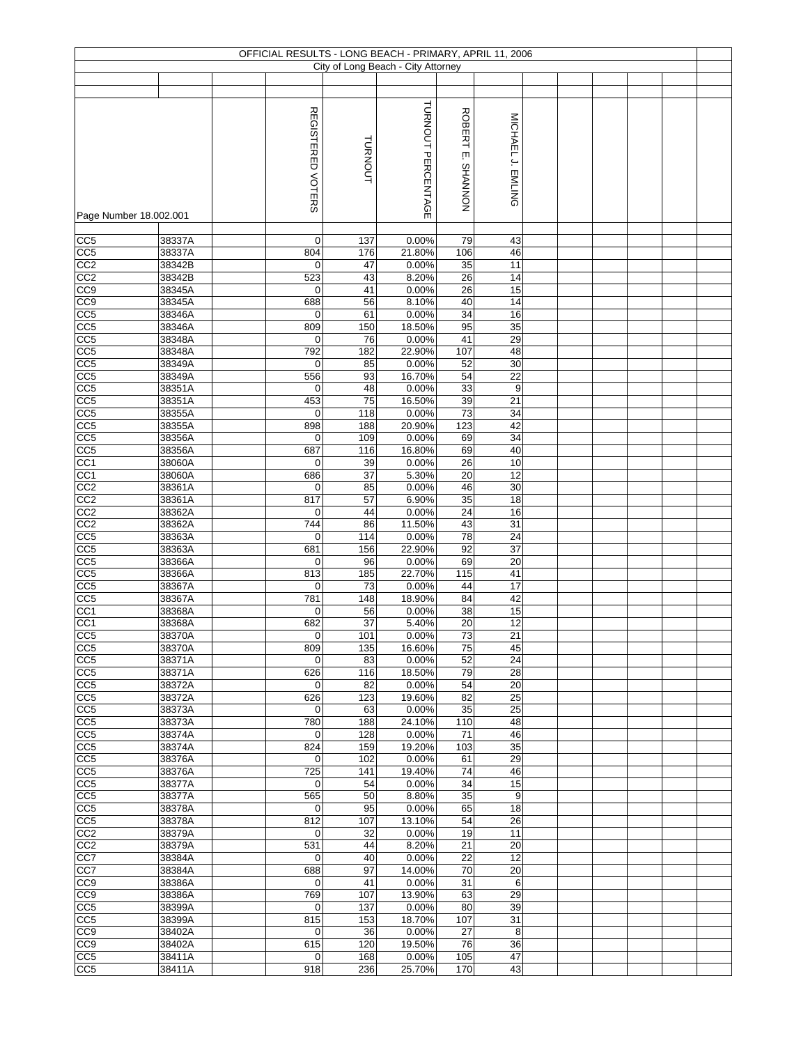|                        |        |                   |         | OFFICIAL RESULTS - LONG BEACH - PRIMARY, APRIL 11, 2006 |                 |                   |  |  |  |
|------------------------|--------|-------------------|---------|---------------------------------------------------------|-----------------|-------------------|--|--|--|
|                        |        |                   |         | City of Long Beach - City Attorney                      |                 |                   |  |  |  |
|                        |        |                   |         |                                                         |                 |                   |  |  |  |
|                        |        |                   |         |                                                         |                 |                   |  |  |  |
|                        |        |                   |         |                                                         |                 |                   |  |  |  |
|                        |        | REGISTERED VOTERS |         | TURNOUT PERCENTAGE                                      |                 |                   |  |  |  |
|                        |        |                   |         |                                                         | <b>ROBERT</b>   | MICHAEL J. EMLING |  |  |  |
|                        |        |                   |         |                                                         |                 |                   |  |  |  |
|                        |        |                   |         |                                                         |                 |                   |  |  |  |
|                        |        |                   | TURNOUT |                                                         | ίш.             |                   |  |  |  |
|                        |        |                   |         |                                                         |                 |                   |  |  |  |
|                        |        |                   |         |                                                         |                 |                   |  |  |  |
|                        |        |                   |         |                                                         |                 |                   |  |  |  |
|                        |        |                   |         |                                                         | NONNVHS         |                   |  |  |  |
| Page Number 18.002.001 |        |                   |         |                                                         |                 |                   |  |  |  |
|                        |        |                   |         |                                                         |                 |                   |  |  |  |
|                        |        |                   |         |                                                         |                 |                   |  |  |  |
| CC <sub>5</sub>        | 38337A | $\mathbf 0$       | 137     | 0.00%                                                   | 79              | 43                |  |  |  |
| CC5                    | 38337A | 804               | 176     | 21.80%                                                  | 106             | 46                |  |  |  |
| CC <sub>2</sub>        | 38342B | $\mathbf 0$       | 47      | 0.00%                                                   | 35              | 11                |  |  |  |
| CC2                    | 38342B | 523               | 43      | 8.20%                                                   | 26              | 14                |  |  |  |
| $\overline{CC9}$       | 38345A | $\mathbf 0$       | 41      | 0.00%                                                   | 26              | 15                |  |  |  |
| CC9                    | 38345A | 688               | 56      | 8.10%                                                   | 40              | 14                |  |  |  |
| CC <sub>5</sub>        | 38346A | $\mathbf 0$       | 61      | 0.00%                                                   | 34              | 16                |  |  |  |
| CC5                    | 38346A | 809               | 150     | 18.50%                                                  | 95              | 35                |  |  |  |
|                        |        |                   |         |                                                         |                 |                   |  |  |  |
| CC <sub>5</sub>        | 38348A | 0                 | 76      | 0.00%                                                   | 41              | 29                |  |  |  |
| CC <sub>5</sub>        | 38348A | 792               | 182     | 22.90%                                                  | 107             | 48                |  |  |  |
| CC5                    | 38349A | $\mathbf 0$       | 85      | 0.00%                                                   | 52              | 30                |  |  |  |
| CC <sub>5</sub>        | 38349A | 556               | 93      | 16.70%                                                  | 54              | 22                |  |  |  |
| CC5                    | 38351A | $\mathbf 0$       | 48      | 0.00%                                                   | 33              | 9                 |  |  |  |
| CC <sub>5</sub>        | 38351A | 453               | 75      | 16.50%                                                  | 39              | 21                |  |  |  |
| CC <sub>5</sub>        | 38355A | $\mathbf 0$       | 118     | 0.00%                                                   | $\overline{73}$ | 34                |  |  |  |
| CC <sub>5</sub>        | 38355A | 898               | 188     | 20.90%                                                  | 123             | 42                |  |  |  |
|                        |        |                   |         |                                                         |                 |                   |  |  |  |
| CC <sub>5</sub>        | 38356A | $\mathbf 0$       | 109     | 0.00%                                                   | 69              | 34                |  |  |  |
| CC <sub>5</sub>        | 38356A | 687               | 116     | 16.80%                                                  | 69              | 40                |  |  |  |
| CC <sub>1</sub>        | 38060A | $\mathbf 0$       | 39      | 0.00%                                                   | $\overline{26}$ | 10                |  |  |  |
| CC1                    | 38060A | 686               | 37      | 5.30%                                                   | 20              | 12                |  |  |  |
| CC <sub>2</sub>        | 38361A | $\mathbf 0$       | 85      | 0.00%                                                   | 46              | 30                |  |  |  |
| CC2                    | 38361A | 817               | 57      | 6.90%                                                   | 35              | 18                |  |  |  |
| CC2                    | 38362A | $\mathbf 0$       | 44      | 0.00%                                                   | 24              | 16                |  |  |  |
| CC <sub>2</sub>        | 38362A | 744               | 86      | 11.50%                                                  | 43              | 31                |  |  |  |
|                        |        |                   |         |                                                         |                 | 24                |  |  |  |
| CC5                    | 38363A | $\mathbf 0$       | 114     | 0.00%                                                   | 78              |                   |  |  |  |
| CC5                    | 38363A | 681               | 156     | 22.90%                                                  | 92              | 37                |  |  |  |
| CC5                    | 38366A | 0                 | 96      | 0.00%                                                   | 69              | 20                |  |  |  |
| CC <sub>5</sub>        | 38366A | 813               | 185     | 22.70%                                                  | 115             | 41                |  |  |  |
| CC5                    | 38367A | $\mathbf 0$       | 73      | 0.00%                                                   | 44              | 17                |  |  |  |
| CC5                    | 38367A | 781               | 148     | 18.90%                                                  | 84              | 42                |  |  |  |
| CC1                    | 38368A | 0                 | 56      | 0.00%                                                   | 38              | 15                |  |  |  |
| CC1                    | 38368A | 682               | 37      | 5.40%                                                   | 20              | 12                |  |  |  |
| CC <sub>5</sub>        | 38370A |                   | 101     | 0.00%                                                   | 73              | 21                |  |  |  |
|                        |        | 0                 |         |                                                         |                 |                   |  |  |  |
| CC5                    | 38370A | 809               | 135     | 16.60%                                                  | 75              | 45                |  |  |  |
| CC <sub>5</sub>        | 38371A | $\mathbf 0$       | 83      | 0.00%                                                   | 52              | 24                |  |  |  |
| CC <sub>5</sub>        | 38371A | 626               | 116     | 18.50%                                                  | 79              | 28                |  |  |  |
| CC5                    | 38372A | $\mathbf 0$       | 82      | 0.00%                                                   | 54              | 20                |  |  |  |
| CC <sub>5</sub>        | 38372A | 626               | 123     | 19.60%                                                  | 82              | 25                |  |  |  |
| CC5                    | 38373A | $\mathbf 0$       | 63      | 0.00%                                                   | 35              | 25                |  |  |  |
| CC <sub>5</sub>        | 38373A | 780               | 188     | 24.10%                                                  | 110             | 48                |  |  |  |
| CC5                    | 38374A | $\mathbf 0$       | 128     | 0.00%                                                   | 71              | 46                |  |  |  |
|                        |        |                   |         |                                                         |                 |                   |  |  |  |
| CC <sub>5</sub>        | 38374A | 824               | 159     | 19.20%                                                  | 103             | 35                |  |  |  |
| CC <sub>5</sub>        | 38376A | 0                 | 102     | 0.00%                                                   | 61              | 29                |  |  |  |
| CC5                    | 38376A | $\overline{725}$  | 141     | 19.40%                                                  | $\overline{74}$ | 46                |  |  |  |
| CC <sub>5</sub>        | 38377A | $\mathbf 0$       | 54      | 0.00%                                                   | 34              | 15                |  |  |  |
| CC5                    | 38377A | 565               | 50      | 8.80%                                                   | 35              | 9                 |  |  |  |
| CC <sub>5</sub>        | 38378A | $\mathbf 0$       | 95      | 0.00%                                                   | 65              | 18                |  |  |  |
| CC5                    | 38378A | 812               | 107     | 13.10%                                                  | 54              | 26                |  |  |  |
|                        |        | $\mathbf 0$       |         |                                                         |                 |                   |  |  |  |
| CC2                    | 38379A |                   | 32      | 0.00%                                                   | 19              | 11                |  |  |  |
| CC2                    | 38379A | 531               | 44      | 8.20%                                                   | 21              | 20                |  |  |  |
| CC7                    | 38384A | $\mathbf 0$       | 40      | 0.00%                                                   | 22              | 12                |  |  |  |
| CC7                    | 38384A | 688               | 97      | 14.00%                                                  | 70              | 20                |  |  |  |
| CC <sub>9</sub>        | 38386A | $\mathbf 0$       | 41      | 0.00%                                                   | 31              | 6                 |  |  |  |
| CC <sub>9</sub>        | 38386A | 769               | 107     | 13.90%                                                  | 63              | 29                |  |  |  |
| CC <sub>5</sub>        | 38399A | $\mathbf 0$       | 137     | 0.00%                                                   | 80              | 39                |  |  |  |
| CC <sub>5</sub>        | 38399A | 815               | 153     | 18.70%                                                  | 107             | 31                |  |  |  |
| CC <sub>9</sub>        | 38402A | $\mathbf 0$       | 36      | 0.00%                                                   | 27              | 8                 |  |  |  |
|                        |        |                   |         |                                                         |                 |                   |  |  |  |
| CC <sub>9</sub>        | 38402A | 615               | 120     | 19.50%                                                  | 76              | 36                |  |  |  |
| CC <sub>5</sub>        | 38411A | $\mathbf 0$       | 168     | 0.00%                                                   | 105             | 47                |  |  |  |
| CC <sub>5</sub>        | 38411A | 918               | 236     | 25.70%                                                  | 170             | 43                |  |  |  |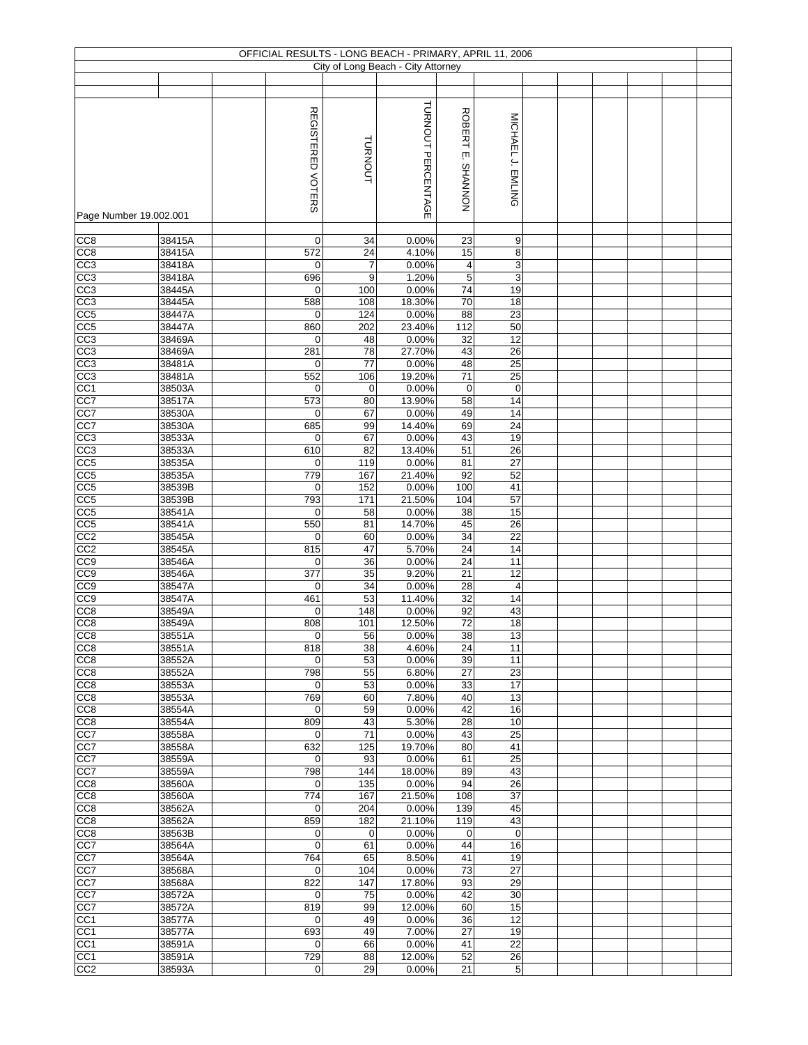|                                     |                  |                            |                | OFFICIAL RESULTS - LONG BEACH - PRIMARY, APRIL 11, 2006 |                                |                   |  |  |  |
|-------------------------------------|------------------|----------------------------|----------------|---------------------------------------------------------|--------------------------------|-------------------|--|--|--|
|                                     |                  |                            |                | City of Long Beach - City Attorney                      |                                |                   |  |  |  |
|                                     |                  |                            |                |                                                         |                                |                   |  |  |  |
| Page Number 19.002.001              |                  | <b>REGISTERED VOTERS</b>   | <b>TURNOUT</b> | TURNOUT PERCENTAGE                                      | <b>ROBERT</b><br>įm<br>NONNVHS | MICHAEL J. EMLING |  |  |  |
|                                     |                  |                            |                |                                                         |                                |                   |  |  |  |
| CC8                                 | 38415A<br>38415A | 0<br>572                   | 34<br>24       | 0.00%<br>4.10%                                          | 23<br>15                       | 9                 |  |  |  |
| CC <sub>8</sub><br>CC3              | 38418A           | $\mathbf 0$                | $\overline{7}$ | 0.00%                                                   | 4                              | 8<br>3            |  |  |  |
| CC3                                 | 38418A           | 696                        | 9              | 1.20%                                                   | $\,$ 5 $\,$                    | 3                 |  |  |  |
| CC3                                 | 38445A           | $\mathbf 0$                | 100            | 0.00%                                                   | 74                             | 19                |  |  |  |
| CC <sub>3</sub>                     | 38445A           | 588                        | 108            | 18.30%                                                  | 70                             | 18                |  |  |  |
| CC5                                 | 38447A           | $\mathbf 0$                | 124            | 0.00%                                                   | 88                             | 23                |  |  |  |
| CC5<br>CC3                          | 38447A<br>38469A | 860<br>0                   | 202<br>48      | 23.40%<br>0.00%                                         | $\frac{1}{112}$<br>32          | 50<br>12          |  |  |  |
| CC <sub>3</sub>                     | 38469A           | 281                        | 78             | 27.70%                                                  | 43                             | 26                |  |  |  |
| CC3                                 | 38481A           | 0                          | 77             | 0.00%                                                   | 48                             | 25                |  |  |  |
| CC3                                 | 38481A           | 552                        | 106            | 19.20%                                                  | 71                             | 25                |  |  |  |
| CC <sub>1</sub>                     | 38503A           | 0                          | 0              | 0.00%                                                   | $\mathbf 0$                    | $\pmb{0}$         |  |  |  |
| CC7                                 | 38517A           | 573                        | 80             | 13.90%                                                  | 58                             | $\overline{14}$   |  |  |  |
| CC7                                 | 38530A<br>38530A | $\mathbf 0$<br>685         | 67<br>99       | 0.00%<br>14.40%                                         | 49<br>69                       | 14<br>24          |  |  |  |
| CC7<br>CC <sub>3</sub>              | 38533A           | $\mathbf 0$                | 67             | 0.00%                                                   | 43                             | 19                |  |  |  |
| CC <sub>3</sub>                     | 38533A           | 610                        | 82             | 13.40%                                                  | 51                             | $\overline{26}$   |  |  |  |
| CC5                                 | 38535A           | $\mathbf 0$                | 119            | 0.00%                                                   | 81                             | $\overline{27}$   |  |  |  |
| CC5                                 | 38535A           | 779                        | 167            | 21.40%                                                  | 92                             | 52                |  |  |  |
| CC <sub>5</sub>                     | 38539B           | $\mathbf 0$                | 152            | 0.00%                                                   | 100                            | 41                |  |  |  |
| CC5<br>CC5                          | 38539B           | 793                        | 171            | 21.50%                                                  | 104                            | 57<br>15          |  |  |  |
| CC5                                 | 38541A<br>38541A | $\mathbf 0$<br>550         | 58<br>81       | 0.00%<br>14.70%                                         | 38<br>45                       | 26                |  |  |  |
| CC2                                 | 38545A           | 0                          | 60             | 0.00%                                                   | 34                             | 22                |  |  |  |
| CC2                                 | 38545A           | 815                        | 47             | 5.70%                                                   | 24                             | 14                |  |  |  |
| CC <sub>9</sub>                     | 38546A           | $\mathbf 0$                | 36             | 0.00%                                                   | 24                             | 11                |  |  |  |
| CC9                                 | 38546A           | 377                        | 35             | 9.20%                                                   | 21                             | 12                |  |  |  |
| CC <sub>9</sub><br>$\overline{CC9}$ | 38547A<br>38547A | 0<br>461                   | 34<br>53       | 0.00%<br>11.40%                                         | 28<br>32                       | 4<br>14           |  |  |  |
| CC8                                 | 38549A           | $\mathbf 0$                | 148            | 0.00%                                                   | 92                             | 43                |  |  |  |
| CC <sub>8</sub>                     | 38549A           | 808                        | 101            | 12.50%                                                  | 72                             | 18                |  |  |  |
| CC <sub>8</sub>                     | 38551A           | $\pmb{0}$                  | 56             | 0.00%                                                   | 38                             | 13                |  |  |  |
| CC8                                 | 38551A           | 818                        | 38             | 4.60%                                                   | 24                             | 11                |  |  |  |
| CC <sub>8</sub>                     | 38552A           | $\mathbf 0$                | 53             | 0.00%                                                   | 39                             | 11                |  |  |  |
| CC <sub>8</sub><br>CC <sub>8</sub>  | 38552A<br>38553A | 798<br>$\mathbf 0$         | 55<br>53       | 6.80%<br>0.00%                                          | 27<br>33                       | 23<br>17          |  |  |  |
| CC <sub>8</sub>                     | 38553A           | 769                        | 60             | 7.80%                                                   | 40                             | 13                |  |  |  |
| CC8                                 | 38554A           | $\mathbf 0$                | 59             | 0.00%                                                   | 42                             | 16                |  |  |  |
| CC8                                 | 38554A           | 809                        | 43             | 5.30%                                                   | 28                             | 10                |  |  |  |
| CC7                                 | 38558A           | 0                          | 71             | 0.00%                                                   | 43                             | 25                |  |  |  |
| CC7                                 | 38558A<br>38559A | 632                        | 125<br>93      | 19.70%<br>0.00%                                         | 80                             | 41<br>25          |  |  |  |
| CC7<br>CC7                          | 38559A           | 0<br>798                   | 144            | 18.00%                                                  | 61<br>89                       | 43                |  |  |  |
| CC <sub>8</sub>                     | 38560A           | $\mathbf 0$                | 135            | 0.00%                                                   | 94                             | 26                |  |  |  |
| CC8                                 | 38560A           | 774                        | 167            | 21.50%                                                  | 108                            | 37                |  |  |  |
| CC <sub>8</sub>                     | 38562A           | 0                          | 204            | 0.00%                                                   | 139                            | 45                |  |  |  |
| CC8                                 | 38562A           | 859                        | 182            | 21.10%                                                  | 119                            | 43                |  |  |  |
| CC8<br>CC7                          | 38563B<br>38564A | $\mathbf 0$<br>$\mathbf 0$ | 0<br>61        | 0.00%<br>0.00%                                          | 0<br>44                        | $\mathbf 0$<br>16 |  |  |  |
| CC7                                 | 38564A           | 764                        | 65             | 8.50%                                                   | 41                             | 19                |  |  |  |
| CC7                                 | 38568A           | 0                          | 104            | 0.00%                                                   | 73                             | 27                |  |  |  |
| CC7                                 | 38568A           | 822                        | 147            | 17.80%                                                  | 93                             | 29                |  |  |  |
| CC7                                 | 38572A           | 0                          | 75             | 0.00%                                                   | 42                             | 30                |  |  |  |
| CC7                                 | 38572A           | 819                        | 99             | 12.00%                                                  | 60                             | 15                |  |  |  |
| CC <sub>1</sub><br>CC1              | 38577A<br>38577A | 0<br>693                   | 49<br>49       | 0.00%<br>7.00%                                          | 36<br>27                       | 12<br>19          |  |  |  |
| CC <sub>1</sub>                     | 38591A           | $\mathbf 0$                | 66             | 0.00%                                                   | 41                             | 22                |  |  |  |
| CC <sub>1</sub>                     | 38591A           | 729                        | 88             | 12.00%                                                  | 52                             | 26                |  |  |  |
| CC <sub>2</sub>                     | 38593A           | $\mathbf 0$                | 29             | 0.00%                                                   | 21                             | 5                 |  |  |  |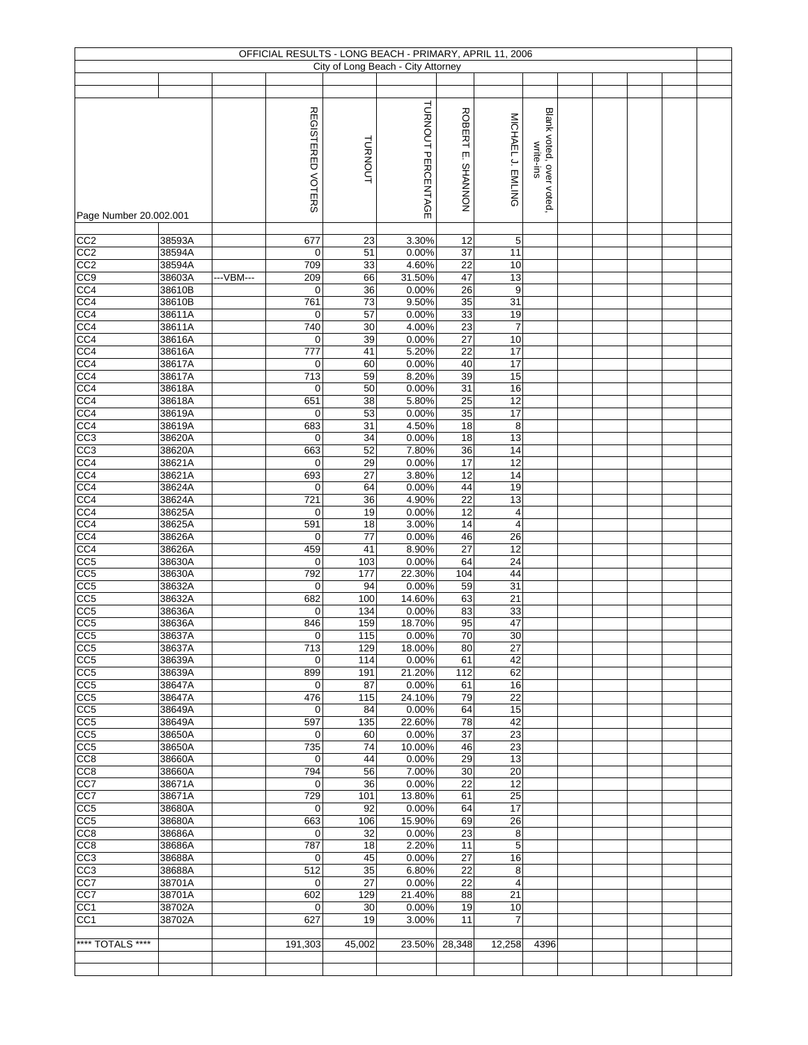|                                    |                  |           |                          |            | OFFICIAL RESULTS - LONG BEACH - PRIMARY, APRIL 11, 2006 |                       |                         |                         |  |  |  |
|------------------------------------|------------------|-----------|--------------------------|------------|---------------------------------------------------------|-----------------------|-------------------------|-------------------------|--|--|--|
|                                    |                  |           |                          |            | City of Long Beach - City Attorney                      |                       |                         |                         |  |  |  |
|                                    |                  |           |                          |            |                                                         |                       |                         |                         |  |  |  |
|                                    |                  |           |                          |            |                                                         |                       |                         |                         |  |  |  |
|                                    |                  |           |                          |            | TURNOUT PERCENTAGE                                      |                       |                         |                         |  |  |  |
|                                    |                  |           | <b>REGISTERED VOTERS</b> |            |                                                         | <b>ROBERT</b>         | MICHAEL J. EMLING       | Blank voted, over voted |  |  |  |
|                                    |                  |           |                          |            |                                                         |                       |                         |                         |  |  |  |
|                                    |                  |           |                          |            |                                                         | ίш.                   |                         |                         |  |  |  |
|                                    |                  |           |                          | TURNOUT    |                                                         |                       |                         | write-ins               |  |  |  |
|                                    |                  |           |                          |            |                                                         |                       |                         |                         |  |  |  |
|                                    |                  |           |                          |            |                                                         |                       |                         |                         |  |  |  |
|                                    |                  |           |                          |            |                                                         | NONNVHS               |                         |                         |  |  |  |
| Page Number 20.002.001             |                  |           |                          |            |                                                         |                       |                         |                         |  |  |  |
|                                    |                  |           |                          |            |                                                         |                       |                         |                         |  |  |  |
| CC <sub>2</sub>                    | 38593A           |           | 677                      | 23         | 3.30%                                                   | 12                    | 5                       |                         |  |  |  |
| CC2                                | 38594A           |           | $\pmb{0}$                | 51         | 0.00%                                                   | 37                    | 11                      |                         |  |  |  |
| CC <sub>2</sub>                    | 38594A           |           | 709                      | 33         | 4.60%                                                   | 22                    | 10                      |                         |  |  |  |
| CC9                                | 38603A           | ---VBM--- | 209                      | 66         | 31.50%                                                  | 47                    | 13                      |                         |  |  |  |
| CC <sub>4</sub>                    | 38610B           |           | 0                        | 36         | 0.00%                                                   | $\overline{26}$       | 9                       |                         |  |  |  |
| CC4<br>CC <sub>4</sub>             | 38610B<br>38611A |           | 761<br>$\mathbf 0$       | 73<br>57   | 9.50%<br>0.00%                                          | $\overline{35}$<br>33 | 31<br>19                |                         |  |  |  |
| CC4                                | 38611A           |           | 740                      | 30         | 4.00%                                                   | $\overline{23}$       | $\overline{7}$          |                         |  |  |  |
| CC <sub>4</sub>                    | 38616A           |           | $\pmb{0}$                | 39         | 0.00%                                                   | 27                    | 10                      |                         |  |  |  |
| CC <sub>4</sub>                    | 38616A           |           | 777                      | 41         | 5.20%                                                   | 22                    | 17                      |                         |  |  |  |
| CC4                                | 38617A           |           | $\pmb{0}$                | 60         | 0.00%                                                   | 40                    | 17                      |                         |  |  |  |
| CC4                                | 38617A           |           | 713                      | 59         | 8.20%                                                   | 39                    | 15                      |                         |  |  |  |
| CC4                                | 38618A           |           | 0                        | 50         | 0.00%                                                   | 31                    | 16                      |                         |  |  |  |
| CC <sub>4</sub>                    | 38618A           |           | 651                      | 38         | 5.80%                                                   | 25                    | 12                      |                         |  |  |  |
| CC <sub>4</sub>                    | 38619A           |           | 0                        | 53         | 0.00%                                                   | $\overline{35}$       | 17                      |                         |  |  |  |
| CC4                                | 38619A           |           | 683                      | 31         | 4.50%                                                   | 18                    | 8                       |                         |  |  |  |
| CC3                                | 38620A           |           | 0                        | 34         | 0.00%                                                   | $\overline{18}$       | 13                      |                         |  |  |  |
| CC3                                | 38620A           |           | 663                      | 52         | 7.80%                                                   | $\overline{36}$       | 14                      |                         |  |  |  |
| CC4                                | 38621A           |           | 0                        | 29         | 0.00%                                                   | $\overline{17}$       | 12                      |                         |  |  |  |
| CC4<br>CC4                         | 38621A<br>38624A |           | 693<br>0                 | 27<br>64   | 3.80%<br>0.00%                                          | 12<br>44              | 14<br>19                |                         |  |  |  |
| CC4                                | 38624A           |           | 721                      | 36         | 4.90%                                                   | 22                    | 13                      |                         |  |  |  |
| CC <sub>4</sub>                    | 38625A           |           | 0                        | 19         | 0.00%                                                   | 12                    | 4                       |                         |  |  |  |
| CC <sub>4</sub>                    | 38625A           |           | 591                      | 18         | 3.00%                                                   | 14                    | $\overline{\mathbf{4}}$ |                         |  |  |  |
| CC <sub>4</sub>                    | 38626A           |           | 0                        | 77         | 0.00%                                                   | 46                    | 26                      |                         |  |  |  |
| CC <sub>4</sub>                    | 38626A           |           | 459                      | 41         | 8.90%                                                   | 27                    | 12                      |                         |  |  |  |
| CC <sub>5</sub>                    | 38630A           |           | $\mathbf 0$              | 103        | 0.00%                                                   | 64                    | 24                      |                         |  |  |  |
| CC5                                | 38630A           |           | 792                      | 177        | 22.30%                                                  | 104                   | 44                      |                         |  |  |  |
| CC5                                | 38632A           |           | $\pmb{0}$                | 94         | 0.00%                                                   | 59                    | 31                      |                         |  |  |  |
| CC5                                | 38632A           |           | 682                      | 100        | 14.60%                                                  | 63                    | 21                      |                         |  |  |  |
| CC5                                | 38636A           |           | 0                        | 134        | 0.00%                                                   | 83                    | 33                      |                         |  |  |  |
| CC <sub>5</sub>                    | 38636A           |           | 846                      | 159        | 18.70%                                                  | 95                    | $\overline{47}$         |                         |  |  |  |
| CC <sub>5</sub>                    | 38637A           |           | 0                        | 115        | 0.00%                                                   | 70<br>80              | 30<br>27                |                         |  |  |  |
| CC <sub>5</sub><br>CC <sub>5</sub> | 38637A<br>38639A |           | 713<br>$\mathbf 0$       | 129<br>114 | 18.00%<br>0.00%                                         | 61                    | 42                      |                         |  |  |  |
| CC <sub>5</sub>                    | 38639A           |           | 899                      | 191        | 21.20%                                                  | 112                   | 62                      |                         |  |  |  |
| CC5                                | 38647A           |           | $\mathbf 0$              | 87         | 0.00%                                                   | 61                    | 16                      |                         |  |  |  |
| CC <sub>5</sub>                    | 38647A           |           | 476                      | 115        | 24.10%                                                  | 79                    | 22                      |                         |  |  |  |
| CC5                                | 38649A           |           | 0                        | 84         | 0.00%                                                   | 64                    | 15                      |                         |  |  |  |
| CC5                                | 38649A           |           | 597                      | 135        | 22.60%                                                  | 78                    | 42                      |                         |  |  |  |
| CC5                                | 38650A           |           | $\mathbf 0$              | 60         | 0.00%                                                   | 37                    | $\overline{23}$         |                         |  |  |  |
| CC5                                | 38650A           |           | 735                      | 74         | 10.00%                                                  | 46                    | 23                      |                         |  |  |  |
| CC8                                | 38660A           |           | 0                        | 44         | 0.00%                                                   | 29                    | 13                      |                         |  |  |  |
| CC8                                | 38660A           |           | 794                      | 56         | 7.00%                                                   | 30                    | $\overline{20}$         |                         |  |  |  |
| CC7<br>CC7                         | 38671A<br>38671A |           | 0<br>729                 | 36<br>101  | 0.00%<br>13.80%                                         | 22<br>61              | 12<br>25                |                         |  |  |  |
| CC <sub>5</sub>                    | 38680A           |           | 0                        | 92         | 0.00%                                                   | 64                    | 17                      |                         |  |  |  |
| CC5                                | 38680A           |           | 663                      | 106        | 15.90%                                                  | 69                    | 26                      |                         |  |  |  |
| CC8                                | 38686A           |           | $\mathbf 0$              | 32         | 0.00%                                                   | 23                    | 8                       |                         |  |  |  |
| CC8                                | 38686A           |           | 787                      | 18         | 2.20%                                                   | 11                    | 5                       |                         |  |  |  |
| CC3                                | 38688A           |           | 0                        | 45         | 0.00%                                                   | 27                    | 16                      |                         |  |  |  |
| CC3                                | 38688A           |           | 512                      | 35         | 6.80%                                                   | 22                    | 8                       |                         |  |  |  |
| CC7                                | 38701A           |           | $\mathbf 0$              | 27         | 0.00%                                                   | 22                    | $\overline{4}$          |                         |  |  |  |
| CC7                                | 38701A           |           | 602                      | 129        | 21.40%                                                  | 88                    | 21                      |                         |  |  |  |
| CC <sub>1</sub>                    | 38702A           |           | 0                        | 30         | 0.00%                                                   | 19                    | 10                      |                         |  |  |  |
| CC <sub>1</sub>                    | 38702A           |           | 627                      | 19         | 3.00%                                                   | 11                    | $\overline{7}$          |                         |  |  |  |
|                                    |                  |           |                          |            |                                                         |                       |                         |                         |  |  |  |
| **** TOTALS ****                   |                  |           | 191,303                  | 45,002     | 23.50%                                                  | 28,348                | 12,258                  | 4396                    |  |  |  |
|                                    |                  |           |                          |            |                                                         |                       |                         |                         |  |  |  |
|                                    |                  |           |                          |            |                                                         |                       |                         |                         |  |  |  |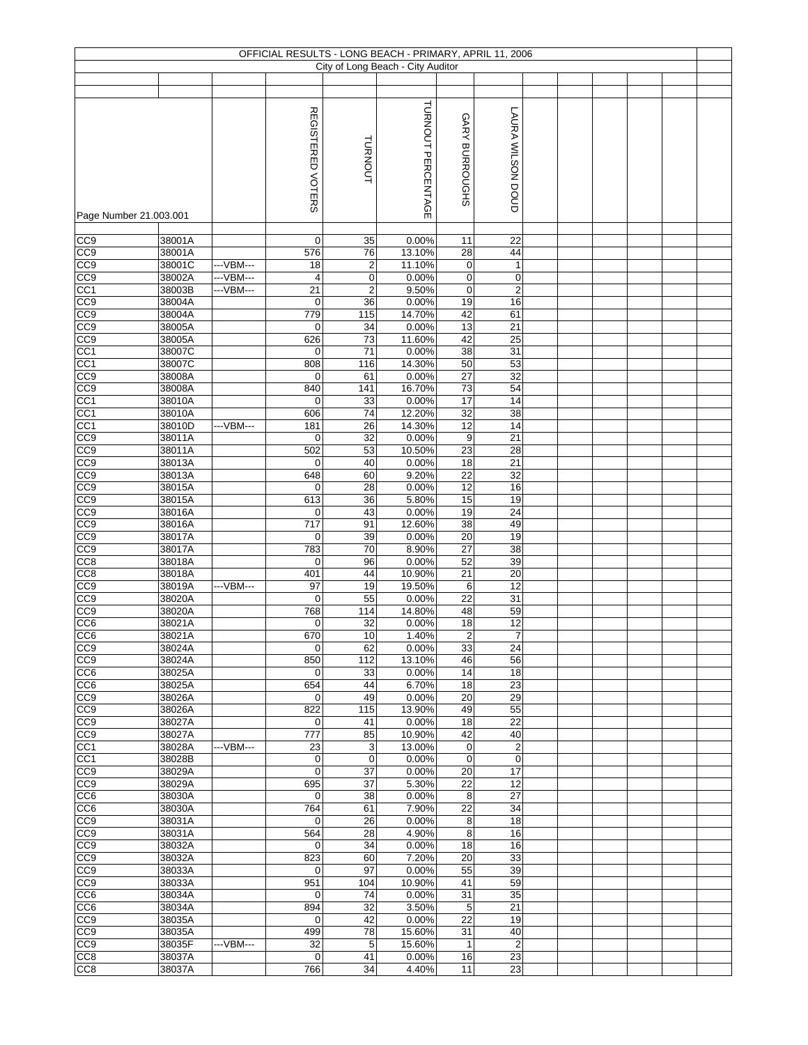|                                    |                  |           |                                    |                | OFFICIAL RESULTS - LONG BEACH - PRIMARY, APRIL 11, 2006<br>City of Long Beach - City Auditor |                                    |                              |  |  |  |
|------------------------------------|------------------|-----------|------------------------------------|----------------|----------------------------------------------------------------------------------------------|------------------------------------|------------------------------|--|--|--|
|                                    |                  |           |                                    |                |                                                                                              |                                    |                              |  |  |  |
|                                    |                  |           |                                    |                |                                                                                              |                                    |                              |  |  |  |
| Page Number 21.003.001             |                  |           | <b>REGISTERED</b><br><b>VOTERS</b> | TURNOUT        | TURNOUT PERCENTAGE                                                                           | GARY BURROUGHS                     | LAURA WILSON DOUD            |  |  |  |
|                                    |                  |           |                                    |                |                                                                                              |                                    |                              |  |  |  |
| CC9<br>CC9                         | 38001A<br>38001A |           | 0<br>576                           | 35<br>76       | 0.00%<br>13.10%                                                                              | 11<br>28                           | 22<br>44                     |  |  |  |
| CC <sub>9</sub>                    | 38001C           | ---VBM--- | 18                                 | $\overline{2}$ | 11.10%                                                                                       | 0                                  | $\mathbf{1}$                 |  |  |  |
| CC9                                | 38002A           | ---VBM--- | 4                                  | $\mathbf 0$    | 0.00%                                                                                        | 0                                  | $\pmb{0}$                    |  |  |  |
| CC <sub>1</sub>                    | 38003B           | ---VBM--- | 21                                 | $\overline{2}$ | 9.50%                                                                                        | $\mathsf 0$                        | $\mathbf 2$                  |  |  |  |
| CC <sub>9</sub>                    | 38004A           |           | $\mathbf 0$                        | 36             | 0.00%                                                                                        | 19                                 | 16                           |  |  |  |
| CC <sub>9</sub>                    | 38004A           |           | 779                                | 115            | 14.70%                                                                                       | 42                                 | 61                           |  |  |  |
| CC <sub>9</sub>                    | 38005A           |           | 0                                  | 34             | 0.00%                                                                                        | 13                                 | 21                           |  |  |  |
| CC <sub>9</sub><br>CC <sub>1</sub> | 38005A<br>38007C |           | 626<br>0                           | 73             | 11.60%                                                                                       | 42                                 | 25<br>31                     |  |  |  |
| CC1                                | 38007C           |           | 808                                | 71<br>116      | 0.00%<br>14.30%                                                                              | 38<br>50                           | 53                           |  |  |  |
| CC <sub>9</sub>                    | 38008A           |           | 0                                  | 61             | 0.00%                                                                                        | 27                                 | 32                           |  |  |  |
| CC9                                | 38008A           |           | 840                                | 141            | 16.70%                                                                                       | 73                                 | 54                           |  |  |  |
| CC <sub>1</sub>                    | 38010A           |           | 0                                  | 33             | 0.00%                                                                                        | 17                                 | 14                           |  |  |  |
| CC <sub>1</sub>                    | 38010A           |           | 606                                | 74             | 12.20%                                                                                       | 32                                 | 38                           |  |  |  |
| CC <sub>1</sub>                    | 38010D           | ---VBM--- | 181                                | 26             | 14.30%                                                                                       | $\overline{12}$                    | 14                           |  |  |  |
| CC <sub>0</sub>                    | 38011A           |           | 0                                  | 32             | 0.00%                                                                                        | 9                                  | $\overline{21}$              |  |  |  |
| CC <sub>0</sub>                    | 38011A           |           | 502                                | 53             | 10.50%                                                                                       | 23                                 | $\overline{28}$              |  |  |  |
| CC9                                | 38013A           |           | 0                                  | 40             | 0.00%                                                                                        | $\overline{18}$                    | $\overline{21}$              |  |  |  |
| CC9                                | 38013A           |           | 648                                | 60             | 9.20%                                                                                        | 22                                 | 32                           |  |  |  |
| CC <sub>9</sub>                    | 38015A<br>38015A |           | 0<br>613                           | 28<br>36       | 0.00%<br>5.80%                                                                               | 12<br>15                           | 16<br>19                     |  |  |  |
| CC9<br>CC9                         | 38016A           |           | 0                                  | 43             | 0.00%                                                                                        | 19                                 | $\overline{24}$              |  |  |  |
| CC <sub>9</sub>                    | 38016A           |           | 717                                | 91             | 12.60%                                                                                       | 38                                 | 49                           |  |  |  |
| CC <sub>9</sub>                    | 38017A           |           | 0                                  | 39             | 0.00%                                                                                        | $\overline{20}$                    | 19                           |  |  |  |
| CC <sub>9</sub>                    | 38017A           |           | 783                                | 70             | 8.90%                                                                                        | 27                                 | 38                           |  |  |  |
| CC8                                | 38018A           |           | $\mathbf 0$                        | 96             | 0.00%                                                                                        | 52                                 | 39                           |  |  |  |
| CC <sub>8</sub>                    | 38018A           |           | 401                                | 44             | 10.90%                                                                                       | 21                                 | 20                           |  |  |  |
| CC9                                | 38019A           | ---VBM--- | 97                                 | 19             | 19.50%                                                                                       | 6                                  | 12                           |  |  |  |
| CC9                                | 38020A           |           | $\mathbf 0$                        | 55             | 0.00%                                                                                        | 22                                 | 31                           |  |  |  |
| CC9                                | 38020A           |           | 768                                | 114            | 14.80%                                                                                       | 48                                 | 59                           |  |  |  |
| CC <sub>6</sub>                    | 38021A           |           | 0                                  | 32             | 0.00%                                                                                        | 18                                 | 12                           |  |  |  |
| CC <sub>6</sub><br>CC9             | 38021A<br>38024A |           | 670<br>$\mathbf 0$                 | 10<br>62       | 1.40%<br>0.00%                                                                               | $\overline{2}$<br>33               | $\overline{7}$<br>24         |  |  |  |
| CC <sub>9</sub>                    | 38024A           |           | 850                                | 112            | 13.10%                                                                                       | 46                                 | 56                           |  |  |  |
| CC <sub>6</sub>                    | 38025A           |           | $\mathbf 0$                        | 33             | 0.00%                                                                                        | 14                                 | 18                           |  |  |  |
| CC6                                | 38025A           |           | 654                                | 44             | 6.70%                                                                                        | 18                                 | 23                           |  |  |  |
| CC <sub>9</sub>                    | 38026A           |           | $\mathbf 0$                        | 49             | 0.00%                                                                                        | 20                                 | 29                           |  |  |  |
| $\overline{CC9}$                   | 38026A           |           | 822                                | 115            | 13.90%                                                                                       | 49                                 | 55                           |  |  |  |
| CC9                                | 38027A           |           | $\mathbf 0$                        | 41             | 0.00%                                                                                        | 18                                 | 22                           |  |  |  |
| CC9                                | 38027A           |           | 777                                | 85             | 10.90%                                                                                       | 42                                 | 40                           |  |  |  |
| CC1                                | 38028A           | ---VBM--- | 23                                 | 3              | 13.00%                                                                                       | 0                                  | $\overline{c}$               |  |  |  |
| CC <sub>1</sub><br>CC <sub>9</sub> | 38028B           |           | $\pmb{0}$<br>0                     | $\mathbf 0$    | 0.00%<br>0.00%                                                                               | $\pmb{0}$                          | $\pmb{0}$<br>$\overline{17}$ |  |  |  |
| CC <sub>9</sub>                    | 38029A<br>38029A |           | 695                                | 37<br>37       | 5.30%                                                                                        | $\overline{20}$<br>$\overline{22}$ | 12                           |  |  |  |
| CC6                                | 38030A           |           | 0                                  | 38             | 0.00%                                                                                        | 8                                  | 27                           |  |  |  |
| CC6                                | 38030A           |           | 764                                | 61             | 7.90%                                                                                        | 22                                 | 34                           |  |  |  |
| $\overline{CC9}$                   | 38031A           |           | $\mathbf 0$                        | 26             | 0.00%                                                                                        | 8                                  | 18                           |  |  |  |
| CC9                                | 38031A           |           | 564                                | 28             | 4.90%                                                                                        | 8                                  | 16                           |  |  |  |
| CC9                                | 38032A           |           | $\mathbf 0$                        | 34             | 0.00%                                                                                        | 18                                 | 16                           |  |  |  |
| CC9                                | 38032A           |           | 823                                | 60             | 7.20%                                                                                        | 20                                 | 33                           |  |  |  |
| CC9                                | 38033A           |           | $\mathbf 0$                        | 97             | 0.00%                                                                                        | 55                                 | 39                           |  |  |  |
| CC9                                | 38033A           |           | 951                                | 104            | 10.90%                                                                                       | 41                                 | 59                           |  |  |  |
| CC <sub>6</sub>                    | 38034A           |           | 0                                  | 74             | 0.00%                                                                                        | 31                                 | 35                           |  |  |  |
| CC6<br>CC <sub>9</sub>             | 38034A<br>38035A |           | 894<br>$\mathbf 0$                 | 32<br>42       | 3.50%<br>0.00%                                                                               | 5<br>22                            | $\overline{21}$<br>19        |  |  |  |
| CC9                                | 38035A           |           | 499                                | 78             | 15.60%                                                                                       | 31                                 | 40                           |  |  |  |
| CC9                                | 38035F           | ---VBM--- | 32                                 | $\overline{5}$ | 15.60%                                                                                       | $\mathbf{1}$                       | $\overline{c}$               |  |  |  |
| CC <sub>8</sub>                    | 38037A           |           | $\mathbf 0$                        | 41             | 0.00%                                                                                        | 16                                 | 23                           |  |  |  |
| CC <sub>8</sub>                    | 38037A           |           | 766                                | 34             | 4.40%                                                                                        | 11                                 | 23                           |  |  |  |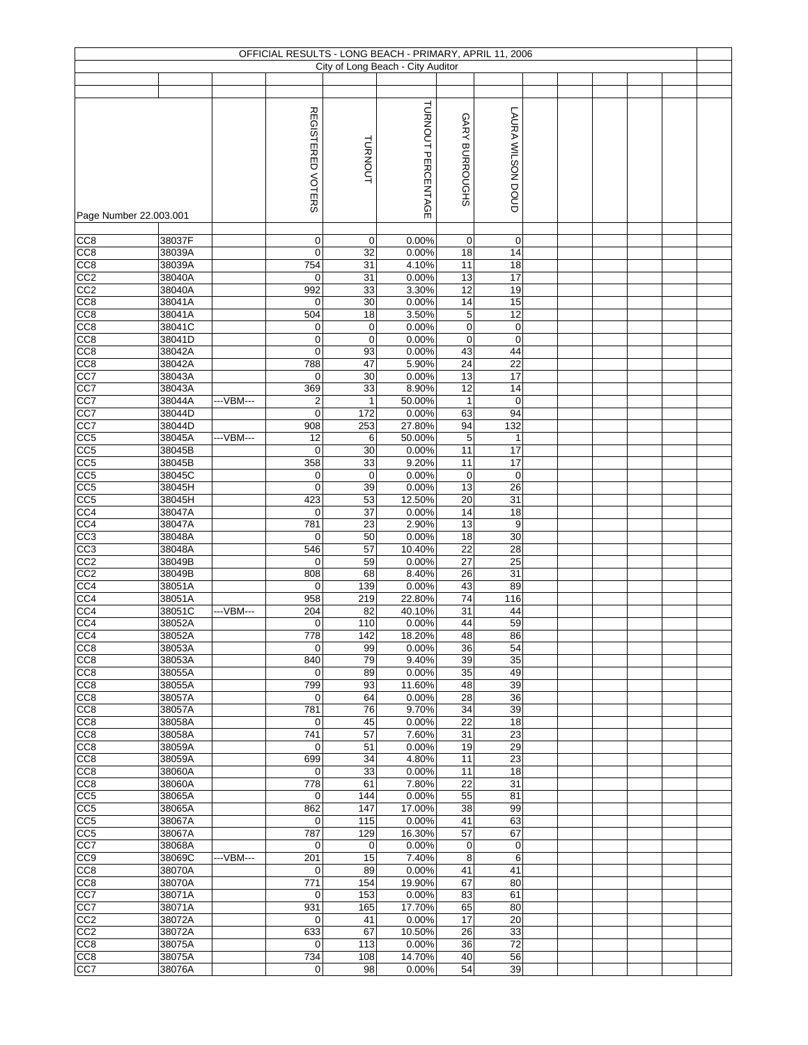|                        |                  |            |                                 |                            | OFFICIAL RESULTS - LONG BEACH - PRIMARY, APRIL 11, 2006 |                 |                          |  |  |  |
|------------------------|------------------|------------|---------------------------------|----------------------------|---------------------------------------------------------|-----------------|--------------------------|--|--|--|
|                        |                  |            |                                 |                            | City of Long Beach - City Auditor                       |                 |                          |  |  |  |
|                        |                  |            |                                 |                            |                                                         |                 |                          |  |  |  |
| Page Number 22.003.001 |                  |            | REGISTERED VOTERS               | <b>TURNOUT</b>             | TURNOUT PERCENTAGE                                      | GARY BURROUGHS  | <b>LAURA WILSON DOUD</b> |  |  |  |
|                        |                  |            |                                 |                            |                                                         |                 |                          |  |  |  |
| CC8<br>CC <sub>8</sub> | 38037F<br>38039A |            | $\mathbf 0$<br>$\mathbf 0$      | 0<br>32                    | 0.00%<br>0.00%                                          | 0<br>18         | 0<br>14                  |  |  |  |
| CC8                    | 38039A           |            | 754                             | 31                         | 4.10%                                                   | 11              | 18                       |  |  |  |
| CC2                    | 38040A           |            | $\mathbf 0$                     | 31                         | 0.00%                                                   | 13              | 17                       |  |  |  |
| CC <sub>2</sub>        | 38040A           |            | 992                             | 33                         | 3.30%                                                   | 12              | 19                       |  |  |  |
| CC <sub>8</sub>        | 38041A           |            | $\mathbf 0$                     | 30                         | 0.00%                                                   | $\overline{14}$ | 15                       |  |  |  |
| CC <sub>8</sub>        | 38041A           |            | 504                             | 18                         | 3.50%                                                   | 5               | 12                       |  |  |  |
| CC8<br>CC <sub>8</sub> | 38041C<br>38041D |            | $\mathbf 0$<br>$\boldsymbol{0}$ | $\mathbf 0$<br>$\mathbf 0$ | 0.00%<br>0.00%                                          | 0<br>0          | $\pmb{0}$<br>0           |  |  |  |
| CC <sub>8</sub>        | 38042A           |            | $\mathbf 0$                     | 93                         | 0.00%                                                   | 43              | 44                       |  |  |  |
| CC8                    | 38042A           |            | 788                             | 47                         | 5.90%                                                   | 24              | 22                       |  |  |  |
| CC7                    | 38043A           |            | $\mathbf 0$                     | 30                         | 0.00%                                                   | 13              | $\overline{17}$          |  |  |  |
| CC7                    | 38043A           |            | 369                             | 33                         | 8.90%                                                   | 12              | 14                       |  |  |  |
| CC7                    | 38044A           | --- VBM--- | $\overline{2}$                  | $\mathbf{1}$               | 50.00%                                                  | 1               | $\pmb{0}$                |  |  |  |
| CC7<br>CC7             | 38044D<br>38044D |            | $\mathbf 0$<br>908              | 172<br>253                 | 0.00%<br>27.80%                                         | 63<br>94        | 94<br>132                |  |  |  |
| CC <sub>5</sub>        | 38045A           | ---VBM---  | 12                              | 6                          | 50.00%                                                  | 5               | $\mathbf{1}$             |  |  |  |
| CC <sub>5</sub>        | 38045B           |            | $\mathbf 0$                     | 30                         | 0.00%                                                   | 11              | 17                       |  |  |  |
| CC5                    | 38045B           |            | 358                             | 33                         | 9.20%                                                   | 11              | 17                       |  |  |  |
| CC5                    | 38045C           |            | $\mathbf 0$                     | 0                          | 0.00%                                                   | $\pmb{0}$       | $\pmb{0}$                |  |  |  |
| CC <sub>5</sub>        | 38045H           |            | $\mathbf 0$                     | 39                         | 0.00%                                                   | 13              | 26                       |  |  |  |
| CC5                    | 38045H           |            | 423                             | 53                         | 12.50%                                                  | 20              | 31                       |  |  |  |
| CC <sub>4</sub><br>CC4 | 38047A<br>38047A |            | $\mathbf 0$<br>781              | 37<br>23                   | 0.00%<br>2.90%                                          | 14<br>13        | 18<br>9                  |  |  |  |
| CC3                    | 38048A           |            | $\mathbf 0$                     | 50                         | 0.00%                                                   | $\overline{18}$ | 30                       |  |  |  |
| CC <sub>3</sub>        | 38048A           |            | 546                             | 57                         | 10.40%                                                  | 22              | 28                       |  |  |  |
| CC <sub>2</sub>        | 38049B           |            | $\mathbf 0$                     | 59                         | 0.00%                                                   | 27              | 25                       |  |  |  |
| CC <sub>2</sub>        | 38049B           |            | 808                             | 68                         | 8.40%                                                   | $\overline{26}$ | 31                       |  |  |  |
| CC4                    | 38051A           |            | 0                               | 139                        | 0.00%                                                   | 43              | 89                       |  |  |  |
| CC4<br>CC4             | 38051A<br>38051C | --VBM---   | 958<br>204                      | 219<br>82                  | 22.80%<br>40.10%                                        | 74<br>31        | 116<br>44                |  |  |  |
| CC4                    | 38052A           |            | $\mathbf 0$                     | 110                        | 0.00%                                                   | 44              | 59                       |  |  |  |
| CC4                    | 38052A           |            | 778                             | 142                        | 18.20%                                                  | 48              | 86                       |  |  |  |
| CC8                    | 38053A           |            | $\mathbf 0$                     | 99                         | 0.00%                                                   | 36              | 54                       |  |  |  |
| CC <sub>8</sub>        | 38053A           |            | 840                             | 79                         | 9.40%                                                   | 39              | 35                       |  |  |  |
| CC <sub>8</sub>        | 38055A           |            | $\mathbf 0$                     | 89                         | 0.00%                                                   | 35              | 49                       |  |  |  |
| CC8<br>CC <sub>8</sub> | 38055A<br>38057A |            | 799<br>$\mathbf 0$              | 93<br>64                   | 11.60%<br>0.00%                                         | 48<br>28        | 39<br>36                 |  |  |  |
| CC8                    | 38057A           |            | 781                             | 76                         | 9.70%                                                   | 34              | 39                       |  |  |  |
| CC8                    | 38058A           |            | $\mathbf 0$                     | 45                         | 0.00%                                                   | 22              | 18                       |  |  |  |
| CC8                    | 38058A           |            | 741                             | 57                         | 7.60%                                                   | 31              | 23                       |  |  |  |
| CC8                    | 38059A           |            | $\mathbf 0$                     | 51                         | 0.00%                                                   | 19              | 29                       |  |  |  |
| CC8<br>CC8             | 38059A<br>38060A |            | 699<br>$\mathbf 0$              | 34<br>33                   | 4.80%<br>0.00%                                          | 11<br>11        | 23<br>$\overline{18}$    |  |  |  |
| CC <sub>8</sub>        | 38060A           |            | 778                             | 61                         | 7.80%                                                   | 22              | 31                       |  |  |  |
| CC5                    | 38065A           |            | $\mathbf 0$                     | 144                        | 0.00%                                                   | 55              | 81                       |  |  |  |
| CC <sub>5</sub>        | 38065A           |            | 862                             | 147                        | 17.00%                                                  | 38              | 99                       |  |  |  |
| CC <sub>5</sub>        | 38067A           |            | $\mathbf 0$                     | 115                        | 0.00%                                                   | 41              | 63                       |  |  |  |
| CC5                    | 38067A           |            | 787                             | 129                        | 16.30%                                                  | 57              | 67                       |  |  |  |
| CC7<br>CC9             | 38068A<br>38069C | ---VBM---  | 0<br>201                        | $\mathbf 0$<br>15          | 0.00%<br>7.40%                                          | 0<br>8          | 0<br>6                   |  |  |  |
| CC8                    | 38070A           |            | 0                               | 89                         | 0.00%                                                   | 41              | 41                       |  |  |  |
| CC8                    | 38070A           |            | 771                             | 154                        | 19.90%                                                  | 67              | 80                       |  |  |  |
| CC7                    | 38071A           |            | 0                               | 153                        | 0.00%                                                   | 83              | 61                       |  |  |  |
| $\overline{CC7}$       | 38071A           |            | 931                             | 165                        | 17.70%                                                  | 65              | 80                       |  |  |  |
| CC2<br>CC2             | 38072A<br>38072A |            | 0<br>633                        | 41<br>67                   | 0.00%<br>10.50%                                         | 17<br>26        | 20<br>33                 |  |  |  |
| CC <sub>8</sub>        | 38075A           |            | $\mathbf 0$                     | 113                        | 0.00%                                                   | 36              | 72                       |  |  |  |
| CC <sub>8</sub>        | 38075A           |            | 734                             | 108                        | 14.70%                                                  | 40              | 56                       |  |  |  |
| CC7                    | 38076A           |            | $\pmb{0}$                       | 98                         | 0.00%                                                   | 54              | 39                       |  |  |  |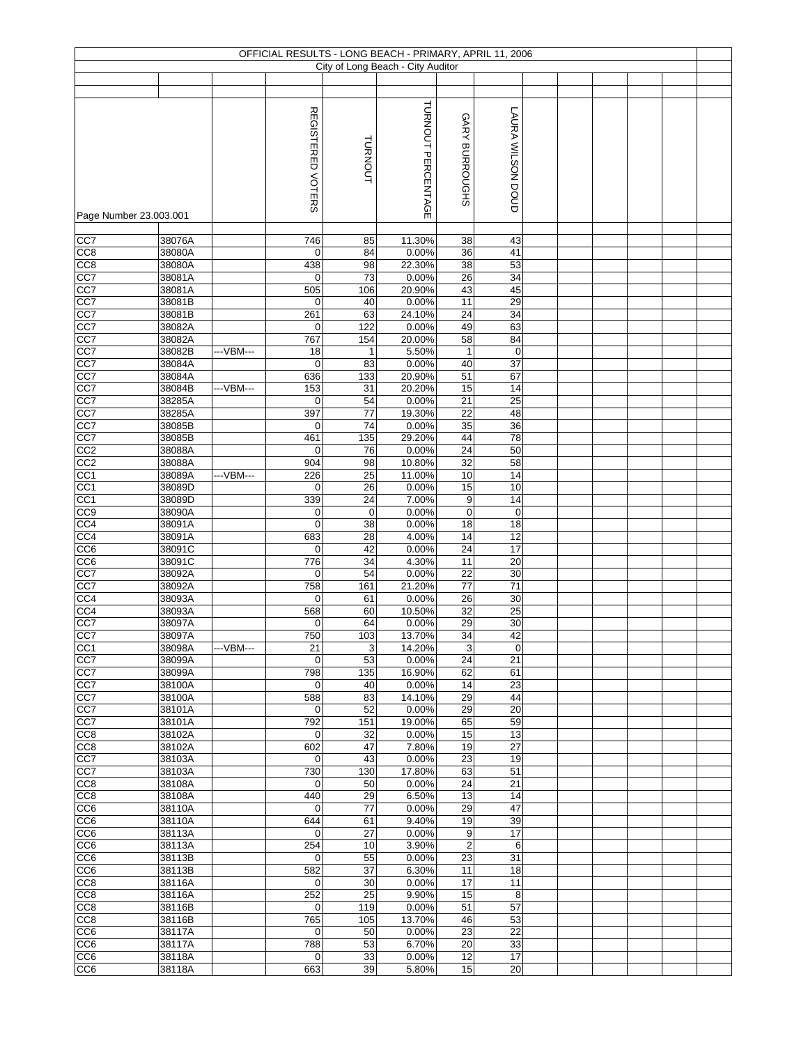|                        |                  |            |                          |                     | OFFICIAL RESULTS - LONG BEACH - PRIMARY, APRIL 11, 2006 |                     |                        |  |  |  |
|------------------------|------------------|------------|--------------------------|---------------------|---------------------------------------------------------|---------------------|------------------------|--|--|--|
|                        |                  |            |                          |                     | City of Long Beach - City Auditor                       |                     |                        |  |  |  |
|                        |                  |            |                          |                     |                                                         |                     |                        |  |  |  |
|                        |                  |            | <b>REGISTERED VOTERS</b> | <b>TURNOUT</b>      | TURNOUT PERCENTAGE                                      | GARY BURROUGHS      | LAURA WILSON DOUD      |  |  |  |
| Page Number 23.003.001 |                  |            |                          |                     |                                                         |                     |                        |  |  |  |
| CC7                    | 38076A           |            | $\overline{746}$         | 85                  | 11.30%                                                  | 38                  | 43                     |  |  |  |
| CC <sub>8</sub>        | 38080A           |            | $\mathbf 0$              | 84                  | 0.00%                                                   | 36                  | 41                     |  |  |  |
| CC8<br>CC7             | 38080A<br>38081A |            | 438<br>$\mathbf 0$       | 98<br>73            | 22.30%<br>0.00%                                         | 38<br>26            | 53<br>34               |  |  |  |
| CC7                    | 38081A           |            | 505                      | 106                 | 20.90%                                                  | 43                  | 45                     |  |  |  |
| CC7                    | 38081B           |            | $\mathbf 0$              | 40                  | 0.00%                                                   | 11                  | 29                     |  |  |  |
| CC7                    | 38081B           |            | 261                      | 63                  | 24.10%                                                  | 24                  | 34                     |  |  |  |
| CC7                    | 38082A           |            | $\mathbf 0$              | 122                 | 0.00%                                                   | 49                  | 63                     |  |  |  |
| CC7<br>CC7             | 38082A<br>38082B | --- VBM--- | 767<br>18                | 154<br>$\mathbf{1}$ | 20.00%<br>5.50%                                         | 58<br>$\mathbf{1}$  | 84<br>$\boldsymbol{0}$ |  |  |  |
| CC7                    | 38084A           |            | $\mathbf 0$              | 83                  | 0.00%                                                   | 40                  | 37                     |  |  |  |
| CC7                    | 38084A           |            | 636                      | 133                 | 20.90%                                                  | 51                  | 67                     |  |  |  |
| CC7                    | 38084B           | --VBM---   | 153                      | 31                  | 20.20%                                                  | 15                  | 14                     |  |  |  |
| CC7                    | 38285A           |            | $\mathbf 0$              | 54                  | 0.00%                                                   | 21                  | 25                     |  |  |  |
| CC7                    | 38285A           |            | 397                      | 77<br>74            | 19.30%                                                  | 22                  | 48                     |  |  |  |
| CC7<br>CC7             | 38085B<br>38085B |            | $\mathbf 0$<br>461       | 135                 | 0.00%<br>29.20%                                         | 35<br>44            | 36<br>78               |  |  |  |
| CC2                    | 38088A           |            | $\mathbf 0$              | 76                  | 0.00%                                                   | 24                  | 50                     |  |  |  |
| CC2                    | 38088A           |            | 904                      | 98                  | 10.80%                                                  | $\overline{32}$     | 58                     |  |  |  |
| CC1                    | 38089A           | ---VBM---  | 226                      | 25                  | 11.00%                                                  | 10                  | 14                     |  |  |  |
| CC <sub>1</sub>        | 38089D           |            | $\mathbf 0$              | 26                  | 0.00%                                                   | 15                  | 10                     |  |  |  |
| CC1<br>CC <sub>9</sub> | 38089D<br>38090A |            | 339<br>$\mathbf 0$       | 24<br>$\mathbf 0$   | 7.00%<br>0.00%                                          | 9<br>$\mathbf 0$    | 14<br>$\pmb{0}$        |  |  |  |
| CC4                    | 38091A           |            | $\mathbf 0$              | 38                  | 0.00%                                                   | 18                  | 18                     |  |  |  |
| CC4                    | 38091A           |            | 683                      | 28                  | 4.00%                                                   | $\overline{14}$     | 12                     |  |  |  |
| CC <sub>6</sub>        | 38091C           |            | $\mathbf 0$              | 42                  | 0.00%                                                   | 24                  | 17                     |  |  |  |
| CC6                    | 38091C           |            | 776                      | 34                  | 4.30%                                                   | $\overline{11}$     | 20                     |  |  |  |
| CC7                    | 38092A           |            | $\mathbf 0$              | 54                  | 0.00%                                                   | 22                  | 30                     |  |  |  |
| CC7<br>CC4             | 38092A<br>38093A |            | 758<br>$\mathbf 0$       | 161<br>61           | 21.20%<br>0.00%                                         | 77<br>26            | 71<br>30               |  |  |  |
| CC4                    | 38093A           |            | 568                      | 60                  | 10.50%                                                  | 32                  | 25                     |  |  |  |
| CC7                    | 38097A           |            | 0                        | 64                  | 0.00%                                                   | 29                  | 30                     |  |  |  |
| CC7                    | 38097A           |            | 750                      | 103                 | 13.70%                                                  | 34                  | 42                     |  |  |  |
| CC <sub>1</sub>        | 38098A           | ---VBM---  | 21                       | 3                   | 14.20%                                                  | 3                   | $\pmb{0}$              |  |  |  |
| CC7                    | 38099A<br>38099A |            | $\mathbf 0$<br>798       | 53<br>135           | 0.00%<br>16.90%                                         | 24<br>62            | 21<br>61               |  |  |  |
| CC7<br>CC7             | 38100A           |            | $\mathbf 0$              | 40                  | 0.00%                                                   | 14                  | 23                     |  |  |  |
| CC7                    | 38100A           |            | 588                      | 83                  | 14.10%                                                  | 29                  | 44                     |  |  |  |
| CC7                    | 38101A           |            | $\mathbf 0$              | 52                  | 0.00%                                                   | 29                  | 20                     |  |  |  |
| CC7                    | 38101A           |            | 792                      | 151                 | 19.00%                                                  | 65                  | 59                     |  |  |  |
| CC8                    | 38102A           |            | $\mathbf 0$              | 32                  | 0.00%                                                   | 15                  | 13                     |  |  |  |
| CC8<br>CC7             | 38102A<br>38103A |            | 602<br>0                 | 47<br>43            | 7.80%<br>0.00%                                          | 19<br>23            | 27<br>19               |  |  |  |
| CC7                    | 38103A           |            | 730                      | 130                 | 17.80%                                                  | 63                  | 51                     |  |  |  |
| CC <sub>8</sub>        | 38108A           |            | $\mathbf 0$              | 50                  | 0.00%                                                   | 24                  | 21                     |  |  |  |
| CC8                    | 38108A           |            | 440                      | 29                  | 6.50%                                                   | 13                  | 14                     |  |  |  |
| CC6                    | 38110A           |            | 0                        | 77                  | 0.00%                                                   | 29                  | 47                     |  |  |  |
| CC6                    | 38110A           |            | 644                      | 61                  | 9.40%                                                   | 19                  | 39                     |  |  |  |
| CC6<br>CC6             | 38113A<br>38113A |            | $\mathbf 0$<br>254       | 27<br>10            | 0.00%<br>3.90%                                          | 9<br>$\overline{c}$ | 17<br>6                |  |  |  |
| CC <sub>6</sub>        | 38113B           |            | $\mathbf 0$              | 55                  | 0.00%                                                   | 23                  | 31                     |  |  |  |
| CC <sub>6</sub>        | 38113B           |            | 582                      | 37                  | 6.30%                                                   | 11                  | 18                     |  |  |  |
| CC8                    | 38116A           |            | $\mathbf 0$              | 30                  | 0.00%                                                   | 17                  | 11                     |  |  |  |
| CC <sub>8</sub>        | 38116A           |            | 252                      | 25                  | 9.90%                                                   | 15                  | 8                      |  |  |  |
| CC8<br>CC <sub>8</sub> | 38116B<br>38116B |            | $\mathbf 0$<br>765       | 119<br>105          | 0.00%<br>13.70%                                         | 51<br>46            | 57<br>53               |  |  |  |
| CC6                    | 38117A           |            | $\mathbf 0$              | 50                  | 0.00%                                                   | 23                  | 22                     |  |  |  |
| CC <sub>6</sub>        | 38117A           |            | 788                      | 53                  | 6.70%                                                   | 20                  | 33                     |  |  |  |
| CC <sub>6</sub>        | 38118A           |            | $\mathbf 0$              | 33                  | 0.00%                                                   | $\overline{12}$     | 17                     |  |  |  |
| CC <sub>6</sub>        | 38118A           |            | 663                      | 39                  | 5.80%                                                   | 15                  | 20                     |  |  |  |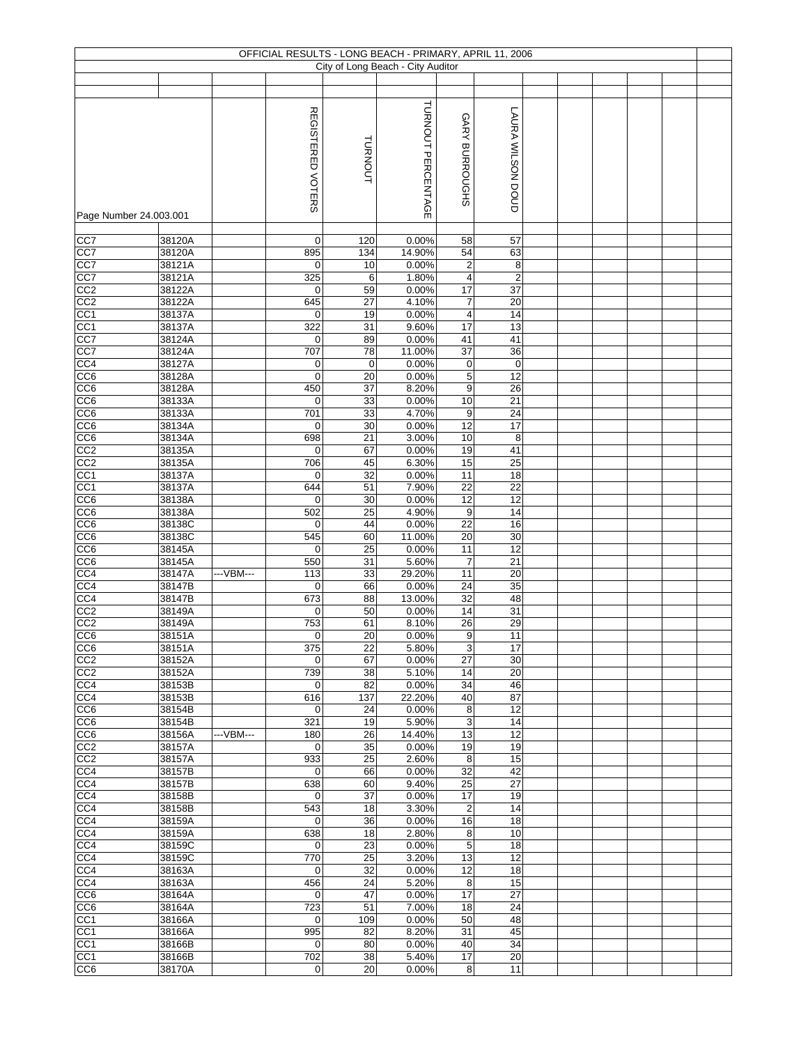|                         |                  |           | OFFICIAL RESULTS - LONG BEACH - PRIMARY, APRIL 11, 2006 |                 |                                   |                      |                              |  |  |  |
|-------------------------|------------------|-----------|---------------------------------------------------------|-----------------|-----------------------------------|----------------------|------------------------------|--|--|--|
|                         |                  |           |                                                         |                 | City of Long Beach - City Auditor |                      |                              |  |  |  |
|                         |                  |           |                                                         |                 |                                   |                      |                              |  |  |  |
|                         |                  |           | REGISTERED VOTERS                                       |                 | TURNOUT PERCENTAGE                |                      | <b>LAURA WILSON DOUD</b>     |  |  |  |
|                         |                  |           |                                                         | TURNOUT         |                                   | GARY BURROUGHS       |                              |  |  |  |
| Page Number 24.003.001  |                  |           |                                                         |                 |                                   |                      |                              |  |  |  |
| CC7<br>CC7              | 38120A<br>38120A |           | $\mathbf 0$<br>895                                      | 120<br>134      | 0.00%<br>14.90%                   | 58<br>54             | 57<br>63                     |  |  |  |
| CC7                     | 38121A           |           | $\mathbf 0$                                             | 10              | 0.00%                             | 2                    | 8                            |  |  |  |
| $\overline{CC7}$        | 38121A           |           | 325                                                     | 6               | 1.80%                             | 4                    | $\overline{2}$               |  |  |  |
| CC2                     | 38122A           |           | $\mathbf 0$                                             | 59              | 0.00%                             | 17                   | 37                           |  |  |  |
| CC2                     | 38122A           |           | 645                                                     | 27              | 4.10%                             | $\overline{7}$       | 20                           |  |  |  |
| CC <sub>1</sub>         | 38137A           |           | $\mathbf 0$                                             | 19              | 0.00%                             | 4                    | 14                           |  |  |  |
| CC <sub>1</sub>         | 38137A           |           | 322                                                     | 31              | 9.60%                             | 17                   | 13                           |  |  |  |
| CC7                     | 38124A           |           | 0                                                       | 89              | 0.00%                             | 41                   | 41                           |  |  |  |
| CC7                     | 38124A           |           | 707                                                     | 78              | 11.00%                            | 37                   | 36                           |  |  |  |
| CC4<br>CC <sub>6</sub>  | 38127A<br>38128A |           | 0<br>$\mathbf 0$                                        | 0<br>20         | 0.00%<br>0.00%                    | 0<br>5               | $\pmb{0}$<br>$\overline{12}$ |  |  |  |
| CC6                     | 38128A           |           | 450                                                     | 37              | 8.20%                             | 9                    | 26                           |  |  |  |
| $\overline{CC6}$        | 38133A           |           | 0                                                       | 33              | 0.00%                             | 10                   | 21                           |  |  |  |
| CC6                     | 38133A           |           | 701                                                     | 33              | 4.70%                             | 9                    | 24                           |  |  |  |
| CC <sub>6</sub>         | 38134A           |           | $\mathbf 0$                                             | 30              | 0.00%                             | 12                   | 17                           |  |  |  |
| CC <sub>6</sub>         | 38134A           |           | 698                                                     | 21              | 3.00%                             | 10                   | 8                            |  |  |  |
| CC2                     | 38135A           |           | $\mathbf 0$                                             | 67              | 0.00%                             | 19                   | 41                           |  |  |  |
| CC <sub>2</sub>         | 38135A           |           | 706                                                     | 45              | 6.30%                             | 15                   | $\overline{25}$              |  |  |  |
| CC <sub>1</sub>         | 38137A           |           | 0                                                       | 32              | 0.00%                             | 11                   | 18                           |  |  |  |
| CC <sub>1</sub>         | 38137A           |           | 644<br>$\mathbf 0$                                      | 51              | 7.90%                             | 22                   | $\overline{22}$              |  |  |  |
| CC6<br>CC <sub>6</sub>  | 38138A<br>38138A |           | 502                                                     | 30<br>25        | 0.00%<br>4.90%                    | 12<br>9              | 12<br>14                     |  |  |  |
| CC6                     | 38138C           |           | $\mathbf 0$                                             | 44              | 0.00%                             | 22                   | 16                           |  |  |  |
| CC6                     | 38138C           |           | 545                                                     | 60              | 11.00%                            | 20                   | 30                           |  |  |  |
| CC6                     | 38145A           |           | $\mathbf 0$                                             | 25              | 0.00%                             | 11                   | 12                           |  |  |  |
| CC6                     | 38145A           |           | 550                                                     | 31              | 5.60%                             | $\overline{7}$       | 21                           |  |  |  |
| CC4                     | 38147A           | --VBM---  | 113                                                     | 33              | 29.20%                            | 11                   | 20                           |  |  |  |
| CC4                     | 38147B           |           | $\mathbf 0$                                             | 66              | 0.00%                             | 24                   | 35                           |  |  |  |
| $\overline{CC4}$<br>CC2 | 38147B<br>38149A |           | 673<br>$\mathbf 0$                                      | 88<br>50        | 13.00%<br>0.00%                   | 32<br>14             | 48<br>31                     |  |  |  |
| $\overline{CC2}$        | 38149A           |           | 753                                                     | 61              | 8.10%                             | 26                   | 29                           |  |  |  |
| CC6                     | 38151A           |           | $\mathbf 0$                                             | $\overline{20}$ | 0.00%                             | 9                    | 11                           |  |  |  |
| CC <sub>6</sub>         | 38151A           |           | 375                                                     | 22              | 5.80%                             | 3                    | 17                           |  |  |  |
| CC <sub>2</sub>         | 38152A           |           | $\mathbf 0$                                             | 67              | 0.00%                             | 27                   | 30                           |  |  |  |
| CC <sub>2</sub>         | 38152A           |           | 739                                                     | 38              | 5.10%                             | 14                   | 20                           |  |  |  |
| CC4                     | 38153B           |           | 0                                                       | 82              | 0.00%                             | 34                   | 46                           |  |  |  |
| CC4                     | 38153B           |           | 616                                                     | 137             | 22.20%                            | 40                   | 87<br>12                     |  |  |  |
| CC6<br>CC6              | 38154B<br>38154B |           | $\mathbf 0$<br>321                                      | 24<br>19        | 0.00%<br>5.90%                    | 8<br>3               | 14                           |  |  |  |
| CC6                     | 38156A           | ---VBM--- | 180                                                     | 26              | 14.40%                            | 13                   | 12                           |  |  |  |
| CC2                     | 38157A           |           | $\mathbf 0$                                             | 35              | 0.00%                             | 19                   | 19                           |  |  |  |
| CC <sub>2</sub>         | 38157A           |           | 933                                                     | 25              | 2.60%                             | 8                    | 15                           |  |  |  |
| CC4                     | 38157B           |           | $\mathbf 0$                                             | 66              | 0.00%                             | 32                   | 42                           |  |  |  |
| CC4                     | 38157B           |           | 638                                                     | 60              | 9.40%                             | 25                   | $\overline{27}$              |  |  |  |
| CC4                     | 38158B           |           | $\mathbf 0$                                             | 37              | 0.00%                             | 17                   | 19                           |  |  |  |
| CC4<br>CC4              | 38158B<br>38159A |           | 543<br>$\mathbf 0$                                      | 18<br>36        | 3.30%<br>0.00%                    | $\overline{c}$<br>16 | 14<br>18                     |  |  |  |
| CC4                     | 38159A           |           | 638                                                     | 18              | 2.80%                             | 8                    | 10                           |  |  |  |
| CC4                     | 38159C           |           | 0                                                       | 23              | 0.00%                             | $\,$ 5 $\,$          | 18                           |  |  |  |
| CC4                     | 38159C           |           | 770                                                     | 25              | 3.20%                             | 13                   | 12                           |  |  |  |
| CC4                     | 38163A           |           | 0                                                       | 32              | 0.00%                             | 12                   | 18                           |  |  |  |
| CC4                     | 38163A           |           | 456                                                     | 24              | 5.20%                             | 8                    | 15                           |  |  |  |
| CC6                     | 38164A           |           | $\mathbf 0$                                             | 47              | 0.00%                             | 17                   | 27                           |  |  |  |
| CC6                     | 38164A           |           | 723                                                     | 51              | 7.00%                             | 18                   | 24                           |  |  |  |
| CC <sub>1</sub>         | 38166A<br>38166A |           | $\mathbf 0$<br>995                                      | 109<br>82       | 0.00%<br>8.20%                    | 50<br>31             | 48<br>45                     |  |  |  |
| CC1<br>CC1              | 38166B           |           | $\mathbf 0$                                             | 80              | 0.00%                             | 40                   | 34                           |  |  |  |
| CC <sub>1</sub>         | 38166B           |           | 702                                                     | 38              | 5.40%                             | 17                   | 20                           |  |  |  |
| CC <sub>6</sub>         | 38170A           |           | $\mathbf 0$                                             | 20              | 0.00%                             | 8                    | 11                           |  |  |  |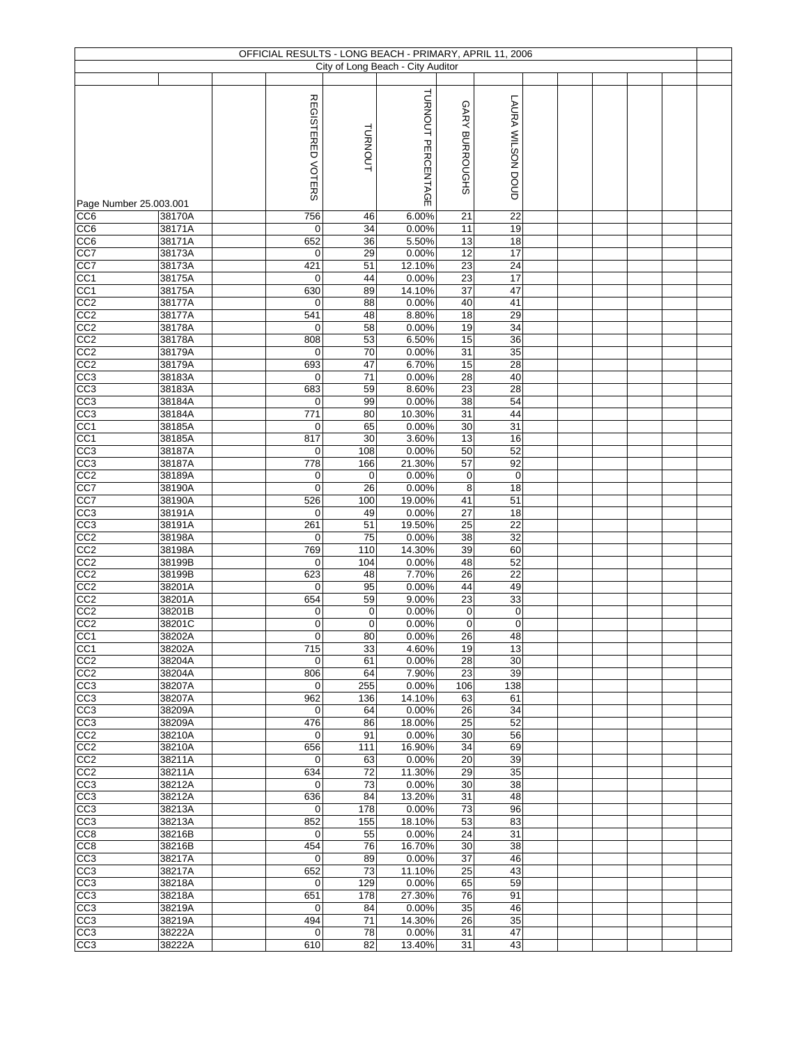|                                    |                  | OFFICIAL RESULTS - LONG BEACH - PRIMARY, APRIL 11, 2006 |                       |                                   |                                    |                       |  |  |  |
|------------------------------------|------------------|---------------------------------------------------------|-----------------------|-----------------------------------|------------------------------------|-----------------------|--|--|--|
|                                    |                  |                                                         |                       | City of Long Beach - City Auditor |                                    |                       |  |  |  |
|                                    |                  |                                                         |                       |                                   |                                    |                       |  |  |  |
|                                    |                  |                                                         |                       | TURNOUT PERCENTAGE                |                                    |                       |  |  |  |
|                                    |                  |                                                         |                       |                                   | GARY BURROUGHS                     |                       |  |  |  |
|                                    |                  |                                                         |                       |                                   |                                    |                       |  |  |  |
|                                    |                  |                                                         |                       |                                   |                                    |                       |  |  |  |
|                                    |                  |                                                         | TURNOUT               |                                   |                                    |                       |  |  |  |
|                                    |                  |                                                         |                       |                                   |                                    |                       |  |  |  |
|                                    |                  |                                                         |                       |                                   |                                    |                       |  |  |  |
|                                    |                  | <b>REGISTERED VOTERS</b>                                |                       |                                   |                                    | LAURA WILSON DOUD     |  |  |  |
| Page Number 25.003.001             |                  |                                                         |                       |                                   |                                    |                       |  |  |  |
| CC <sub>6</sub>                    | 38170A           | 756                                                     | 46                    | 6.00%                             | $\overline{21}$                    | $\overline{22}$       |  |  |  |
| CC <sub>6</sub>                    | 38171A           | 0                                                       | 34                    | 0.00%                             | $\overline{11}$                    | 19                    |  |  |  |
| CC <sub>6</sub>                    | 38171A           | 652                                                     | 36                    | 5.50%                             | 13                                 | $\overline{18}$       |  |  |  |
| CC7<br>CC7                         | 38173A<br>38173A | 0<br>421                                                | 29<br>51              | 0.00%<br>12.10%                   | 12<br>23                           | 17<br>24              |  |  |  |
| CC1                                | 38175A           | 0                                                       | 44                    | 0.00%                             | 23                                 | 17                    |  |  |  |
| CC <sub>1</sub>                    | 38175A           | 630                                                     | 89                    | 14.10%                            | 37                                 | 47                    |  |  |  |
| CC <sub>2</sub>                    | 38177A           | 0                                                       | 88                    | 0.00%                             | 40                                 | 41                    |  |  |  |
| CC2                                | 38177A           | 541                                                     | 48                    | 8.80%                             | $\overline{18}$                    | 29                    |  |  |  |
| CC2                                | 38178A           | $\mathbf 0$                                             | 58                    | 0.00%                             | 19                                 | 34                    |  |  |  |
| CC <sub>2</sub>                    | 38178A           | 808                                                     | 53                    | 6.50%                             | 15                                 | 36                    |  |  |  |
| CC2                                | 38179A           | $\mathbf 0$                                             | 70                    | 0.00%                             | 31                                 | 35                    |  |  |  |
| CC2                                | 38179A           | 693                                                     | 47                    | 6.70%                             | 15                                 | 28                    |  |  |  |
| CC3                                | 38183A           | $\mathbf 0$                                             | 71                    | 0.00%                             | 28                                 | 40<br>28              |  |  |  |
| CC3<br>$\frac{1}{\sqrt{1}}$        | 38183A<br>38184A | 683<br>0                                                | 59<br>99              | 8.60%<br>0.00%                    | 23<br>$\overline{38}$              | 54                    |  |  |  |
| CC3                                | 38184A           | 771                                                     | 80                    | 10.30%                            | 31                                 | 44                    |  |  |  |
| CC <sub>1</sub>                    | 38185A           | $\mathbf 0$                                             | 65                    | 0.00%                             | 30                                 | 31                    |  |  |  |
| CC <sub>1</sub>                    | 38185A           | 817                                                     | 30                    | 3.60%                             | 13                                 | 16                    |  |  |  |
| CC3                                | 38187A           | $\mathbf 0$                                             | 108                   | 0.00%                             | 50                                 | 52                    |  |  |  |
| CC3                                | 38187A           | 778                                                     | 166                   | 21.30%                            | 57                                 | 92                    |  |  |  |
| CC2                                | 38189A           | $\mathbf 0$                                             | 0                     | 0.00%                             | $\pmb{0}$                          | $\mathbf 0$           |  |  |  |
| CC7                                | 38190A           | $\mathbf 0$                                             | 26                    | 0.00%                             | 8                                  | 18                    |  |  |  |
| CC7                                | 38190A           | 526                                                     | 100                   | 19.00%                            | 41                                 | 51                    |  |  |  |
| $\overline{CC3}$                   | 38191A           | 0                                                       | 49                    | 0.00%                             | 27                                 | 18                    |  |  |  |
| CC <sub>3</sub><br>CC <sub>2</sub> | 38191A<br>38198A | 261<br>$\mathbf 0$                                      | 51<br>$\overline{75}$ | 19.50%<br>0.00%                   | $\overline{25}$<br>$\overline{38}$ | $\overline{22}$<br>32 |  |  |  |
| CC2                                | 38198A           | 769                                                     | 110                   | 14.30%                            | 39                                 | 60                    |  |  |  |
| CC2                                | 38199B           | $\mathbf 0$                                             | 104                   | 0.00%                             | 48                                 | 52                    |  |  |  |
| CC2                                | 38199B           | 623                                                     | 48                    | 7.70%                             | 26                                 | 22                    |  |  |  |
| CC <sub>2</sub>                    | 38201A           | $\mathbf 0$                                             | 95                    | 0.00%                             | 44                                 | 49                    |  |  |  |
| CC2                                | 38201A           | 654                                                     | 59                    | 9.00%                             | 23                                 | 33                    |  |  |  |
| CC2                                | 38201B           | 0                                                       | 0                     | 0.00%                             | 0                                  | 0                     |  |  |  |
| $\overline{CC2}$                   | 38201C           | $\mathbf 0$                                             | 0                     | 0.00%                             | $\pmb{0}$                          | 0                     |  |  |  |
| CC1                                | 38202A           | $\mathbf 0$                                             | 80                    | 0.00%                             | $\overline{26}$                    | 48                    |  |  |  |
| CC <sub>1</sub>                    | 38202A           | 715                                                     | 33                    | 4.60%                             | 19                                 | 13                    |  |  |  |
| CC <sub>2</sub>                    | 38204A           | $\mathbf 0$                                             | 61                    | 0.00%                             | 28                                 | 30                    |  |  |  |
| CC2<br>$\overline{CC3}$            | 38204A<br>38207A | 806<br>$\mathbf 0$                                      | 64<br>255             | 7.90%<br>0.00%                    | 23<br>106                          | 39<br>138             |  |  |  |
| CC3                                | 38207A           | 962                                                     | 136                   | 14.10%                            | 63                                 | 61                    |  |  |  |
| CC <sub>3</sub>                    | 38209A           | $\mathbf 0$                                             | 64                    | 0.00%                             | 26                                 | 34                    |  |  |  |
| CC3                                | 38209A           | 476                                                     | 86                    | 18.00%                            | 25                                 | 52                    |  |  |  |
| CC2                                | 38210A           | 0                                                       | 91                    | 0.00%                             | 30                                 | 56                    |  |  |  |
| CC2                                | 38210A           | 656                                                     | 111                   | 16.90%                            | 34                                 | 69                    |  |  |  |
| CC <sub>2</sub>                    | 38211A           | 0                                                       | 63                    | 0.00%                             | 20                                 | 39                    |  |  |  |
| CC2                                | 38211A           | 634                                                     | 72                    | 11.30%                            | 29                                 | 35                    |  |  |  |
| CC3                                | 38212A           | 0                                                       | 73                    | 0.00%                             | 30                                 | 38                    |  |  |  |
| CC <sub>3</sub>                    | 38212A<br>38213A | 636                                                     | 84                    | 13.20%                            | 31                                 | 48                    |  |  |  |
| CC3<br>CC3                         | 38213A           | $\mathbf 0$<br>852                                      | 178<br>155            | 0.00%<br>18.10%                   | 73<br>53                           | 96<br>83              |  |  |  |
| CC8                                | 38216B           | 0                                                       | 55                    | 0.00%                             | 24                                 | 31                    |  |  |  |
| CC <sub>8</sub>                    | 38216B           | 454                                                     | 76                    | 16.70%                            | 30                                 | 38                    |  |  |  |
| CC3                                | 38217A           | $\mathbf 0$                                             | 89                    | 0.00%                             | 37                                 | 46                    |  |  |  |
| CC3                                | 38217A           | 652                                                     | 73                    | 11.10%                            | 25                                 | 43                    |  |  |  |
| CC3                                | 38218A           | $\mathbf 0$                                             | 129                   | 0.00%                             | 65                                 | 59                    |  |  |  |
| CC3                                | 38218A           | 651                                                     | 178                   | 27.30%                            | 76                                 | 91                    |  |  |  |
| CC3                                | 38219A           | $\mathbf 0$                                             | 84                    | 0.00%                             | 35                                 | 46                    |  |  |  |
| CC3                                | 38219A           | 494                                                     | 71                    | 14.30%                            | 26                                 | 35                    |  |  |  |
| CC3                                | 38222A           | $\mathbf 0$                                             | 78                    | 0.00%                             | 31                                 | 47                    |  |  |  |
| CC3                                | 38222A           | 610                                                     | 82                    | 13.40%                            | 31                                 | 43                    |  |  |  |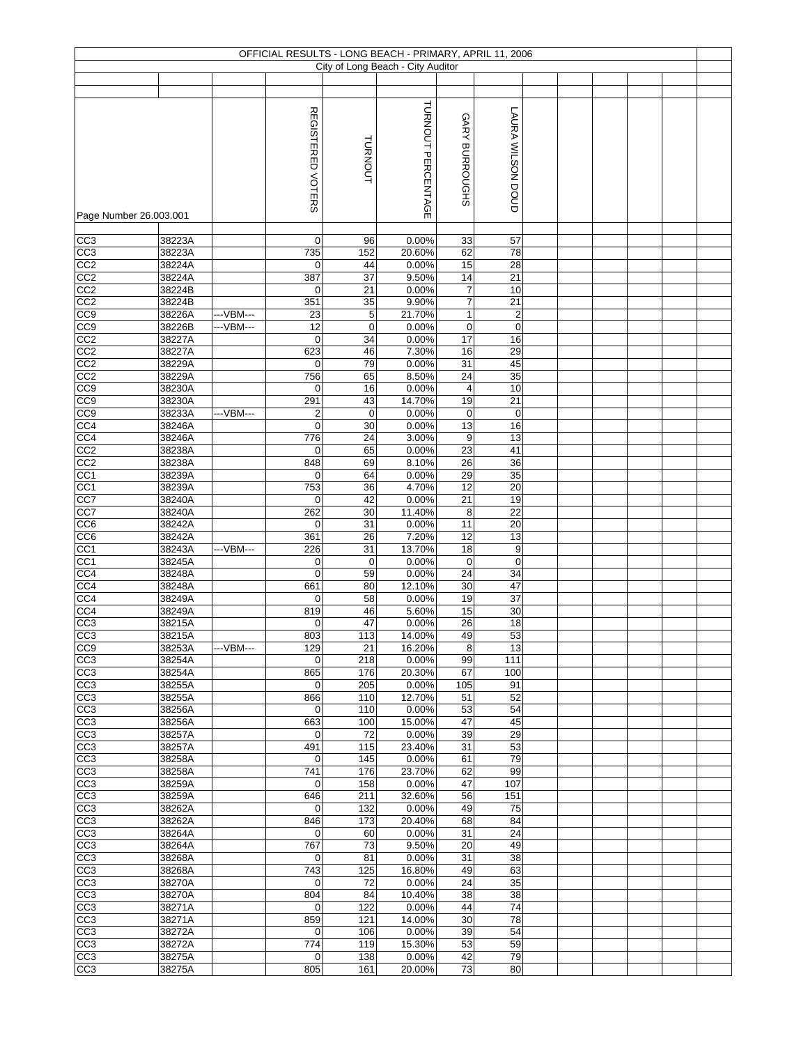|                         |                  |           |                    |             | OFFICIAL RESULTS - LONG BEACH - PRIMARY, APRIL 11, 2006 |                |                          |  |  |  |
|-------------------------|------------------|-----------|--------------------|-------------|---------------------------------------------------------|----------------|--------------------------|--|--|--|
|                         |                  |           |                    |             | City of Long Beach - City Auditor                       |                |                          |  |  |  |
|                         |                  |           |                    |             |                                                         |                |                          |  |  |  |
|                         |                  |           |                    |             |                                                         |                |                          |  |  |  |
|                         |                  |           | REGISTERED VOTERS  | TURNOUT     | TURNOUT PERCENTAGE                                      | GARY BURROUGHS | <b>LAURA WILSON DOUD</b> |  |  |  |
| Page Number 26.003.001  |                  |           |                    |             |                                                         |                |                          |  |  |  |
| CC3                     | 38223A           |           | $\mathbf 0$        | 96          | 0.00%                                                   | 33             | 57                       |  |  |  |
| CC3<br>$\overline{CC2}$ | 38223A<br>38224A |           | 735<br>$\mathbf 0$ | 152<br>44   | 20.60%<br>0.00%                                         | 62<br>15       | 78<br>28                 |  |  |  |
| CC2                     | 38224A           |           | 387                | 37          | 9.50%                                                   | 14             | 21                       |  |  |  |
| $\overline{CC2}$        | 38224B           |           | 0                  | 21          | 0.00%                                                   | 7              | 10                       |  |  |  |
| CC <sub>2</sub>         | 38224B           |           | 351                | 35          | 9.90%                                                   | 7              | 21                       |  |  |  |
| CC <sub>9</sub>         | 38226A           | ---VBM--- | 23                 | 5           | 21.70%                                                  | 1              | $\boldsymbol{2}$         |  |  |  |
| CC <sub>9</sub>         | 38226B           | ---VBM--- | 12                 | $\mathbf 0$ | 0.00%                                                   | $\pmb{0}$      | $\pmb{0}$                |  |  |  |
| CC <sub>2</sub>         | 38227A           |           | $\mathbf 0$        | 34          | 0.00%                                                   | 17             | 16                       |  |  |  |
| CC <sub>2</sub>         | 38227A           |           | 623                | 46          | 7.30%                                                   | 16             | 29                       |  |  |  |
| CC2                     | 38229A           |           | 0                  | 79          | 0.00%                                                   | 31             | 45                       |  |  |  |
| CC2                     | 38229A           |           | 756                | 65          | 8.50%                                                   | 24             | 35                       |  |  |  |
| CC <sub>9</sub>         | 38230A           |           | 0                  | 16          | 0.00%                                                   | 4              | 10                       |  |  |  |
| CC9                     | 38230A           |           | 291                | 43          | 14.70%                                                  | 19             | 21                       |  |  |  |
| CC <sub>9</sub>         | 38233A           | ---VBM--- | $\overline{2}$     | $\mathbf 0$ | 0.00%                                                   | $\mathbf 0$    | $\pmb{0}$                |  |  |  |
| CC <sub>4</sub>         | 38246A           |           | $\mathbf 0$        | 30          | 0.00%                                                   | 13             | 16                       |  |  |  |
| CC4                     | 38246A           |           | 776                | 24          | 3.00%                                                   | 9              | 13                       |  |  |  |
| CC2                     | 38238A           |           | 0                  | 65          | 0.00%                                                   | 23             | 41                       |  |  |  |
| CC <sub>2</sub>         | 38238A           |           | 848                | 69          | 8.10%                                                   | 26             | $\overline{36}$          |  |  |  |
| CC1                     | 38239A           |           | 0                  | 64          | 0.00%                                                   | 29             | 35                       |  |  |  |
| CC <sub>1</sub>         | 38239A           |           | 753                | 36          | 4.70%                                                   | 12             | 20                       |  |  |  |
| CC7                     | 38240A           |           | $\mathbf 0$        | 42          | 0.00%                                                   | 21             | 19                       |  |  |  |
| $\overline{CC7}$        | 38240A           |           | 262                | 30          | 11.40%                                                  | 8              | $\overline{22}$          |  |  |  |
| CC6                     | 38242A           |           | $\mathbf 0$        | 31          | 0.00%                                                   | 11             | 20                       |  |  |  |
| CC6                     | 38242A           |           | 361                | 26          | 7.20%                                                   | 12             | 13                       |  |  |  |
| CC <sub>1</sub>         | 38243A           | ---VBM--- | 226                | 31          | 13.70%                                                  | 18             | 9                        |  |  |  |
| CC1                     | 38245A           |           | $\mathbf 0$        | $\mathbf 0$ | 0.00%                                                   | $\pmb{0}$      | $\pmb{0}$                |  |  |  |
| CC4                     | 38248A           |           | $\mathbf 0$        | 59          | 0.00%                                                   | 24             | 34                       |  |  |  |
| CC4                     | 38248A           |           | 661                | 80          | 12.10%                                                  | 30             | 47<br>$\overline{37}$    |  |  |  |
| CC4                     | 38249A           |           | 0                  | 58          | 0.00%                                                   | 19             |                          |  |  |  |
| CC4<br>CC3              | 38249A           |           | 819<br>0           | 46<br>47    | 5.60%<br>0.00%                                          | 15<br>26       | 30<br>18                 |  |  |  |
| CC3                     | 38215A<br>38215A |           | 803                | 113         | 14.00%                                                  | 49             | 53                       |  |  |  |
| CC <sub>9</sub>         | 38253A           | ---VBM--- | 129                | 21          | 16.20%                                                  | 8              | 13                       |  |  |  |
| CC <sub>3</sub>         | 38254A           |           | $\mathbf 0$        | 218         | 0.00%                                                   | 99             | 111                      |  |  |  |
| CC3                     | 38254A           |           | 865                | 176         | 20.30%                                                  | 67             | 100                      |  |  |  |
| $\overline{CC3}$        | 38255A           |           | $\mathbf 0$        | 205         | 0.00%                                                   | 105            | 91                       |  |  |  |
| CC3                     | 38255A           |           | 866                | 110         | 12.70%                                                  | 51             | 52                       |  |  |  |
| CC3                     | 38256A           |           | 0                  | 110         | 0.00%                                                   | 53             | 54                       |  |  |  |
| CC3                     | 38256A           |           | 663                | 100         | 15.00%                                                  | 47             | 45                       |  |  |  |
| CC3                     | 38257A           |           | 0                  | 72          | 0.00%                                                   | 39             | 29                       |  |  |  |
| CC3                     | 38257A           |           | 491                | 115         | 23.40%                                                  | 31             | 53                       |  |  |  |
| CC3                     | 38258A           |           | 0                  | 145         | 0.00%                                                   | 61             | 79                       |  |  |  |
| CC3                     | 38258A           |           | 741                | 176         | 23.70%                                                  | 62             | 99                       |  |  |  |
| CC3                     | 38259A           |           | 0                  | 158         | 0.00%                                                   | 47             | 107                      |  |  |  |
| $\overline{CC3}$        | 38259A           |           | 646                | 211         | 32.60%                                                  | 56             | 151                      |  |  |  |
| CC3                     | 38262A           |           | 0                  | 132         | 0.00%                                                   | 49             | 75                       |  |  |  |
| CC3                     | 38262A           |           | 846                | 173         | 20.40%                                                  | 68             | 84                       |  |  |  |
| CC3                     | 38264A           |           | $\mathbf 0$        | 60          | 0.00%                                                   | 31             | 24                       |  |  |  |
| CC3                     | 38264A           |           | 767                | 73          | 9.50%                                                   | 20             | 49                       |  |  |  |
| CC3                     | 38268A           |           | 0                  | 81          | 0.00%                                                   | 31             | 38                       |  |  |  |
| CC3                     | 38268A           |           | 743                | 125         | 16.80%                                                  | 49             | 63<br>35                 |  |  |  |
| CC3<br>CC3              | 38270A<br>38270A |           | $\mathbf 0$<br>804 | 72<br>84    | 0.00%<br>10.40%                                         | 24<br>38       | 38                       |  |  |  |
| CC3                     | 38271A           |           | $\mathbf 0$        | 122         | 0.00%                                                   | 44             | 74                       |  |  |  |
| CC3                     | 38271A           |           | 859                | 121         | 14.00%                                                  | 30             | 78                       |  |  |  |
| CC3                     | 38272A           |           | 0                  | 106         | 0.00%                                                   | 39             | 54                       |  |  |  |
| CC3                     | 38272A           |           | 774                | 119         | 15.30%                                                  | 53             | 59                       |  |  |  |
| CC <sub>3</sub>         | 38275A           |           | $\mathbf 0$        | 138         | 0.00%                                                   | 42             | 79                       |  |  |  |
| CC3                     | 38275A           |           | 805                | 161         | 20.00%                                                  | 73             | 80                       |  |  |  |
|                         |                  |           |                    |             |                                                         |                |                          |  |  |  |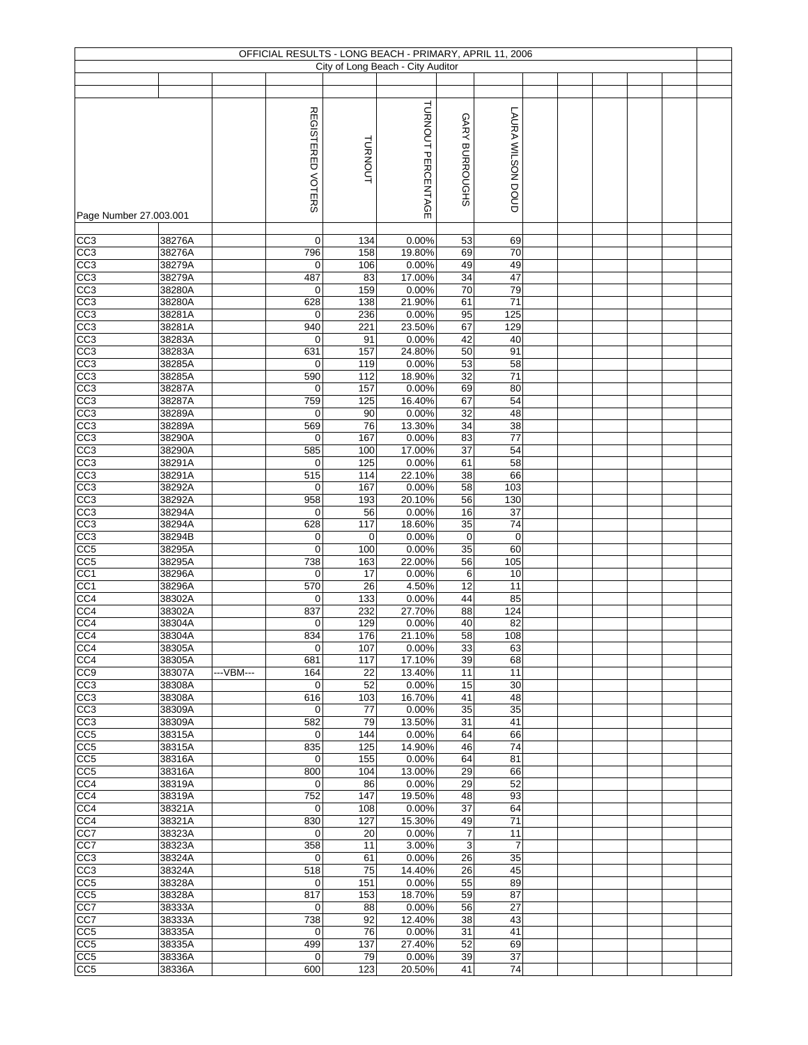|                         |                  |            |                          |            | OFFICIAL RESULTS - LONG BEACH - PRIMARY, APRIL 11, 2006 |                       |                      |  |  |  |
|-------------------------|------------------|------------|--------------------------|------------|---------------------------------------------------------|-----------------------|----------------------|--|--|--|
|                         |                  |            |                          |            | City of Long Beach - City Auditor                       |                       |                      |  |  |  |
|                         |                  |            |                          |            |                                                         |                       |                      |  |  |  |
| Page Number 27.003.001  |                  |            | <b>REGISTERED VOTERS</b> | TURNOUT    | TURNOUT PERCENTAGE                                      | GARY BURROUGHS        | LAURA WILSON DOUD    |  |  |  |
|                         |                  |            |                          |            |                                                         |                       |                      |  |  |  |
| CC3<br>CC3              | 38276A<br>38276A |            | 0<br>796                 | 134<br>158 | 0.00%<br>19.80%                                         | 53<br>69              | 69<br>70             |  |  |  |
| CC3                     | 38279A           |            | $\mathbf 0$              | 106        | 0.00%                                                   | 49                    | 49                   |  |  |  |
| CC3                     | 38279A           |            | 487                      | 83         | 17.00%                                                  | 34                    | 47                   |  |  |  |
| CC3                     | 38280A           |            | 0                        | 159        | 0.00%                                                   | 70                    | 79                   |  |  |  |
| CC <sub>3</sub>         | 38280A           |            | 628                      | 138        | 21.90%                                                  | 61                    | 71                   |  |  |  |
| CC3                     | 38281A           |            | 0                        | 236        | 0.00%                                                   | 95                    | 125                  |  |  |  |
| CC3<br>$\overline{CC3}$ | 38281A<br>38283A |            | 940<br>0                 | 221<br>91  | 23.50%<br>0.00%                                         | 67<br>42              | 129<br>40            |  |  |  |
| CC <sub>3</sub>         | 38283A           |            | 631                      | 157        | 24.80%                                                  | 50                    | 91                   |  |  |  |
| CC3                     | 38285A           |            | 0                        | 119        | 0.00%                                                   | 53                    | 58                   |  |  |  |
| CC3                     | 38285A           |            | 590                      | 112        | 18.90%                                                  | 32                    | 71                   |  |  |  |
| CC3                     | 38287A           |            | 0                        | 157        | 0.00%                                                   | 69                    | 80                   |  |  |  |
| CC <sub>3</sub>         | 38287A           |            | 759                      | 125        | 16.40%                                                  | 67                    | 54                   |  |  |  |
| CC3<br>CC3              | 38289A<br>38289A |            | $\mathbf 0$<br>569       | 90<br>76   | 0.00%<br>13.30%                                         | 32<br>34              | 48<br>38             |  |  |  |
| CC <sub>3</sub>         | 38290A           |            | $\mathbf 0$              | 167        | 0.00%                                                   | 83                    | $\overline{77}$      |  |  |  |
| CC <sub>3</sub>         | 38290A           |            | 585                      | 100        | 17.00%                                                  | $\overline{37}$       | 54                   |  |  |  |
| CC3                     | 38291A           |            | $\mathbf 0$              | 125        | 0.00%                                                   | 61                    | 58                   |  |  |  |
| CC3                     | 38291A           |            | 515                      | 114        | 22.10%                                                  | 38                    | 66                   |  |  |  |
| CC3                     | 38292A           |            | $\mathbf 0$              | 167        | 0.00%                                                   | 58                    | 103                  |  |  |  |
| CC3<br>CC3              | 38292A           |            | 958                      | 193        | 20.10%                                                  | 56                    | 130<br>37            |  |  |  |
| CC3                     | 38294A<br>38294A |            | $\mathbf 0$<br>628       | 56<br>117  | 0.00%<br>18.60%                                         | 16<br>$\overline{35}$ | 74                   |  |  |  |
| CC3                     | 38294B           |            | 0                        | 0          | 0.00%                                                   | $\mathbf 0$           | $\mathbf 0$          |  |  |  |
| CC <sub>5</sub>         | 38295A           |            | $\mathbf 0$              | 100        | 0.00%                                                   | 35                    | 60                   |  |  |  |
| CC5                     | 38295A           |            | 738                      | 163        | 22.00%                                                  | 56                    | 105                  |  |  |  |
| CC1                     | 38296A           |            | $\mathbf 0$              | 17         | 0.00%                                                   | 6                     | 10                   |  |  |  |
| CC1<br>CC4              | 38296A<br>38302A |            | 570<br>0                 | 26<br>133  | 4.50%<br>0.00%                                          | 12<br>44              | 11<br>85             |  |  |  |
| CC4                     | 38302A           |            | 837                      | 232        | 27.70%                                                  | 88                    | 124                  |  |  |  |
| CC4                     | 38304A           |            | 0                        | 129        | 0.00%                                                   | 40                    | 82                   |  |  |  |
| CC4                     | 38304A           |            | 834                      | 176        | 21.10%                                                  | 58                    | 108                  |  |  |  |
| CC <sub>4</sub>         | 38305A           |            | $\mathbf 0$              | 107        | 0.00%                                                   | 33                    | 63                   |  |  |  |
| CC4                     | 38305A           |            | 681                      | 117        | 17.10%                                                  | 39                    | 68                   |  |  |  |
| CC <sub>9</sub><br>CC3  | 38307A<br>38308A | --- VBM--- | 164<br>$\mathbf 0$       | 22<br>52   | 13.40%<br>0.00%                                         | 11<br>15              | 11<br>30             |  |  |  |
| CC3                     | 38308A           |            | 616                      | 103        | 16.70%                                                  | 41                    | 48                   |  |  |  |
| $\overline{CC3}$        | 38309A           |            | $\mathbf 0$              | 77         | 0.00%                                                   | 35                    | 35                   |  |  |  |
| CC3                     | 38309A           |            | 582                      | 79         | 13.50%                                                  | 31                    | 41                   |  |  |  |
| CC5                     | 38315A           |            | 0                        | 144        | 0.00%                                                   | 64                    | 66                   |  |  |  |
| CC5<br>CC <sub>5</sub>  | 38315A<br>38316A |            | 835<br>0                 | 125<br>155 | 14.90%<br>0.00%                                         | 46<br>64              | 74<br>81             |  |  |  |
| CC5                     | 38316A           |            | 800                      | 104        | 13.00%                                                  | 29                    | 66                   |  |  |  |
| CC4                     | 38319A           |            | 0                        | 86         | 0.00%                                                   | 29                    | 52                   |  |  |  |
| CC4                     | 38319A           |            | 752                      | 147        | 19.50%                                                  | 48                    | 93                   |  |  |  |
| CC4                     | 38321A           |            | $\mathbf 0$              | 108        | 0.00%                                                   | 37                    | 64                   |  |  |  |
| CC4                     | 38321A           |            | 830                      | 127        | 15.30%                                                  | 49                    | 71                   |  |  |  |
| CC7<br>CC7              | 38323A<br>38323A |            | $\mathbf 0$<br>358       | 20<br>11   | 0.00%<br>3.00%                                          | $\overline{7}$<br>3   | 11<br>$\overline{7}$ |  |  |  |
| CC3                     | 38324A           |            | 0                        | 61         | 0.00%                                                   | 26                    | 35                   |  |  |  |
| CC3                     | 38324A           |            | 518                      | 75         | 14.40%                                                  | 26                    | 45                   |  |  |  |
| CC5                     | 38328A           |            | $\mathbf 0$              | 151        | 0.00%                                                   | 55                    | 89                   |  |  |  |
| CC <sub>5</sub>         | 38328A           |            | 817                      | 153        | 18.70%                                                  | 59                    | 87                   |  |  |  |
| CC7                     | 38333A           |            | $\mathbf 0$              | 88         | 0.00%                                                   | 56                    | 27                   |  |  |  |
| CC7<br>CC5              | 38333A<br>38335A |            | 738<br>$\mathbf 0$       | 92<br>76   | 12.40%<br>0.00%                                         | 38<br>31              | 43<br>41             |  |  |  |
| CC <sub>5</sub>         | 38335A           |            | 499                      | 137        | 27.40%                                                  | 52                    | 69                   |  |  |  |
| CC <sub>5</sub>         | 38336A           |            | $\mathbf 0$              | 79         | 0.00%                                                   | 39                    | 37                   |  |  |  |
| CC <sub>5</sub>         | 38336A           |            | 600                      | 123        | 20.50%                                                  | 41                    | 74                   |  |  |  |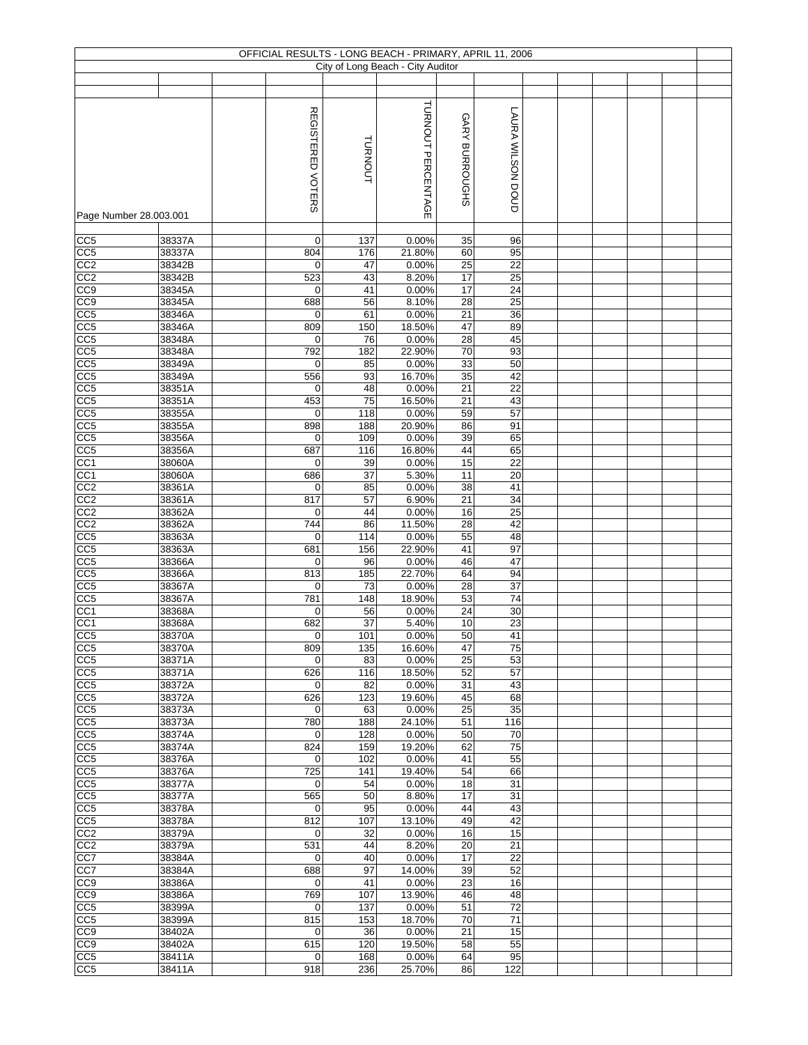|                                    |                  |                          |            | OFFICIAL RESULTS - LONG BEACH - PRIMARY, APRIL 11, 2006 |                 |                       |  |  |  |
|------------------------------------|------------------|--------------------------|------------|---------------------------------------------------------|-----------------|-----------------------|--|--|--|
|                                    |                  |                          |            | City of Long Beach - City Auditor                       |                 |                       |  |  |  |
|                                    |                  |                          |            |                                                         |                 |                       |  |  |  |
| Page Number 28.003.001             |                  | <b>REGISTERED VOTERS</b> | TURNOUT    | TURNOUT PERCENTAGE                                      | GARY BURROUGHS  | LAURA WILSON DOUD     |  |  |  |
|                                    |                  |                          |            |                                                         |                 |                       |  |  |  |
| CC5                                | 38337A           | 0                        | 137        | 0.00%                                                   | 35              | 96                    |  |  |  |
| CC <sub>5</sub><br>CC2             | 38337A<br>38342B | 804<br>$\mathbf 0$       | 176<br>47  | 21.80%<br>0.00%                                         | 60<br>25        | 95<br>22              |  |  |  |
| CC2                                | 38342B           | 523                      | 43         | 8.20%                                                   | 17              | 25                    |  |  |  |
| CC <sub>9</sub>                    | 38345A           | $\mathbf 0$              | 41         | 0.00%                                                   | 17              | 24                    |  |  |  |
| CC <sub>9</sub>                    | 38345A           | 688                      | 56         | 8.10%                                                   | $\overline{28}$ | 25                    |  |  |  |
| CC <sub>5</sub>                    | 38346A           | $\mathbf 0$              | 61         | 0.00%                                                   | 21              | 36                    |  |  |  |
| CC5<br>$\overline{CC5}$            | 38346A<br>38348A | 809<br>0                 | 150<br>76  | 18.50%<br>0.00%                                         | 47<br>28        | 89<br>45              |  |  |  |
| CC <sub>5</sub>                    | 38348A           | 792                      | 182        | 22.90%                                                  | 70              | 93                    |  |  |  |
| CC5                                | 38349A           | $\mathbf 0$              | 85         | 0.00%                                                   | 33              | 50                    |  |  |  |
| CC5                                | 38349A           | 556                      | 93         | 16.70%                                                  | 35              | 42                    |  |  |  |
| CC5                                | 38351A           | 0                        | 48         | 0.00%                                                   | 21              | 22                    |  |  |  |
| $\overline{CC5}$<br>CC5            | 38351A           | 453<br>0                 | 75<br>118  | 16.50%<br>0.00%                                         | 21<br>59        | 43<br>57              |  |  |  |
| CC <sub>5</sub>                    | 38355A<br>38355A | 898                      | 188        | 20.90%                                                  | 86              | 91                    |  |  |  |
| CC <sub>5</sub>                    | 38356A           | $\mathbf 0$              | 109        | 0.00%                                                   | 39              | 65                    |  |  |  |
| CC <sub>5</sub>                    | 38356A           | 687                      | 116        | 16.80%                                                  | 44              | 65                    |  |  |  |
| CC <sub>1</sub>                    | 38060A           | $\mathbf 0$              | 39         | 0.00%                                                   | 15              | $\overline{22}$       |  |  |  |
| CC <sub>1</sub>                    | 38060A           | 686                      | 37         | 5.30%                                                   | 11              | 20                    |  |  |  |
| CC <sub>2</sub>                    | 38361A           | 0<br>817                 | 85         | 0.00%                                                   | 38              | 41                    |  |  |  |
| CC2<br>CC <sub>2</sub>             | 38361A<br>38362A | $\mathbf 0$              | 57<br>44   | 6.90%<br>0.00%                                          | 21<br>16        | 34<br>25              |  |  |  |
| CC2                                | 38362A           | 744                      | 86         | 11.50%                                                  | 28              | 42                    |  |  |  |
| $\overline{CC5}$                   | 38363A           | $\mathbf 0$              | 114        | 0.00%                                                   | 55              | 48                    |  |  |  |
| CC5                                | 38363A           | 681                      | 156        | 22.90%                                                  | 41              | 97                    |  |  |  |
| CC5                                | 38366A           | 0                        | 96         | 0.00%                                                   | 46              | 47                    |  |  |  |
| CC5<br>CC5                         | 38366A<br>38367A | 813<br>0                 | 185<br>73  | 22.70%<br>0.00%                                         | 64<br>28        | 94<br>37              |  |  |  |
| CC5                                | 38367A           | 781                      | 148        | 18.90%                                                  | 53              | 74                    |  |  |  |
| CC1                                | 38368A           | 0                        | 56         | 0.00%                                                   | 24              | 30                    |  |  |  |
| CC1                                | 38368A           | 682                      | 37         | 5.40%                                                   | 10              | 23                    |  |  |  |
| CC <sub>5</sub>                    | 38370A           | $\pmb{0}$                | 101        | 0.00%                                                   | 50              | 41                    |  |  |  |
| CC <sub>5</sub>                    | 38370A           | 809                      | 135        | 16.60%                                                  | 47              | 75                    |  |  |  |
| CC <sub>5</sub><br>CC <sub>5</sub> | 38371A<br>38371A | $\mathbf 0$<br>626       | 83<br>116  | 0.00%<br>18.50%                                         | 25<br>52        | 53<br>57              |  |  |  |
| CC5                                | 38372A           | 0                        | 82         | 0.00%                                                   | 31              | 43                    |  |  |  |
| CC <sub>5</sub>                    | 38372A           | 626                      | 123        | 19.60%                                                  | 45              | 68                    |  |  |  |
| $\overline{CC5}$                   | 38373A           | $\mathbf 0$              | 63         | 0.00%                                                   | 25              | 35                    |  |  |  |
| CC5                                | 38373A           | 780                      | 188        | 24.10%                                                  | 51              | 116                   |  |  |  |
| CC5                                | 38374A           | 0                        | 128<br>159 | 0.00%                                                   | 50              | 70<br>75              |  |  |  |
| CC5<br>CC <sub>5</sub>             | 38374A<br>38376A | 824<br>0                 | 102        | 19.20%<br>0.00%                                         | 62<br>41        | 55                    |  |  |  |
| CC5                                | 38376A           | $\overline{725}$         | 141        | 19.40%                                                  | 54              | 66                    |  |  |  |
| CC <sub>5</sub>                    | 38377A           | $\mathbf 0$              | 54         | 0.00%                                                   | 18              | 31                    |  |  |  |
| CC5                                | 38377A           | 565                      | 50         | 8.80%                                                   | 17              | 31                    |  |  |  |
| CC5                                | 38378A           | $\mathbf 0$              | 95         | 0.00%                                                   | 44              | 43                    |  |  |  |
| $\overline{CC5}$<br>CC2            | 38378A<br>38379A | 812<br>$\mathbf 0$       | 107<br>32  | 13.10%<br>0.00%                                         | 49<br>16        | 42<br>15              |  |  |  |
| CC2                                | 38379A           | 531                      | 44         | 8.20%                                                   | 20              | 21                    |  |  |  |
| CC7                                | 38384A           | 0                        | 40         | 0.00%                                                   | 17              | 22                    |  |  |  |
| CC7                                | 38384A           | 688                      | 97         | 14.00%                                                  | 39              | 52                    |  |  |  |
| CC9                                | 38386A           | $\mathbf 0$              | 41         | 0.00%                                                   | 23              | 16                    |  |  |  |
| CC <sub>9</sub>                    | 38386A           | 769                      | 107        | 13.90%                                                  | 46              | 48                    |  |  |  |
| CC5<br>CC <sub>5</sub>             | 38399A<br>38399A | $\mathbf 0$<br>815       | 137<br>153 | 0.00%<br>18.70%                                         | 51<br>70        | $\overline{72}$<br>71 |  |  |  |
| CC9                                | 38402A           | 0                        | 36         | 0.00%                                                   | 21              | 15                    |  |  |  |
| CC <sub>9</sub>                    | 38402A           | 615                      | 120        | 19.50%                                                  | 58              | 55                    |  |  |  |
| CC <sub>5</sub>                    | 38411A           | 0                        | 168        | 0.00%                                                   | 64              | 95                    |  |  |  |
| CC5                                | 38411A           | 918                      | 236        | 25.70%                                                  | 86              | 122                   |  |  |  |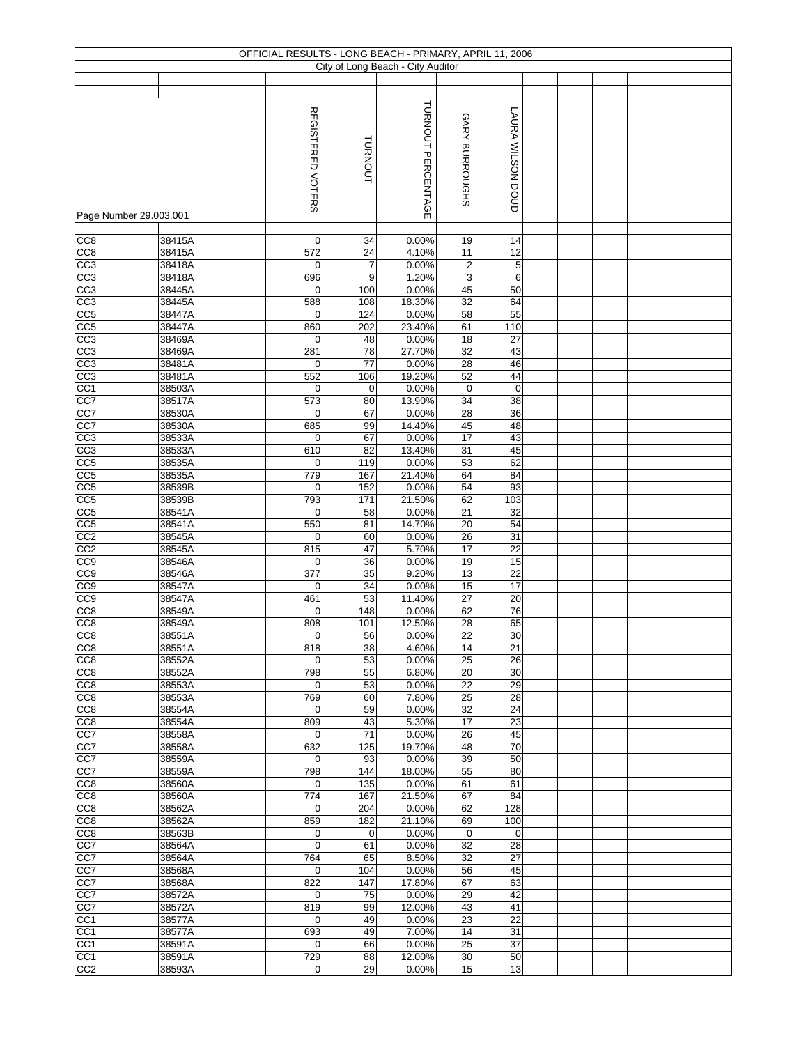|                                     |                  |                            |                | OFFICIAL RESULTS - LONG BEACH - PRIMARY, APRIL 11, 2006 |                   |                   |  |  |  |
|-------------------------------------|------------------|----------------------------|----------------|---------------------------------------------------------|-------------------|-------------------|--|--|--|
|                                     |                  |                            |                | City of Long Beach - City Auditor                       |                   |                   |  |  |  |
|                                     |                  |                            |                |                                                         |                   |                   |  |  |  |
| Page Number 29.003.001              |                  | <b>REGISTERED VOTERS</b>   | <b>TURNOUT</b> | TURNOUT PERCENTAGE                                      | GARY BURROUGHS    | LAURA WILSON DOUD |  |  |  |
|                                     |                  |                            |                |                                                         |                   |                   |  |  |  |
| CC8<br>CC <sub>8</sub>              | 38415A<br>38415A | 0<br>572                   | 34<br>24       | 0.00%<br>4.10%                                          | 19<br>11          | 14<br>12          |  |  |  |
| CC3                                 | 38418A           | $\mathbf 0$                | $\overline{7}$ | 0.00%                                                   | $\boldsymbol{2}$  | $\,$ 5 $\,$       |  |  |  |
| CC3                                 | 38418A           | 696                        | 9              | 1.20%                                                   | 3                 | 6                 |  |  |  |
| CC3                                 | 38445A           | $\mathbf 0$                | 100            | 0.00%                                                   | 45                | 50                |  |  |  |
| CC <sub>3</sub>                     | 38445A           | 588                        | 108            | 18.30%                                                  | 32                | 64                |  |  |  |
| $\overline{CC5}$                    | 38447A           | $\mathbf 0$                | 124            | 0.00%                                                   | 58                | 55                |  |  |  |
| CC5<br>CC <sub>3</sub>              | 38447A<br>38469A | 860<br>0                   | 202<br>48      | 23.40%<br>0.00%                                         | 61<br>18          | 110<br>27         |  |  |  |
| CC <sub>3</sub>                     | 38469A           | 281                        | 78             | 27.70%                                                  | 32                | 43                |  |  |  |
| CC3                                 | 38481A           | 0                          | 77             | 0.00%                                                   | 28                | 46                |  |  |  |
| CC3                                 | 38481A           | 552                        | 106            | 19.20%                                                  | 52                | 44                |  |  |  |
| CC <sub>1</sub>                     | 38503A           | 0                          | 0              | 0.00%                                                   | $\mathbf 0$       | $\mathbf 0$       |  |  |  |
| CC7                                 | 38517A           | 573                        | 80             | 13.90%                                                  | 34                | 38                |  |  |  |
| CC7<br>CC7                          | 38530A<br>38530A | $\mathbf 0$<br>685         | 67<br>99       | 0.00%<br>14.40%                                         | 28<br>45          | 36<br>48          |  |  |  |
| CC <sub>3</sub>                     | 38533A           | $\mathbf 0$                | 67             | 0.00%                                                   | $\overline{17}$   | 43                |  |  |  |
| CC <sub>3</sub>                     | 38533A           | 610                        | 82             | 13.40%                                                  | 31                | 45                |  |  |  |
| CC <sub>5</sub>                     | 38535A           | $\mathbf 0$                | 119            | 0.00%                                                   | 53                | 62                |  |  |  |
| CC5                                 | 38535A           | 779                        | 167            | 21.40%                                                  | 64                | 84                |  |  |  |
| CC5                                 | 38539B           | $\mathbf 0$                | 152            | 0.00%                                                   | 54                | 93                |  |  |  |
| CC5<br>CC <sub>5</sub>              | 38539B<br>38541A | 793<br>$\mathbf 0$         | 171<br>58      | 21.50%<br>0.00%                                         | 62<br>21          | 103<br>32         |  |  |  |
| CC5                                 | 38541A           | 550                        | 81             | 14.70%                                                  | 20                | 54                |  |  |  |
| CC2                                 | 38545A           | 0                          | 60             | 0.00%                                                   | 26                | 31                |  |  |  |
| CC2                                 | 38545A           | 815                        | 47             | 5.70%                                                   | 17                | 22                |  |  |  |
| CC <sub>9</sub>                     | 38546A           | $\mathbf 0$                | 36             | 0.00%                                                   | 19                | 15                |  |  |  |
| CC9                                 | 38546A           | 377                        | 35             | 9.20%                                                   | 13                | 22                |  |  |  |
| CC <sub>9</sub><br>$\overline{CC9}$ | 38547A<br>38547A | 0<br>461                   | 34<br>53       | 0.00%<br>11.40%                                         | 15<br>27          | 17<br>20          |  |  |  |
| CC8                                 | 38549A           | $\mathbf 0$                | 148            | 0.00%                                                   | 62                | 76                |  |  |  |
| CC8                                 | 38549A           | 808                        | 101            | 12.50%                                                  | 28                | 65                |  |  |  |
| CC <sub>8</sub>                     | 38551A           | $\pmb{0}$                  | 56             | 0.00%                                                   | 22                | 30                |  |  |  |
| CC8                                 | 38551A           | 818                        | 38             | 4.60%                                                   | 14                | 21                |  |  |  |
| CC <sub>8</sub>                     | 38552A           | $\mathbf 0$                | 53             | 0.00%                                                   | 25                | 26                |  |  |  |
| CC <sub>8</sub><br>CC <sub>8</sub>  | 38552A<br>38553A | 798<br>$\mathbf 0$         | 55<br>53       | 6.80%<br>0.00%                                          | 20<br>22          | 30<br>29          |  |  |  |
| CC <sub>8</sub>                     | 38553A           | 769                        | 60             | 7.80%                                                   | 25                | 28                |  |  |  |
| CC8                                 | 38554A           | $\mathbf 0$                | 59             | 0.00%                                                   | 32                | 24                |  |  |  |
| CC8                                 | 38554A           | 809                        | 43             | 5.30%                                                   | 17                | 23                |  |  |  |
| CC7                                 | 38558A           | 0                          | 71             | 0.00%                                                   | 26                | 45                |  |  |  |
| CC7<br>CC7                          | 38558A<br>38559A | 632<br>0                   | 125<br>93      | 19.70%<br>0.00%                                         | 48<br>39          | 70<br>50          |  |  |  |
| CC7                                 | 38559A           | 798                        | 144            | 18.00%                                                  | 55                | 80                |  |  |  |
| CC <sub>8</sub>                     | 38560A           | $\mathbf 0$                | 135            | 0.00%                                                   | 61                | 61                |  |  |  |
| CC8                                 | 38560A           | 774                        | 167            | 21.50%                                                  | 67                | 84                |  |  |  |
| CC <sub>8</sub>                     | 38562A           | $\mathbf 0$                | 204            | 0.00%                                                   | 62                | 128               |  |  |  |
| CC8                                 | 38562A           | 859                        | 182            | 21.10%                                                  | 69                | 100               |  |  |  |
| CC8<br>CC7                          | 38563B<br>38564A | $\mathbf 0$<br>$\mathbf 0$ | 0<br>61        | 0.00%<br>0.00%                                          | $\mathbf 0$<br>32 | $\mathbf 0$<br>28 |  |  |  |
| CC7                                 | 38564A           | 764                        | 65             | 8.50%                                                   | 32                | 27                |  |  |  |
| CC7                                 | 38568A           | 0                          | 104            | 0.00%                                                   | 56                | 45                |  |  |  |
| CC7                                 | 38568A           | 822                        | 147            | 17.80%                                                  | 67                | 63                |  |  |  |
| CC7                                 | 38572A           | 0                          | 75             | 0.00%                                                   | 29                | 42                |  |  |  |
| CC7                                 | 38572A           | 819                        | 99             | 12.00%                                                  | 43                | 41                |  |  |  |
| CC1<br>CC1                          | 38577A<br>38577A | 0<br>693                   | 49<br>49       | 0.00%<br>7.00%                                          | 23<br>14          | 22<br>31          |  |  |  |
| CC <sub>1</sub>                     | 38591A           | $\mathbf 0$                | 66             | 0.00%                                                   | 25                | 37                |  |  |  |
| CC <sub>1</sub>                     | 38591A           | 729                        | 88             | 12.00%                                                  | 30                | 50                |  |  |  |
| CC <sub>2</sub>                     | 38593A           | $\pmb{0}$                  | 29             | 0.00%                                                   | 15                | 13                |  |  |  |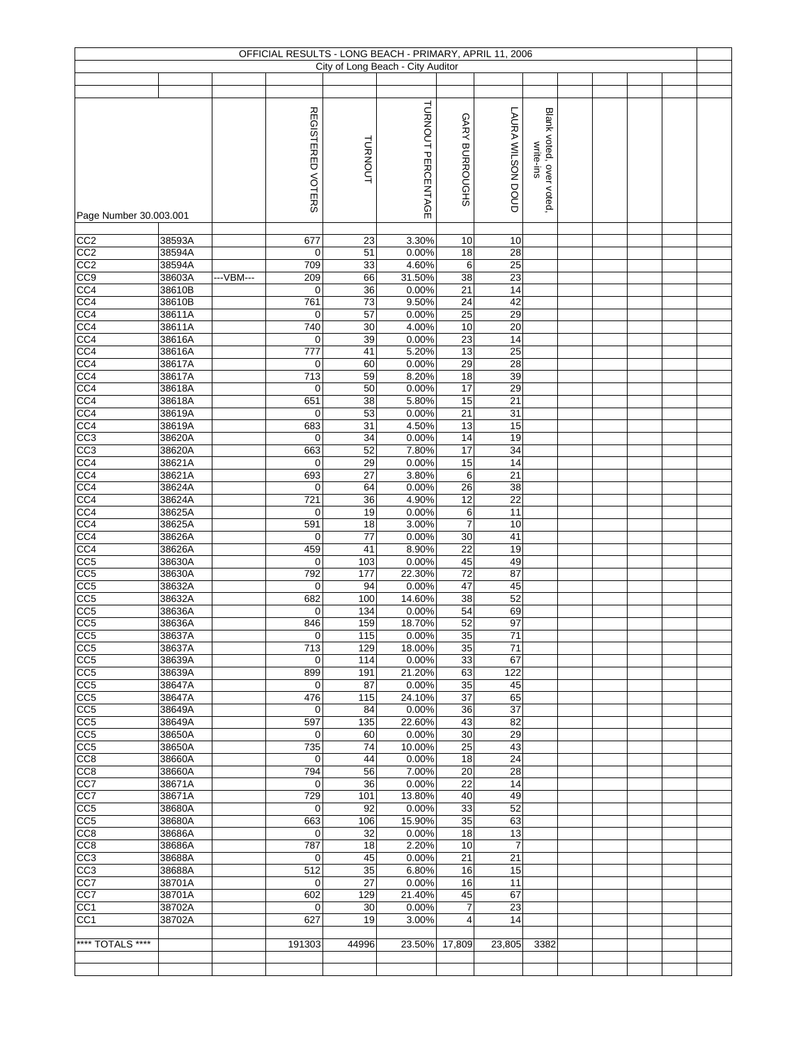|                                    |                  |           | OFFICIAL RESULTS - LONG BEACH - PRIMARY, APRIL 11, 2006 |            | City of Long Beach - City Auditor |                         |                       |                                      |  |  |  |
|------------------------------------|------------------|-----------|---------------------------------------------------------|------------|-----------------------------------|-------------------------|-----------------------|--------------------------------------|--|--|--|
|                                    |                  |           |                                                         |            |                                   |                         |                       |                                      |  |  |  |
|                                    |                  |           |                                                         |            |                                   |                         |                       |                                      |  |  |  |
| Page Number 30.003.001             |                  |           | REGISTERED VOTERS                                       | TURNOUT    | TURNOUT PERCENTAGE                | GARY BURROUGHS          | LAURA WILSON DOUD     | Blank voted, over voted<br>write-ins |  |  |  |
|                                    |                  |           |                                                         |            |                                   |                         |                       |                                      |  |  |  |
| CC2<br>CC2                         | 38593A<br>38594A |           | 677<br>0                                                | 23<br>51   | 3.30%<br>0.00%                    | 10<br>18                | 10<br>28              |                                      |  |  |  |
| CC <sub>2</sub>                    | 38594A           |           | 709                                                     | 33         | 4.60%                             | 6                       | 25                    |                                      |  |  |  |
| CC9                                | 38603A           | ---VBM--- | 209                                                     | 66         | 31.50%                            | 38                      | 23                    |                                      |  |  |  |
| CC4                                | 38610B           |           | $\mathbf 0$                                             | 36         | 0.00%                             | 21                      | 14                    |                                      |  |  |  |
| CC <sub>4</sub>                    | 38610B           |           | 761                                                     | 73         | 9.50%                             | $\overline{24}$         | 42<br>29              |                                      |  |  |  |
| CC <sub>4</sub><br>CC <sub>4</sub> | 38611A<br>38611A |           | 0<br>740                                                | 57<br>30   | 0.00%<br>4.00%                    | 25<br>$10$              | 20                    |                                      |  |  |  |
| CC <sub>4</sub>                    | 38616A           |           | 0                                                       | 39         | 0.00%                             | $\overline{23}$         | 14                    |                                      |  |  |  |
| CC4                                | 38616A           |           | 777                                                     | 41         | 5.20%                             | 13                      | 25                    |                                      |  |  |  |
| CC4                                | 38617A           |           | $\pmb{0}$                                               | 60         | 0.00%                             | 29                      | 28                    |                                      |  |  |  |
| CC <sub>4</sub>                    | 38617A           |           | 713                                                     | 59         | 8.20%                             | 18                      | 39                    |                                      |  |  |  |
| CC4<br>CC4                         | 38618A           |           | $\mathbf 0$                                             | 50         | 0.00%                             | 17<br>15                | 29<br>21              |                                      |  |  |  |
| CC <sub>4</sub>                    | 38618A<br>38619A |           | 651<br>$\mathbf 0$                                      | 38<br>53   | 5.80%<br>0.00%                    | 21                      | 31                    |                                      |  |  |  |
| CC <sub>4</sub>                    | 38619A           |           | 683                                                     | 31         | 4.50%                             | 13                      | 15                    |                                      |  |  |  |
| CC <sub>3</sub>                    | 38620A           |           | 0                                                       | 34         | 0.00%                             | 14                      | 19                    |                                      |  |  |  |
| CC3                                | 38620A           |           | 663                                                     | 52         | 7.80%                             | 17                      | $\overline{34}$       |                                      |  |  |  |
| CC4                                | 38621A           |           | 0                                                       | 29         | 0.00%                             | 15                      | 14                    |                                      |  |  |  |
| CC4<br>CC <sub>4</sub>             | 38621A<br>38624A |           | 693<br>0                                                | 27<br>64   | 3.80%<br>0.00%                    | 6<br>26                 | 21<br>38              |                                      |  |  |  |
| CC4                                | 38624A           |           | $\overline{72}1$                                        | 36         | 4.90%                             | $\overline{12}$         | 22                    |                                      |  |  |  |
| $\overline{CC4}$                   | 38625A           |           | 0                                                       | 19         | 0.00%                             | 6                       | 11                    |                                      |  |  |  |
| CC <sub>4</sub>                    | 38625A           |           | 591                                                     | 18         | 3.00%                             | 7                       | 10                    |                                      |  |  |  |
| CC4                                | 38626A           |           | $\pmb{0}$                                               | 77         | 0.00%                             | 30                      | 41                    |                                      |  |  |  |
| CC <sub>4</sub>                    | 38626A           |           | 459                                                     | 41         | 8.90%                             | 22                      | 19                    |                                      |  |  |  |
| CC5<br>CC <sub>5</sub>             | 38630A<br>38630A |           | $\mathbf 0$<br>792                                      | 103<br>177 | 0.00%<br>22.30%                   | 45<br>72                | 49<br>87              |                                      |  |  |  |
| CC5                                | 38632A           |           | $\mathbf 0$                                             | 94         | 0.00%                             | 47                      | 45                    |                                      |  |  |  |
| $\overline{CC5}$                   | 38632A           |           | 682                                                     | 100        | 14.60%                            | 38                      | 52                    |                                      |  |  |  |
| CC5                                | 38636A           |           | 0                                                       | 134        | 0.00%                             | 54                      | 69                    |                                      |  |  |  |
| CC <sub>5</sub>                    | 38636A           |           | 846                                                     | 159        | 18.70%                            | 52                      | 97                    |                                      |  |  |  |
| CC5                                | 38637A           |           | $\overline{0}$                                          | 115        | 0.00%<br>18.00%                   | 35<br>35                | 71<br>71              |                                      |  |  |  |
| CC5<br>CC <sub>5</sub>             | 38637A<br>38639A |           | 713<br>0                                                | 129<br>114 | 0.00%                             | 33                      | 67                    |                                      |  |  |  |
| CC <sub>5</sub>                    | 38639A           |           | 899                                                     | 191        | 21.20%                            | 63                      | 122                   |                                      |  |  |  |
| CC5                                | 38647A           |           | 0                                                       | 87         | 0.00%                             | 35                      | 45                    |                                      |  |  |  |
| CC <sub>5</sub>                    | 38647A           |           | 476                                                     | 115        | 24.10%                            | 37                      | 65                    |                                      |  |  |  |
| CC <sub>5</sub><br>CC5             | 38649A<br>38649A |           | 0<br>597                                                | 84<br>135  | 0.00%<br>22.60%                   | 36<br>43                | $\overline{37}$<br>82 |                                      |  |  |  |
| CC5                                | 38650A           |           | 0                                                       | 60         | 0.00%                             | 30                      | 29                    |                                      |  |  |  |
| CC5                                | 38650A           |           | 735                                                     | 74         | 10.00%                            | 25                      | 43                    |                                      |  |  |  |
| CC8                                | 38660A           |           | 0                                                       | 44         | 0.00%                             | 18                      | 24                    |                                      |  |  |  |
| CC8                                | 38660A           |           | 794                                                     | 56         | 7.00%                             | 20                      | $\overline{28}$       |                                      |  |  |  |
| CC7                                | 38671A           |           | 0                                                       | 36         | 0.00%                             | 22                      | 14                    |                                      |  |  |  |
| CC7<br>CC <sub>5</sub>             | 38671A<br>38680A |           | 729<br>0                                                | 101<br>92  | 13.80%<br>0.00%                   | 40<br>33                | 49<br>52              |                                      |  |  |  |
| CC <sub>5</sub>                    | 38680A           |           | 663                                                     | 106        | 15.90%                            | 35                      | 63                    |                                      |  |  |  |
| CC8                                | 38686A           |           | 0                                                       | 32         | 0.00%                             | 18                      | 13                    |                                      |  |  |  |
| CC8                                | 38686A           |           | 787                                                     | 18         | 2.20%                             | 10                      | $\overline{7}$        |                                      |  |  |  |
| CC3                                | 38688A           |           | 0                                                       | 45         | 0.00%                             | 21                      | 21                    |                                      |  |  |  |
| CC <sub>3</sub>                    | 38688A           |           | 512                                                     | 35<br>27   | 6.80%                             | 16                      | 15                    |                                      |  |  |  |
| CC7<br>CC7                         | 38701A<br>38701A |           | $\mathbf 0$<br>602                                      | 129        | 0.00%<br>21.40%                   | 16<br>45                | 11<br>67              |                                      |  |  |  |
| CC <sub>1</sub>                    | 38702A           |           | 0                                                       | 30         | 0.00%                             | $\overline{7}$          | 23                    |                                      |  |  |  |
| CC <sub>1</sub>                    | 38702A           |           | 627                                                     | 19         | 3.00%                             | $\overline{\mathbf{4}}$ | 14                    |                                      |  |  |  |
|                                    |                  |           |                                                         |            |                                   |                         |                       |                                      |  |  |  |
| **** TOTALS ****                   |                  |           | 191303                                                  | 44996      | 23.50%                            | 17,809                  | 23,805                | 3382                                 |  |  |  |
|                                    |                  |           |                                                         |            |                                   |                         |                       |                                      |  |  |  |
|                                    |                  |           |                                                         |            |                                   |                         |                       |                                      |  |  |  |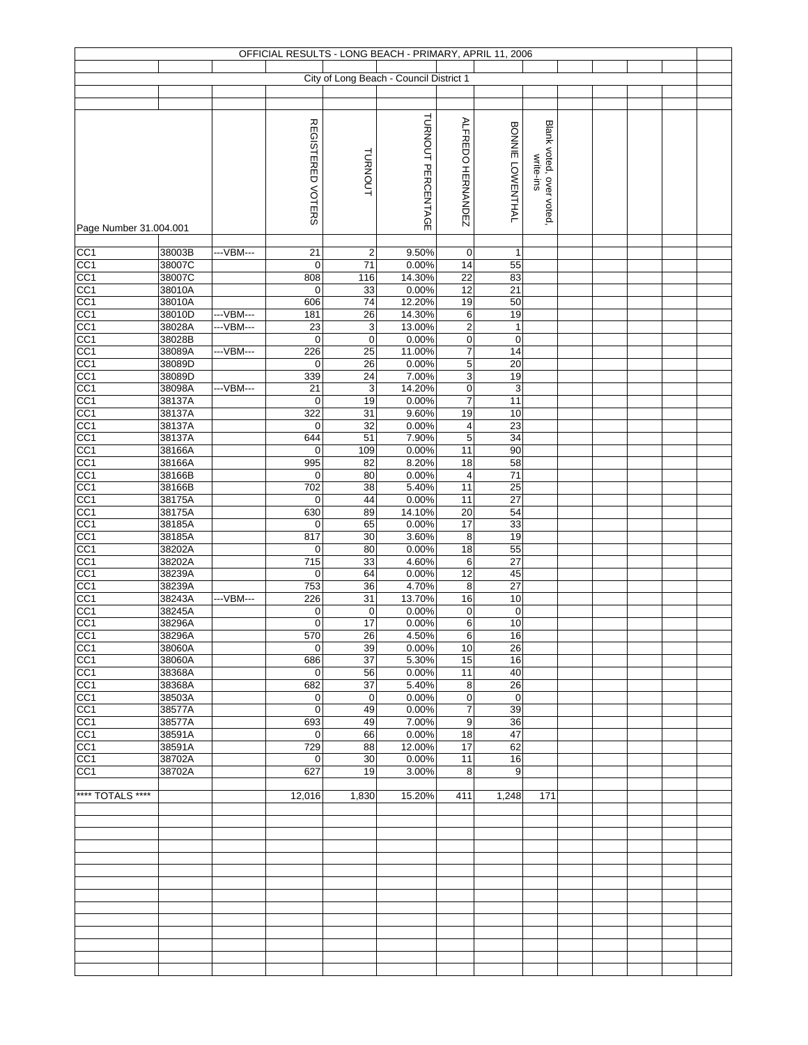|                                    |                  |           |                          |                            | OFFICIAL RESULTS - LONG BEACH - PRIMARY, APRIL 11, 2006 |                               |                                  |                         |  |  |  |
|------------------------------------|------------------|-----------|--------------------------|----------------------------|---------------------------------------------------------|-------------------------------|----------------------------------|-------------------------|--|--|--|
|                                    |                  |           |                          |                            | City of Long Beach - Council District 1                 |                               |                                  |                         |  |  |  |
|                                    |                  |           |                          |                            |                                                         |                               |                                  |                         |  |  |  |
|                                    |                  |           |                          |                            |                                                         |                               |                                  |                         |  |  |  |
|                                    |                  |           |                          |                            | TURNOUT PERCENTAGE                                      |                               |                                  |                         |  |  |  |
|                                    |                  |           | <b>REGISTERED VOTERS</b> |                            |                                                         | ALFREDO HERNANDEZ             | BONNIE LOWENTHAL                 | Blank voted, over voted |  |  |  |
|                                    |                  |           |                          |                            |                                                         |                               |                                  |                         |  |  |  |
|                                    |                  |           |                          |                            |                                                         |                               |                                  |                         |  |  |  |
|                                    |                  |           |                          | TURNOUT                    |                                                         |                               |                                  | write-ins               |  |  |  |
|                                    |                  |           |                          |                            |                                                         |                               |                                  |                         |  |  |  |
|                                    |                  |           |                          |                            |                                                         |                               |                                  |                         |  |  |  |
| Page Number 31.004.001             |                  |           |                          |                            |                                                         |                               |                                  |                         |  |  |  |
|                                    |                  |           |                          |                            |                                                         |                               |                                  |                         |  |  |  |
| CC1<br>CC <sub>1</sub>             | 38003B<br>38007C | ---VBM--- | 21<br>$\mathbf 0$        | $\overline{2}$<br>71       | 9.50%<br>0.00%                                          | $\mathbf 0$<br>14             | 1<br>55                          |                         |  |  |  |
| CC <sub>1</sub>                    | 38007C           |           | 808                      | 116                        | 14.30%                                                  | 22                            | 83                               |                         |  |  |  |
| CC <sub>1</sub>                    | 38010A           |           | $\mathbf 0$              | 33                         | 0.00%                                                   | 12                            | $\overline{21}$                  |                         |  |  |  |
| CC1                                | 38010A           |           | 606                      | 74                         | 12.20%                                                  | 19                            | 50                               |                         |  |  |  |
| CC1                                | 38010D           | ---VBM--- | 181                      | 26                         | 14.30%                                                  | $\,6\,$                       | 19                               |                         |  |  |  |
| CC <sub>1</sub>                    | 38028A<br>38028B | ---VBM--- | 23<br>$\mathbf 0$        | $\mathsf 3$<br>$\mathbf 0$ | 13.00%<br>0.00%                                         | $\overline{2}$                | $\mathbf{1}$<br>$\boldsymbol{0}$ |                         |  |  |  |
| CC <sub>1</sub><br>CC <sub>1</sub> | 38089A           | ---VBM--- | 226                      | 25                         | 11.00%                                                  | $\pmb{0}$<br>$\boldsymbol{7}$ | $\overline{14}$                  |                         |  |  |  |
| CC <sub>1</sub>                    | 38089D           |           | $\mathbf 0$              | 26                         | 0.00%                                                   | $\overline{5}$                | 20                               |                         |  |  |  |
| CC <sub>1</sub>                    | 38089D           |           | 339                      | 24                         | 7.00%                                                   | $\ensuremath{\mathsf{3}}$     | 19                               |                         |  |  |  |
| CC <sub>1</sub>                    | 38098A           | ---VBM--- | 21                       | 3                          | 14.20%                                                  | $\pmb{0}$                     | 3                                |                         |  |  |  |
| CC <sub>1</sub><br>CC <sub>1</sub> | 38137A           |           | $\mathbf 0$<br>322       | 19                         | 0.00%<br>9.60%                                          | $\overline{7}$<br>19          | 11<br>10                         |                         |  |  |  |
| CC <sub>1</sub>                    | 38137A<br>38137A |           | $\mathbf 0$              | 31<br>32                   | 0.00%                                                   | $\overline{\mathbf{4}}$       | 23                               |                         |  |  |  |
| CC <sub>1</sub>                    | 38137A           |           | 644                      | 51                         | 7.90%                                                   | $\overline{5}$                | 34                               |                         |  |  |  |
| CC <sub>1</sub>                    | 38166A           |           | $\mathbf 0$              | 109                        | 0.00%                                                   | 11                            | 90                               |                         |  |  |  |
| CC <sub>1</sub>                    | 38166A           |           | 995                      | 82                         | 8.20%                                                   | $\overline{18}$               | 58                               |                         |  |  |  |
| CC <sub>1</sub><br>CC <sub>1</sub> | 38166B<br>38166B |           | $\mathbf 0$<br>702       | 80<br>38                   | 0.00%<br>5.40%                                          | $\overline{4}$<br>11          | 71<br>$\overline{25}$            |                         |  |  |  |
| CC <sub>1</sub>                    | 38175A           |           | $\mathbf 0$              | 44                         | 0.00%                                                   | 11                            | 27                               |                         |  |  |  |
| CC1                                | 38175A           |           | 630                      | 89                         | 14.10%                                                  | 20                            | 54                               |                         |  |  |  |
| CC <sub>1</sub>                    | 38185A           |           | $\mathbf 0$              | 65                         | 0.00%                                                   | 17                            | 33                               |                         |  |  |  |
| CC <sub>1</sub>                    | 38185A           |           | 817                      | 30                         | 3.60%                                                   | 8                             | 19                               |                         |  |  |  |
| CC <sub>1</sub>                    | 38202A<br>38202A |           | $\mathbf 0$<br>715       | 80<br>33                   | 0.00%<br>4.60%                                          | 18<br>6                       | 55<br>27                         |                         |  |  |  |
| CC1<br>CC <sub>1</sub>             | 38239A           |           | $\mathbf 0$              | 64                         | 0.00%                                                   | $\overline{12}$               | 45                               |                         |  |  |  |
| CC <sub>1</sub>                    | 38239A           |           | 753                      | 36                         | 4.70%                                                   | 8                             | 27                               |                         |  |  |  |
| CC <sub>1</sub>                    | 38243A           | ---VBM--- | 226                      | 31                         | 13.70%                                                  | 16                            | 10                               |                         |  |  |  |
| CC <sub>1</sub>                    | 38245A           |           | 0                        | $\mathbf 0$                | 0.00%                                                   | $\mathbf 0$                   | $\mathbf 0$                      |                         |  |  |  |
| CC <sub>1</sub><br>CC1             | 38296A<br>38296A |           | $\pmb{0}$<br>570         | 17<br>26                   | 0.00%<br>4.50%                                          | 6<br>6                        | 10<br>16                         |                         |  |  |  |
| CC <sub>1</sub>                    | 38060A           |           | $\mathbf 0$              | 39                         | 0.00%                                                   | 10                            | 26                               |                         |  |  |  |
| CC <sub>1</sub>                    | 38060A           |           | 686                      | 37                         | 5.30%                                                   | 15                            | 16                               |                         |  |  |  |
| CC <sub>1</sub>                    | 38368A           |           | $\mathbf 0$              | 56                         | 0.00%                                                   | 11                            | 40                               |                         |  |  |  |
| CC <sub>1</sub><br>CC <sub>1</sub> | 38368A<br>38503A |           | 682<br>$\mathbf 0$       | 37<br>$\mathbf 0$          | 5.40%<br>0.00%                                          | 8<br>$\pmb{0}$                | $\overline{26}$<br>$\mathbf 0$   |                         |  |  |  |
| CC1                                | 38577A           |           | $\pmb{0}$                | 49                         | 0.00%                                                   | $\overline{7}$                | 39                               |                         |  |  |  |
| CC <sub>1</sub>                    | 38577A           |           | 693                      | 49                         | 7.00%                                                   | $\boldsymbol{9}$              | 36                               |                         |  |  |  |
| CC <sub>1</sub>                    | 38591A           |           | $\mathbf 0$              | 66                         | 0.00%                                                   | $\overline{18}$               | 47                               |                         |  |  |  |
| CC <sub>1</sub>                    | 38591A           |           | 729                      | 88                         | 12.00%                                                  | 17                            | 62                               |                         |  |  |  |
| CC1<br>CC1                         | 38702A<br>38702A |           | $\mathbf 0$<br>627       | 30<br>19                   | 0.00%<br>3.00%                                          | 11<br>8                       | 16<br>9                          |                         |  |  |  |
|                                    |                  |           |                          |                            |                                                         |                               |                                  |                         |  |  |  |
| **** TOTALS ****                   |                  |           | 12,016                   | 1,830                      | 15.20%                                                  | 411                           | 1,248                            | 171                     |  |  |  |
|                                    |                  |           |                          |                            |                                                         |                               |                                  |                         |  |  |  |
|                                    |                  |           |                          |                            |                                                         |                               |                                  |                         |  |  |  |
|                                    |                  |           |                          |                            |                                                         |                               |                                  |                         |  |  |  |
|                                    |                  |           |                          |                            |                                                         |                               |                                  |                         |  |  |  |
|                                    |                  |           |                          |                            |                                                         |                               |                                  |                         |  |  |  |
|                                    |                  |           |                          |                            |                                                         |                               |                                  |                         |  |  |  |
|                                    |                  |           |                          |                            |                                                         |                               |                                  |                         |  |  |  |
|                                    |                  |           |                          |                            |                                                         |                               |                                  |                         |  |  |  |
|                                    |                  |           |                          |                            |                                                         |                               |                                  |                         |  |  |  |
|                                    |                  |           |                          |                            |                                                         |                               |                                  |                         |  |  |  |
|                                    |                  |           |                          |                            |                                                         |                               |                                  |                         |  |  |  |
|                                    |                  |           |                          |                            |                                                         |                               |                                  |                         |  |  |  |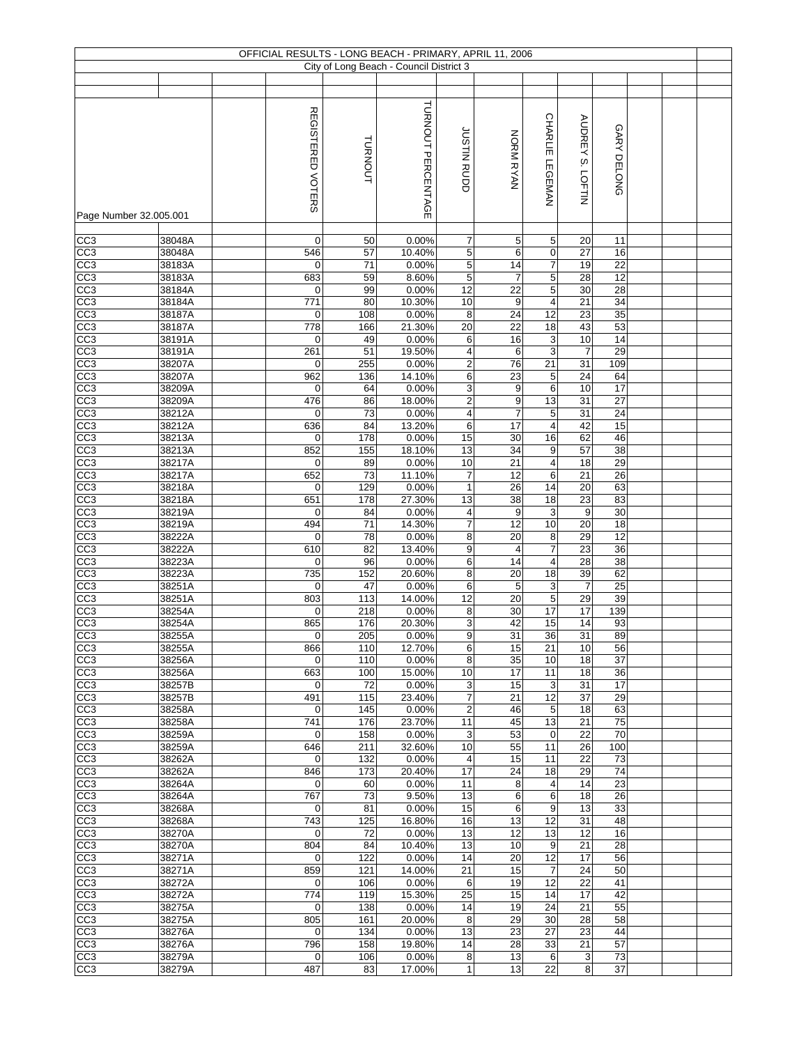|                                    |                  |                        |            | OFFICIAL RESULTS - LONG BEACH - PRIMARY, APRIL 11, 2006 |                     |                                  |                                  |                       |                       |  |  |
|------------------------------------|------------------|------------------------|------------|---------------------------------------------------------|---------------------|----------------------------------|----------------------------------|-----------------------|-----------------------|--|--|
|                                    |                  |                        |            | City of Long Beach - Council District 3                 |                     |                                  |                                  |                       |                       |  |  |
|                                    |                  |                        |            |                                                         |                     |                                  |                                  |                       |                       |  |  |
|                                    |                  |                        |            |                                                         |                     |                                  | <b>CHARLIE</b>                   |                       |                       |  |  |
| Page Number 32.005.001             |                  | REGISTERED VOTERS      | TURNOUT    | TURNOUT PERCENTAGE                                      | JUSTIN RUDD         | NORN RYAN                        | LEGEMAN                          | AUDREY S. LOFTIN      | GARY DELONG           |  |  |
| CC <sub>3</sub>                    | 38048A           | 0                      | 50         | 0.00%                                                   | 7                   | 5                                | 5                                | 20                    | 11                    |  |  |
| CC3                                | 38048A           | 546                    | 57         | 10.40%                                                  | $\overline{5}$      | 6                                | $\pmb{0}$                        | 27                    | 16                    |  |  |
| CC3                                | 38183A           | 0                      | 71         | 0.00%                                                   | 5                   | 14                               | 7                                | 19                    | 22                    |  |  |
| CC3<br>CC3                         | 38183A           | 683                    | 59         | 8.60%                                                   | $\overline{5}$      | $\overline{7}$                   | $\overline{5}$<br>$\overline{5}$ | 28<br>30              | 12                    |  |  |
| CC3                                | 38184A<br>38184A | 0<br>771               | 99<br>80   | 0.00%<br>10.30%                                         | 12<br>10            | 22<br>9                          | $\overline{\mathbf{4}}$          | 21                    | 28<br>34              |  |  |
| CC <sub>3</sub>                    | 38187A           | 0                      | 108        | 0.00%                                                   | 8                   | $\overline{24}$                  | 12                               | $\overline{23}$       | 35                    |  |  |
| CC3                                | 38187A           | 778                    | 166        | 21.30%                                                  | 20                  | 22                               | 18                               | 43                    | 53                    |  |  |
| CC3                                | 38191A           | 0                      | 49         | 0.00%                                                   | 6                   | 16                               | $\overline{3}$                   | 10                    | 14                    |  |  |
| CC3                                | 38191A           | 261                    | 51         | 19.50%                                                  | 4                   | 6                                | $\sqrt{3}$                       | $\overline{7}$        | 29                    |  |  |
| CC3                                | 38207A           | $\mathbf 0$            | 255        | 0.00%                                                   | $\overline{2}$      | 76                               | 21                               | 31                    | 109                   |  |  |
| CC <sub>3</sub>                    | 38207A           | 962                    | 136        | 14.10%                                                  | 6                   | 23                               | $\overline{5}$                   | 24                    | 64                    |  |  |
| CC3                                | 38209A           | $\mathbf 0$            | 64         | 0.00%                                                   | 3                   | $\boldsymbol{9}$                 | $6\overline{6}$                  | 10<br>31              | 17<br>27              |  |  |
| CC3<br>CC3                         | 38209A<br>38212A | 476<br>$\mathbf 0$     | 86<br>73   | 18.00%<br>0.00%                                         | 2<br>4              | $\overline{9}$<br>$\overline{7}$ | 13<br>$\overline{5}$             | 31                    | 24                    |  |  |
| CC <sub>3</sub>                    | 38212A           | 636                    | 84         | 13.20%                                                  | 6                   | $\overline{17}$                  | $\overline{\mathbf{4}}$          | 42                    | 15                    |  |  |
| CC <sub>3</sub>                    | 38213A           | $\mathbf 0$            | 178        | 0.00%                                                   | 15                  | $\overline{30}$                  | 16                               | 62                    | 46                    |  |  |
| CC3                                | 38213A           | 852                    | 155        | 18.10%                                                  | 13                  | $\overline{34}$                  | $\boldsymbol{9}$                 | 57                    | $\overline{38}$       |  |  |
| CC <sub>3</sub>                    | 38217A           | 0                      | 89         | 0.00%                                                   | 10                  | $\overline{21}$                  | $\overline{\mathbf{4}}$          | 18                    | 29                    |  |  |
| CC3                                | 38217A           | 652                    | 73         | 11.10%                                                  | $\overline{7}$      | 12                               | 6                                | 21                    | 26                    |  |  |
| CC <sub>3</sub>                    | 38218A           | 0                      | 129        | 0.00%                                                   | $\mathbf{1}$        | 26                               | 14                               | 20                    | 63                    |  |  |
| CC3                                | 38218A           | 651                    | 178        | 27.30%                                                  | 13                  | $\overline{38}$                  | 18                               | 23                    | 83                    |  |  |
| CC3                                | 38219A           | 0                      | 84         | 0.00%                                                   | 4                   | 9                                | 3                                | $\boldsymbol{9}$      | 30                    |  |  |
| CC3<br>CC3                         | 38219A<br>38222A | 494<br>$\mathbf 0$     | 71<br>78   | 14.30%<br>0.00%                                         | $\overline{7}$<br>8 | 12<br>$\overline{20}$            | 10<br>$\bf 8$                    | 20<br>29              | 18<br>$\overline{12}$ |  |  |
| CC3                                | 38222A           | 610                    | 82         | 13.40%                                                  | 9                   | $\overline{\mathbf{4}}$          | 7                                | 23                    | 36                    |  |  |
| CC3                                | 38223A           | 0                      | 96         | 0.00%                                                   | 6                   | 14                               | $\overline{\mathbf{4}}$          | 28                    | 38                    |  |  |
| CC <sub>3</sub>                    | 38223A           | 735                    | 152        | 20.60%                                                  | 8                   | 20                               | 18                               | 39                    | 62                    |  |  |
| CC3                                | 38251A           | $\mathbf 0$            | 47         | 0.00%                                                   | 6                   | $\sqrt{5}$                       | $\ensuremath{\mathsf{3}}$        | $\overline{7}$        | 25                    |  |  |
| CC <sub>3</sub>                    | 38251A           | 803                    | 113        | 14.00%                                                  | 12                  | 20                               | $\overline{5}$                   | 29                    | 39                    |  |  |
| CC3                                | 38254A           | 0                      | 218        | 0.00%                                                   | 8                   | 30                               | 17                               | 17                    | 139                   |  |  |
| CC3                                | 38254A           | 865                    | 176        | 20.30%                                                  | 3                   | 42                               | 15                               | 14                    | 93                    |  |  |
| CC <sub>3</sub><br>CC <sub>3</sub> | 38255A<br>38255A | $\vert 0 \vert$<br>866 | 205<br>110 | 0.00%<br>12.70%                                         | 9<br>6              | 31<br>15                         | 36<br>21                         | $\overline{31}$<br>10 | 89<br>56              |  |  |
| CC <sub>3</sub>                    | 38256A           | 0                      | 110        | 0.00%                                                   | 8                   | 35                               | 10                               | 18                    | 37                    |  |  |
| CC <sub>3</sub>                    | 38256A           | 663                    | 100        | 15.00%                                                  | 10                  | 17                               | 11                               | 18                    | 36                    |  |  |
| CC <sub>3</sub>                    | 38257B           | 0                      | 72         | 0.00%                                                   | 3                   | 15                               | 3                                | 31                    | 17                    |  |  |
| CC <sub>3</sub>                    | 38257B           | 491                    | 115        | 23.40%                                                  | $\overline{7}$      | 21                               | 12                               | 37                    | 29                    |  |  |
| CC <sub>3</sub>                    | 38258A           | 0                      | 145        | 0.00%                                                   | $\overline{2}$      | 46                               | 5                                | 18                    | 63                    |  |  |
| CC <sub>3</sub>                    | 38258A           | 741                    | 176        | 23.70%                                                  | 11                  | 45                               | 13                               | 21                    | 75                    |  |  |
| CC3                                | 38259A           | 0                      | 158        | 0.00%                                                   | 3                   | 53                               | $\mathbf 0$                      | 22                    | 70                    |  |  |
| CC3<br>CC3                         | 38259A<br>38262A | 646<br>0               | 211<br>132 | 32.60%<br>0.00%                                         | 10<br>4             | 55<br>15                         | 11<br>11                         | 26<br>22              | 100<br>73             |  |  |
| CC3                                | 38262A           | 846                    | 173        | 20.40%                                                  | 17                  | $\overline{24}$                  | 18                               | 29                    | 74                    |  |  |
| CC3                                | 38264A           | $\mathbf 0$            | 60         | 0.00%                                                   | 11                  | 8                                | $\overline{4}$                   | 14                    | 23                    |  |  |
| CC <sub>3</sub>                    | 38264A           | 767                    | 73         | 9.50%                                                   | 13                  | 6                                | 6                                | 18                    | 26                    |  |  |
| CC <sub>3</sub>                    | 38268A           | $\mathbf 0$            | 81         | 0.00%                                                   | 15                  | 6                                | 9                                | 13                    | 33                    |  |  |
| CC <sub>3</sub>                    | 38268A           | 743                    | 125        | 16.80%                                                  | 16                  | 13                               | 12                               | 31                    | 48                    |  |  |
| CC <sub>3</sub>                    | 38270A           | $\mathbf 0$            | 72         | 0.00%                                                   | 13                  | 12                               | 13                               | 12                    | 16                    |  |  |
| CC <sub>3</sub>                    | 38270A           | 804                    | 84         | 10.40%                                                  | 13                  | 10                               | 9                                | 21                    | 28                    |  |  |
| CC3<br>CC3                         | 38271A<br>38271A | 0<br>859               | 122<br>121 | 0.00%<br>14.00%                                         | 14<br>21            | 20<br>15                         | 12<br>$\overline{7}$             | 17<br>24              | 56<br>50              |  |  |
| CC3                                | 38272A           | 0                      | 106        | 0.00%                                                   | 6                   | 19                               | 12                               | 22                    | 41                    |  |  |
| CC <sub>3</sub>                    | 38272A           | 774                    | 119        | 15.30%                                                  | 25                  | 15                               | 14                               | 17                    | 42                    |  |  |
| CC <sub>3</sub>                    | 38275A           | 0                      | 138        | 0.00%                                                   | 14                  | 19                               | 24                               | 21                    | 55                    |  |  |
| CC <sub>3</sub>                    | 38275A           | 805                    | 161        | 20.00%                                                  | 8                   | 29                               | 30                               | 28                    | 58                    |  |  |
| CC <sub>3</sub>                    | 38276A           | $\mathbf 0$            | 134        | 0.00%                                                   | 13                  | 23                               | 27                               | 23                    | 44                    |  |  |
| CC <sub>3</sub>                    | 38276A           | 796                    | 158        | 19.80%                                                  | 14                  | 28                               | 33                               | 21                    | 57                    |  |  |
| CC3                                | 38279A           | 0                      | 106        | 0.00%                                                   | 8                   | 13                               | 6                                | 3                     | 73                    |  |  |
| CC <sub>3</sub>                    | 38279A           | 487                    | 83         | 17.00%                                                  | $\mathbf{1}$        | 13                               | 22                               | 8                     | 37                    |  |  |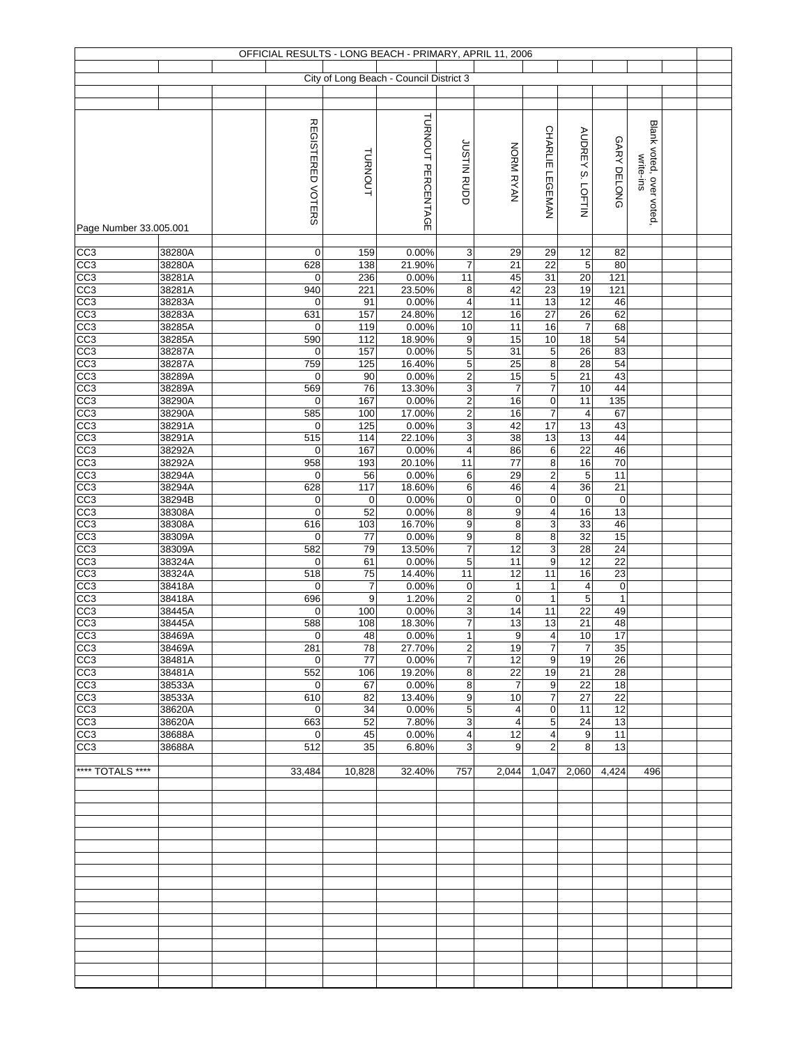|                                    |                  |                          |                   | OFFICIAL RESULTS - LONG BEACH - PRIMARY, APRIL 11, 2006 |                               |                             |                              |                          |                        |                                       |  |
|------------------------------------|------------------|--------------------------|-------------------|---------------------------------------------------------|-------------------------------|-----------------------------|------------------------------|--------------------------|------------------------|---------------------------------------|--|
|                                    |                  |                          |                   | City of Long Beach - Council District 3                 |                               |                             |                              |                          |                        |                                       |  |
|                                    |                  |                          |                   |                                                         |                               |                             |                              |                          |                        |                                       |  |
|                                    |                  |                          |                   |                                                         |                               |                             |                              |                          |                        |                                       |  |
|                                    |                  |                          |                   | TURNOUT PERCENTAGE                                      |                               |                             |                              |                          |                        |                                       |  |
|                                    |                  |                          |                   |                                                         |                               |                             | CHARLIE LEGEMAN              | <b>AUDREY S. LOFTIN</b>  |                        |                                       |  |
|                                    |                  |                          |                   |                                                         |                               |                             |                              |                          |                        |                                       |  |
|                                    |                  |                          |                   |                                                         |                               |                             |                              |                          |                        |                                       |  |
|                                    |                  |                          | TURNOUT           |                                                         | JUSTIN RUDD                   | NORM RYAN                   |                              |                          |                        |                                       |  |
|                                    |                  |                          |                   |                                                         |                               |                             |                              |                          | GARY DELONG            |                                       |  |
|                                    |                  | <b>REGISTERED VOTERS</b> |                   |                                                         |                               |                             |                              |                          |                        | Blank voted, over voted,<br>write-ins |  |
| Page Number 33.005.001             |                  |                          |                   |                                                         |                               |                             |                              |                          |                        |                                       |  |
| CC3                                | 38280A           | $\overline{0}$           | 159               | 0.00%                                                   | 3                             | 29                          | 29                           | 12                       | 82                     |                                       |  |
| CC3                                | 38280A           | 628                      | 138               | 21.90%                                                  | $\overline{7}$                | 21                          | 22                           | $\sqrt{5}$               | 80                     |                                       |  |
| CC3                                | 38281A           | 0                        | 236               | 0.00%                                                   | 11                            | 45                          | 31                           | 20                       | 121                    |                                       |  |
| CC3                                | 38281A           | 940                      | 221               | 23.50%                                                  | 8                             | 42                          | $\overline{23}$              | 19                       | 121                    |                                       |  |
| CC <sub>3</sub>                    | 38283A<br>38283A | $\mathbf 0$<br>631       | 91<br>157         | 0.00%<br>24.80%                                         | $\overline{\mathbf{4}}$<br>12 | 11<br>16                    | 13<br>$\overline{27}$        | $\overline{12}$<br>26    | 46<br>62               |                                       |  |
|                                    | 38285A           | $\mathbf 0$              | 119               | 0.00%                                                   | 10                            | 11                          | 16                           | $\overline{7}$           | 68                     |                                       |  |
| CC3<br>CC3<br>CC3                  | 38285A           | 590                      | 112               | 18.90%                                                  | $\boldsymbol{9}$              | 15                          | 10                           | 18                       | 54                     |                                       |  |
|                                    | 38287A           | $\mathbf 0$              | 157               | 0.00%                                                   | $\overline{5}$                | 31                          | 5                            | 26                       | 83                     |                                       |  |
| CC3                                | 38287A<br>38289A | 759<br>0                 | 125<br>90         | 16.40%<br>0.00%                                         | $\overline{5}$<br>$\mathbf 2$ | 25<br>15                    | $\overline{\mathbf{8}}$<br>5 | 28<br>$\overline{21}$    | 54<br>43               |                                       |  |
| CC3<br>CC3                         | 38289A           | 569                      | 76                | 13.30%                                                  | $\ensuremath{\mathsf{3}}$     | $\overline{7}$              | $\overline{7}$               | 10                       | 44                     |                                       |  |
| CC3                                | 38290A           | $\mathbf 0$              | 167               | 0.00%                                                   | $\overline{2}$                | 16                          | $\mathbf 0$                  | $\overline{11}$          | 135                    |                                       |  |
| $\frac{cc3}{cc3}$                  | 38290A           | 585                      | 100               | 17.00%                                                  | $\overline{c}$                | 16                          | 7                            | $\overline{\mathcal{A}}$ | 67                     |                                       |  |
|                                    | 38291A           | 0                        | 125               | 0.00%                                                   | 3                             | 42                          | 17                           | 13                       | 43                     |                                       |  |
| CC <sub>3</sub>                    | 38291A<br>38292A | 515<br>$\mathbf 0$       | 114<br>167        | 22.10%<br>0.00%                                         | 3<br>$\overline{4}$           | $\overline{38}$<br>86       | 13<br>$\,6\,$                | 13<br>22                 | 44<br>46               |                                       |  |
| $\frac{cc3}{cc3}$                  | 38292A           | 958                      | 193               | 20.10%                                                  | 11                            | 77                          | $\overline{\bf 8}$           | 16                       | 70                     |                                       |  |
| CC3                                | 38294A           | $\mathbf 0$              | 56                | 0.00%                                                   | 6                             | 29                          | $\overline{\mathbf{c}}$      | $\sqrt{5}$               | 11                     |                                       |  |
| $\overline{CC3}$                   | 38294A           | 628                      | 117               | 18.60%                                                  | 6                             | 46                          | 4                            | 36                       | 21                     |                                       |  |
| CC3<br>CC3                         | 38294B<br>38308A | $\mathbf 0$<br>$\pmb{0}$ | $\mathbf 0$<br>52 | 0.00%<br>0.00%                                          | $\mathbf 0$<br>$\bf 8$        | $\pmb{0}$<br>$\overline{9}$ | 0<br>4                       | $\mathbf 0$<br>16        | $\boldsymbol{0}$<br>13 |                                       |  |
| CC3                                | 38308A           | 616                      | 103               | 16.70%                                                  | 9                             | $\overline{8}$              | 3                            | 33                       | 46                     |                                       |  |
| CC3                                | 38309A           | $\boldsymbol{0}$         | 77                | 0.00%                                                   | $\boldsymbol{9}$              | $\bf8$                      | 8                            | 32                       | 15                     |                                       |  |
| CC <sub>3</sub>                    | 38309A           | 582                      | 79                | 13.50%                                                  | 7                             | 12                          | 3                            | 28                       | 24                     |                                       |  |
| $\frac{1}{100}$                    | 38324A<br>38324A | $\mathbf 0$<br>518       | 61<br>75          | 0.00%<br>14.40%                                         | $\,$ 5 $\,$<br>11             | 11<br>12                    | $\boldsymbol{9}$<br>11       | 12<br>16                 | 22<br>23               |                                       |  |
| CC3                                | 38418A           | $\mathbf 0$              | $\overline{7}$    | 0.00%                                                   | 0                             | $\mathbf{1}$                | $\mathbf{1}$                 | $\overline{a}$           | $\pmb{0}$              |                                       |  |
| CC <sub>3</sub>                    | 38418A           | 696                      | 9                 | 1.20%                                                   | $\overline{2}$                | $\mathbf 0$                 | $\mathbf{1}$                 | $\overline{5}$           | $\mathbf{1}$           |                                       |  |
| CC <sub>3</sub>                    | 38445A           | $\mathbf 0$              | 100               | 0.00%                                                   | $\overline{3}$                | 14                          | 11                           | $\overline{22}$          | 49                     |                                       |  |
| CC3<br>CC3                         | 38445A<br>38469A | 588<br>$\mathbf 0$       | 108<br>48         | 18.30%<br>0.00%                                         | 7<br>$\mathbf{1}$             | 13<br>9                     | 13<br>4                      | 21<br>10                 | 48<br>17               |                                       |  |
| CC3                                | 38469A           | 281                      | 78                | 27.70%                                                  | $\boldsymbol{2}$              | 19                          | 7                            | $\overline{7}$           | 35                     |                                       |  |
| CC <sub>3</sub>                    | 38481A           | $\overline{0}$           | 77                | 0.00%                                                   | $\overline{7}$                | 12                          | 9                            | 19                       | 26                     |                                       |  |
| CC <sub>3</sub>                    | 38481A           | 552                      | 106               | 19.20%                                                  | 8                             | 22                          | 19                           | 21                       | 28                     |                                       |  |
| CC <sub>3</sub>                    | 38533A           | $\mathbf 0$              | 67                | 0.00%                                                   | 8<br>9                        | $\overline{7}$              | 9<br>$\overline{7}$          | 22<br>27                 | 18<br>22               |                                       |  |
| CC <sub>3</sub><br>CC <sub>3</sub> | 38533A<br>38620A | 610<br>$\mathbf 0$       | 82<br>34          | 13.40%<br>0.00%                                         | 5                             | 10<br>4                     | 0                            | 11                       | 12                     |                                       |  |
| CC3                                | 38620A           | 663                      | 52                | 7.80%                                                   | 3                             | 4                           | 5                            | 24                       | 13                     |                                       |  |
| CC3                                | 38688A           | $\overline{0}$           | 45                | 0.00%                                                   | 4                             | 12                          | 4                            | 9                        | 11                     |                                       |  |
| CC <sub>3</sub>                    | 38688A           | 512                      | 35                | 6.80%                                                   | 3                             | 9                           | 2                            | 8                        | 13                     |                                       |  |
| **** TOTALS ****                   |                  | 33,484                   | 10,828            | 32.40%                                                  | 757                           | 2,044                       | 1,047                        | 2,060                    | 4,424                  | 496                                   |  |
|                                    |                  |                          |                   |                                                         |                               |                             |                              |                          |                        |                                       |  |
|                                    |                  |                          |                   |                                                         |                               |                             |                              |                          |                        |                                       |  |
|                                    |                  |                          |                   |                                                         |                               |                             |                              |                          |                        |                                       |  |
|                                    |                  |                          |                   |                                                         |                               |                             |                              |                          |                        |                                       |  |
|                                    |                  |                          |                   |                                                         |                               |                             |                              |                          |                        |                                       |  |
|                                    |                  |                          |                   |                                                         |                               |                             |                              |                          |                        |                                       |  |
|                                    |                  |                          |                   |                                                         |                               |                             |                              |                          |                        |                                       |  |
|                                    |                  |                          |                   |                                                         |                               |                             |                              |                          |                        |                                       |  |
|                                    |                  |                          |                   |                                                         |                               |                             |                              |                          |                        |                                       |  |
|                                    |                  |                          |                   |                                                         |                               |                             |                              |                          |                        |                                       |  |
|                                    |                  |                          |                   |                                                         |                               |                             |                              |                          |                        |                                       |  |
|                                    |                  |                          |                   |                                                         |                               |                             |                              |                          |                        |                                       |  |
|                                    |                  |                          |                   |                                                         |                               |                             |                              |                          |                        |                                       |  |
|                                    |                  |                          |                   |                                                         |                               |                             |                              |                          |                        |                                       |  |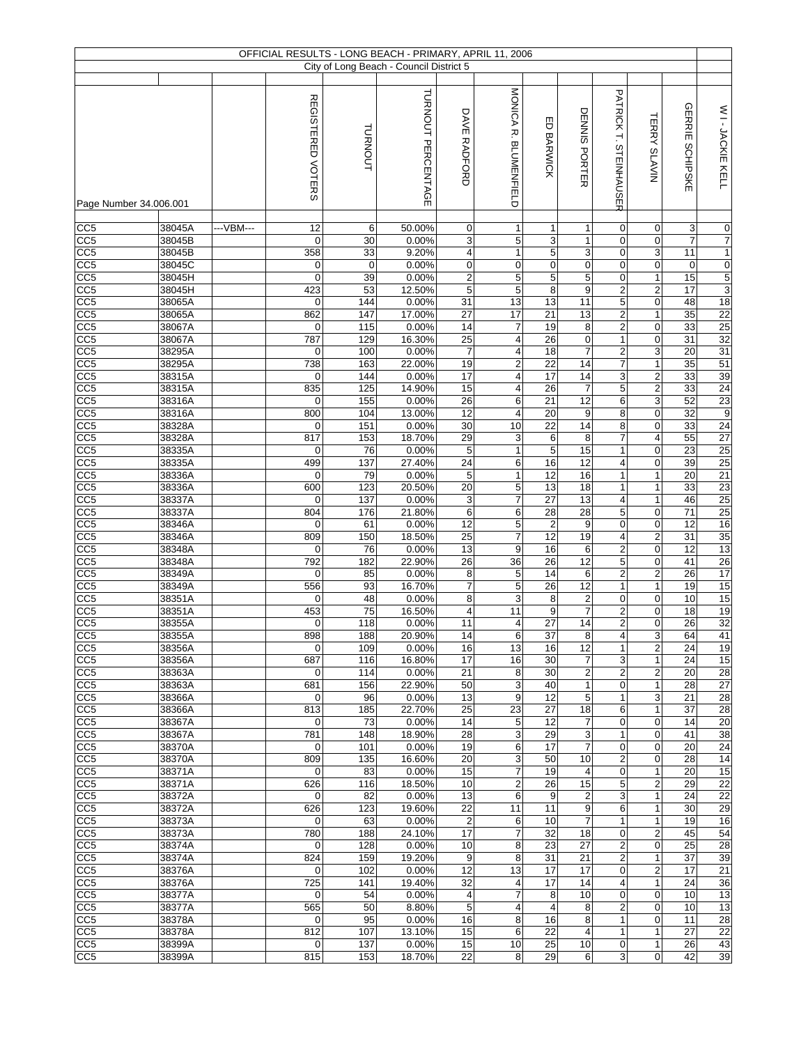|                                    |                  |           |                          |                   | OFFICIAL RESULTS - LONG BEACH - PRIMARY, APRIL 11, 2006 |                                    |                              |                                   |                                   |                                  |                                |                   |                                  |
|------------------------------------|------------------|-----------|--------------------------|-------------------|---------------------------------------------------------|------------------------------------|------------------------------|-----------------------------------|-----------------------------------|----------------------------------|--------------------------------|-------------------|----------------------------------|
|                                    |                  |           |                          |                   | City of Long Beach - Council District 5                 |                                    |                              |                                   |                                   |                                  |                                |                   |                                  |
|                                    |                  |           |                          |                   | TURNOUT PERCENTAGE                                      |                                    | <b>NONICA R. BLONENHIELD</b> |                                   |                                   | PATRICK T. STEINHAUSER           |                                |                   |                                  |
|                                    |                  |           | <b>REGISTERED VOTERS</b> |                   |                                                         |                                    |                              |                                   |                                   |                                  |                                | <b>GERRIE</b>     | WI-JACKIE KELL                   |
|                                    |                  |           |                          |                   |                                                         |                                    |                              |                                   |                                   |                                  |                                |                   |                                  |
|                                    |                  |           |                          |                   |                                                         |                                    |                              |                                   |                                   |                                  |                                |                   |                                  |
|                                    |                  |           |                          | <b>TURNOUT</b>    |                                                         | DAVE RADFORD                       |                              | ED BARWICK                        | DENNIS PORTER                     |                                  | <b>TERRY SLAVIN</b>            | <b>SCHIPSKE</b>   |                                  |
|                                    |                  |           |                          |                   |                                                         |                                    |                              |                                   |                                   |                                  |                                |                   |                                  |
|                                    |                  |           |                          |                   |                                                         |                                    |                              |                                   |                                   |                                  |                                |                   |                                  |
| Page Number 34.006.001             |                  |           |                          |                   |                                                         |                                    |                              |                                   |                                   |                                  |                                |                   |                                  |
| CC5                                | 38045A           | ---VBM--- | 12                       | 6                 | 50.00%                                                  | $\mathbf 0$                        | 1                            | $\mathbf{1}$                      | $\mathbf{1}$                      | 0                                | 0                              | 3                 | $\mathbf 0$                      |
| CC5                                | 38045B           |           | 0                        | 30                | 0.00%                                                   | 3                                  | 5                            | 3                                 | $\mathbf{1}$                      | 0                                | $\pmb{0}$                      | $\overline{7}$    | 7                                |
| CC5                                | 38045B           |           | 358                      | 33                | 9.20%                                                   | $\overline{4}$                     | $\mathbf{1}$                 | 5<br>$\mathbf 0$                  | 3<br>$\mathbf 0$                  | 0<br>0                           | $\overline{3}$<br>0            | 11                | $\mathbf{1}$                     |
| CC <sub>5</sub><br>CC5             | 38045C<br>38045H |           | 0<br>$\mathbf 0$         | $\mathbf 0$<br>39 | 0.00%<br>0.00%                                          | $\boldsymbol{0}$<br>$\overline{2}$ | $\mathsf 0$<br>5             | 5                                 | 5                                 | 0                                | $\mathbf{1}$                   | $\mathbf 0$<br>15 | $\overline{0}$<br>$\overline{5}$ |
| CC <sub>5</sub>                    | 38045H           |           | 423                      | 53                | 12.50%                                                  | 5                                  | 5                            | 8                                 | 9                                 | $\overline{\mathbf{c}}$          | $\overline{\mathbf{c}}$        | 17                | $\overline{3}$                   |
| CC5                                | 38065A           |           | $\mathbf 0$              | 144               | 0.00%                                                   | 31                                 | 13                           | 13                                | 11                                | 5                                | 0                              | 48                | 18                               |
| CC <sub>5</sub>                    | 38065A           |           | 862                      | 147               | 17.00%                                                  | 27                                 | 17                           | $\overline{21}$                   | 13                                | $\overline{2}$                   | $\mathbf{1}$                   | 35                | 22                               |
| CC5                                | 38067A           |           | 0                        | 115               | 0.00%                                                   | 14                                 | 7                            | 19                                | 8                                 | $\overline{\mathbf{c}}$          | 0                              | 33                | 25                               |
| CC5                                | 38067A           |           | 787                      | 129               | 16.30%                                                  | $\overline{25}$                    | $\overline{\mathbf{4}}$      | 26                                | $\pmb{0}$                         | $\mathbf{1}$                     | 0                              | 31                | 32                               |
| CC <sub>5</sub><br>CC5             | 38295A<br>38295A |           | 0<br>738                 | 100<br>163        | 0.00%<br>22.00%                                         | $\overline{7}$<br>19               | 4<br>$\overline{2}$          | 18<br>$\overline{22}$             | $\overline{7}$<br>$\overline{14}$ | $\overline{2}$<br>$\overline{7}$ | $\overline{3}$<br>$\mathbf{1}$ | 20<br>35          | 31<br>51                         |
| CC5                                | 38315A           |           | 0                        | 144               | 0.00%                                                   | 17                                 | 4                            | $\overline{17}$                   | 14                                | 3                                | $\overline{2}$                 | 33                | 39                               |
| CC <sub>5</sub>                    | 38315A           |           | 835                      | 125               | 14.90%                                                  | 15                                 | 4                            | 26                                | $\overline{7}$                    | 5                                | $\overline{2}$                 | 33                | 24                               |
| CC <sub>5</sub>                    | 38316A           |           | 0                        | 155               | 0.00%                                                   | 26                                 | 6                            | $\overline{21}$                   | $\overline{12}$                   | 6                                | 3                              | 52                | 23                               |
| CC5                                | 38316A           |           | 800                      | 104               | 13.00%                                                  | 12                                 | 4                            | 20                                | 9                                 | 8                                | 0                              | 32                | $\overline{9}$                   |
| CC <sub>5</sub>                    | 38328A           |           | 0                        | 151               | 0.00%                                                   | 30                                 | 10                           | $\overline{22}$                   | $\overline{14}$                   | 8                                | $\mathbf 0$                    | 33                | 24                               |
| CC <sub>5</sub><br>CC <sub>5</sub> | 38328A<br>38335A |           | 817<br>$\mathbf 0$       | 153<br>76         | 18.70%<br>0.00%                                         | 29<br>$\overline{5}$               | 3<br>$\mathbf{1}$            | 6<br>$\overline{5}$               | 8<br>15                           | $\overline{7}$<br>$\overline{1}$ | 4<br>$\overline{0}$            | 55<br>23          | 27<br>25                         |
| CC <sub>5</sub>                    | 38335A           |           | 499                      | 137               | 27.40%                                                  | $\overline{24}$                    | 6                            | 16                                | 12                                | $\overline{\mathbf{r}}$          | $\overline{0}$                 | 39                | 25                               |
| CC5                                | 38336A           |           | $\pmb{0}$                | 79                | 0.00%                                                   | 5                                  | $\mathbf{1}$                 | $\overline{12}$                   | 16                                | $\mathbf{1}$                     | $\mathbf{1}$                   | 20                | 21                               |
| CC <sub>5</sub>                    | 38336A           |           | 600                      | 123               | 20.50%                                                  | 20                                 | 5                            | 13                                | 18                                | $\mathbf{1}$                     | $\mathbf{1}$                   | 33                | 23                               |
| CC <sub>5</sub>                    | 38337A           |           | 0                        | 137               | 0.00%                                                   | 3                                  | $\overline{7}$               | $\overline{27}$                   | 13                                | 4                                | $\mathbf{1}$                   | 46                | 25                               |
| CC <sub>5</sub>                    | 38337A           |           | 804                      | 176               | 21.80%                                                  | 6                                  | 6                            | 28                                | $\overline{28}$                   | 5                                | 0                              | 71                | 25                               |
| CC5<br>$\overline{CC5}$            | 38346A<br>38346A |           | $\mathbf 0$<br>809       | 61<br>150         | 0.00%<br>18.50%                                         | 12<br>$\overline{25}$              | $\overline{5}$<br>7          | $\overline{2}$<br>$\overline{12}$ | $\boldsymbol{9}$<br>19            | 0<br>4                           | 0<br>$\overline{2}$            | 12<br>31          | 16<br>35                         |
| CC5                                | 38348A           |           | 0                        | 76                | 0.00%                                                   | 13                                 | 9                            | 16                                | 6                                 | $\overline{\mathbf{c}}$          | 0                              | 12                | 13                               |
| CC <sub>5</sub>                    | 38348A           |           | 792                      | 182               | 22.90%                                                  | $\overline{26}$                    | 36                           | 26                                | $\overline{12}$                   | 5                                | 0                              | 41                | 26                               |
| CC <sub>5</sub>                    | 38349A           |           | 0                        | 85                | 0.00%                                                   | 8                                  | 5                            | 14                                | $\,6$                             | $\overline{2}$                   | $\overline{2}$                 | 26                | 17                               |
| CC5                                | 38349A           |           | 556                      | 93                | 16.70%                                                  | $\overline{7}$                     | 5                            | 26                                | 12                                | $\mathbf{1}$                     | $\mathbf{1}$                   | 19                | 15                               |
| CC5<br>CC5                         | 38351A           |           | 0<br>453                 | 48<br>75          | 0.00%<br>16.50%                                         | 8<br>$\overline{\mathbf{4}}$       | 3<br>11                      | 8<br>9                            | $\overline{2}$<br>$\overline{7}$  | 0<br>$\overline{2}$              | 0<br>0                         | 10<br>18          | 15<br>19                         |
| CC <sub>5</sub>                    | 38351A<br>38355A |           | $\mathbf 0$              | 118               | 0.00%                                                   | 11                                 | 4                            | 27                                | $\overline{14}$                   | $\overline{2}$                   | $\mathbf 0$                    | 26                | 32                               |
| CC <sub>5</sub>                    | 38355A           |           | 898                      | 188               | 20.90%                                                  | 14                                 | 6                            | 37                                | 8                                 | $\overline{4}$                   | $\overline{3}$                 | 64                | 41                               |
| CC <sub>5</sub>                    | 38356A           |           | $\mathbf 0$              | 109               | 0.00%                                                   | 16                                 | 13                           | 16                                | 12                                | 1                                | $\overline{c}$                 | 24                | 19                               |
| CC <sub>5</sub>                    | 38356A           |           | 687                      | 116               | 16.80%                                                  | 17                                 | 16                           | 30                                | $\overline{7}$                    | 3                                | $\mathbf{1}$                   | 24                | 15                               |
| CC <sub>5</sub>                    | 38363A           |           | 0                        | 114               | 0.00%                                                   | 21                                 | 8                            | 30                                | $\mathbf 2$                       | $\overline{c}$                   | $\overline{c}$                 | 20                | 28                               |
| CC <sub>5</sub><br>CC <sub>5</sub> | 38363A<br>38366A |           | 681<br>0                 | 156<br>96         | 22.90%<br>0.00%                                         | 50<br>13                           | 3<br>9                       | 40<br>12                          | $\mathbf{1}$<br>5                 | 0<br>$\mathbf{1}$                | $\mathbf{1}$<br>3              | 28<br>21          | 27<br>$\overline{28}$            |
| CC <sub>5</sub>                    | 38366A           |           | 813                      | 185               | 22.70%                                                  | 25                                 | 23                           | 27                                | 18                                | 6                                | $\mathbf{1}$                   | 37                | 28                               |
| CC <sub>5</sub>                    | 38367A           |           | 0                        | 73                | 0.00%                                                   | 14                                 | 5                            | 12                                | $\overline{7}$                    | 0                                | 0                              | 14                | 20                               |
| CC <sub>5</sub>                    | 38367A           |           | 781                      | 148               | 18.90%                                                  | 28                                 | 3                            | 29                                | 3                                 | $\mathbf{1}$                     | 0                              | 41                | 38                               |
| CC <sub>5</sub>                    | 38370A           |           | 0                        | 101               | 0.00%                                                   | 19                                 | 6                            | 17                                | $\overline{7}$                    | 0                                | 0                              | 20                | 24                               |
| CC <sub>5</sub>                    | 38370A           |           | 809                      | 135               | 16.60%                                                  | 20                                 | 3                            | 50                                | 10                                | $\overline{c}$                   | 0                              | 28                | 14                               |
| CC <sub>5</sub><br>CC <sub>5</sub> | 38371A<br>38371A |           | 0<br>626                 | 83<br>116         | 0.00%<br>18.50%                                         | 15<br>10                           | 7<br>2                       | 19<br>26                          | $\overline{\mathbf{4}}$<br>15     | 0<br>5                           | $\mathbf{1}$<br>$\overline{c}$ | 20<br>29          | 15<br>22                         |
| CC <sub>5</sub>                    | 38372A           |           | 0                        | 82                | 0.00%                                                   | 13                                 | 6                            | 9                                 | $\overline{2}$                    | 3                                | $\mathbf{1}$                   | 24                | $\overline{22}$                  |
| CC <sub>5</sub>                    | 38372A           |           | 626                      | 123               | 19.60%                                                  | 22                                 | 11                           | 11                                | 9                                 | 6                                | $\mathbf{1}$                   | 30                | 29                               |
| CC <sub>5</sub>                    | 38373A           |           | 0                        | 63                | 0.00%                                                   | $\overline{2}$                     | 6                            | 10                                | $\overline{7}$                    | $\mathbf{1}$                     | $\mathbf{1}$                   | 19                | 16                               |
| CC <sub>5</sub>                    | 38373A           |           | 780                      | 188               | 24.10%                                                  | 17                                 | 7                            | 32                                | 18                                | 0                                | $\overline{c}$                 | 45                | 54                               |
| CC <sub>5</sub>                    | 38374A           |           | 0                        | 128               | 0.00%                                                   | 10                                 | 8                            | 23                                | 27                                | $\overline{c}$                   | 0                              | 25                | 28                               |
| CC <sub>5</sub>                    | 38374A           |           | 824<br>0                 | 159<br>102        | 19.20%<br>0.00%                                         | 9<br>12                            | 8<br>13                      | 31<br>17                          | 21<br>17                          | $\overline{\mathbf{c}}$<br>0     | $\mathbf{1}$<br>$\overline{c}$ | 37<br>17          | 39<br>$\overline{21}$            |
| CC <sub>5</sub><br>CC <sub>5</sub> | 38376A<br>38376A |           | 725                      | 141               | 19.40%                                                  | 32                                 | $\overline{4}$               | 17                                | 14                                | $\overline{4}$                   | $\mathbf{1}$                   | 24                | 36                               |
| CC <sub>5</sub>                    | 38377A           |           | $\mathbf 0$              | 54                | 0.00%                                                   | $\overline{4}$                     | $\overline{7}$               | 8                                 | 10                                | 0                                | 0                              | 10                | 13                               |
| CC <sub>5</sub>                    | 38377A           |           | 565                      | 50                | 8.80%                                                   | 5                                  | $\overline{\mathbf{4}}$      | $\overline{4}$                    | 8                                 | $\overline{\mathbf{c}}$          | 0                              | 10                | 13                               |
| CC <sub>5</sub>                    | 38378A           |           | 0                        | 95                | 0.00%                                                   | 16                                 | 8                            | 16                                | 8                                 | $\mathbf{1}$                     | 0                              | 11                | $\overline{28}$                  |
| CC <sub>5</sub>                    | 38378A           |           | 812                      | 107               | 13.10%                                                  | 15                                 | 6                            | 22                                | $\overline{4}$                    | $\mathbf{1}$                     | $\mathbf{1}$                   | 27                | 22                               |
| CC <sub>5</sub>                    | 38399A           |           | 0                        | 137               | 0.00%                                                   | 15                                 | 10                           | 25                                | 10                                | 0                                | $\mathbf{1}$                   | 26                | 43                               |
| CC <sub>5</sub>                    | 38399A           |           | 815                      | 153               | 18.70%                                                  | 22                                 | 8                            | 29                                | 6                                 | 3                                | 0                              | 42                | 39                               |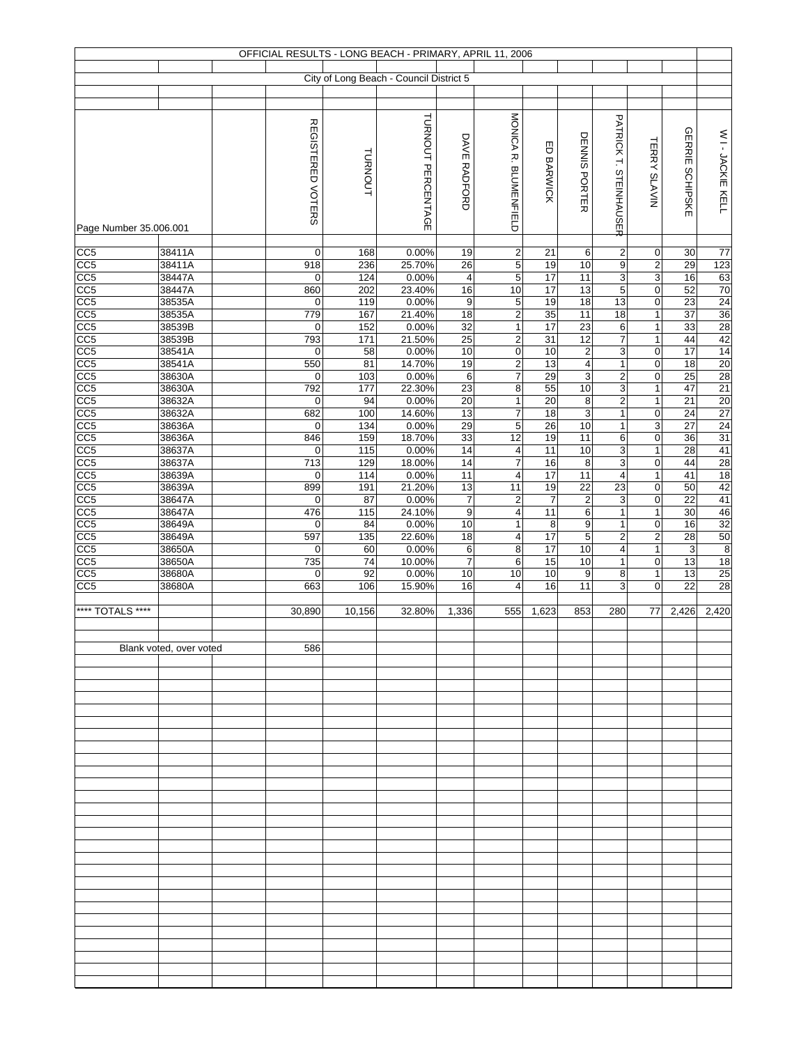|                                     |                         |                          |            | OFFICIAL RESULTS - LONG BEACH - PRIMARY, APRIL 11, 2006 |                         |                                         |                       |                                           |                                |                                  |                        |                       |
|-------------------------------------|-------------------------|--------------------------|------------|---------------------------------------------------------|-------------------------|-----------------------------------------|-----------------------|-------------------------------------------|--------------------------------|----------------------------------|------------------------|-----------------------|
|                                     |                         |                          |            | City of Long Beach - Council District 5                 |                         |                                         |                       |                                           |                                |                                  |                        |                       |
|                                     |                         |                          |            |                                                         |                         |                                         |                       |                                           |                                |                                  |                        |                       |
|                                     |                         |                          |            |                                                         |                         |                                         |                       |                                           |                                |                                  |                        |                       |
|                                     |                         | <b>REGISTERED VOTERS</b> |            | TURNOUT PERCENTAGE                                      |                         | MONICA R. BLUMENFIELD                   |                       |                                           | PATRICK T. STEINHAUSER         |                                  |                        |                       |
|                                     |                         |                          |            |                                                         | DAVE RADFORD            |                                         |                       | DENNIS PORTER                             |                                |                                  | <b>GERRIE SCHIPSKE</b> | WI-JACKIE KELL        |
|                                     |                         |                          | TURNOUT    |                                                         |                         |                                         | ED BARWICK            |                                           |                                | <b>TERRY SLAVIN</b>              |                        |                       |
|                                     |                         |                          |            |                                                         |                         |                                         |                       |                                           |                                |                                  |                        |                       |
|                                     |                         |                          |            |                                                         |                         |                                         |                       |                                           |                                |                                  |                        |                       |
|                                     |                         |                          |            |                                                         |                         |                                         |                       |                                           |                                |                                  |                        |                       |
|                                     |                         |                          |            |                                                         |                         |                                         |                       |                                           |                                |                                  |                        |                       |
| Page Number 35.006.001              |                         |                          |            |                                                         |                         |                                         |                       |                                           |                                |                                  |                        |                       |
| CC5                                 | 38411A                  | $\mathbf 0$              | 168        | 0.00%                                                   | 19                      | $\overline{c}$                          | 21                    | 6                                         | $\boldsymbol{2}$               | $\pmb{0}$                        | 30                     | $\overline{77}$       |
| CC <sub>5</sub>                     | 38411A                  | 918                      | 236        | 25.70%                                                  | 26                      | 5                                       | 19                    | $10$                                      | 9                              | 2                                | 29                     | 123                   |
| CC <sub>5</sub>                     | 38447A                  | $\mathbf 0$              | 124        | 0.00%                                                   | $\overline{\mathbf{4}}$ | $\sqrt{5}$                              | 17                    | 11                                        | $\overline{3}$                 | 3                                | 16                     | 63                    |
| CC5<br>CC <sub>5</sub>              | 38447A<br>38535A        | 860<br>0                 | 202<br>119 | 23.40%<br>0.00%                                         | 16<br>9                 | 10<br>$\,$ 5 $\,$                       | $\overline{17}$<br>19 | 13<br>18                                  | $\overline{5}$<br>13           | $\overline{0}$<br>$\overline{0}$ | 52<br>$\overline{23}$  | 70<br>$\overline{24}$ |
| CC <sub>5</sub>                     | 38535A                  | 779                      | 167        | 21.40%                                                  | 18                      | $\mathbf{p}$                            | 35                    | 11                                        | $\overline{18}$                | $\overline{1}$                   | 37                     | 36                    |
| CC <sub>5</sub>                     | 38539B                  | 0                        | 152        | 0.00%                                                   | 32                      | $\mathbf{1}$                            | 17                    | 23                                        | $6 \overline{}$                | $\overline{1}$                   | 33                     | 28                    |
| CC <sub>5</sub>                     | 38539B                  | 793                      | 171        | 21.50%                                                  | $\overline{25}$         | $\mathbf{p}$                            | 31                    | 12                                        | $\overline{7}$                 | $\overline{1}$                   | 44                     | 42                    |
| CC5                                 | 38541A                  | 0<br>550                 | 58<br>81   | 0.00%<br>14.70%                                         | 10<br>19                | $\mathbf 0$<br>$\mathbf{p}$             | 10<br>13              | $\overline{2}$<br>$\overline{\mathbf{4}}$ | $\overline{3}$<br>$\mathbf{1}$ | $\overline{0}$<br>$\overline{0}$ | 17<br>18               | 14                    |
| CC <sub>5</sub><br>CC5              | 38541A<br>38630A        | $\mathbf 0$              | 103        | 0.00%                                                   | 6                       | $\overline{7}$                          | 29                    | $\overline{3}$                            | $\overline{2}$                 | $\overline{0}$                   | 25                     | 20<br>28              |
| CC <sub>5</sub>                     | 38630A                  | 792                      | 177        | 22.30%                                                  | $\overline{23}$         | 8                                       | 55                    | 10                                        | 3                              | $\ddagger$                       | 47                     | $\overline{21}$       |
| CC5                                 | 38632A                  | 0                        | 94         | 0.00%                                                   | 20                      | $\mathbf{1}$                            | 20                    | $\overline{8}$                            | $\overline{2}$                 | $\ddagger$                       | 21                     | 20                    |
| CC <sub>5</sub>                     | 38632A                  | 682                      | 100        | 14.60%                                                  | 13                      | 7                                       | $\overline{18}$       | $\overline{3}$                            | $\mathbf{1}$                   | $\overline{0}$                   | $\overline{24}$        | 27                    |
| CC <sub>5</sub><br>CC5              | 38636A<br>38636A        | $\mathbf 0$<br>846       | 134<br>159 | 0.00%<br>18.70%                                         | 29<br>33                | $\sqrt{5}$<br>12                        | 26<br>19              | 10<br>11                                  | $\mathbf{1}$<br>$\sqrt{6}$     | 3<br>$\overline{0}$              | 27<br>$\overline{36}$  | 24<br>31              |
| CC <sub>5</sub>                     | 38637A                  | $\mathbf 0$              | 115        | 0.00%                                                   | 14                      | $\overline{a}$                          | 11                    | 10                                        | $\overline{3}$                 | $\mathbf{1}$                     | 28                     | 41                    |
| CC <sub>5</sub>                     | 38637A                  | 713                      | 129        | 18.00%                                                  | $\overline{14}$         | $\overline{7}$                          | 16                    | 8                                         | $\overline{3}$                 | $\pmb{0}$                        | 44                     | $rac{28}{18}$         |
| CC <sub>5</sub>                     | 38639A                  | $\pmb{0}$                | 114        | 0.00%                                                   | 11                      | $\overline{\mathbf{4}}$                 | 17                    | 11                                        | $\overline{4}$                 | $\mathbf 1$                      | 41                     |                       |
| CC <sub>5</sub>                     | 38639A                  | 899<br>$\mathbf 0$       | 191<br>87  | 21.20%<br>0.00%                                         | 13                      | 11                                      | 19<br>$\overline{7}$  | $\overline{22}$<br>$\overline{c}$         | 23                             | $\mathbf 0$<br>$\overline{0}$    | 50<br>22               | 42<br>41              |
| CC <sub>5</sub><br>$\overline{CC5}$ | 38647A<br>38647A        | 476                      | 115        | 24.10%                                                  | $\boldsymbol{7}$<br>9   | $\mathbf{p}$<br>$\overline{\mathbf{4}}$ | 11                    | $\overline{6}$                            | $\overline{3}$<br>$\mathbf{1}$ | $\ddagger$                       | 30                     | 46                    |
| CC <sub>5</sub>                     | 38649A                  | 0                        | 84         | 0.00%                                                   | 10                      | $\mathbf{1}$                            | 8                     | $\overline{9}$                            | $\mathbf{1}$                   | 0                                | 16                     | 32                    |
| CC <sub>5</sub>                     | 38649A                  | 597                      | 135        | 22.60%                                                  | 18                      | $\overline{\mathbf{4}}$                 | 17                    | $\overline{5}$                            | $\overline{2}$                 | $\overline{\mathbf{2}}$          | 28                     | 50                    |
| CC <sub>5</sub>                     | 38650A                  | 0                        | 60         | 0.00%                                                   | $\sigma$                | 8                                       | 17                    | 10                                        | 4                              | $\mathbf{1}$                     | $\overline{3}$         | $\overline{8}$        |
| CC5<br>CC <sub>5</sub>              | 38650A<br>38680A        | 735<br>0                 | 74<br>92   | 10.00%<br>0.00%                                         | $\overline{7}$<br>$10$  | $\,6$<br>10                             | 15<br>10              | $10$<br>9                                 | $\mathbf{1}$<br>8              | $\overline{0}$<br>$\mathbf{1}$   | 13<br>13               | 18<br>25              |
| CC <sub>5</sub>                     | 38680A                  | 663                      | 106        | 15.90%                                                  | 16                      | $\overline{\mathbf{4}}$                 | 16                    | 11                                        | 3                              | $\pmb{0}$                        | 22                     | 28                    |
|                                     |                         |                          |            |                                                         |                         |                                         |                       |                                           |                                |                                  |                        |                       |
| **** TOTALS ****                    |                         | 30,890                   | 10,156     | 32.80%                                                  | 1,336                   | 555                                     | 1,623                 | 853                                       | 280                            | 77                               | 2,426                  | 2,420                 |
|                                     |                         |                          |            |                                                         |                         |                                         |                       |                                           |                                |                                  |                        |                       |
|                                     | Blank voted, over voted | 586                      |            |                                                         |                         |                                         |                       |                                           |                                |                                  |                        |                       |
|                                     |                         |                          |            |                                                         |                         |                                         |                       |                                           |                                |                                  |                        |                       |
|                                     |                         |                          |            |                                                         |                         |                                         |                       |                                           |                                |                                  |                        |                       |
|                                     |                         |                          |            |                                                         |                         |                                         |                       |                                           |                                |                                  |                        |                       |
|                                     |                         |                          |            |                                                         |                         |                                         |                       |                                           |                                |                                  |                        |                       |
|                                     |                         |                          |            |                                                         |                         |                                         |                       |                                           |                                |                                  |                        |                       |
|                                     |                         |                          |            |                                                         |                         |                                         |                       |                                           |                                |                                  |                        |                       |
|                                     |                         |                          |            |                                                         |                         |                                         |                       |                                           |                                |                                  |                        |                       |
|                                     |                         |                          |            |                                                         |                         |                                         |                       |                                           |                                |                                  |                        |                       |
|                                     |                         |                          |            |                                                         |                         |                                         |                       |                                           |                                |                                  |                        |                       |
|                                     |                         |                          |            |                                                         |                         |                                         |                       |                                           |                                |                                  |                        |                       |
|                                     |                         |                          |            |                                                         |                         |                                         |                       |                                           |                                |                                  |                        |                       |
|                                     |                         |                          |            |                                                         |                         |                                         |                       |                                           |                                |                                  |                        |                       |
|                                     |                         |                          |            |                                                         |                         |                                         |                       |                                           |                                |                                  |                        |                       |
|                                     |                         |                          |            |                                                         |                         |                                         |                       |                                           |                                |                                  |                        |                       |
|                                     |                         |                          |            |                                                         |                         |                                         |                       |                                           |                                |                                  |                        |                       |
|                                     |                         |                          |            |                                                         |                         |                                         |                       |                                           |                                |                                  |                        |                       |
|                                     |                         |                          |            |                                                         |                         |                                         |                       |                                           |                                |                                  |                        |                       |
|                                     |                         |                          |            |                                                         |                         |                                         |                       |                                           |                                |                                  |                        |                       |
|                                     |                         |                          |            |                                                         |                         |                                         |                       |                                           |                                |                                  |                        |                       |
|                                     |                         |                          |            |                                                         |                         |                                         |                       |                                           |                                |                                  |                        |                       |
|                                     |                         |                          |            |                                                         |                         |                                         |                       |                                           |                                |                                  |                        |                       |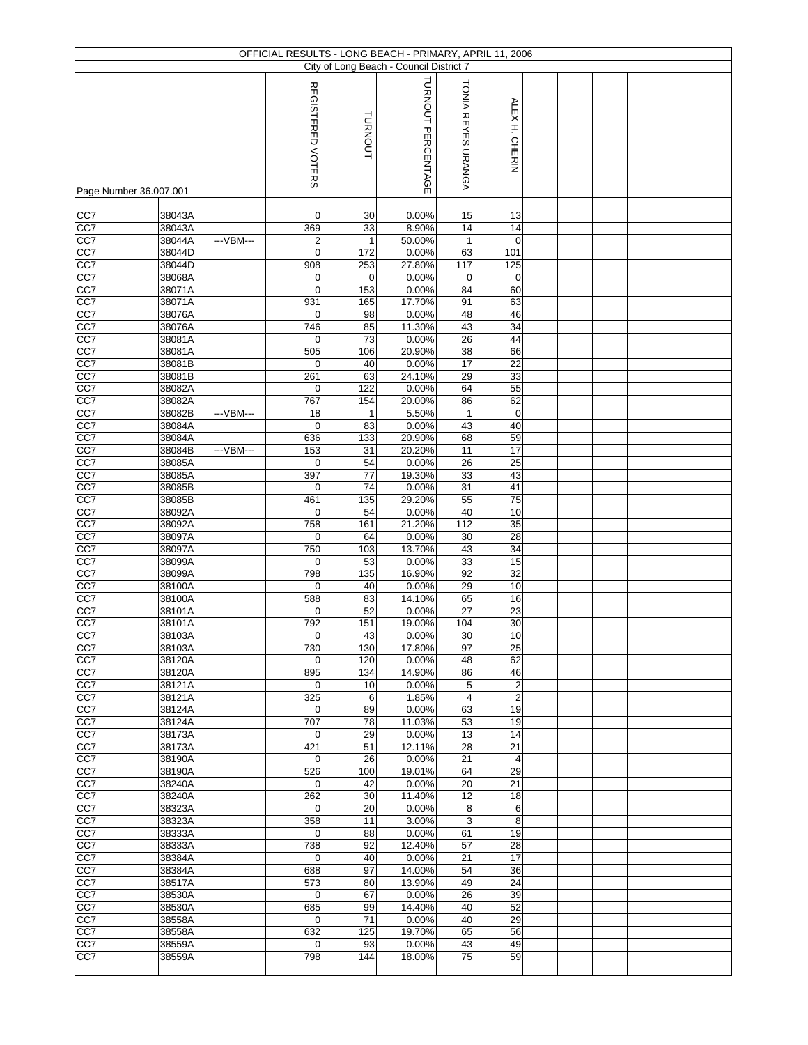|                  |                        |           |                   |             | City of Long Beach - Council District 7 |                           |                 |  |  |  |
|------------------|------------------------|-----------|-------------------|-------------|-----------------------------------------|---------------------------|-----------------|--|--|--|
|                  |                        |           |                   |             |                                         |                           |                 |  |  |  |
|                  |                        |           | REGISTERED VOTERS |             | TURNOUT PERCENTAGE                      | TONIA REYES URANGA        | ALEXH. CHERIN   |  |  |  |
|                  |                        |           |                   | TURNOUT     |                                         |                           |                 |  |  |  |
|                  |                        |           |                   |             |                                         |                           |                 |  |  |  |
|                  |                        |           |                   |             |                                         |                           |                 |  |  |  |
|                  |                        |           |                   |             |                                         |                           |                 |  |  |  |
|                  |                        |           |                   |             |                                         |                           |                 |  |  |  |
|                  | Page Number 36.007.001 |           |                   |             |                                         |                           |                 |  |  |  |
| CC7              | 38043A                 |           | 0                 | 30          | 0.00%                                   | 15                        | 13              |  |  |  |
| CC7              | 38043A                 |           | 369               | 33          | 8.90%                                   | 14                        | 14              |  |  |  |
| CC7              | 38044A                 | ---VBM--- | 2                 | 1           | 50.00%                                  | $\mathbf{1}$              | $\mathbf 0$     |  |  |  |
| CC7              | 38044D                 |           | $\pmb{0}$         | 172         | 0.00%                                   | 63                        | 101             |  |  |  |
| CC7              | 38044D                 |           | 908               | 253         | 27.80%                                  | 117                       | 125             |  |  |  |
| CC7              | 38068A                 |           | $\mathbf 0$       | $\mathbf 0$ | 0.00%                                   | 0                         | $\mathbf 0$     |  |  |  |
| CC7              | 38071A                 |           | $\mathbf 0$       | 153         | 0.00%                                   | 84                        | 60              |  |  |  |
| CC7              | 38071A                 |           | 931               | 165         | 17.70%                                  | 91                        | 63              |  |  |  |
| CC7              | 38076A                 |           | 0                 | 98          | 0.00%                                   | 48                        | 46              |  |  |  |
| CC7              | 38076A                 |           | 746               | 85          | 11.30%                                  | 43                        | 34              |  |  |  |
| CC7              | 38081A                 |           | 0                 | 73          | 0.00%                                   | 26                        | 44              |  |  |  |
| CC7              | 38081A                 |           | 505               | 106         | 20.90%                                  | 38                        | 66              |  |  |  |
| CC7              | 38081B                 |           | $\mathbf 0$       | 40          | 0.00%                                   | 17                        | 22              |  |  |  |
| CC7              | 38081B                 |           | 261               | 63          | 24.10%                                  | 29                        | 33              |  |  |  |
| CC7              | 38082A                 |           | 0                 | 122         | 0.00%                                   | 64                        | 55              |  |  |  |
| CC7              | 38082A                 |           | 767               | 154         | 20.00%                                  | 86                        | 62              |  |  |  |
| CC7              | 38082B                 | ---VBM--- | 18                |             | 5.50%                                   | $\mathbf{1}$              | $\mathbf 0$     |  |  |  |
| CC7              | 38084A                 |           | $\mathbf 0$       | 83          | 0.00%                                   | 43                        | 40              |  |  |  |
| CC7              | 38084A                 |           | 636               | 133         | 20.90%                                  | 68                        | 59              |  |  |  |
| CC7              | 38084B                 | ---VBM--- | 153               | 31          | 20.20%                                  | 11                        | 17              |  |  |  |
| CC7              | 38085A                 |           | $\mathbf 0$       | 54          | 0.00%                                   | $\overline{26}$           | $\overline{25}$ |  |  |  |
| CC7              | 38085A                 |           | 397               | 77          | 19.30%                                  | 33                        | 43              |  |  |  |
| CC7              | 38085B                 |           | $\overline{0}$    | 74          | 0.00%                                   | 31                        | 41              |  |  |  |
| CC7              | 38085B                 |           | 461               | 135         | 29.20%                                  | 55                        | 75              |  |  |  |
| CC7              | 38092A                 |           | 0                 | 54          | 0.00%                                   | 40                        | 10              |  |  |  |
| CC7              | 38092A                 |           | 758               | 161         | 21.20%                                  | 112                       | 35              |  |  |  |
| CC7              | 38097A                 |           | 0                 | 64          | 0.00%                                   | 30                        | 28              |  |  |  |
| CC7              | 38097A                 |           | 750               | 103         | 13.70%                                  | 43                        | 34              |  |  |  |
| CC7              | 38099A                 |           | $\mathbf 0$       | 53          | 0.00%                                   | 33                        | 15              |  |  |  |
| CC7              | 38099A                 |           | 798               | 135         | 16.90%                                  | 92                        | 32              |  |  |  |
| CC7              | 38100A                 |           | $\mathbf 0$       | 40          | 0.00%                                   | 29                        | 10              |  |  |  |
| CC7              | 38100A                 |           | 588               | 83          | 14.10%                                  | 65                        | 16              |  |  |  |
| CC7              | 38101A                 |           | $\mathbf 0$       | 52          | 0.00%                                   | 27                        | 23              |  |  |  |
| CC7              | 38101A                 |           | 792               | 151         | 19.00%                                  | 104                       | 30              |  |  |  |
| CC7              | 38103A                 |           | 0                 | 43          | 0.00%                                   | 30                        | 10              |  |  |  |
| CC7              | 38103A                 |           | 730               | 130         | 17.80%                                  | 97                        | 25              |  |  |  |
| CC7              | 38120A                 |           | 0                 | 120         | 0.00%                                   | 48                        | 62              |  |  |  |
| CC7              | 38120A                 |           | 895               | 134         | 14.90%                                  | 86                        | 46              |  |  |  |
| CC7              | 38121A                 |           | $\overline{0}$    | 10          | 0.00%                                   | 5                         | $\overline{c}$  |  |  |  |
| CC7              | 38121A                 |           | 325               | 6           | 1.85%                                   | 4                         | $\overline{c}$  |  |  |  |
| CC7              | 38124A                 |           | 0                 | 89          | 0.00%                                   | 63                        | 19              |  |  |  |
| CC7              | 38124A                 |           | 707               | 78          | 11.03%                                  | 53                        | 19              |  |  |  |
| CC7              | 38173A                 |           | $\mathbf 0$       | 29          | 0.00%                                   | 13                        | 14              |  |  |  |
| CC7              | 38173A                 |           | 421               | 51          | 12.11%                                  | 28                        | 21              |  |  |  |
| CC7              | 38190A                 |           | $\mathbf 0$       | 26          | 0.00%                                   | $\overline{21}$           | $\overline{4}$  |  |  |  |
| CC7              | 38190A                 |           | 526               | 100         | 19.01%                                  | 64                        | 29              |  |  |  |
| CC7              | 38240A                 |           | $\mathbf 0$       | 42          | 0.00%                                   | $\overline{20}$           | $\overline{21}$ |  |  |  |
| CC7              | 38240A                 |           | 262               | 30          | 11.40%                                  | 12                        | 18              |  |  |  |
| CC7              | 38323A                 |           | 0                 | 20          | 0.00%                                   | 8                         | 6               |  |  |  |
| CC7              | 38323A                 |           | 358               | 11          | 3.00%                                   | $\ensuremath{\mathsf{3}}$ | 8               |  |  |  |
| CC7              | 38333A                 |           | $\mathbf 0$       | 88          | 0.00%                                   | 61                        | 19              |  |  |  |
| CC7              | 38333A                 |           | 738               | 92          | 12.40%                                  | 57                        | $\overline{28}$ |  |  |  |
| CC7              | 38384A                 |           | 0                 | 40          | 0.00%                                   | 21                        | 17              |  |  |  |
| CC7              | 38384A                 |           | 688               | 97          | 14.00%                                  | 54                        | 36              |  |  |  |
| CC7              | 38517A                 |           | 573               | 80          | 13.90%                                  | 49                        | 24              |  |  |  |
| CC7              | 38530A                 |           | $\mathbf 0$       | 67          | 0.00%                                   | 26                        | 39              |  |  |  |
| CC7              | 38530A                 |           | 685               | 99          | 14.40%                                  | 40                        | 52              |  |  |  |
| CC7              | 38558A                 |           | 0                 | 71          | 0.00%                                   | 40                        | 29              |  |  |  |
| $\overline{CC7}$ | 38558A                 |           | 632               | 125         | 19.70%                                  | 65                        | 56              |  |  |  |
| CC7              | 38559A                 |           | $\mathbf 0$       | 93          | 0.00%                                   | 43                        | 49              |  |  |  |
| $\overline{CC7}$ | 38559A                 |           | 798               | 144         | 18.00%                                  | 75                        | 59              |  |  |  |
|                  |                        |           |                   |             |                                         |                           |                 |  |  |  |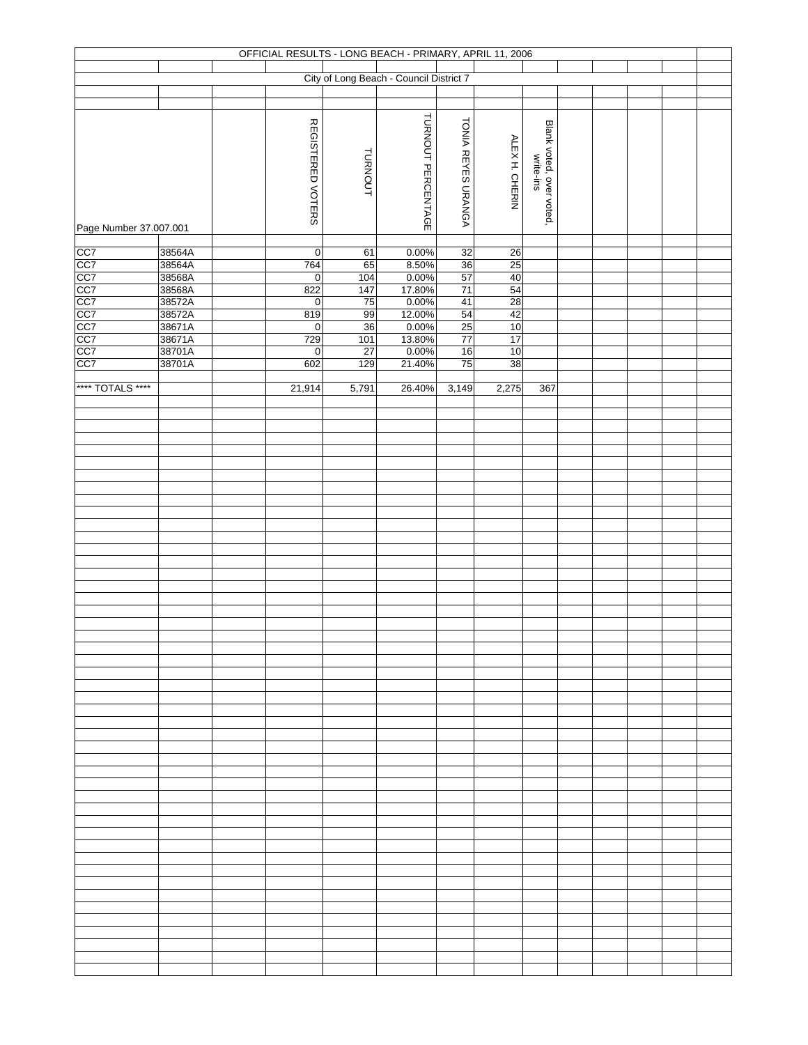|                        |                  |                    |                 | OFFICIAL RESULTS - LONG BEACH - PRIMARY, APRIL 11, 2006 |                    |                |                                       |  |  |  |
|------------------------|------------------|--------------------|-----------------|---------------------------------------------------------|--------------------|----------------|---------------------------------------|--|--|--|
|                        |                  |                    |                 | City of Long Beach - Council District 7                 |                    |                |                                       |  |  |  |
|                        |                  |                    |                 |                                                         |                    |                |                                       |  |  |  |
|                        |                  |                    |                 |                                                         |                    |                |                                       |  |  |  |
|                        |                  |                    |                 | TURNOUT PERCENTAGE                                      |                    |                |                                       |  |  |  |
|                        |                  | REGISTERED VOTERS  |                 |                                                         | TONIA REYES URANGA |                | Blank voted, over voted,<br>write-ins |  |  |  |
|                        |                  |                    |                 |                                                         |                    | ALEX H. CHERIN |                                       |  |  |  |
|                        |                  |                    |                 |                                                         |                    |                |                                       |  |  |  |
|                        |                  |                    | TURNOUT         |                                                         |                    |                |                                       |  |  |  |
|                        |                  |                    |                 |                                                         |                    |                |                                       |  |  |  |
|                        |                  |                    |                 |                                                         |                    |                |                                       |  |  |  |
| Page Number 37.007.001 |                  |                    |                 |                                                         |                    |                |                                       |  |  |  |
|                        | 38564A           | $\pmb{0}$          | 61              | 0.00%                                                   | 32                 | 26             |                                       |  |  |  |
|                        | 38564A           | 764                | 65              | 8.50%                                                   | 36                 | 25             |                                       |  |  |  |
|                        | 38568A           | $\overline{0}$     | 104             | 0.00%                                                   | 57                 | 40             |                                       |  |  |  |
|                        | 38568A           | 822                | 147             | 17.80%                                                  | 71                 | 54             |                                       |  |  |  |
|                        | 38572A<br>38572A | $\mathbf 0$<br>819 | 75<br>99        | 0.00%<br>12.00%                                         | 41<br>54           | 28<br>42       |                                       |  |  |  |
|                        | 38671A           | $\mathsf 0$        | 36              | 0.00%                                                   | 25                 | 10             |                                       |  |  |  |
|                        | 38671A<br>38701A | 729                | 101             | 13.80%                                                  | 77                 | 17             |                                       |  |  |  |
|                        |                  | $\pmb{0}$          | $\overline{27}$ | 0.00%                                                   | 16                 | 10             |                                       |  |  |  |
|                        | 38701A           | 602                | 129             | 21.40%                                                  | 75                 | 38             |                                       |  |  |  |
| **** TOTALS ****       |                  | 21,914             | 5,791           | 26.40%                                                  | 3,149              | 2,275          | 367                                   |  |  |  |
|                        |                  |                    |                 |                                                         |                    |                |                                       |  |  |  |
|                        |                  |                    |                 |                                                         |                    |                |                                       |  |  |  |
|                        |                  |                    |                 |                                                         |                    |                |                                       |  |  |  |
|                        |                  |                    |                 |                                                         |                    |                |                                       |  |  |  |
|                        |                  |                    |                 |                                                         |                    |                |                                       |  |  |  |
|                        |                  |                    |                 |                                                         |                    |                |                                       |  |  |  |
|                        |                  |                    |                 |                                                         |                    |                |                                       |  |  |  |
|                        |                  |                    |                 |                                                         |                    |                |                                       |  |  |  |
|                        |                  |                    |                 |                                                         |                    |                |                                       |  |  |  |
|                        |                  |                    |                 |                                                         |                    |                |                                       |  |  |  |
|                        |                  |                    |                 |                                                         |                    |                |                                       |  |  |  |
|                        |                  |                    |                 |                                                         |                    |                |                                       |  |  |  |
|                        |                  |                    |                 |                                                         |                    |                |                                       |  |  |  |
|                        |                  |                    |                 |                                                         |                    |                |                                       |  |  |  |
|                        |                  |                    |                 |                                                         |                    |                |                                       |  |  |  |
|                        |                  |                    |                 |                                                         |                    |                |                                       |  |  |  |
|                        |                  |                    |                 |                                                         |                    |                |                                       |  |  |  |
|                        |                  |                    |                 |                                                         |                    |                |                                       |  |  |  |
|                        |                  |                    |                 |                                                         |                    |                |                                       |  |  |  |
|                        |                  |                    |                 |                                                         |                    |                |                                       |  |  |  |
|                        |                  |                    |                 |                                                         |                    |                |                                       |  |  |  |
|                        |                  |                    |                 |                                                         |                    |                |                                       |  |  |  |
|                        |                  |                    |                 |                                                         |                    |                |                                       |  |  |  |
|                        |                  |                    |                 |                                                         |                    |                |                                       |  |  |  |
|                        |                  |                    |                 |                                                         |                    |                |                                       |  |  |  |
|                        |                  |                    |                 |                                                         |                    |                |                                       |  |  |  |
|                        |                  |                    |                 |                                                         |                    |                |                                       |  |  |  |
|                        |                  |                    |                 |                                                         |                    |                |                                       |  |  |  |
|                        |                  |                    |                 |                                                         |                    |                |                                       |  |  |  |
|                        |                  |                    |                 |                                                         |                    |                |                                       |  |  |  |
|                        |                  |                    |                 |                                                         |                    |                |                                       |  |  |  |
|                        |                  |                    |                 |                                                         |                    |                |                                       |  |  |  |
|                        |                  |                    |                 |                                                         |                    |                |                                       |  |  |  |
|                        |                  |                    |                 |                                                         |                    |                |                                       |  |  |  |
|                        |                  |                    |                 |                                                         |                    |                |                                       |  |  |  |
|                        |                  |                    |                 |                                                         |                    |                |                                       |  |  |  |
|                        |                  |                    |                 |                                                         |                    |                |                                       |  |  |  |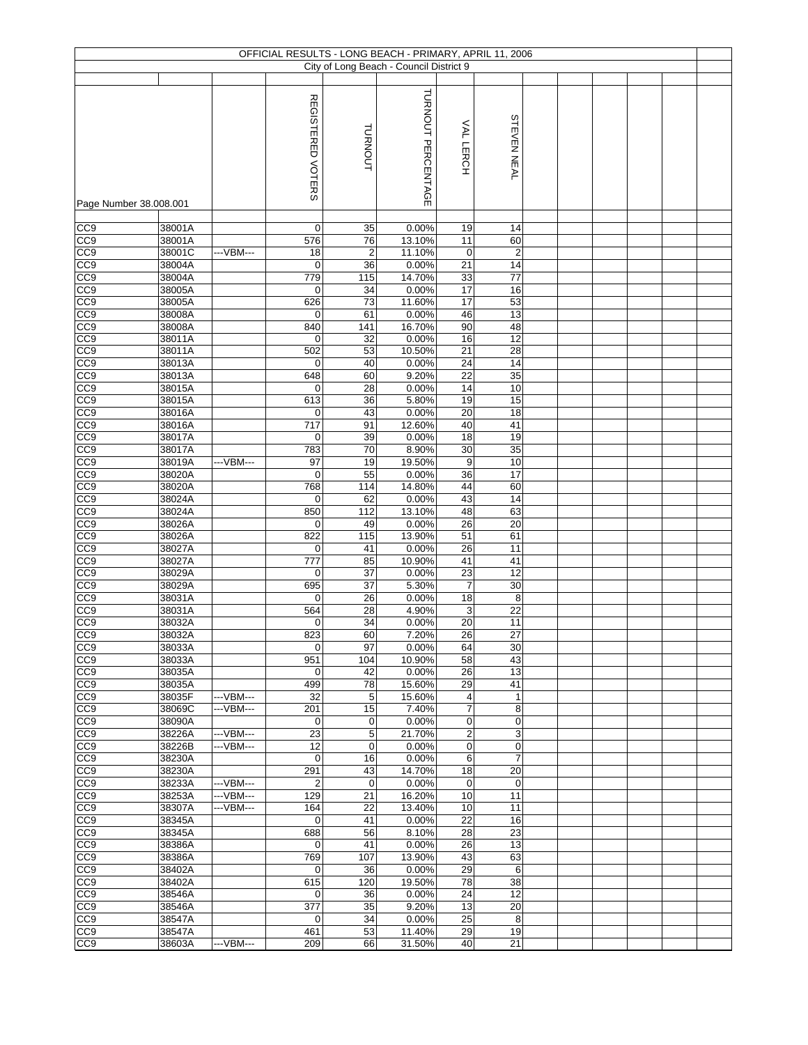|                                    |                  |            | OFFICIAL RESULTS - LONG BEACH - PRIMARY, APRIL 11, 2006 |                      |                                         |                       |                       |  |  |  |
|------------------------------------|------------------|------------|---------------------------------------------------------|----------------------|-----------------------------------------|-----------------------|-----------------------|--|--|--|
|                                    |                  |            |                                                         |                      | City of Long Beach - Council District 9 |                       |                       |  |  |  |
|                                    |                  |            |                                                         |                      |                                         |                       |                       |  |  |  |
|                                    |                  |            | REGISTERED VOTERS                                       |                      | TURNOUT PERCENTAGE                      |                       |                       |  |  |  |
|                                    |                  |            |                                                         | <b>TURNOUT</b>       |                                         | VAL LERCH             | <b>STEVEN NEAL</b>    |  |  |  |
|                                    |                  |            |                                                         |                      |                                         |                       |                       |  |  |  |
| Page Number 38.008.001             |                  |            |                                                         |                      |                                         |                       |                       |  |  |  |
| CC9                                | 38001A           |            | $\mathbf 0$                                             | 35                   | 0.00%                                   | 19                    | 14                    |  |  |  |
| CC <sub>9</sub>                    | 38001A           |            | 576                                                     | 76                   | 13.10%                                  | 11                    | 60                    |  |  |  |
| CC9<br>CC <sub>9</sub>             | 38001C<br>38004A | ---VBM---  | 18<br>$\mathbf 0$                                       | $\overline{2}$<br>36 | 11.10%<br>0.00%                         | $\pmb{0}$<br>21       | $\overline{c}$<br>14  |  |  |  |
| CC9                                | 38004A           |            | 779                                                     | 115                  | 14.70%                                  | 33                    | 77                    |  |  |  |
| CC <sub>9</sub>                    | 38005A           |            | $\mathbf 0$                                             | 34                   | 0.00%                                   | 17                    | 16                    |  |  |  |
| CC <sub>9</sub>                    | 38005A           |            | 626                                                     | 73                   | 11.60%                                  | 17                    | 53                    |  |  |  |
| $\overline{CC9}$                   | 38008A           |            | 0                                                       | 61                   | 0.00%                                   | 46                    | 13                    |  |  |  |
| CC <sub>9</sub>                    | 38008A           |            | 840                                                     | 141                  | 16.70%                                  | 90                    | 48                    |  |  |  |
| CC <sub>9</sub>                    | 38011A           |            | $\mathbf 0$                                             | 32                   | 0.00%                                   | 16                    | $\overline{12}$       |  |  |  |
| CC <sub>8</sub>                    | 38011A           |            | 502                                                     | 53                   | 10.50%                                  | $\overline{21}$       | $\overline{28}$<br>14 |  |  |  |
| CC <sub>0</sub><br>CC <sub>9</sub> | 38013A<br>38013A |            | $\mathbf 0$<br>648                                      | 40<br>60             | 0.00%<br>9.20%                          | 24<br>$\overline{22}$ | 35                    |  |  |  |
| CC9                                | 38015A           |            | 0                                                       | 28                   | 0.00%                                   | 14                    | 10                    |  |  |  |
| CC <sub>9</sub>                    | 38015A           |            | 613                                                     | 36                   | 5.80%                                   | 19                    | 15                    |  |  |  |
| CC9                                | 38016A           |            | 0                                                       | 43                   | 0.00%                                   | 20                    | 18                    |  |  |  |
| CC <sub>9</sub>                    | 38016A           |            | 717                                                     | 91                   | 12.60%                                  | 40                    | 41                    |  |  |  |
| CC9                                | 38017A           |            | $\mathbf 0$                                             | 39                   | 0.00%                                   | 18                    | 19                    |  |  |  |
| CC <sub>9</sub>                    | 38017A           |            | 783                                                     | 70                   | 8.90%                                   | 30                    | 35                    |  |  |  |
| CC <sub>9</sub>                    | 38019A           | ---VBM---  | 97                                                      | 19                   | 19.50%                                  | 9                     | 10                    |  |  |  |
| CC <sub>9</sub>                    | 38020A           |            | $\mathbf 0$                                             | 55                   | 0.00%                                   | 36                    | 17                    |  |  |  |
| CC <sub>9</sub>                    | 38020A           |            | 768                                                     | 114                  | 14.80%                                  | 44                    | 60                    |  |  |  |
| CC9<br>CC9                         | 38024A           |            | $\mathbf 0$                                             | 62<br>112            | 0.00%                                   | 43                    | 14<br>63              |  |  |  |
| CC <sub>9</sub>                    | 38024A<br>38026A |            | 850<br>$\mathbf 0$                                      | 49                   | 13.10%<br>0.00%                         | 48<br>26              | 20                    |  |  |  |
| $\overline{CC9}$                   | 38026A           |            | 822                                                     | 115                  | 13.90%                                  | 51                    | 61                    |  |  |  |
| CC9                                | 38027A           |            | $\mathbf 0$                                             | 41                   | 0.00%                                   | 26                    | 11                    |  |  |  |
| CC <sub>9</sub>                    | 38027A           |            | 777                                                     | 85                   | 10.90%                                  | 41                    | 41                    |  |  |  |
| CC9                                | 38029A           |            | $\mathbf 0$                                             | 37                   | 0.00%                                   | 23                    | 12                    |  |  |  |
| CC9                                | 38029A           |            | 695                                                     | 37                   | 5.30%                                   | $\overline{7}$        | 30                    |  |  |  |
| CC <sub>9</sub>                    | 38031A           |            | $\mathbf 0$                                             | 26                   | 0.00%                                   | 18                    | 8                     |  |  |  |
| CC9                                | 38031A           |            | 564                                                     | 28                   | 4.90%                                   | 3                     | 22                    |  |  |  |
| CC <sub>9</sub><br>CC <sub>9</sub> | 38032A<br>38032A |            | 0<br>823                                                | 34<br>60             | 0.00%<br>7.20%                          | 20<br>26              | 11<br>27              |  |  |  |
| CC <sub>0</sub>                    | 38033A           |            | $\mathbf 0$                                             | 97                   | 0.00%                                   | 64                    | 30                    |  |  |  |
| CC <sub>0</sub>                    | 38033A           |            | 951                                                     | 104                  | 10.90%                                  | 58                    | 43                    |  |  |  |
| CC <sub>8</sub>                    | 38035A           |            | 0                                                       | 42                   | 0.00%                                   | $\overline{26}$       | 13                    |  |  |  |
| CC <sub>9</sub>                    | 38035A           |            | 499                                                     | 78                   | 15.60%                                  | 29                    | 41                    |  |  |  |
| CC <sub>0</sub>                    | 38035F           | ---VBM---  | 32                                                      | 5                    | 15.60%                                  | 4                     | $\mathbf{1}$          |  |  |  |
| CC <sub>0</sub>                    | 38069C           | --- VBM--- | 201                                                     | 15                   | 7.40%                                   | 7                     | 8                     |  |  |  |
| CC <sub>0</sub><br>CC <sub>9</sub> | 38090A           | ---VBM---  | 0<br>23                                                 | 0<br>5               | 0.00%<br>21.70%                         | 0                     | 0                     |  |  |  |
| CC <sub>0</sub>                    | 38226A<br>38226B | ---VBM---  | 12                                                      | $\mathbf 0$          | 0.00%                                   | $\overline{c}$<br>0   | 3<br>0                |  |  |  |
| CC9                                | 38230A           |            | $\mathbf 0$                                             | 16                   | 0.00%                                   | 6                     | $\overline{7}$        |  |  |  |
| CC <sub>0</sub>                    | 38230A           |            | 291                                                     | 43                   | 14.70%                                  | 18                    | 20                    |  |  |  |
| CC <sub>0</sub>                    | 38233A           | --- VBM--- | $\overline{2}$                                          | $\mathbf 0$          | 0.00%                                   | $\pmb{0}$             | $\mathbf 0$           |  |  |  |
| CC <sub>0</sub>                    | 38253A           | --- VBM--- | 129                                                     | 21                   | 16.20%                                  | 10                    | 11                    |  |  |  |
| CC <sub>9</sub>                    | 38307A           | ---VBM---  | 164                                                     | 22                   | 13.40%                                  | 10                    | 11                    |  |  |  |
| CC <sub>0</sub>                    | 38345A           |            | $\mathbf 0$                                             | 41                   | 0.00%                                   | 22                    | 16                    |  |  |  |
| CC <sub>0</sub>                    | 38345A           |            | 688                                                     | 56                   | 8.10%                                   | 28                    | 23                    |  |  |  |
| CC <sub>0</sub>                    | 38386A           |            | $\mathbf 0$                                             | 41                   | 0.00%                                   | 26                    | 13                    |  |  |  |
| CC <sub>9</sub><br>CC9             | 38386A<br>38402A |            | 769<br>0                                                | 107<br>36            | 13.90%<br>0.00%                         | 43                    | 63<br>6               |  |  |  |
| CC <sub>0</sub>                    | 38402A           |            | 615                                                     | 120                  | 19.50%                                  | 29<br>78              | 38                    |  |  |  |
| CC <sub>9</sub>                    | 38546A           |            | $\mathbf 0$                                             | 36                   | 0.00%                                   | 24                    | 12                    |  |  |  |
| CC <sub>0</sub>                    | 38546A           |            | 377                                                     | 35                   | 9.20%                                   | 13                    | 20                    |  |  |  |
| CC <sub>0</sub>                    | 38547A           |            | 0                                                       | 34                   | 0.00%                                   | 25                    | 8                     |  |  |  |
| CC <sub>9</sub>                    | 38547A           |            | 461                                                     | 53                   | 11.40%                                  | 29                    | 19                    |  |  |  |
| CC9                                | 38603A           | ---VBM---  | 209                                                     | 66                   | 31.50%                                  | 40                    | 21                    |  |  |  |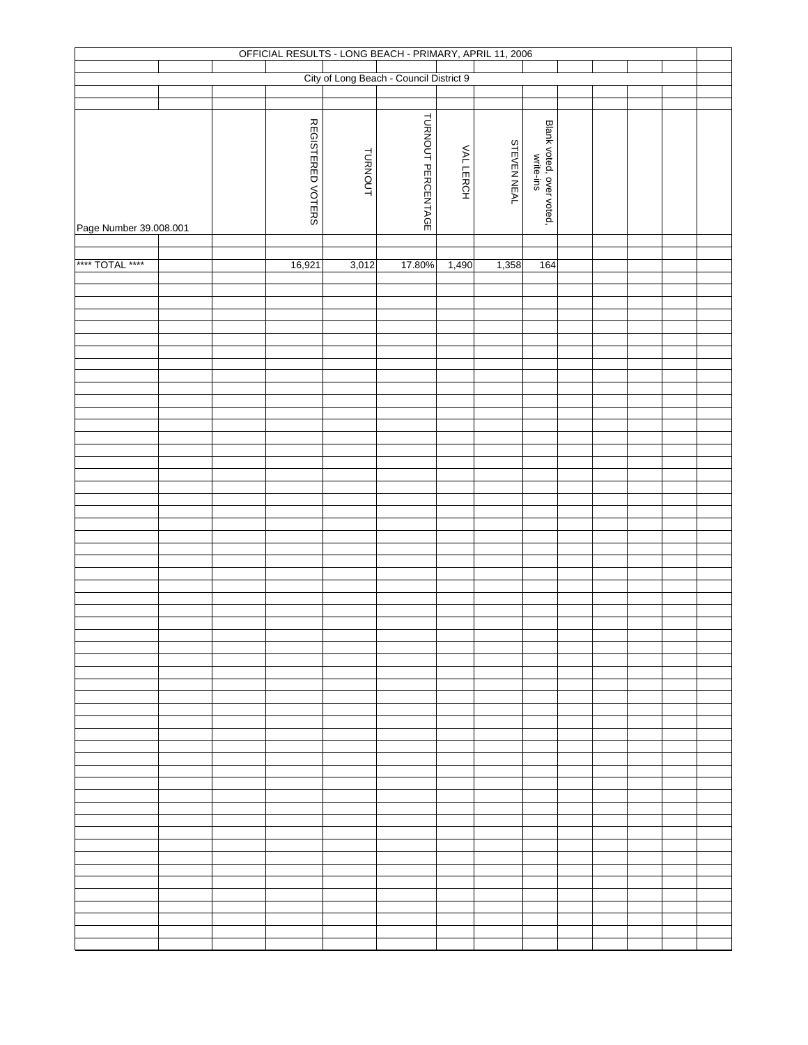|                        |  |                   |                | OFFICIAL RESULTS - LONG BEACH - PRIMARY, APRIL 11, 2006 |          |                    |                                       |  |  |  |
|------------------------|--|-------------------|----------------|---------------------------------------------------------|----------|--------------------|---------------------------------------|--|--|--|
|                        |  |                   |                | City of Long Beach - Council District 9                 |          |                    |                                       |  |  |  |
|                        |  |                   |                |                                                         |          |                    |                                       |  |  |  |
| Page Number 39.008.001 |  | REGISTERED VOTERS | <b>TURNOUT</b> | TURNOUT PERCENTAGE                                      | VALLERCH | <b>STEVEN NEAL</b> | Blank voted, over voted,<br>write-ins |  |  |  |
|                        |  |                   |                |                                                         |          |                    |                                       |  |  |  |
| **** TOTAL ****        |  | 16,921            | 3,012          | 17.80%                                                  | 1,490    | 1,358              | 164                                   |  |  |  |
|                        |  |                   |                |                                                         |          |                    |                                       |  |  |  |
|                        |  |                   |                |                                                         |          |                    |                                       |  |  |  |
|                        |  |                   |                |                                                         |          |                    |                                       |  |  |  |
|                        |  |                   |                |                                                         |          |                    |                                       |  |  |  |
|                        |  |                   |                |                                                         |          |                    |                                       |  |  |  |
|                        |  |                   |                |                                                         |          |                    |                                       |  |  |  |
|                        |  |                   |                |                                                         |          |                    |                                       |  |  |  |
|                        |  |                   |                |                                                         |          |                    |                                       |  |  |  |
|                        |  |                   |                |                                                         |          |                    |                                       |  |  |  |
|                        |  |                   |                |                                                         |          |                    |                                       |  |  |  |
|                        |  |                   |                |                                                         |          |                    |                                       |  |  |  |
|                        |  |                   |                |                                                         |          |                    |                                       |  |  |  |
|                        |  |                   |                |                                                         |          |                    |                                       |  |  |  |
|                        |  |                   |                |                                                         |          |                    |                                       |  |  |  |
|                        |  |                   |                |                                                         |          |                    |                                       |  |  |  |
|                        |  |                   |                |                                                         |          |                    |                                       |  |  |  |
|                        |  |                   |                |                                                         |          |                    |                                       |  |  |  |
|                        |  |                   |                |                                                         |          |                    |                                       |  |  |  |
|                        |  |                   |                |                                                         |          |                    |                                       |  |  |  |
|                        |  |                   |                |                                                         |          |                    |                                       |  |  |  |
|                        |  |                   |                |                                                         |          |                    |                                       |  |  |  |
|                        |  |                   |                |                                                         |          |                    |                                       |  |  |  |
|                        |  |                   |                |                                                         |          |                    |                                       |  |  |  |
|                        |  |                   |                |                                                         |          |                    |                                       |  |  |  |
|                        |  |                   |                |                                                         |          |                    |                                       |  |  |  |
|                        |  |                   |                |                                                         |          |                    |                                       |  |  |  |
|                        |  |                   |                |                                                         |          |                    |                                       |  |  |  |
|                        |  |                   |                |                                                         |          |                    |                                       |  |  |  |
|                        |  |                   |                |                                                         |          |                    |                                       |  |  |  |
|                        |  |                   |                |                                                         |          |                    |                                       |  |  |  |
|                        |  |                   |                |                                                         |          |                    |                                       |  |  |  |
|                        |  |                   |                |                                                         |          |                    |                                       |  |  |  |
|                        |  |                   |                |                                                         |          |                    |                                       |  |  |  |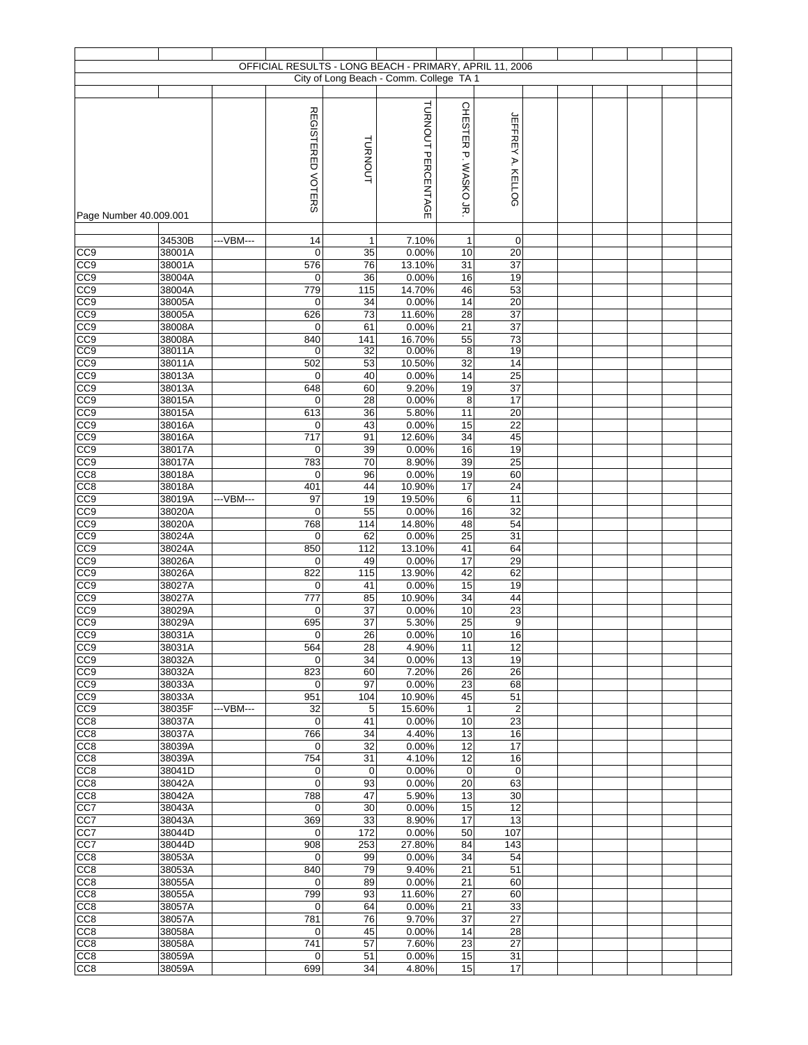|                                    |                  |           |                          |             | OFFICIAL RESULTS - LONG BEACH - PRIMARY, APRIL 11, 2006 |                       |                          |  |  |  |
|------------------------------------|------------------|-----------|--------------------------|-------------|---------------------------------------------------------|-----------------------|--------------------------|--|--|--|
|                                    |                  |           |                          |             | City of Long Beach - Comm. College TA 1                 |                       |                          |  |  |  |
|                                    |                  |           |                          |             |                                                         |                       |                          |  |  |  |
|                                    |                  |           |                          |             | TURNOUT PERCENTAGE                                      | CHESTER P. WASKOJR    |                          |  |  |  |
|                                    |                  |           | <b>REGISTERED VOTERS</b> |             |                                                         |                       | <b>JEFFREY A. KELLOG</b> |  |  |  |
|                                    |                  |           |                          | TURNOUT     |                                                         |                       |                          |  |  |  |
|                                    |                  |           |                          |             |                                                         |                       |                          |  |  |  |
|                                    |                  |           |                          |             |                                                         |                       |                          |  |  |  |
|                                    |                  |           |                          |             |                                                         |                       |                          |  |  |  |
| Page Number 40.009.001             |                  |           |                          |             |                                                         |                       |                          |  |  |  |
|                                    |                  |           |                          |             |                                                         |                       |                          |  |  |  |
| CC <sub>9</sub>                    | 34530B<br>38001A | ---VBM--- | 14<br>$\mathbf 0$        | 1<br>35     | 7.10%<br>0.00%                                          | $\mathbf{1}$<br>10    | $\mathbf 0$<br>20        |  |  |  |
| CC9                                | 38001A           |           | 576                      | 76          | 13.10%                                                  | 31                    | $\overline{37}$          |  |  |  |
| CC <sub>9</sub>                    | 38004A           |           | 0                        | 36          | 0.00%                                                   | 16                    | 19                       |  |  |  |
| CC <sub>9</sub>                    | 38004A           |           | 779                      | 115         | 14.70%                                                  | 46                    | 53                       |  |  |  |
| CC9<br>CC <sub>9</sub>             | 38005A<br>38005A |           | $\mathbf 0$<br>626       | 34<br>73    | 0.00%<br>11.60%                                         | 14<br>28              | 20<br>37                 |  |  |  |
| CC <sub>9</sub>                    | 38008A           |           | 0                        | 61          | 0.00%                                                   | 21                    | 37                       |  |  |  |
| CC <sub>9</sub>                    | 38008A           |           | 840                      | 141         | 16.70%                                                  | 55                    | 73                       |  |  |  |
| CC9<br>CC <sub>0</sub>             | 38011A<br>38011A |           | 0<br>502                 | 32<br>53    | 0.00%<br>10.50%                                         | 8<br>$\overline{32}$  | 19<br>14                 |  |  |  |
| CC <sub>9</sub>                    | 38013A           |           | 0                        | 40          | 0.00%                                                   | 14                    | $\overline{25}$          |  |  |  |
| CC9                                | 38013A           |           | 648                      | 60          | 9.20%                                                   | 19                    | 37                       |  |  |  |
| CC9                                | 38015A<br>38015A |           | 0<br>613                 | 28<br>36    | 0.00%<br>5.80%                                          | 8<br>11               | 17<br>20                 |  |  |  |
| CC9<br>CC <sub>9</sub>             | 38016A           |           | 0                        | 43          | 0.00%                                                   | 15                    | $\overline{22}$          |  |  |  |
| CC <sub>9</sub>                    | 38016A           |           | 717                      | 91          | 12.60%                                                  | 34                    | 45                       |  |  |  |
| CC <sub>9</sub>                    | 38017A           |           | 0                        | 39          | 0.00%                                                   | 16                    | 19                       |  |  |  |
| CC <sub>9</sub><br>CC8             | 38017A<br>38018A |           | 783<br>$\mathbf 0$       | 70<br>96    | 8.90%<br>0.00%                                          | 39<br>19              | 25<br>60                 |  |  |  |
| CC <sub>8</sub>                    | 38018A           |           | 401                      | 44          | 10.90%                                                  | 17                    | 24                       |  |  |  |
| CC <sub>9</sub>                    | 38019A           | ---VBM--- | 97                       | 19          | 19.50%                                                  | 6                     | 11                       |  |  |  |
| CC <sub>9</sub>                    | 38020A           |           | $\mathbf 0$              | 55          | 0.00%                                                   | 16                    | 32                       |  |  |  |
| CC <sub>9</sub><br>CC <sub>9</sub> | 38020A<br>38024A |           | 768<br>0                 | 114<br>62   | 14.80%<br>0.00%                                         | 48<br>25              | 54<br>31                 |  |  |  |
| CC <sub>9</sub>                    | 38024A           |           | 850                      | 112         | 13.10%                                                  | 41                    | 64                       |  |  |  |
| CC <sub>9</sub>                    | 38026A           |           | $\mathbf 0$              | 49          | 0.00%                                                   | 17                    | 29                       |  |  |  |
| CC9<br>CC9                         | 38026A<br>38027A |           | 822<br>0                 | 115<br>41   | 13.90%<br>0.00%                                         | 42<br>15              | 62<br>19                 |  |  |  |
| CC9                                | 38027A           |           | 777                      | 85          | 10.90%                                                  | 34                    | 44                       |  |  |  |
| CC <sub>9</sub>                    | 38029A           |           | 0                        | 37          | 0.00%                                                   | 10                    | 23                       |  |  |  |
| CC <sub>9</sub><br>CC <sub>9</sub> | 38029A<br>38031A |           | 695                      | 37<br>26    | 5.30%<br>0.00%                                          | $\overline{25}$<br>10 | 9<br>16                  |  |  |  |
| CC9                                | 38031A           |           | $\overline{0}$<br>564    | 28          | 4.90%                                                   | 11                    | 12                       |  |  |  |
| CC <sub>9</sub>                    | 38032A           |           | 0                        | 34          | 0.00%                                                   | 13                    | 19                       |  |  |  |
| CC <sub>9</sub>                    | 38032A           |           | 823                      | 60          | 7.20%                                                   | $\overline{26}$       | 26                       |  |  |  |
| CC9<br>CC <sub>9</sub>             | 38033A<br>38033A |           | 0<br>951                 | 97<br>104   | 0.00%<br>10.90%                                         | $\overline{23}$<br>45 | 68<br>51                 |  |  |  |
| CC <sub>9</sub>                    | 38035F           | ---VBM--- | 32                       | 5           | 15.60%                                                  | $\mathbf{1}$          | $\overline{c}$           |  |  |  |
| CC <sub>8</sub>                    | 38037A           |           | $\mathbf 0$              | 41          | 0.00%                                                   | 10                    | 23                       |  |  |  |
| CC <sub>8</sub><br>CC <sub>8</sub> | 38037A<br>38039A |           | 766<br>0                 | 34<br>32    | 4.40%<br>0.00%                                          | 13<br>12              | 16<br>17                 |  |  |  |
| CC8                                | 38039A           |           | 754                      | 31          | 4.10%                                                   | 12                    | 16                       |  |  |  |
| CC <sub>8</sub>                    | 38041D           |           | 0                        | $\mathbf 0$ | 0.00%                                                   | 0                     | $\mathbf 0$              |  |  |  |
| CC <sub>8</sub>                    | 38042A           |           | $\mathbf 0$              | 93          | 0.00%                                                   | 20                    | 63<br>30                 |  |  |  |
| CC <sub>8</sub><br>CC7             | 38042A<br>38043A |           | 788<br>0                 | 47<br>30    | 5.90%<br>0.00%                                          | 13<br>15              | 12                       |  |  |  |
| CC7                                | 38043A           |           | 369                      | 33          | 8.90%                                                   | 17                    | 13                       |  |  |  |
| CC7                                | 38044D           |           | 0                        | 172         | 0.00%                                                   | 50                    | 107                      |  |  |  |
| CC7<br>CC <sub>8</sub>             | 38044D<br>38053A |           | 908<br>0                 | 253<br>99   | 27.80%<br>0.00%                                         | 84<br>34              | 143<br>54                |  |  |  |
| CC <sub>8</sub>                    | 38053A           |           | 840                      | 79          | 9.40%                                                   | 21                    | 51                       |  |  |  |
| CC <sub>8</sub>                    | 38055A           |           | 0                        | 89          | 0.00%                                                   | 21                    | 60                       |  |  |  |
| CC <sub>8</sub>                    | 38055A           |           | 799                      | 93          | 11.60%                                                  | 27<br>21              | 60<br>33                 |  |  |  |
| CC <sub>8</sub><br>CC <sub>8</sub> | 38057A<br>38057A |           | 0<br>781                 | 64<br>76    | 0.00%<br>9.70%                                          | 37                    | 27                       |  |  |  |
| CC <sub>8</sub>                    | 38058A           |           | 0                        | 45          | 0.00%                                                   | 14                    | 28                       |  |  |  |
| CC8                                | 38058A           |           | 741                      | 57          | 7.60%                                                   | 23                    | 27                       |  |  |  |
| CC <sub>8</sub><br>CC <sub>8</sub> | 38059A<br>38059A |           | 0<br>699                 | 51<br>34    | 0.00%<br>4.80%                                          | 15<br>15              | 31<br>17                 |  |  |  |
|                                    |                  |           |                          |             |                                                         |                       |                          |  |  |  |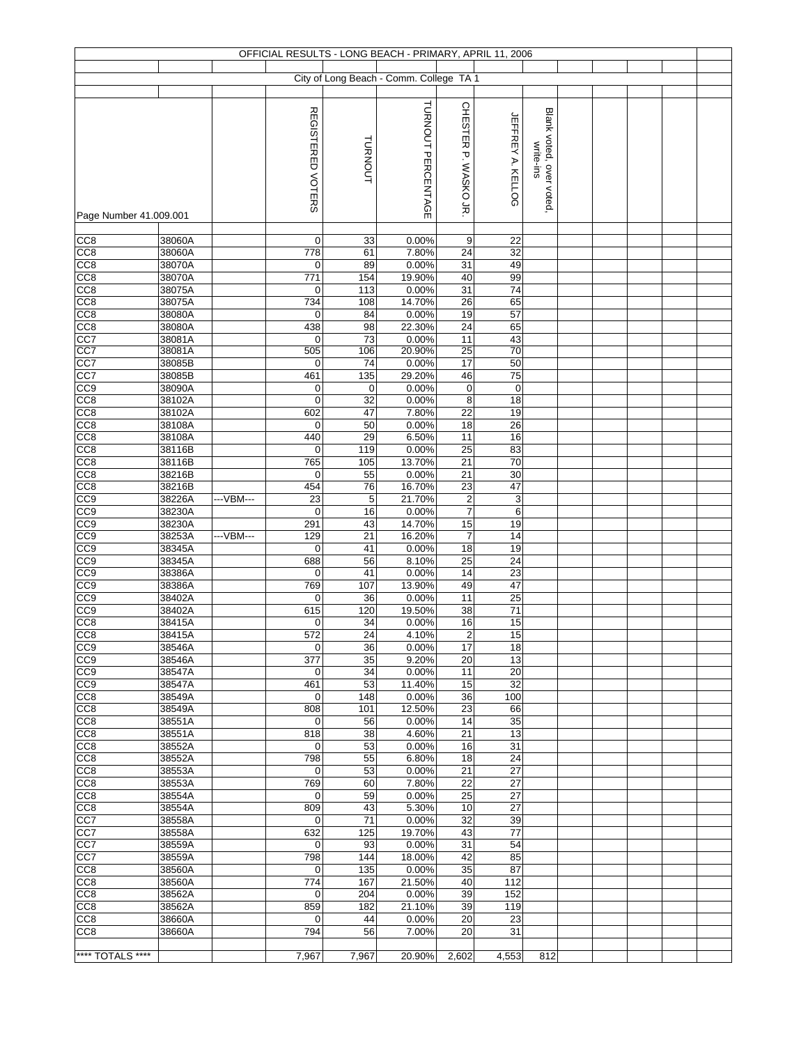|                                    |                  |           |                    |             | OFFICIAL RESULTS - LONG BEACH - PRIMARY, APRIL 11, 2006 |                        |                          |                                      |  |  |  |
|------------------------------------|------------------|-----------|--------------------|-------------|---------------------------------------------------------|------------------------|--------------------------|--------------------------------------|--|--|--|
|                                    |                  |           |                    |             | City of Long Beach - Comm. College TA 1                 |                        |                          |                                      |  |  |  |
|                                    |                  |           |                    |             |                                                         |                        |                          |                                      |  |  |  |
| Page Number 41.009.001             |                  |           | REGISTERED VOTERS  | TURNOUT     | TURNOUT PERCENTAGE                                      | CHESTER P. WASKO JR    | <b>JEFFREY A. KELLOG</b> | Blank voted, over voted<br>write-ins |  |  |  |
|                                    |                  |           |                    |             |                                                         |                        |                          |                                      |  |  |  |
| CC <sub>8</sub>                    | 38060A           |           | 0                  | 33          | 0.00%                                                   | 9                      | 22                       |                                      |  |  |  |
| CC8<br>CC8                         | 38060A<br>38070A |           | 778<br>0           | 61<br>89    | 7.80%<br>0.00%                                          | 24<br>31               | 32<br>49                 |                                      |  |  |  |
| CC8                                | 38070A           |           | 771                | 154         | 19.90%                                                  | 40                     | 99                       |                                      |  |  |  |
| CC8                                | 38075A           |           | 0                  | 113         | 0.00%                                                   | 31                     | $\overline{74}$          |                                      |  |  |  |
| CC8                                | 38075A           |           | 734                | 108         | 14.70%                                                  | 26                     | 65                       |                                      |  |  |  |
| CC8                                | 38080A           |           | $\mathbf 0$        | 84          | 0.00%                                                   | 19                     | 57                       |                                      |  |  |  |
| CC8                                | 38080A           |           | 438                | 98          | 22.30%                                                  | 24                     | 65                       |                                      |  |  |  |
| CC7<br>CC <sub>7</sub>             | 38081A<br>38081A |           | 0<br>505           | 73<br>106   | 0.00%<br>20.90%                                         | 11<br>25               | 43<br>70                 |                                      |  |  |  |
| CC7                                | 38085B           |           | $\mathbf 0$        | 74          | 0.00%                                                   | $\overline{17}$        | 50                       |                                      |  |  |  |
| CC7                                | 38085B           |           | 461                | 135         | 29.20%                                                  | 46                     | $\overline{75}$          |                                      |  |  |  |
| CC9                                | 38090A           |           | $\pmb{0}$          | $\mathbf 0$ | 0.00%                                                   | $\pmb{0}$              | $\mathbf 0$              |                                      |  |  |  |
| CC8                                | 38102A           |           | $\mathbf 0$        | 32          | 0.00%                                                   | 8                      | 18                       |                                      |  |  |  |
| CC8                                | 38102A           |           | 602                | 47          | 7.80%                                                   | 22                     | 19                       |                                      |  |  |  |
| CC <sub>8</sub><br>CC8             | 38108A<br>38108A |           | 0<br>440           | 50<br>29    | 0.00%<br>6.50%                                          | 18<br>11               | $\overline{26}$<br>16    |                                      |  |  |  |
| CC <sub>8</sub>                    | 38116B           |           | 0                  | 119         | 0.00%                                                   | 25                     | 83                       |                                      |  |  |  |
| CC8                                | 38116B           |           | 765                | 105         | 13.70%                                                  | 21                     | 70                       |                                      |  |  |  |
| CC8                                | 38216B           |           | $\mathbf 0$        | 55          | 0.00%                                                   | 21                     | 30                       |                                      |  |  |  |
| CC8                                | 38216B           |           | 454                | 76          | 16.70%                                                  | 23                     | 47                       |                                      |  |  |  |
| CC9                                | 38226A           | ---VBM--- | 23                 | 5           | 21.70%                                                  | $\overline{c}$         | 3                        |                                      |  |  |  |
| CC <sub>9</sub>                    | 38230A           |           | 0                  | 16          | 0.00%                                                   | $\overline{7}$         | $\,6\,$                  |                                      |  |  |  |
| CC9<br>CC <sub>9</sub>             | 38230A<br>38253A | ---VBM--- | 291<br>129         | 43<br>21    | 14.70%<br>16.20%                                        | 15<br>$\overline{7}$   | 19<br>$\overline{14}$    |                                      |  |  |  |
| CC9                                | 38345A           |           | $\mathbf 0$        | 41          | 0.00%                                                   | 18                     | 19                       |                                      |  |  |  |
| CC <sub>9</sub>                    | 38345A           |           | 688                | 56          | 8.10%                                                   | $\overline{25}$        | 24                       |                                      |  |  |  |
| CC <sub>9</sub>                    | 38386A           |           | 0                  | 41          | 0.00%                                                   | 14                     | 23                       |                                      |  |  |  |
| CC9                                | 38386A           |           | 769                | 107         | 13.90%                                                  | 49                     | 47                       |                                      |  |  |  |
| CC9                                | 38402A           |           | 0                  | 36          | 0.00%                                                   | 11                     | 25                       |                                      |  |  |  |
| CC9<br>$\overline{CC8}$            | 38402A           |           | 615                | 120         | 19.50%                                                  | 38                     | 71<br>15                 |                                      |  |  |  |
| CC8                                | 38415A<br>38415A |           | 0<br>572           | 34<br>24    | 0.00%<br>4.10%                                          | 16<br>$\boldsymbol{2}$ | 15                       |                                      |  |  |  |
| CC <sub>9</sub>                    | 38546A           |           | 0                  | 36          | 0.00%                                                   | 17                     | 18                       |                                      |  |  |  |
| CC <sub>0</sub>                    | 38546A           |           | 377                | 35          | 9.20%                                                   | 20                     | 13                       |                                      |  |  |  |
| CC9                                | 38547A           |           | 0                  | 34          | 0.00%                                                   | 11                     | 20                       |                                      |  |  |  |
| CC <sub>9</sub>                    | 38547A           |           | 461                | 53          | 11.40%                                                  | 15                     | 32                       |                                      |  |  |  |
| CC <sub>8</sub><br>CC <sub>8</sub> | 38549A<br>38549A |           | $\mathbf 0$<br>808 | 148<br>101  | 0.00%<br>12.50%                                         | 36<br>23               | 100<br>66                |                                      |  |  |  |
| CC <sub>8</sub>                    | 38551A           |           | 0                  | 56          | 0.00%                                                   | 14                     | 35                       |                                      |  |  |  |
| CC8                                | 38551A           |           | 818                | 38          | 4.60%                                                   | 21                     | 13                       |                                      |  |  |  |
| CC8                                | 38552A           |           | $\mathbf 0$        | 53          | 0.00%                                                   | 16                     | 31                       |                                      |  |  |  |
| CC8                                | 38552A           |           | 798                | 55          | 6.80%                                                   | 18                     | 24                       |                                      |  |  |  |
| CC8                                | 38553A           |           | $\mathbf 0$        | 53          | 0.00%                                                   | 21                     | 27                       |                                      |  |  |  |
| CC8                                | 38553A           |           | 769                | 60          | 7.80%                                                   | 22                     | 27                       |                                      |  |  |  |
| CC <sub>8</sub><br>CC8             | 38554A<br>38554A |           | 0<br>809           | 59<br>43    | 0.00%<br>5.30%                                          | 25<br>10               | 27<br>27                 |                                      |  |  |  |
| CC7                                | 38558A           |           | 0                  | 71          | 0.00%                                                   | 32                     | 39                       |                                      |  |  |  |
| CC7                                | 38558A           |           | 632                | 125         | 19.70%                                                  | 43                     | 77                       |                                      |  |  |  |
| CC7                                | 38559A           |           | $\mathbf 0$        | 93          | 0.00%                                                   | 31                     | 54                       |                                      |  |  |  |
| CC7                                | 38559A           |           | 798                | 144         | 18.00%                                                  | 42                     | 85                       |                                      |  |  |  |
| CC8                                | 38560A           |           | 0                  | 135         | 0.00%                                                   | 35                     | 87                       |                                      |  |  |  |
| CC8<br>CC <sub>8</sub>             | 38560A<br>38562A |           | 774<br>0           | 167<br>204  | 21.50%<br>0.00%                                         | 40<br>39               | 112<br>152               |                                      |  |  |  |
| CC <sub>8</sub>                    | 38562A           |           | 859                | 182         | 21.10%                                                  | 39                     | 119                      |                                      |  |  |  |
| CC <sub>8</sub>                    | 38660A           |           | 0                  | 44          | 0.00%                                                   | 20                     | 23                       |                                      |  |  |  |
| CC <sub>8</sub>                    | 38660A           |           | 794                | 56          | 7.00%                                                   | 20                     | 31                       |                                      |  |  |  |
|                                    |                  |           |                    |             |                                                         |                        |                          |                                      |  |  |  |
| **** TOTALS ****                   |                  |           | 7,967              | 7,967       | 20.90%                                                  | 2,602                  | 4,553                    | 812                                  |  |  |  |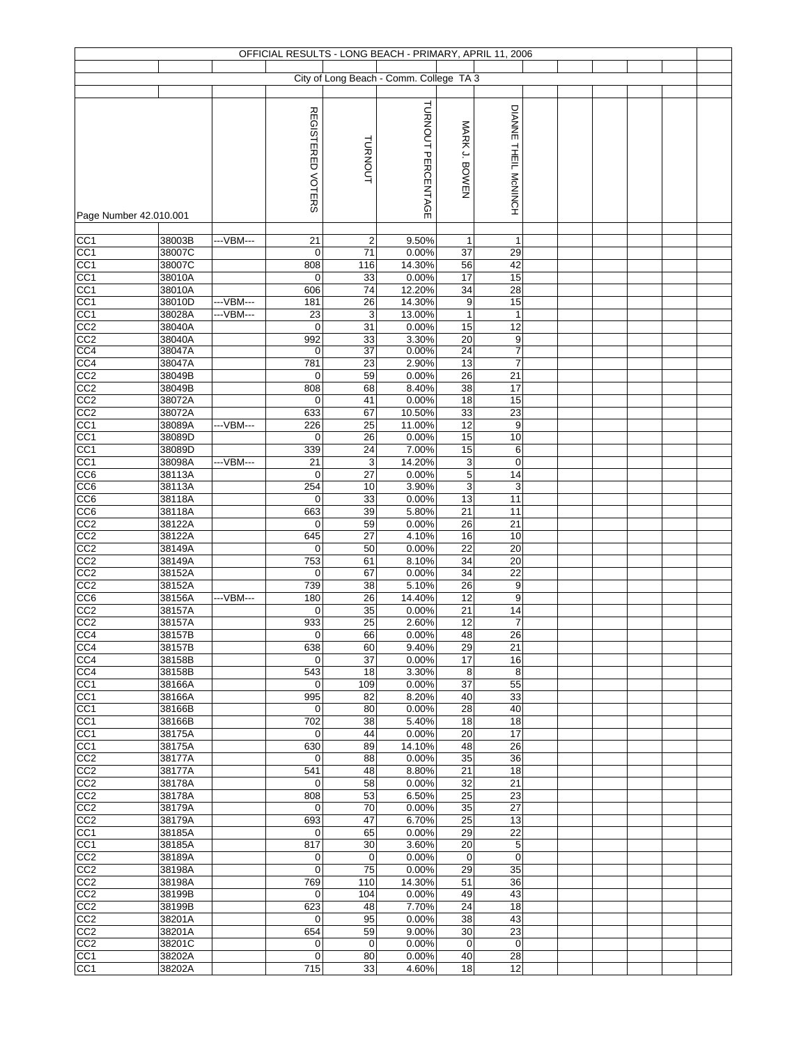|                                    |                  |            |                          |                      | OFFICIAL RESULTS - LONG BEACH - PRIMARY, APRIL 11, 2006 |                 |                      |  |  |  |
|------------------------------------|------------------|------------|--------------------------|----------------------|---------------------------------------------------------|-----------------|----------------------|--|--|--|
|                                    |                  |            |                          |                      | City of Long Beach - Comm. College TA 3                 |                 |                      |  |  |  |
|                                    |                  |            |                          |                      |                                                         |                 |                      |  |  |  |
| Page Number 42.010.001             |                  |            | <b>REGISTERED VOTERS</b> | TURNOUT              | TURNOUT PERCENTAGE                                      | MARK J. BOWEN   | DIANNE THEIL McNINCH |  |  |  |
|                                    |                  |            |                          |                      |                                                         |                 |                      |  |  |  |
| CC1<br>CC1                         | 38003B<br>38007C | ---VBM---  | 21<br>$\mathbf 0$        | $\overline{2}$<br>71 | 9.50%<br>0.00%                                          | 1<br>37         | 1<br>29              |  |  |  |
| CC <sub>1</sub>                    | 38007C           |            | 808                      | 116                  | 14.30%                                                  | 56              | 42                   |  |  |  |
| CC1                                | 38010A           |            | 0                        | 33                   | 0.00%                                                   | 17              | 15                   |  |  |  |
| CC <sub>1</sub>                    | 38010A           |            | 606                      | 74                   | 12.20%                                                  | 34              | $\overline{28}$      |  |  |  |
| CC <sub>1</sub>                    | 38010D           | --- VBM--- | 181                      | 26                   | 14.30%                                                  | 9               | 15                   |  |  |  |
| CC <sub>1</sub>                    | 38028A           | ---VBM---  | 23                       | 3                    | 13.00%                                                  | $\mathbf{1}$    | $\mathbf{1}$         |  |  |  |
| CC2<br>CC2                         | 38040A<br>38040A |            | 0<br>992                 | 31<br>33             | 0.00%<br>3.30%                                          | 15<br>20        | 12<br>9              |  |  |  |
| CC4                                | 38047A           |            | 0                        | $\overline{37}$      | 0.00%                                                   | 24              | $\overline{7}$       |  |  |  |
| CC <sub>4</sub>                    | 38047A           |            | 781                      | 23                   | 2.90%                                                   | 13              | $\overline{7}$       |  |  |  |
| CC2                                | 38049B           |            | 0                        | 59                   | 0.00%                                                   | $\overline{26}$ | $\overline{21}$      |  |  |  |
| CC2                                | 38049B           |            | 808                      | 68                   | 8.40%                                                   | 38              | 17                   |  |  |  |
| CC <sub>2</sub>                    | 38072A           |            | 0                        | 41                   | 0.00%                                                   | 18              | 15                   |  |  |  |
| CC2                                | 38072A           | ---VBM---  | 633                      | 67                   | 10.50%                                                  | 33<br>12        | 23<br>9              |  |  |  |
| CC <sub>1</sub><br>CC <sub>1</sub> | 38089A<br>38089D |            | 226<br>0                 | 25<br>26             | 11.00%<br>0.00%                                         | 15              | 10                   |  |  |  |
| CC1                                | 38089D           |            | 339                      | 24                   | 7.00%                                                   | 15              | 6                    |  |  |  |
| CC <sub>1</sub>                    | 38098A           | ---VBM---  | 21                       | $\mathsf 3$          | 14.20%                                                  | 3               | 0                    |  |  |  |
| CC6                                | 38113A           |            | $\mathbf 0$              | 27                   | 0.00%                                                   | $\overline{5}$  | $\overline{14}$      |  |  |  |
| CC <sub>6</sub>                    | 38113A           |            | 254                      | 10                   | 3.90%                                                   | 3               | 3                    |  |  |  |
| CC6                                | 38118A           |            | 0                        | 33                   | 0.00%                                                   | 13              | 11                   |  |  |  |
| CC6                                | 38118A           |            | 663                      | 39                   | 5.80%                                                   | 21              | 11                   |  |  |  |
| CC2<br>CC2                         | 38122A<br>38122A |            | 0<br>645                 | 59<br>27             | 0.00%<br>4.10%                                          | 26<br>16        | 21<br>10             |  |  |  |
| CC2                                | 38149A           |            | 0                        | 50                   | 0.00%                                                   | 22              | 20                   |  |  |  |
| CC2                                | 38149A           |            | 753                      | 61                   | 8.10%                                                   | 34              | 20                   |  |  |  |
| CC <sub>2</sub>                    | 38152A           |            | 0                        | 67                   | 0.00%                                                   | 34              | $\overline{22}$      |  |  |  |
| CC2                                | 38152A           |            | 739                      | 38                   | 5.10%                                                   | 26              | 9                    |  |  |  |
| CC6                                | 38156A           | ---VBM---  | 180                      | 26                   | 14.40%                                                  | 12              | 9                    |  |  |  |
| CC2<br>CC <sub>2</sub>             | 38157A           |            | $\mathbf 0$<br>933       | 35                   | 0.00%<br>2.60%                                          | 21              | 14                   |  |  |  |
| CC4                                | 38157A<br>38157B |            | $\overline{0}$           | 25<br>66             | 0.00%                                                   | 12<br>48        | $\overline{7}$<br>26 |  |  |  |
| CC4                                | 38157B           |            | 638                      | 60                   | 9.40%                                                   | 29              | 21                   |  |  |  |
| CC4                                | 38158B           |            | 0                        | 37                   | 0.00%                                                   | 17              | 16                   |  |  |  |
| CC4                                | 38158B           |            | 543                      | 18                   | 3.30%                                                   | 8               | 8                    |  |  |  |
| CC <sub>1</sub>                    | 38166A           |            | 0                        | 109                  | 0.00%                                                   | 37              | 55                   |  |  |  |
| CC <sub>1</sub><br>CC1             | 38166A<br>38166B |            | 995<br>0                 | 82<br>80             | 8.20%<br>0.00%                                          | 40<br>28        | 33<br>40             |  |  |  |
| CC1                                | 38166B           |            | 702                      | 38                   | 5.40%                                                   | 18              | 18                   |  |  |  |
| CC1                                | 38175A           |            | $\mathbf 0$              | 44                   | 0.00%                                                   | 20              | 17                   |  |  |  |
| CC1                                | 38175A           |            | 630                      | 89                   | 14.10%                                                  | 48              | 26                   |  |  |  |
| CC2                                | 38177A           |            | 0                        | 88                   | 0.00%                                                   | 35              | 36                   |  |  |  |
| CC2                                | 38177A           |            | 541                      | 48                   | 8.80%                                                   | 21              | 18                   |  |  |  |
| CC <sub>2</sub><br>CC <sub>2</sub> | 38178A<br>38178A |            | $\mathbf 0$<br>808       | 58<br>53             | 0.00%<br>6.50%                                          | 32<br>25        | 21<br>23             |  |  |  |
| CC <sub>2</sub>                    | 38179A           |            | 0                        | 70                   | 0.00%                                                   | 35              | 27                   |  |  |  |
| CC <sub>2</sub>                    | 38179A           |            | 693                      | 47                   | 6.70%                                                   | 25              | 13                   |  |  |  |
| CC1                                | 38185A           |            | 0                        | 65                   | 0.00%                                                   | 29              | 22                   |  |  |  |
| CC1                                | 38185A           |            | 817                      | 30                   | 3.60%                                                   | 20              | 5                    |  |  |  |
| CC2                                | 38189A           |            | 0                        | $\mathbf 0$          | 0.00%                                                   | 0               | $\mathbf 0$          |  |  |  |
| CC2                                | 38198A           |            | $\mathbf 0$              | 75                   | 0.00%                                                   | 29              | 35                   |  |  |  |
| CC <sub>2</sub><br>CC <sub>2</sub> | 38198A<br>38199B |            | 769<br>$\mathbf 0$       | 110<br>104           | 14.30%<br>0.00%                                         | 51<br>49        | 36<br>43             |  |  |  |
| CC2                                | 38199B           |            | 623                      | 48                   | 7.70%                                                   | 24              | 18                   |  |  |  |
| CC <sub>2</sub>                    | 38201A           |            | $\mathbf 0$              | 95                   | 0.00%                                                   | 38              | 43                   |  |  |  |
| CC <sub>2</sub>                    | 38201A           |            | 654                      | 59                   | 9.00%                                                   | 30              | 23                   |  |  |  |
| CC2                                | 38201C           |            | 0                        | $\mathbf 0$          | 0.00%                                                   | $\mathbf 0$     | $\mathbf 0$          |  |  |  |
| CC <sub>1</sub>                    | 38202A           |            | 0                        | 80                   | 0.00%                                                   | 40              | 28                   |  |  |  |
| CC <sub>1</sub>                    | 38202A           |            | 715                      | 33                   | 4.60%                                                   | 18              | 12                   |  |  |  |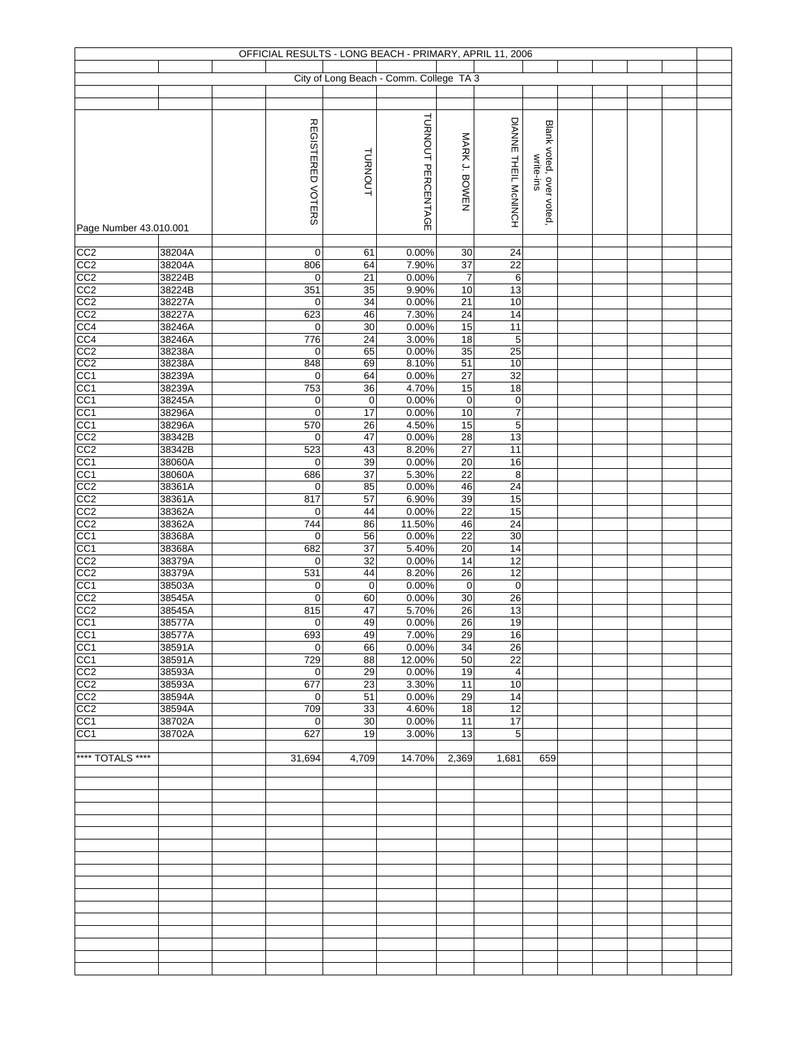|                                    |                  |                    |             | OFFICIAL RESULTS - LONG BEACH - PRIMARY, APRIL 11, 2006 |                       |                      |                         |  |  |  |
|------------------------------------|------------------|--------------------|-------------|---------------------------------------------------------|-----------------------|----------------------|-------------------------|--|--|--|
|                                    |                  |                    |             | City of Long Beach - Comm. College TA 3                 |                       |                      |                         |  |  |  |
|                                    |                  |                    |             |                                                         |                       |                      |                         |  |  |  |
|                                    |                  |                    |             |                                                         |                       |                      |                         |  |  |  |
|                                    |                  | REGISTERED VOTERS  |             | TURNOUT PERCENTAGE                                      |                       | DIANNE THEIL MCNINCH | Blank voted, over voted |  |  |  |
|                                    |                  |                    |             |                                                         | MARK J. BOWEN         |                      |                         |  |  |  |
|                                    |                  |                    | TURNOUT     |                                                         |                       |                      |                         |  |  |  |
|                                    |                  |                    |             |                                                         |                       |                      | write-ins               |  |  |  |
|                                    |                  |                    |             |                                                         |                       |                      |                         |  |  |  |
|                                    |                  |                    |             |                                                         |                       |                      |                         |  |  |  |
| Page Number 43.010.001             |                  |                    |             |                                                         |                       |                      |                         |  |  |  |
|                                    |                  |                    |             |                                                         |                       |                      |                         |  |  |  |
| CC <sub>2</sub><br>CC2             | 38204A<br>38204A | $\mathbf 0$<br>806 | 61<br>64    | 0.00%<br>7.90%                                          | 30<br>37              | 24<br>22             |                         |  |  |  |
| CC2                                | 38224B           | 0                  | 21          | 0.00%                                                   | $\overline{7}$        | 6                    |                         |  |  |  |
| CC <sub>2</sub>                    | 38224B           | 351                | 35          | 9.90%                                                   | 10                    | 13                   |                         |  |  |  |
| $\frac{CC2}{CC2}$                  | 38227A           | 0                  | 34          | 0.00%                                                   | $\overline{21}$       | 10                   |                         |  |  |  |
| CC4                                | 38227A<br>38246A | 623<br>0           | 46<br>30    | 7.30%<br>0.00%                                          | 24<br>15              | 14<br>11             |                         |  |  |  |
|                                    | 38246A           | 776                | 24          | 3.00%                                                   | 18                    | $\sqrt{5}$           |                         |  |  |  |
| CC4<br>CC2<br>CC2<br>CC1           | 38238A           | 0                  | 65          | 0.00%                                                   | 35                    | 25                   |                         |  |  |  |
|                                    | 38238A           | 848                | 69          | 8.10%<br>0.00%                                          | 51                    | 10<br>32             |                         |  |  |  |
| CC <sub>1</sub>                    | 38239A<br>38239A | 0<br>753           | 64<br>36    | 4.70%                                                   | $\overline{27}$<br>15 | 18                   |                         |  |  |  |
| CC <sub>1</sub>                    | 38245A           | 0                  | $\mathbf 0$ | 0.00%                                                   | $\mathbf 0$           | $\boldsymbol{0}$     |                         |  |  |  |
| CC <sub>1</sub>                    | 38296A           | $\mathbf 0$        | 17          | 0.00%                                                   | 10                    | $\overline{7}$       |                         |  |  |  |
| $\frac{CC1}{CC2}$                  | 38296A<br>38342B | 570<br>$\mathbf 0$ | 26<br>47    | 4.50%<br>0.00%                                          | 15<br>$\overline{28}$ | 5<br>13              |                         |  |  |  |
| CC2                                | 38342B           | 523                | 43          | 8.20%                                                   | 27                    | 11                   |                         |  |  |  |
| CC <sub>1</sub>                    | 38060A           | 0                  | 39          | 0.00%                                                   | $\overline{20}$       | 16                   |                         |  |  |  |
| $\frac{CC1}{CC2}$                  | 38060A           | 686                | 37          | 5.30%                                                   | 22                    | 8                    |                         |  |  |  |
|                                    | 38361A           | 0<br>817           | 85<br>57    | 0.00%<br>6.90%                                          | 46<br>39              | 24<br>15             |                         |  |  |  |
| CC <sub>2</sub><br>CC <sub>2</sub> | 38361A<br>38362A | 0                  | 44          | 0.00%                                                   | 22                    | 15                   |                         |  |  |  |
| CC <sub>2</sub>                    | 38362A           | 744                | 86          | 11.50%                                                  | 46                    | 24                   |                         |  |  |  |
| CC <sub>1</sub>                    | 38368A           | 0                  | 56          | 0.00%                                                   | 22                    | 30                   |                         |  |  |  |
| CC <sub>1</sub><br>CC2             | 38368A<br>38379A | 682<br>$\mathbf 0$ | 37<br>32    | 5.40%<br>0.00%                                          | 20<br>14              | 14<br>12             |                         |  |  |  |
| CC2                                | 38379A           | 531                | 44          | 8.20%                                                   | $\overline{26}$       | 12                   |                         |  |  |  |
| CC <sub>1</sub>                    | 38503A           | 0                  | $\mathbf 0$ | 0.00%                                                   | $\mathsf 0$           | $\mathbf 0$          |                         |  |  |  |
| CC2                                | 38545A           | 0                  | 60          | 0.00%                                                   | $30\,$                | 26                   |                         |  |  |  |
| CC <sub>2</sub><br>CC <sub>1</sub> | 38545A<br>38577A | 815<br>0           | 47<br>49    | 5.70%<br>0.00%                                          | 26<br>$\overline{26}$ | 13<br>19             |                         |  |  |  |
| CC <sub>1</sub>                    | 38577A           | 693                | 49          | 7.00%                                                   | 29                    | 16                   |                         |  |  |  |
| CC <sub>1</sub>                    | 38591A           | $\mathbf 0$        | 66          | 0.00%                                                   | 34                    | 26                   |                         |  |  |  |
| CC <sub>1</sub>                    | 38591A<br>38593A | 729                | 88          | 12.00%                                                  | 50                    | $\overline{22}$      |                         |  |  |  |
| CC <sub>2</sub><br>CC <sub>2</sub> | 38593A           | $\mathbf 0$<br>677 | 29<br>23    | 0.00%<br>3.30%                                          | 19<br>11              | $\overline{4}$<br>10 |                         |  |  |  |
| CC2                                | 38594A           | $\mathbf 0$        | 51          | 0.00%                                                   | 29                    | 14                   |                         |  |  |  |
| CC2                                | 38594A           | 709                | 33          | 4.60%                                                   | 18                    | 12                   |                         |  |  |  |
| CC <sub>1</sub><br>CC <sub>1</sub> | 38702A<br>38702A | $\mathbf 0$<br>627 | 30<br>19    | 0.00%<br>3.00%                                          | 11<br>13              | 17<br>5              |                         |  |  |  |
|                                    |                  |                    |             |                                                         |                       |                      |                         |  |  |  |
| **** TOTALS ****                   |                  | 31,694             | 4,709       | 14.70%                                                  | 2,369                 | 1,681                | 659                     |  |  |  |
|                                    |                  |                    |             |                                                         |                       |                      |                         |  |  |  |
|                                    |                  |                    |             |                                                         |                       |                      |                         |  |  |  |
|                                    |                  |                    |             |                                                         |                       |                      |                         |  |  |  |
|                                    |                  |                    |             |                                                         |                       |                      |                         |  |  |  |
|                                    |                  |                    |             |                                                         |                       |                      |                         |  |  |  |
|                                    |                  |                    |             |                                                         |                       |                      |                         |  |  |  |
|                                    |                  |                    |             |                                                         |                       |                      |                         |  |  |  |
|                                    |                  |                    |             |                                                         |                       |                      |                         |  |  |  |
|                                    |                  |                    |             |                                                         |                       |                      |                         |  |  |  |
|                                    |                  |                    |             |                                                         |                       |                      |                         |  |  |  |
|                                    |                  |                    |             |                                                         |                       |                      |                         |  |  |  |
|                                    |                  |                    |             |                                                         |                       |                      |                         |  |  |  |
|                                    |                  |                    |             |                                                         |                       |                      |                         |  |  |  |
|                                    |                  |                    |             |                                                         |                       |                      |                         |  |  |  |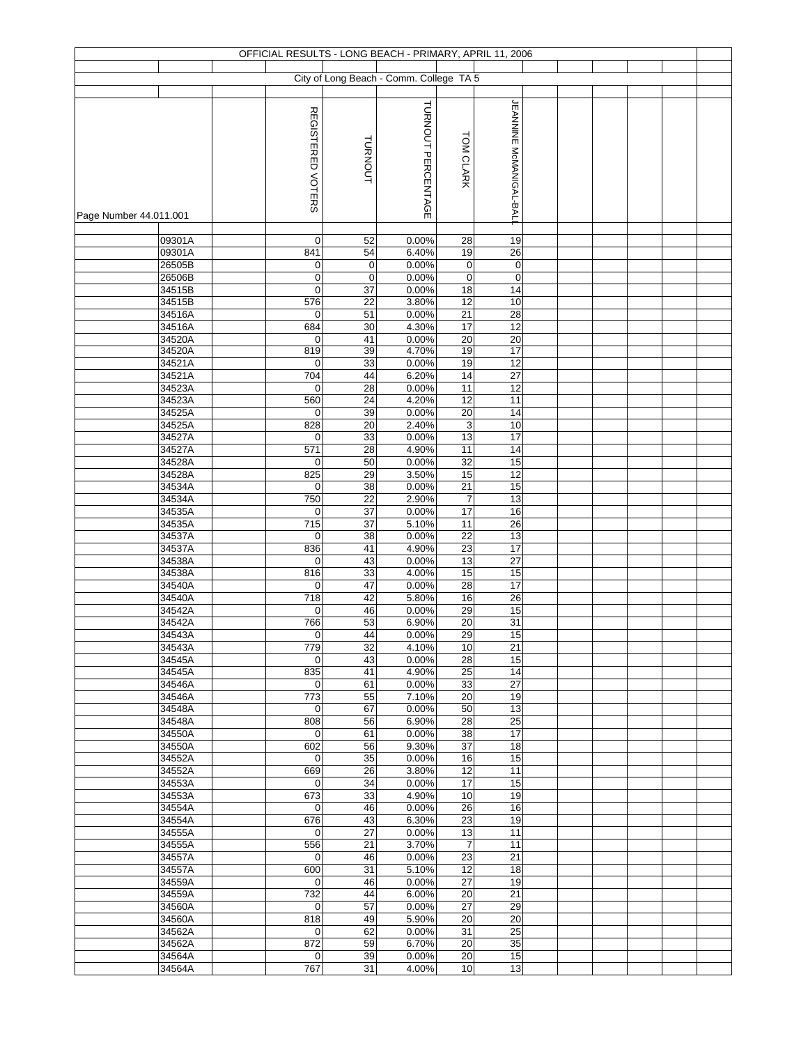| City of Long Beach - Comm. College TA 5<br><b>JEANNINE MCMANIGAL-BALI</b><br>TURNOUT PERCENTAGE<br>REGISTERED VOTERS<br>TOM CLARK<br>TURNOUT<br>Page Number 44.011.001<br>09301A<br>$\mathbf 0$<br>52<br>0.00%<br>28<br>19<br>19<br>09301A<br>841<br>6.40%<br>26<br>54<br>$\mathbf 0$<br>0.00%<br>$\boldsymbol{0}$<br>$\pmb{0}$<br>26505B<br>$\mathbf 0$<br>0.00%<br>$\pmb{0}$<br>$\pmb{0}$<br>26506B<br>$\mathbf 0$<br>$\mathbf 0$<br>18<br>34515B<br>0<br>37<br>0.00%<br>14<br>576<br>3.80%<br>12<br>10<br>34515B<br>22<br>$\overline{28}$<br>34516A<br>51<br>0.00%<br>21<br>$\mathbf 0$<br>684<br>4.30%<br>17<br>12<br>34516A<br>30<br>34520A<br>41<br>0.00%<br>20<br>20<br>$\mathbf 0$<br>819<br>4.70%<br>34520A<br>19<br>17<br>39<br>12<br>34521A<br>33<br>0.00%<br>19<br>$\mathbf 0$<br>6.20%<br>34521A<br>704<br>44<br>$\overline{14}$<br>$\overline{27}$<br>34523A<br>0.00%<br>12<br>$\mathbf 0$<br>28<br>11<br>4.20%<br>34523A<br>560<br>24<br>12<br>11<br>34525A<br>0.00%<br>20<br>14<br>$\mathbf 0$<br>39<br>2.40%<br>$\ensuremath{\mathsf{3}}$<br>10<br>34525A<br>828<br>20<br>34527A<br>0.00%<br>13<br>17<br>33<br>0<br>34527A<br>571<br>4.90%<br>11<br>14<br>28<br>0.00%<br>34528A<br>50<br>32<br>15<br>0<br>34528A<br>825<br>29<br>3.50%<br>15<br>12<br>0.00%<br>34534A<br>38<br>21<br>15<br>$\mathbf 0$ |
|-------------------------------------------------------------------------------------------------------------------------------------------------------------------------------------------------------------------------------------------------------------------------------------------------------------------------------------------------------------------------------------------------------------------------------------------------------------------------------------------------------------------------------------------------------------------------------------------------------------------------------------------------------------------------------------------------------------------------------------------------------------------------------------------------------------------------------------------------------------------------------------------------------------------------------------------------------------------------------------------------------------------------------------------------------------------------------------------------------------------------------------------------------------------------------------------------------------------------------------------------------------------------------------------------------------------------|
|                                                                                                                                                                                                                                                                                                                                                                                                                                                                                                                                                                                                                                                                                                                                                                                                                                                                                                                                                                                                                                                                                                                                                                                                                                                                                                                         |
|                                                                                                                                                                                                                                                                                                                                                                                                                                                                                                                                                                                                                                                                                                                                                                                                                                                                                                                                                                                                                                                                                                                                                                                                                                                                                                                         |
|                                                                                                                                                                                                                                                                                                                                                                                                                                                                                                                                                                                                                                                                                                                                                                                                                                                                                                                                                                                                                                                                                                                                                                                                                                                                                                                         |
|                                                                                                                                                                                                                                                                                                                                                                                                                                                                                                                                                                                                                                                                                                                                                                                                                                                                                                                                                                                                                                                                                                                                                                                                                                                                                                                         |
|                                                                                                                                                                                                                                                                                                                                                                                                                                                                                                                                                                                                                                                                                                                                                                                                                                                                                                                                                                                                                                                                                                                                                                                                                                                                                                                         |
|                                                                                                                                                                                                                                                                                                                                                                                                                                                                                                                                                                                                                                                                                                                                                                                                                                                                                                                                                                                                                                                                                                                                                                                                                                                                                                                         |
|                                                                                                                                                                                                                                                                                                                                                                                                                                                                                                                                                                                                                                                                                                                                                                                                                                                                                                                                                                                                                                                                                                                                                                                                                                                                                                                         |
|                                                                                                                                                                                                                                                                                                                                                                                                                                                                                                                                                                                                                                                                                                                                                                                                                                                                                                                                                                                                                                                                                                                                                                                                                                                                                                                         |
|                                                                                                                                                                                                                                                                                                                                                                                                                                                                                                                                                                                                                                                                                                                                                                                                                                                                                                                                                                                                                                                                                                                                                                                                                                                                                                                         |
|                                                                                                                                                                                                                                                                                                                                                                                                                                                                                                                                                                                                                                                                                                                                                                                                                                                                                                                                                                                                                                                                                                                                                                                                                                                                                                                         |
|                                                                                                                                                                                                                                                                                                                                                                                                                                                                                                                                                                                                                                                                                                                                                                                                                                                                                                                                                                                                                                                                                                                                                                                                                                                                                                                         |
|                                                                                                                                                                                                                                                                                                                                                                                                                                                                                                                                                                                                                                                                                                                                                                                                                                                                                                                                                                                                                                                                                                                                                                                                                                                                                                                         |
|                                                                                                                                                                                                                                                                                                                                                                                                                                                                                                                                                                                                                                                                                                                                                                                                                                                                                                                                                                                                                                                                                                                                                                                                                                                                                                                         |
|                                                                                                                                                                                                                                                                                                                                                                                                                                                                                                                                                                                                                                                                                                                                                                                                                                                                                                                                                                                                                                                                                                                                                                                                                                                                                                                         |
|                                                                                                                                                                                                                                                                                                                                                                                                                                                                                                                                                                                                                                                                                                                                                                                                                                                                                                                                                                                                                                                                                                                                                                                                                                                                                                                         |
|                                                                                                                                                                                                                                                                                                                                                                                                                                                                                                                                                                                                                                                                                                                                                                                                                                                                                                                                                                                                                                                                                                                                                                                                                                                                                                                         |
|                                                                                                                                                                                                                                                                                                                                                                                                                                                                                                                                                                                                                                                                                                                                                                                                                                                                                                                                                                                                                                                                                                                                                                                                                                                                                                                         |
|                                                                                                                                                                                                                                                                                                                                                                                                                                                                                                                                                                                                                                                                                                                                                                                                                                                                                                                                                                                                                                                                                                                                                                                                                                                                                                                         |
|                                                                                                                                                                                                                                                                                                                                                                                                                                                                                                                                                                                                                                                                                                                                                                                                                                                                                                                                                                                                                                                                                                                                                                                                                                                                                                                         |
|                                                                                                                                                                                                                                                                                                                                                                                                                                                                                                                                                                                                                                                                                                                                                                                                                                                                                                                                                                                                                                                                                                                                                                                                                                                                                                                         |
|                                                                                                                                                                                                                                                                                                                                                                                                                                                                                                                                                                                                                                                                                                                                                                                                                                                                                                                                                                                                                                                                                                                                                                                                                                                                                                                         |
|                                                                                                                                                                                                                                                                                                                                                                                                                                                                                                                                                                                                                                                                                                                                                                                                                                                                                                                                                                                                                                                                                                                                                                                                                                                                                                                         |
|                                                                                                                                                                                                                                                                                                                                                                                                                                                                                                                                                                                                                                                                                                                                                                                                                                                                                                                                                                                                                                                                                                                                                                                                                                                                                                                         |
|                                                                                                                                                                                                                                                                                                                                                                                                                                                                                                                                                                                                                                                                                                                                                                                                                                                                                                                                                                                                                                                                                                                                                                                                                                                                                                                         |
|                                                                                                                                                                                                                                                                                                                                                                                                                                                                                                                                                                                                                                                                                                                                                                                                                                                                                                                                                                                                                                                                                                                                                                                                                                                                                                                         |
|                                                                                                                                                                                                                                                                                                                                                                                                                                                                                                                                                                                                                                                                                                                                                                                                                                                                                                                                                                                                                                                                                                                                                                                                                                                                                                                         |
|                                                                                                                                                                                                                                                                                                                                                                                                                                                                                                                                                                                                                                                                                                                                                                                                                                                                                                                                                                                                                                                                                                                                                                                                                                                                                                                         |
|                                                                                                                                                                                                                                                                                                                                                                                                                                                                                                                                                                                                                                                                                                                                                                                                                                                                                                                                                                                                                                                                                                                                                                                                                                                                                                                         |
|                                                                                                                                                                                                                                                                                                                                                                                                                                                                                                                                                                                                                                                                                                                                                                                                                                                                                                                                                                                                                                                                                                                                                                                                                                                                                                                         |
|                                                                                                                                                                                                                                                                                                                                                                                                                                                                                                                                                                                                                                                                                                                                                                                                                                                                                                                                                                                                                                                                                                                                                                                                                                                                                                                         |
| 750<br>2.90%<br>13<br>34534A<br>22<br>$\overline{7}$                                                                                                                                                                                                                                                                                                                                                                                                                                                                                                                                                                                                                                                                                                                                                                                                                                                                                                                                                                                                                                                                                                                                                                                                                                                                    |
| $\overline{37}$<br>0.00%<br>17<br>16<br>34535A<br>$\mathbf 0$                                                                                                                                                                                                                                                                                                                                                                                                                                                                                                                                                                                                                                                                                                                                                                                                                                                                                                                                                                                                                                                                                                                                                                                                                                                           |
| $\frac{1}{715}$<br>5.10%<br>11<br>26<br>34535A<br>37                                                                                                                                                                                                                                                                                                                                                                                                                                                                                                                                                                                                                                                                                                                                                                                                                                                                                                                                                                                                                                                                                                                                                                                                                                                                    |
| 34537A<br>38<br>0.00%<br>22<br>13<br>$\mathbf 0$                                                                                                                                                                                                                                                                                                                                                                                                                                                                                                                                                                                                                                                                                                                                                                                                                                                                                                                                                                                                                                                                                                                                                                                                                                                                        |
| 34537A<br>836<br>41<br>4.90%<br>$\overline{23}$<br>17<br>34538A<br>0.00%<br>13<br>27<br>$\mathbf 0$<br>43                                                                                                                                                                                                                                                                                                                                                                                                                                                                                                                                                                                                                                                                                                                                                                                                                                                                                                                                                                                                                                                                                                                                                                                                               |
| 816<br>15<br>34538A<br>33<br>4.00%<br>15                                                                                                                                                                                                                                                                                                                                                                                                                                                                                                                                                                                                                                                                                                                                                                                                                                                                                                                                                                                                                                                                                                                                                                                                                                                                                |
| 0.00%<br>28<br>17<br>34540A<br>$\mathbf 0$<br>47                                                                                                                                                                                                                                                                                                                                                                                                                                                                                                                                                                                                                                                                                                                                                                                                                                                                                                                                                                                                                                                                                                                                                                                                                                                                        |
| 718<br>42<br>5.80%<br>16<br>26<br>34540A                                                                                                                                                                                                                                                                                                                                                                                                                                                                                                                                                                                                                                                                                                                                                                                                                                                                                                                                                                                                                                                                                                                                                                                                                                                                                |
| 0.00%<br>29<br>15<br>34542A<br>$\mathbf 0$<br>46                                                                                                                                                                                                                                                                                                                                                                                                                                                                                                                                                                                                                                                                                                                                                                                                                                                                                                                                                                                                                                                                                                                                                                                                                                                                        |
| 31<br>766<br>53<br>$\overline{20}$<br>34542A<br>6.90%                                                                                                                                                                                                                                                                                                                                                                                                                                                                                                                                                                                                                                                                                                                                                                                                                                                                                                                                                                                                                                                                                                                                                                                                                                                                   |
| 0.00%<br>29<br>15<br>34543A<br>$\mathbf 0$<br>44<br>34543A<br>779<br>32<br>4.10%<br>10<br>21                                                                                                                                                                                                                                                                                                                                                                                                                                                                                                                                                                                                                                                                                                                                                                                                                                                                                                                                                                                                                                                                                                                                                                                                                            |
| 34545A<br>43<br>0.00%<br>28<br>15<br>0                                                                                                                                                                                                                                                                                                                                                                                                                                                                                                                                                                                                                                                                                                                                                                                                                                                                                                                                                                                                                                                                                                                                                                                                                                                                                  |
| 835<br>4.90%<br>$\overline{25}$<br>$\overline{14}$<br>34545A<br>41                                                                                                                                                                                                                                                                                                                                                                                                                                                                                                                                                                                                                                                                                                                                                                                                                                                                                                                                                                                                                                                                                                                                                                                                                                                      |
| 0.00%<br>33<br>$\overline{27}$<br>34546A<br>$\mathbf 0$<br>61                                                                                                                                                                                                                                                                                                                                                                                                                                                                                                                                                                                                                                                                                                                                                                                                                                                                                                                                                                                                                                                                                                                                                                                                                                                           |
| 7.10%<br>19<br>34546A<br>773<br>55<br>20                                                                                                                                                                                                                                                                                                                                                                                                                                                                                                                                                                                                                                                                                                                                                                                                                                                                                                                                                                                                                                                                                                                                                                                                                                                                                |
| 67<br>0.00%<br>50<br>13<br>34548A<br>0                                                                                                                                                                                                                                                                                                                                                                                                                                                                                                                                                                                                                                                                                                                                                                                                                                                                                                                                                                                                                                                                                                                                                                                                                                                                                  |
| 808<br>56<br>6.90%<br>28<br>25<br>34548A<br>17                                                                                                                                                                                                                                                                                                                                                                                                                                                                                                                                                                                                                                                                                                                                                                                                                                                                                                                                                                                                                                                                                                                                                                                                                                                                          |
| 61<br>0.00%<br>38<br>34550A<br>$\mathbf 0$<br>34550A<br>602<br>56<br>9.30%<br>37<br>18                                                                                                                                                                                                                                                                                                                                                                                                                                                                                                                                                                                                                                                                                                                                                                                                                                                                                                                                                                                                                                                                                                                                                                                                                                  |
| 35<br>0.00%<br>16<br>15<br>34552A<br>$\mathbf 0$                                                                                                                                                                                                                                                                                                                                                                                                                                                                                                                                                                                                                                                                                                                                                                                                                                                                                                                                                                                                                                                                                                                                                                                                                                                                        |
| 669<br>26<br>3.80%<br>12<br>11<br>34552A                                                                                                                                                                                                                                                                                                                                                                                                                                                                                                                                                                                                                                                                                                                                                                                                                                                                                                                                                                                                                                                                                                                                                                                                                                                                                |
| 0.00%<br>15<br>34553A<br>$\overline{0}$<br>34<br>17                                                                                                                                                                                                                                                                                                                                                                                                                                                                                                                                                                                                                                                                                                                                                                                                                                                                                                                                                                                                                                                                                                                                                                                                                                                                     |
| 33<br>4.90%<br>19<br>34553A<br>673<br>10                                                                                                                                                                                                                                                                                                                                                                                                                                                                                                                                                                                                                                                                                                                                                                                                                                                                                                                                                                                                                                                                                                                                                                                                                                                                                |
| 0.00%<br>34554A<br>$\mathbf 0$<br>46<br>26<br>16                                                                                                                                                                                                                                                                                                                                                                                                                                                                                                                                                                                                                                                                                                                                                                                                                                                                                                                                                                                                                                                                                                                                                                                                                                                                        |
| 19<br>676<br>43<br>6.30%<br>23<br>34554A                                                                                                                                                                                                                                                                                                                                                                                                                                                                                                                                                                                                                                                                                                                                                                                                                                                                                                                                                                                                                                                                                                                                                                                                                                                                                |
| 13<br>34555A<br>$\mathbf 0$<br>27<br>0.00%<br>11<br>556<br>21<br>3.70%<br>$\overline{7}$<br>11<br>34555A                                                                                                                                                                                                                                                                                                                                                                                                                                                                                                                                                                                                                                                                                                                                                                                                                                                                                                                                                                                                                                                                                                                                                                                                                |
| 23<br>21<br>34557A<br>46<br>0.00%<br>0                                                                                                                                                                                                                                                                                                                                                                                                                                                                                                                                                                                                                                                                                                                                                                                                                                                                                                                                                                                                                                                                                                                                                                                                                                                                                  |
|                                                                                                                                                                                                                                                                                                                                                                                                                                                                                                                                                                                                                                                                                                                                                                                                                                                                                                                                                                                                                                                                                                                                                                                                                                                                                                                         |
| 34557A<br>600<br>31<br>5.10%<br>12<br>18                                                                                                                                                                                                                                                                                                                                                                                                                                                                                                                                                                                                                                                                                                                                                                                                                                                                                                                                                                                                                                                                                                                                                                                                                                                                                |
| 0.00%<br>19<br>34559A<br>$\mathbf 0$<br>46<br>27                                                                                                                                                                                                                                                                                                                                                                                                                                                                                                                                                                                                                                                                                                                                                                                                                                                                                                                                                                                                                                                                                                                                                                                                                                                                        |
| 732<br>6.00%<br>21<br>34559A<br>44<br>20                                                                                                                                                                                                                                                                                                                                                                                                                                                                                                                                                                                                                                                                                                                                                                                                                                                                                                                                                                                                                                                                                                                                                                                                                                                                                |
| 57<br>0.00%<br>27<br>29<br>34560A<br>0                                                                                                                                                                                                                                                                                                                                                                                                                                                                                                                                                                                                                                                                                                                                                                                                                                                                                                                                                                                                                                                                                                                                                                                                                                                                                  |
| 818<br>5.90%<br>20<br>34560A<br>49<br>20                                                                                                                                                                                                                                                                                                                                                                                                                                                                                                                                                                                                                                                                                                                                                                                                                                                                                                                                                                                                                                                                                                                                                                                                                                                                                |
| $\overline{25}$<br>62<br>31<br>34562A<br>$\mathbf 0$<br>0.00%                                                                                                                                                                                                                                                                                                                                                                                                                                                                                                                                                                                                                                                                                                                                                                                                                                                                                                                                                                                                                                                                                                                                                                                                                                                           |
| 872<br>35<br>34562A<br>59<br>6.70%<br>20<br>15<br>34564A<br>$\mathbf 0$<br>39<br>0.00%<br>20                                                                                                                                                                                                                                                                                                                                                                                                                                                                                                                                                                                                                                                                                                                                                                                                                                                                                                                                                                                                                                                                                                                                                                                                                            |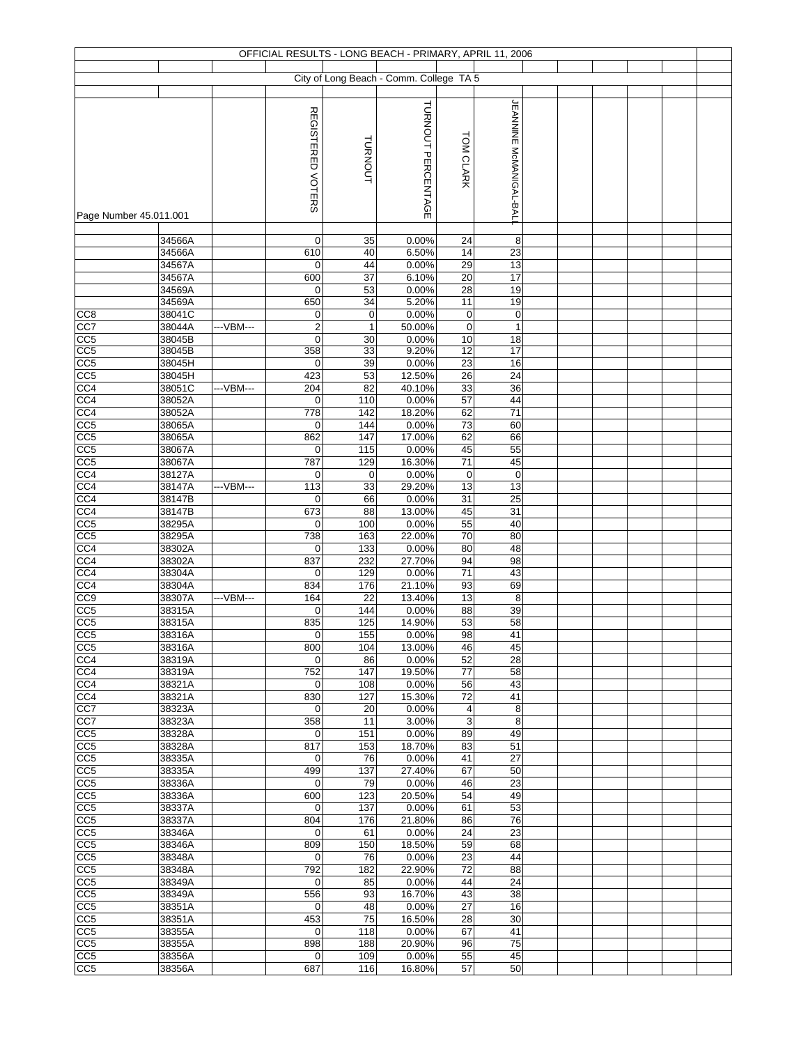|                        |                  |            |                     |                  | OFFICIAL RESULTS - LONG BEACH - PRIMARY, APRIL 11, 2006 |                 |                                |  |  |  |
|------------------------|------------------|------------|---------------------|------------------|---------------------------------------------------------|-----------------|--------------------------------|--|--|--|
|                        |                  |            |                     |                  |                                                         |                 |                                |  |  |  |
|                        |                  |            |                     |                  | City of Long Beach - Comm. College TA 5                 |                 |                                |  |  |  |
|                        |                  |            |                     |                  |                                                         |                 |                                |  |  |  |
|                        |                  |            |                     |                  | TURNOUT PERCENTAGE                                      |                 | <b>JEANNINE McMANIGAL-BALL</b> |  |  |  |
|                        |                  |            | REGISTERED VOTERS   |                  |                                                         |                 |                                |  |  |  |
|                        |                  |            |                     |                  |                                                         |                 |                                |  |  |  |
|                        |                  |            |                     |                  |                                                         |                 |                                |  |  |  |
|                        |                  |            |                     | TURNOUT          |                                                         | TOM CLARK       |                                |  |  |  |
|                        |                  |            |                     |                  |                                                         |                 |                                |  |  |  |
|                        |                  |            |                     |                  |                                                         |                 |                                |  |  |  |
|                        |                  |            |                     |                  |                                                         |                 |                                |  |  |  |
| Page Number 45.011.001 |                  |            |                     |                  |                                                         |                 |                                |  |  |  |
|                        |                  |            |                     |                  |                                                         |                 |                                |  |  |  |
|                        | 34566A           |            | 0                   | 35               | 0.00%                                                   | 24              | 8                              |  |  |  |
|                        | 34566A           |            | 610                 | 40               | 6.50%                                                   | 14              | 23                             |  |  |  |
|                        | 34567A           |            | 0                   | 44               | 0.00%                                                   | 29              | 13                             |  |  |  |
|                        | 34567A           |            | 600                 | 37               | 6.10%                                                   | 20              | 17                             |  |  |  |
|                        | 34569A           |            | 0                   | 53               | 0.00%                                                   | 28              | 19                             |  |  |  |
|                        | 34569A<br>38041C |            | 650                 | 34               | 5.20%<br>0.00%                                          | 11              | 19                             |  |  |  |
| CC <sub>8</sub>        |                  |            | $\mathbf 0$         | $\mathbf 0$<br>1 | 50.00%                                                  | 0               | $\mathbf 0$                    |  |  |  |
| CC7<br>CC5             | 38044A<br>38045B | ---VBM---  | $\overline{c}$<br>0 | 30               | 0.00%                                                   | 0<br>$10$       | $\mathbf{1}$<br>18             |  |  |  |
| CC <sub>5</sub>        | 38045B           |            | 358                 | 33               | 9.20%                                                   | 12              | 17                             |  |  |  |
| CC <sub>5</sub>        | 38045H           |            | $\mathbf 0$         | 39               | 0.00%                                                   | $\overline{23}$ | 16                             |  |  |  |
| CC <sub>5</sub>        | 38045H           |            | 423                 | 53               | 12.50%                                                  | $\overline{26}$ | 24                             |  |  |  |
| CC4                    | 38051C           | --- VBM--- | 204                 | 82               | 40.10%                                                  | 33              | 36                             |  |  |  |
| CC4                    | 38052A           |            | 0                   | 110              | 0.00%                                                   | 57              | 44                             |  |  |  |
| CC4                    | 38052A           |            | 778                 | 142              | 18.20%                                                  | 62              | 71                             |  |  |  |
| CC <sub>5</sub>        | 38065A           |            | 0                   | 144              | 0.00%                                                   | 73              | 60                             |  |  |  |
| CC5                    | 38065A           |            | 862                 | 147              | 17.00%                                                  | 62              | 66                             |  |  |  |
| CC5                    | 38067A           |            | 0                   | 115              | 0.00%                                                   | 45              | 55                             |  |  |  |
| CC <sub>5</sub>        | 38067A           |            | 787                 | 129              | 16.30%                                                  | $71$            | 45                             |  |  |  |
| CC4                    | 38127A           |            | 0                   | $\mathbf 0$      | 0.00%                                                   | $\mathsf 0$     | $\mathbf 0$                    |  |  |  |
| CC4                    | 38147A           | ---VBM---  | 113                 | 33               | 29.20%                                                  | 13              | 13                             |  |  |  |
| CC4                    | 38147B           |            | $\mathbf 0$         | 66               | 0.00%                                                   | 31              | 25<br>31                       |  |  |  |
| CC4<br>CC5             | 38147B<br>38295A |            | 673<br>$\mathbf 0$  | 88<br>100        | 13.00%<br>0.00%                                         | 45<br>55        | 40                             |  |  |  |
| CC <sub>5</sub>        | 38295A           |            | 738                 | 163              | 22.00%                                                  | 70              | 80                             |  |  |  |
| CC4                    | 38302A           |            | 0                   | 133              | 0.00%                                                   | 80              | 48                             |  |  |  |
| CC4                    | 38302A           |            | 837                 | 232              | 27.70%                                                  | 94              | 98                             |  |  |  |
| CC <sub>4</sub>        | 38304A           |            | 0                   | 129              | 0.00%                                                   | $71$            | 43                             |  |  |  |
| CC4                    | 38304A           |            | 834                 | 176              | 21.10%                                                  | 93              | 69                             |  |  |  |
| CC9                    | 38307A           | ---VBM---  | 164                 | 22               | 13.40%                                                  | 13              | 8                              |  |  |  |
| CC <sub>5</sub>        | 38315A           |            | 0                   | 144              | 0.00%                                                   | 88              | 39                             |  |  |  |
| $\overline{CC5}$       | 38315A           |            | 835                 | 125              | 14.90%                                                  | 53              | 58                             |  |  |  |
| CC5                    | 38316A           |            | $\overline{0}$      | 155              | 0.00%                                                   | 98              | 41                             |  |  |  |
| CC <sub>5</sub>        | 38316A           |            | 800                 | 104              | 13.00%                                                  | 46              | 45                             |  |  |  |
| CC4                    | 38319A           |            | $\mathbf 0$         | 86               | 0.00%                                                   | 52              | 28                             |  |  |  |
| CC4                    | 38319A           |            | 752                 | 147              | 19.50%                                                  | 77              | 58                             |  |  |  |
| CC4<br>CC4             | 38321A<br>38321A |            | 0<br>830            | 108<br>127       | 0.00%<br>15.30%                                         | 56<br>72        | 43<br>41                       |  |  |  |
| CC7                    | 38323A           |            | 0                   | 20               | 0.00%                                                   | $\overline{4}$  | 8                              |  |  |  |
| CC7                    | 38323A           |            | 358                 | 11               | 3.00%                                                   | 3               | 8                              |  |  |  |
| CC <sub>5</sub>        | 38328A           |            | $\mathbf 0$         | 151              | 0.00%                                                   | 89              | 49                             |  |  |  |
| CC <sub>5</sub>        | 38328A           |            | 817                 | 153              | 18.70%                                                  | 83              | 51                             |  |  |  |
| CC5                    | 38335A           |            | 0                   | 76               | 0.00%                                                   | 41              | 27                             |  |  |  |
| CC <sub>5</sub>        | 38335A           |            | 499                 | 137              | 27.40%                                                  | 67              | 50                             |  |  |  |
| CC <sub>5</sub>        | 38336A           |            | 0                   | 79               | 0.00%                                                   | 46              | 23                             |  |  |  |
| CC <sub>5</sub>        | 38336A           |            | 600                 | 123              | 20.50%                                                  | 54              | 49                             |  |  |  |
| CC <sub>5</sub>        | 38337A           |            | $\mathbf 0$         | 137              | 0.00%                                                   | 61              | 53                             |  |  |  |
| CC <sub>5</sub>        | 38337A           |            | 804                 | 176              | 21.80%                                                  | 86              | 76                             |  |  |  |
| CC <sub>5</sub>        | 38346A           |            | 0                   | 61               | 0.00%                                                   | 24              | 23                             |  |  |  |
| CC <sub>5</sub>        | 38346A           |            | 809                 | 150              | 18.50%                                                  | 59              | 68                             |  |  |  |
| CC5                    | 38348A           |            | 0<br>792            | 76               | 0.00%                                                   | 23              | 44                             |  |  |  |
| CC5<br>CC <sub>5</sub> | 38348A<br>38349A |            |                     | 182<br>85        | 22.90%<br>0.00%                                         | 72<br>44        | 88<br>24                       |  |  |  |
| CC <sub>5</sub>        | 38349A           |            | 0<br>556            | 93               | 16.70%                                                  | 43              | 38                             |  |  |  |
| CC <sub>5</sub>        | 38351A           |            | 0                   | 48               | 0.00%                                                   | 27              | 16                             |  |  |  |
| CC <sub>5</sub>        | 38351A           |            | 453                 | 75               | 16.50%                                                  | 28              | 30                             |  |  |  |
| CC5                    | 38355A           |            | $\mathbf 0$         | 118              | 0.00%                                                   | 67              | 41                             |  |  |  |
| CC <sub>5</sub>        | 38355A           |            | 898                 | 188              | 20.90%                                                  | 96              | 75                             |  |  |  |
| CC <sub>5</sub>        | 38356A           |            | 0                   | 109              | 0.00%                                                   | 55              | 45                             |  |  |  |
| CC <sub>5</sub>        | 38356A           |            | 687                 | 116              | 16.80%                                                  | 57              | 50                             |  |  |  |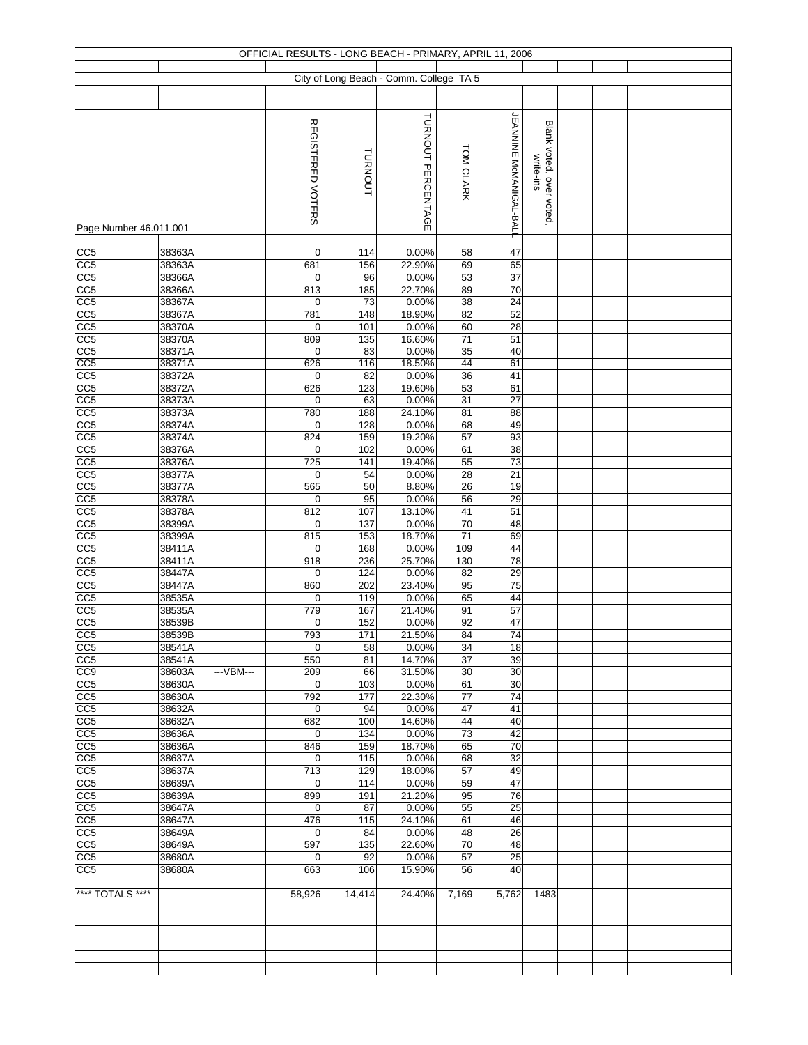|                                    |                  |            |                    |                | OFFICIAL RESULTS - LONG BEACH - PRIMARY, APRIL 11, 2006 |                       |                                |                         |  |  |  |
|------------------------------------|------------------|------------|--------------------|----------------|---------------------------------------------------------|-----------------------|--------------------------------|-------------------------|--|--|--|
|                                    |                  |            |                    |                |                                                         |                       |                                |                         |  |  |  |
|                                    |                  |            |                    |                | City of Long Beach - Comm. College TA 5                 |                       |                                |                         |  |  |  |
|                                    |                  |            |                    |                |                                                         |                       |                                |                         |  |  |  |
|                                    |                  |            |                    |                |                                                         |                       |                                |                         |  |  |  |
|                                    |                  |            | REGISTERED VOTERS  |                | TURNOUT PERCENTAGE                                      |                       | <b>JEANNINE McMANIGAL-BALI</b> | Blank voted, over voted |  |  |  |
|                                    |                  |            |                    |                |                                                         |                       |                                |                         |  |  |  |
|                                    |                  |            |                    |                |                                                         | TOM CLARK             |                                |                         |  |  |  |
|                                    |                  |            |                    | <b>TURNOUT</b> |                                                         |                       |                                | write-ins               |  |  |  |
|                                    |                  |            |                    |                |                                                         |                       |                                |                         |  |  |  |
|                                    |                  |            |                    |                |                                                         |                       |                                |                         |  |  |  |
|                                    |                  |            |                    |                |                                                         |                       |                                |                         |  |  |  |
| Page Number 46.011.001             |                  |            |                    |                |                                                         |                       |                                |                         |  |  |  |
|                                    |                  |            |                    |                |                                                         |                       |                                |                         |  |  |  |
| CC <sub>5</sub>                    | 38363A           |            | 0                  | 114            | 0.00%                                                   | 58                    | 47                             |                         |  |  |  |
| CC5                                | 38363A           |            | 681                | 156            | 22.90%                                                  | 69                    | 65                             |                         |  |  |  |
| CC5                                | 38366A           |            | $\mathbf 0$        | 96             | 0.00%                                                   | 53                    | 37                             |                         |  |  |  |
| CC <sub>5</sub>                    | 38366A           |            | 813                | 185            | 22.70%                                                  | 89                    | 70                             |                         |  |  |  |
| CC <sub>5</sub><br>CC <sub>5</sub> | 38367A           |            | $\mathbf 0$<br>781 | 73             | 0.00%                                                   | 38<br>82              | 24<br>52                       |                         |  |  |  |
| CC <sub>5</sub>                    | 38367A<br>38370A |            | 0                  | 148<br>101     | 18.90%<br>0.00%                                         | 60                    | 28                             |                         |  |  |  |
| CC <sub>5</sub>                    | 38370A           |            | 809                | 135            | 16.60%                                                  | $71$                  | 51                             |                         |  |  |  |
| CC <sub>5</sub>                    | 38371A           |            | $\mathbf 0$        | 83             | 0.00%                                                   | 35                    | 40                             |                         |  |  |  |
| CC <sub>5</sub>                    | 38371A           |            | 626                | 116            | 18.50%                                                  | 44                    | 61                             |                         |  |  |  |
| CC <sub>5</sub>                    | 38372A           |            | $\mathbf 0$        | 82             | 0.00%                                                   | 36                    | 41                             |                         |  |  |  |
| CC <sub>5</sub>                    | 38372A           |            | 626                | 123            | 19.60%                                                  | 53                    | 61                             |                         |  |  |  |
| CC <sub>5</sub>                    | 38373A           |            | 0                  | 63             | 0.00%                                                   | 31                    | $\overline{27}$                |                         |  |  |  |
| CC <sub>5</sub><br>CC <sub>5</sub> | 38373A<br>38374A |            | 780<br>$\mathbf 0$ | 188<br>128     | 24.10%<br>0.00%                                         | 81<br>68              | 88<br>49                       |                         |  |  |  |
| CC <sub>5</sub>                    | 38374A           |            | 824                | 159            | 19.20%                                                  | 57                    | 93                             |                         |  |  |  |
| CC5                                | 38376A           |            | 0                  | 102            | 0.00%                                                   | 61                    | 38                             |                         |  |  |  |
| CC <sub>5</sub>                    | 38376A           |            | 725                | 141            | 19.40%                                                  | 55                    | 73                             |                         |  |  |  |
| CC <sub>5</sub>                    | 38377A           |            | $\mathbf 0$        | 54             | 0.00%                                                   | 28                    | 21                             |                         |  |  |  |
| CC <sub>5</sub>                    | 38377A           |            | 565                | 50             | 8.80%                                                   | 26                    | 19                             |                         |  |  |  |
| CC5                                | 38378A           |            | $\mathbf 0$        | 95             | 0.00%                                                   | 56                    | 29                             |                         |  |  |  |
| CC <sub>5</sub>                    | 38378A           |            | 812                | 107            | 13.10%                                                  | 41                    | 51                             |                         |  |  |  |
| CC <sub>5</sub><br>CC <sub>5</sub> | 38399A<br>38399A |            | $\mathbf 0$<br>815 | 137<br>153     | 0.00%<br>18.70%                                         | 70<br>71              | 48<br>69                       |                         |  |  |  |
| CC <sub>5</sub>                    | 38411A           |            | 0                  | 168            | 0.00%                                                   | 109                   | 44                             |                         |  |  |  |
| CC <sub>5</sub>                    | 38411A           |            | 918                | 236            | 25.70%                                                  | 130                   | 78                             |                         |  |  |  |
| CC <sub>5</sub>                    | 38447A           |            | 0                  | 124            | 0.00%                                                   | 82                    | 29                             |                         |  |  |  |
| CC5                                | 38447A           |            | 860                | 202            | 23.40%                                                  | 95                    | 75                             |                         |  |  |  |
| CC <sub>5</sub>                    | 38535A           |            | 0                  | 119            | 0.00%                                                   | 65                    | 44                             |                         |  |  |  |
| CC <sub>5</sub>                    | 38535A           |            | 779                | 167            | 21.40%                                                  | 91                    | 57                             |                         |  |  |  |
| CC <sub>5</sub>                    | 38539B           |            | 0                  | 152            | 0.00%                                                   | 92<br>84              | $\overline{47}$<br>74          |                         |  |  |  |
| CC <sub>5</sub><br>CC <sub>5</sub> | 38539B<br>38541A |            | 793<br>$\mathbf 0$ | 171<br>58      | 21.50%<br>0.00%                                         | 34                    | 18                             |                         |  |  |  |
| CC <sub>5</sub>                    | 38541A           |            | 550                | 81             | 14.70%                                                  | 37                    | 39                             |                         |  |  |  |
| CC <sub>9</sub>                    | 38603A           | --- VBM--- | 209                | 66             | 31.50%                                                  | 30                    | 30                             |                         |  |  |  |
| CC <sub>5</sub>                    | 38630A           |            | 0                  | 103            | 0.00%                                                   | 61                    | 30                             |                         |  |  |  |
| CC5                                | 38630A           |            | 792                | 177            | 22.30%                                                  | 77                    | 74                             |                         |  |  |  |
| CC5                                | 38632A           |            | 0                  | 94             | 0.00%                                                   | 47                    | 41                             |                         |  |  |  |
| CC5                                | 38632A           |            | 682                | 100            | 14.60%                                                  | 44                    | 40                             |                         |  |  |  |
| $\overline{CC5}$<br>CC5            | 38636A<br>38636A |            | $\mathbf 0$        | 134            | 0.00%<br>18.70%                                         | $\overline{73}$<br>65 | 42<br>70                       |                         |  |  |  |
| CC <sub>5</sub>                    | 38637A           |            | 846<br>$\mathbf 0$ | 159<br>115     | 0.00%                                                   | 68                    | 32                             |                         |  |  |  |
| CC5                                | 38637A           |            | 713                | 129            | 18.00%                                                  | 57                    | 49                             |                         |  |  |  |
| CC5                                | 38639A           |            | 0                  | 114            | 0.00%                                                   | 59                    | 47                             |                         |  |  |  |
| CC <sub>5</sub>                    | 38639A           |            | 899                | 191            | 21.20%                                                  | 95                    | 76                             |                         |  |  |  |
| CC5                                | 38647A           |            | $\mathbf 0$        | 87             | 0.00%                                                   | 55                    | 25                             |                         |  |  |  |
| CC5                                | 38647A           |            | 476                | 115            | 24.10%                                                  | 61                    | 46                             |                         |  |  |  |
| CC5                                | 38649A           |            | 0                  | 84             | 0.00%                                                   | 48                    | 26                             |                         |  |  |  |
| CC5<br>CC5                         | 38649A<br>38680A |            | 597<br>0           | 135<br>92      | 22.60%<br>0.00%                                         | 70<br>57              | 48<br>25                       |                         |  |  |  |
| CC <sub>5</sub>                    | 38680A           |            | 663                | 106            | 15.90%                                                  | 56                    | 40                             |                         |  |  |  |
|                                    |                  |            |                    |                |                                                         |                       |                                |                         |  |  |  |
| **** TOTALS ****                   |                  |            | 58,926             | 14,414         | 24.40%                                                  | 7,169                 | 5,762                          | 1483                    |  |  |  |
|                                    |                  |            |                    |                |                                                         |                       |                                |                         |  |  |  |
|                                    |                  |            |                    |                |                                                         |                       |                                |                         |  |  |  |
|                                    |                  |            |                    |                |                                                         |                       |                                |                         |  |  |  |
|                                    |                  |            |                    |                |                                                         |                       |                                |                         |  |  |  |
|                                    |                  |            |                    |                |                                                         |                       |                                |                         |  |  |  |
|                                    |                  |            |                    |                |                                                         |                       |                                |                         |  |  |  |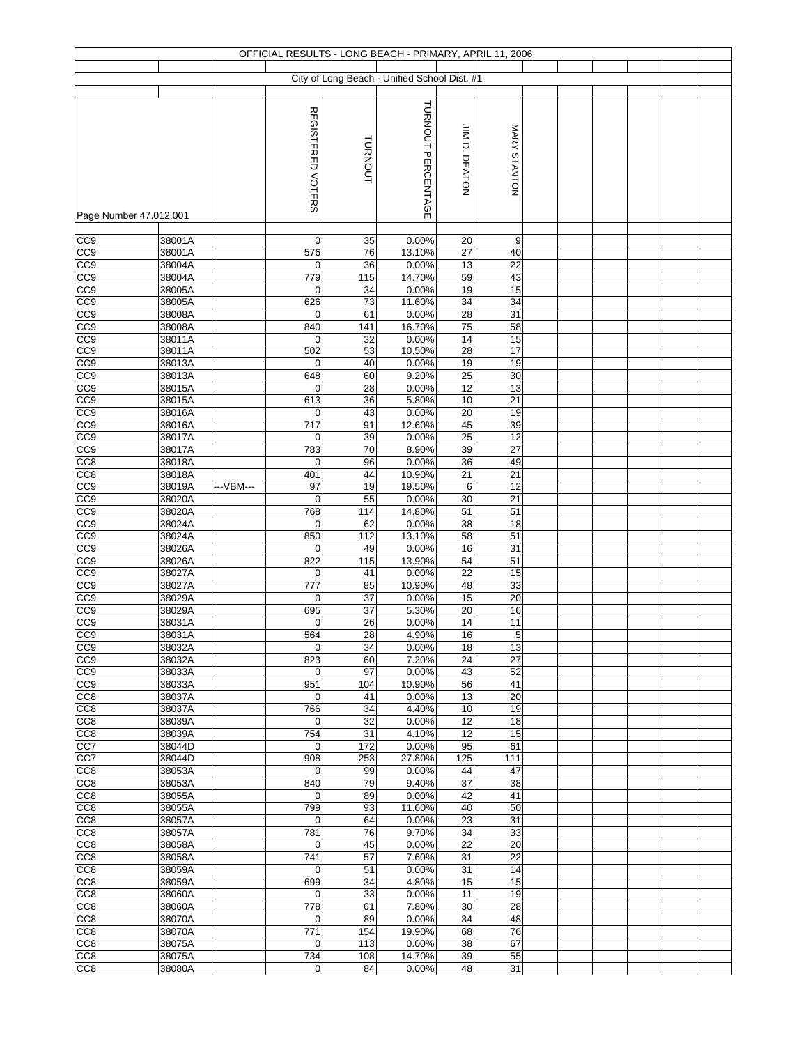|                                    |                  |           |                   |            | OFFICIAL RESULTS - LONG BEACH - PRIMARY, APRIL 11, 2006 |                 |                       |  |  |  |
|------------------------------------|------------------|-----------|-------------------|------------|---------------------------------------------------------|-----------------|-----------------------|--|--|--|
|                                    |                  |           |                   |            |                                                         |                 |                       |  |  |  |
|                                    |                  |           |                   |            | City of Long Beach - Unified School Dist. #1            |                 |                       |  |  |  |
|                                    |                  |           |                   |            |                                                         |                 |                       |  |  |  |
|                                    |                  |           |                   |            | TURNOUT PERCENTAGE                                      |                 |                       |  |  |  |
|                                    |                  |           | REGISTERED VOTERS |            |                                                         |                 |                       |  |  |  |
|                                    |                  |           |                   |            |                                                         |                 |                       |  |  |  |
|                                    |                  |           |                   | TURNOUT    |                                                         | JIM D. DEATON   | MARY STANTON          |  |  |  |
|                                    |                  |           |                   |            |                                                         |                 |                       |  |  |  |
|                                    |                  |           |                   |            |                                                         |                 |                       |  |  |  |
|                                    |                  |           |                   |            |                                                         |                 |                       |  |  |  |
|                                    |                  |           |                   |            |                                                         |                 |                       |  |  |  |
| Page Number 47.012.001             |                  |           |                   |            |                                                         |                 |                       |  |  |  |
|                                    |                  |           |                   |            |                                                         |                 |                       |  |  |  |
| CC <sub>9</sub>                    | 38001A           |           | 0                 | 35         | 0.00%                                                   | 20              | 9                     |  |  |  |
| CC9                                | 38001A           |           | 576               | 76         | 13.10%                                                  | 27              | 40                    |  |  |  |
| CC9                                | 38004A           |           | 0                 | 36         | 0.00%                                                   | 13              | 22                    |  |  |  |
| CC9                                | 38004A<br>38005A |           | 779               | 115<br>34  | 14.70%<br>0.00%                                         | 59<br>19        | 43<br>15              |  |  |  |
| CC9<br>CC9                         | 38005A           |           | 0<br>626          | 73         | 11.60%                                                  | 34              | 34                    |  |  |  |
| CC <sub>9</sub>                    | 38008A           |           | 0                 | 61         | 0.00%                                                   | $\overline{28}$ | 31                    |  |  |  |
| CC9                                | 38008A           |           | 840               | 141        | 16.70%                                                  | 75              | 58                    |  |  |  |
| CC <sub>9</sub>                    | 38011A           |           | 0                 | 32         | 0.00%                                                   | 14              | 15                    |  |  |  |
| CC <sub>9</sub>                    | 38011A           |           | 502               | 53         | 10.50%                                                  | 28              | 17                    |  |  |  |
| CC <sub>0</sub>                    | 38013A           |           | 0                 | 40         | 0.00%                                                   | 19              | 19                    |  |  |  |
| CC <sub>0</sub>                    | 38013A           |           | 648               | 60         | 9.20%                                                   | $\overline{25}$ | $\overline{30}$       |  |  |  |
| CC9                                | 38015A           |           | $\mathbf 0$       | 28         | 0.00%                                                   | 12              | 13                    |  |  |  |
| CC <sub>9</sub>                    | 38015A           |           | 613               | 36         | 5.80%                                                   | $10$            | 21                    |  |  |  |
| CC9                                | 38016A           |           | 0                 | 43         | 0.00%                                                   | 20              | 19                    |  |  |  |
| CC <sub>9</sub>                    | 38016A           |           | 717               | 91         | 12.60%                                                  | 45              | 39                    |  |  |  |
| CC9<br>CC9                         | 38017A           |           | 0                 | 39         | 0.00%                                                   | $\overline{25}$ | 12<br>$\overline{27}$ |  |  |  |
| CC8                                | 38017A<br>38018A |           | 783<br>0          | 70<br>96   | 8.90%<br>0.00%                                          | 39<br>36        | 49                    |  |  |  |
| CC8                                | 38018A           |           | $\overline{401}$  | 44         | 10.90%                                                  | 21              | 21                    |  |  |  |
| CC9                                | 38019A           | ---VBM--- | 97                | 19         | 19.50%                                                  | 6               | 12                    |  |  |  |
| CC9                                | 38020A           |           | $\mathbf 0$       | 55         | 0.00%                                                   | $30\,$          | 21                    |  |  |  |
| CC9                                | 38020A           |           | 768               | 114        | 14.80%                                                  | 51              | 51                    |  |  |  |
| CC9                                | 38024A           |           | $\mathbf 0$       | 62         | 0.00%                                                   | 38              | 18                    |  |  |  |
| CC <sub>9</sub>                    | 38024A           |           | 850               | 112        | 13.10%                                                  | 58              | 51                    |  |  |  |
| CC9                                | 38026A           |           | 0                 | 49         | 0.00%                                                   | 16              | 31                    |  |  |  |
| CC <sub>9</sub>                    | 38026A           |           | 822               | 115        | 13.90%                                                  | 54              | 51                    |  |  |  |
| CC <sub>9</sub>                    | 38027A           |           | 0                 | 41         | 0.00%                                                   | 22              | 15                    |  |  |  |
| CC9                                | 38027A           |           | 777               | 85         | 10.90%                                                  | 48              | 33                    |  |  |  |
| CC9                                | 38029A           |           | 0                 | 37         | 0.00%                                                   | 15              | 20                    |  |  |  |
| CC <sub>9</sub><br>CC <sub>9</sub> | 38029A<br>38031A |           | 695<br>0          | 37<br>26   | 5.30%<br>0.00%                                          | 20<br>14        | 16<br>11              |  |  |  |
| CC9                                | 38031A           |           | 564               | 28         | 4.90%                                                   | 16              | $\overline{5}$        |  |  |  |
| CC <sub>9</sub>                    | 38032A           |           | 0                 | 34         | 0.00%                                                   | 18              | 13                    |  |  |  |
| CC <sub>9</sub>                    | 38032A           |           | 823               | 60         | 7.20%                                                   | 24              | 27                    |  |  |  |
| CC9                                | 38033A           |           | 0                 | 97         | 0.00%                                                   | 43              | 52                    |  |  |  |
| CC <sub>9</sub>                    | 38033A           |           | 951               | 104        | 10.90%                                                  | 56              | 41                    |  |  |  |
| CC <sub>8</sub>                    | 38037A           |           | $\mathbf 0$       | 41         | 0.00%                                                   | 13              | 20                    |  |  |  |
| CC <sub>8</sub>                    | 38037A           |           | 766               | 34         | 4.40%                                                   | 10              | 19                    |  |  |  |
| CC <sub>8</sub>                    | 38039A           |           | 0                 | 32         | 0.00%                                                   | 12              | 18                    |  |  |  |
| CC <sub>8</sub>                    | 38039A           |           | 754               | 31         | 4.10%                                                   | 12              | 15<br>61              |  |  |  |
| CC7<br>CC7                         | 38044D<br>38044D |           | 0<br>908          | 172<br>253 | 0.00%<br>27.80%                                         | 95<br>125       | 111                   |  |  |  |
| CC <sub>8</sub>                    | 38053A           |           | 0                 | 99         | 0.00%                                                   | 44              | 47                    |  |  |  |
| CC <sub>8</sub>                    | 38053A           |           | 840               | 79         | 9.40%                                                   | 37              | 38                    |  |  |  |
| CC <sub>8</sub>                    | 38055A           |           | 0                 | 89         | 0.00%                                                   | 42              | 41                    |  |  |  |
| CC <sub>8</sub>                    | 38055A           |           | 799               | 93         | 11.60%                                                  | 40              | 50                    |  |  |  |
| CC <sub>8</sub>                    | 38057A           |           | 0                 | 64         | 0.00%                                                   | 23              | 31                    |  |  |  |
| CC <sub>8</sub>                    | 38057A           |           | 781               | 76         | 9.70%                                                   | 34              | 33                    |  |  |  |
| CC <sub>8</sub>                    | 38058A           |           | $\mathbf 0$       | 45         | 0.00%                                                   | 22              | 20                    |  |  |  |
| CC <sub>8</sub>                    | 38058A           |           | 741               | 57         | 7.60%                                                   | 31              | 22                    |  |  |  |
| CC <sub>8</sub>                    | 38059A           |           | $\mathbf 0$       | 51         | 0.00%                                                   | 31              | 14                    |  |  |  |
| CC <sub>8</sub>                    | 38059A           |           | 699               | 34         | 4.80%                                                   | 15              | 15                    |  |  |  |
| CC <sub>8</sub>                    | 38060A           |           | $\mathbf 0$       | 33         | 0.00%                                                   | 11              | 19<br>28              |  |  |  |
| CC <sub>8</sub><br>CC <sub>8</sub> | 38060A<br>38070A |           | 778<br>0          | 61<br>89   | 7.80%<br>0.00%                                          | 30<br>34        | 48                    |  |  |  |
| CC8                                | 38070A           |           | 771               | 154        | 19.90%                                                  | 68              | 76                    |  |  |  |
| CC <sub>8</sub>                    | 38075A           |           | $\mathbf 0$       | 113        | 0.00%                                                   | 38              | 67                    |  |  |  |
| CC <sub>8</sub>                    | 38075A           |           | 734               | 108        | 14.70%                                                  | 39              | 55                    |  |  |  |
| CC <sub>8</sub>                    | 38080A           |           | 0                 | 84         | 0.00%                                                   | 48              | 31                    |  |  |  |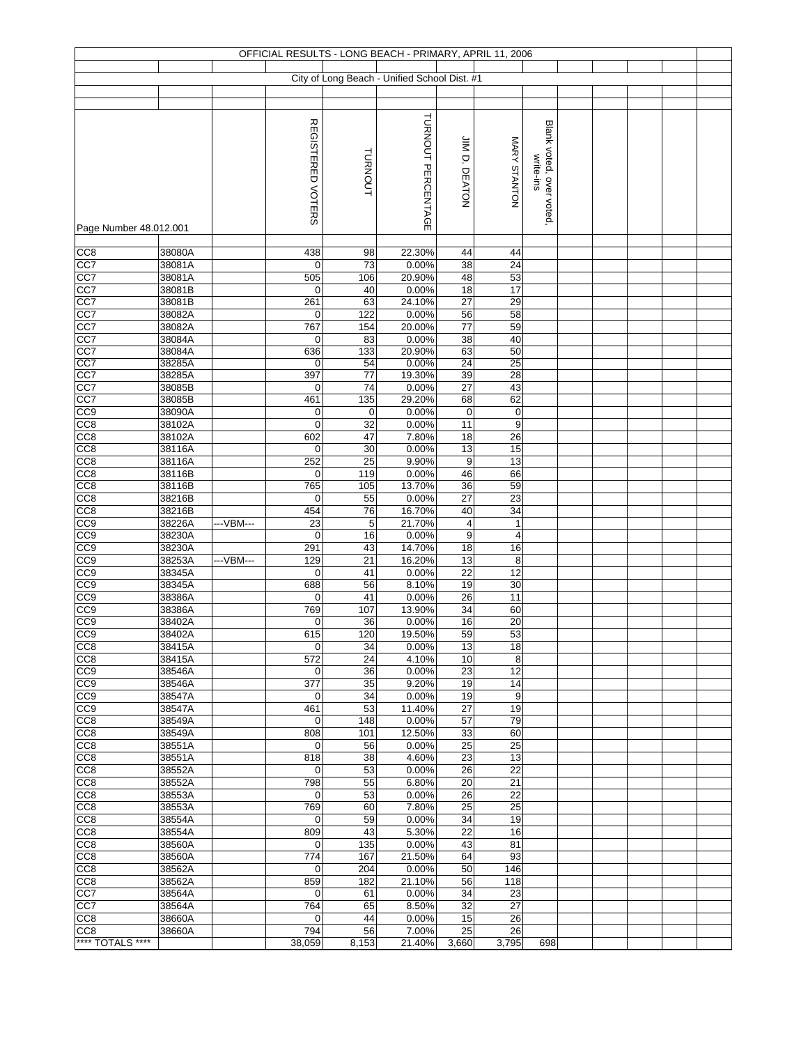|                                     |                  |           |                    |             | OFFICIAL RESULTS - LONG BEACH - PRIMARY, APRIL 11, 2006 |                       |                      |                                      |  |  |  |
|-------------------------------------|------------------|-----------|--------------------|-------------|---------------------------------------------------------|-----------------------|----------------------|--------------------------------------|--|--|--|
|                                     |                  |           |                    |             | City of Long Beach - Unified School Dist. #1            |                       |                      |                                      |  |  |  |
|                                     |                  |           |                    |             |                                                         |                       |                      |                                      |  |  |  |
|                                     |                  |           |                    |             |                                                         |                       |                      |                                      |  |  |  |
| Page Number 48.012.001              |                  |           | REGISTERED VOTERS  | TURNOUT     | TURNOUT PERCENTAGE                                      | JIM D. DEATON         | MARY STANTON         | Blank voted, over voted<br>write-ins |  |  |  |
| CC8                                 | 38080A           |           | 438                | 98          | 22.30%                                                  | 44                    | 44                   |                                      |  |  |  |
| CC7                                 | 38081A           |           | $\mathbf 0$        | 73          | 0.00%                                                   | 38                    | 24                   |                                      |  |  |  |
| CC7                                 | 38081A           |           | 505                | 106         | 20.90%                                                  | 48                    | 53                   |                                      |  |  |  |
| CC7                                 | 38081B           |           | $\mathbf 0$        | 40          | 0.00%                                                   | 18                    | 17                   |                                      |  |  |  |
| CC7<br>CC7                          | 38081B<br>38082A |           | 261<br>$\mathbf 0$ | 63<br>122   | 24.10%<br>0.00%                                         | 27<br>56              | 29<br>58             |                                      |  |  |  |
| CC7                                 | 38082A           |           | 767                | 154         | 20.00%                                                  | 77                    | 59                   |                                      |  |  |  |
| CC7                                 | 38084A           |           | 0                  | 83          | 0.00%                                                   | 38                    | 40                   |                                      |  |  |  |
| CC7                                 | 38084A           |           | 636                | 133         | 20.90%                                                  | 63                    | 50                   |                                      |  |  |  |
| CC7                                 | 38285A           |           | 0<br>397           | 54          | 0.00%                                                   | 24                    | 25<br>28             |                                      |  |  |  |
| CC7<br>CC7                          | 38285A<br>38085B |           | 0                  | 77<br>74    | 19.30%<br>0.00%                                         | 39<br>27              | 43                   |                                      |  |  |  |
| CC7                                 | 38085B           |           | 461                | 135         | 29.20%                                                  | 68                    | 62                   |                                      |  |  |  |
| CC9                                 | 38090A           |           | $\mathbf 0$        | 0           | 0.00%                                                   | $\pmb{0}$             | $\pmb{0}$            |                                      |  |  |  |
| CC8                                 | 38102A           |           | $\mathbf 0$        | 32          | 0.00%                                                   | 11                    | 9                    |                                      |  |  |  |
| CC <sub>8</sub>                     | 38102A           |           | 602                | 47          | 7.80%                                                   | 18                    | 26                   |                                      |  |  |  |
| CC <sub>8</sub>                     | 38116A           |           | $\mathbf 0$        | 30          | 0.00%                                                   | 13                    | 15                   |                                      |  |  |  |
| CC <sub>8</sub>                     | 38116A           |           | 252                | 25          | 9.90%                                                   | $\boldsymbol{9}$      | 13                   |                                      |  |  |  |
| CC8<br>CC <sub>8</sub>              | 38116B<br>38116B |           | $\mathbf 0$<br>765 | 119<br>105  | 0.00%<br>13.70%                                         | 46<br>36              | 66<br>59             |                                      |  |  |  |
| CC8                                 | 38216B           |           | $\mathbf 0$        | 55          | 0.00%                                                   | 27                    | 23                   |                                      |  |  |  |
| CC8                                 | 38216B           |           | 454                | 76          | 16.70%                                                  | 40                    | 34                   |                                      |  |  |  |
| CC9                                 | 38226A           | ---VBM--- | 23                 | 5           | 21.70%                                                  | 4                     | $\mathbf{1}$         |                                      |  |  |  |
| CC <sub>9</sub>                     | 38230A           |           | $\mathbf 0$        | 16          | 0.00%                                                   | $\boldsymbol{9}$      | $\overline{4}$       |                                      |  |  |  |
| CC <sub>9</sub>                     | 38230A           |           | 291                | 43          | 14.70%                                                  | 18                    | 16                   |                                      |  |  |  |
| CC <sub>9</sub>                     | 38253A           | ---VBM--- | 129                | 21          | 16.20%                                                  | 13                    | 8<br>$\overline{12}$ |                                      |  |  |  |
| CC <sub>9</sub><br>CC <sub>0</sub>  | 38345A<br>38345A |           | $\mathbf 0$<br>688 | 41<br>56    | 0.00%<br>8.10%                                          | $\overline{22}$<br>19 | 30                   |                                      |  |  |  |
| CC <sub>9</sub>                     | 38386A           |           | $\mathbf 0$        | 41          | 0.00%                                                   | $\overline{26}$       | 11                   |                                      |  |  |  |
| CC9                                 | 38386A           |           | 769                | 107         | 13.90%                                                  | 34                    | 60                   |                                      |  |  |  |
| CC9                                 | 38402A           |           | 0                  | 36          | 0.00%                                                   | 16                    | 20                   |                                      |  |  |  |
| CC <sub>9</sub>                     | 38402A           |           | 615                | 120         | 19.50%                                                  | 59                    | 53                   |                                      |  |  |  |
| CC <sub>8</sub>                     | 38415A           |           | 0                  | 34          | 0.00%                                                   | 13                    | 18                   |                                      |  |  |  |
| CC <sub>8</sub>                     | 38415A           |           | 572                | 24          | 4.10%                                                   | 10                    | 8<br>12              |                                      |  |  |  |
| CC <sub>9</sub><br>CC <sub>9</sub>  | 38546A<br>38546A |           | 0<br>377           | 36<br>35    | 0.00%<br>9.20%                                          | 23<br>19              | 14                   |                                      |  |  |  |
| CC <sub>9</sub>                     | 38547A           |           | $\mathbf 0$        | 34          | 0.00%                                                   | 19                    | 9                    |                                      |  |  |  |
| CC <sub>9</sub>                     | 38547A           |           | 461                | 53          | 11.40%                                                  | 27                    | 19                   |                                      |  |  |  |
| CC <sub>8</sub>                     | 38549A           |           | 0                  | 148         | 0.00%                                                   | 57                    | 79                   |                                      |  |  |  |
| CC <sub>8</sub>                     | 38549A           |           | 808                | 101         | 12.50%                                                  | 33                    | 60                   |                                      |  |  |  |
| CC <sub>8</sub><br>CC8              | 38551A<br>38551A |           | $\mathbf 0$<br>818 | 56<br>38    | 0.00%<br>4.60%                                          | 25<br>23              | 25<br>13             |                                      |  |  |  |
| CC <sub>8</sub>                     | 38552A           |           | 0                  | 53          | 0.00%                                                   | 26                    | 22                   |                                      |  |  |  |
| CC <sub>8</sub>                     | 38552A           |           | 798                | 55          | 6.80%                                                   | 20                    | 21                   |                                      |  |  |  |
| CC <sub>8</sub>                     | 38553A           |           | $\mathbf 0$        | 53          | 0.00%                                                   | 26                    | 22                   |                                      |  |  |  |
| CC <sub>8</sub>                     | 38553A           |           | 769                | 60          | 7.80%                                                   | 25                    | 25                   |                                      |  |  |  |
| CC <sub>8</sub>                     | 38554A           |           | $\mathbf 0$        | 59          | 0.00%                                                   | 34                    | 19                   |                                      |  |  |  |
| CC <sub>8</sub><br>CC <sub>8</sub>  | 38554A<br>38560A |           | 809<br>$\mathbf 0$ | 43<br>135   | 5.30%<br>0.00%                                          | 22<br>43              | 16<br>81             |                                      |  |  |  |
| CC <sub>8</sub>                     | 38560A           |           | 774                | 167         | 21.50%                                                  | 64                    | 93                   |                                      |  |  |  |
| CC <sub>8</sub>                     | 38562A           |           | $\mathbf 0$        | 204         | 0.00%                                                   | 50                    | 146                  |                                      |  |  |  |
| CC <sub>8</sub>                     | 38562A           |           | 859                | 182         | 21.10%                                                  | 56                    | 118                  |                                      |  |  |  |
| CC7                                 | 38564A           |           | 0                  | 61          | 0.00%                                                   | 34                    | 23                   |                                      |  |  |  |
| CC7                                 | 38564A           |           | 764                | 65          | 8.50%                                                   | 32                    | 27                   |                                      |  |  |  |
| CC <sub>8</sub>                     | 38660A           |           | $\mathbf 0$        | 44          | 0.00%                                                   | 15                    | 26                   |                                      |  |  |  |
| CC <sub>8</sub><br>**** TOTALS **** | 38660A           |           | 794<br>38,059      | 56<br>8,153 | 7.00%<br>21.40%                                         | 25<br>3,660           | 26<br>3,795          | 698                                  |  |  |  |
|                                     |                  |           |                    |             |                                                         |                       |                      |                                      |  |  |  |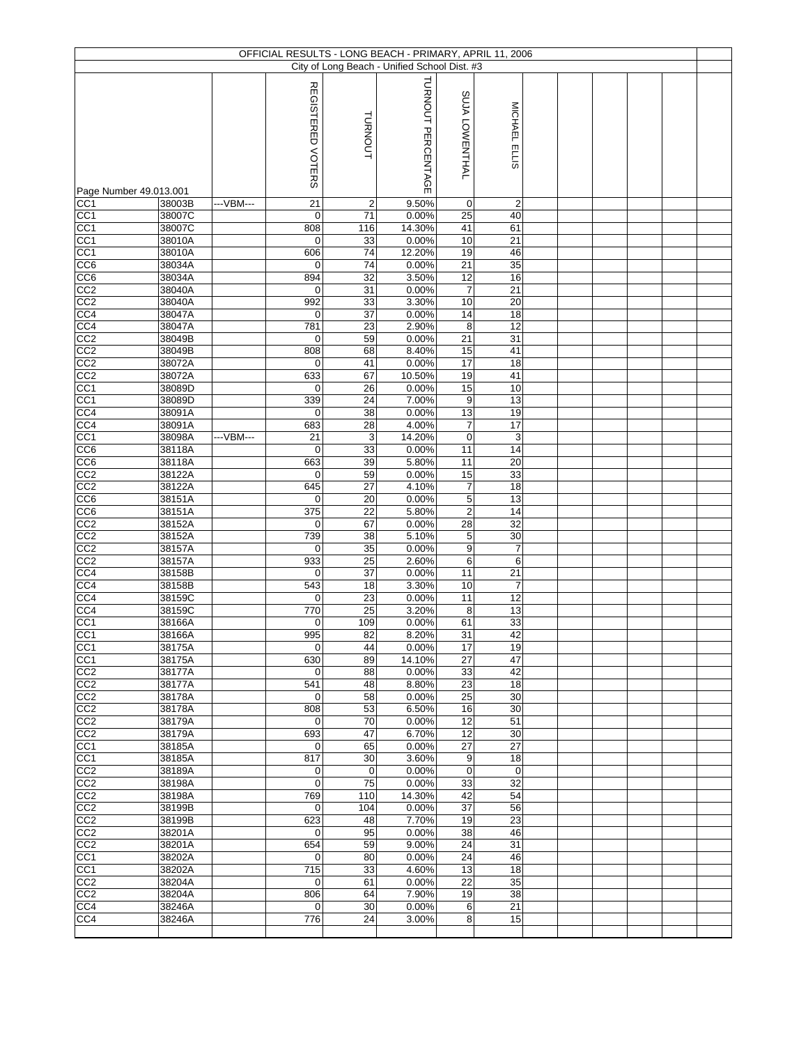| OFFICIAL RESULTS - LONG BEACH - PRIMARY, APRIL 11, 2006<br>City of Long Beach - Unified School Dist. #3 |                  |           |                       |                      |                    |                   |                       |  |  |  |  |  |  |
|---------------------------------------------------------------------------------------------------------|------------------|-----------|-----------------------|----------------------|--------------------|-------------------|-----------------------|--|--|--|--|--|--|
|                                                                                                         |                  |           |                       |                      |                    |                   |                       |  |  |  |  |  |  |
|                                                                                                         |                  |           | REGISTERED VOTERS     | TURNOUT              | TURNOUT PERCENTAGE | SUJA LOWENTHAL    | MICHAEL ELLIS         |  |  |  |  |  |  |
|                                                                                                         |                  |           |                       |                      |                    |                   |                       |  |  |  |  |  |  |
| Page Number 49.013.001                                                                                  |                  |           |                       |                      |                    |                   |                       |  |  |  |  |  |  |
| CC <sub>1</sub><br>CC <sub>1</sub>                                                                      | 38003B<br>38007C | ---VBM--- | 21<br>$\overline{0}$  | $\overline{2}$<br>71 | 9.50%<br>0.00%     | $\mathbf 0$<br>25 | $\overline{2}$<br>40  |  |  |  |  |  |  |
| $\overline{CC1}$                                                                                        | 38007C           |           | 808                   | 116                  | 14.30%             | 41                | 61                    |  |  |  |  |  |  |
| CC1                                                                                                     | 38010A           |           | $\overline{0}$        | 33                   | 0.00%              | 10                | 21                    |  |  |  |  |  |  |
| CC1                                                                                                     | 38010A           |           | 606                   | 74                   | 12.20%             | 19                | 46                    |  |  |  |  |  |  |
| CC6<br>CC6                                                                                              | 38034A<br>38034A |           | $\overline{0}$<br>894 | 74<br>32             | 0.00%<br>3.50%     | 21<br>12          | 35<br>16              |  |  |  |  |  |  |
| $\overline{CC2}$                                                                                        | 38040A           |           | $\mathbf 0$           | 31                   | 0.00%              | $\overline{7}$    | $\overline{21}$       |  |  |  |  |  |  |
| CC2                                                                                                     | 38040A           |           | 992                   | 33                   | 3.30%              | 10                | 20                    |  |  |  |  |  |  |
| CC4                                                                                                     | 38047A           |           | $\overline{0}$        | 37                   | 0.00%              | 14                | 18                    |  |  |  |  |  |  |
| CC <sub>4</sub><br>$\overline{CC2}$                                                                     | 38047A<br>38049B |           | 781<br>$\overline{0}$ | 23<br>59             | 2.90%<br>0.00%     | 8<br>21           | 12<br>31              |  |  |  |  |  |  |
| CC <sub>2</sub>                                                                                         | 38049B           |           | 808                   | 68                   | 8.40%              | 15                | 41                    |  |  |  |  |  |  |
| CC2                                                                                                     | 38072A           |           | $\overline{0}$        | 41                   | 0.00%              | $\overline{17}$   | 18                    |  |  |  |  |  |  |
| CC2                                                                                                     | 38072A           |           | 633                   | 67                   | 10.50%             | 19                | 41                    |  |  |  |  |  |  |
| CC1<br>CC <sub>1</sub>                                                                                  | 38089D<br>38089D |           | $\overline{0}$<br>339 | 26<br>24             | 0.00%<br>7.00%     | 15<br>9           | 10<br>13              |  |  |  |  |  |  |
| CC4                                                                                                     | 38091A           |           | $\overline{0}$        | 38                   | 0.00%              | 13                | 19                    |  |  |  |  |  |  |
| CC4                                                                                                     | 38091A           |           | 683                   | 28                   | 4.00%              | $\overline{7}$    | 17                    |  |  |  |  |  |  |
| CC1                                                                                                     | 38098A           | ---VBM--- | 21                    | 3                    | 14.20%             | $\mathbf 0$       | 3                     |  |  |  |  |  |  |
| CC6                                                                                                     | 38118A           |           | $\overline{0}$        | 33                   | 0.00%              | 11                | $\overline{14}$       |  |  |  |  |  |  |
| CC6<br>CC2                                                                                              | 38118A<br>38122A |           | 663<br>$\overline{0}$ | 39<br>59             | 5.80%<br>0.00%     | 11<br>15          | 20<br>33              |  |  |  |  |  |  |
| CC <sub>2</sub>                                                                                         | 38122A           |           | 645                   | 27                   | 4.10%              | $\overline{7}$    | 18                    |  |  |  |  |  |  |
| CC6                                                                                                     | 38151A           |           | $\overline{0}$        | 20                   | 0.00%              | 5                 | 13                    |  |  |  |  |  |  |
| CC <sub>6</sub>                                                                                         | 38151A           |           | 375                   | 22                   | 5.80%              | $\overline{2}$    | $\overline{14}$       |  |  |  |  |  |  |
| CC2<br>CC2                                                                                              | 38152A<br>38152A |           | $\overline{0}$<br>739 | 67<br>38             | 0.00%<br>5.10%     | 28<br>5           | 32<br>30              |  |  |  |  |  |  |
| CC2                                                                                                     | 38157A           |           | $\overline{0}$        | 35                   | 0.00%              | 9                 | $\overline{7}$        |  |  |  |  |  |  |
| CC <sub>2</sub>                                                                                         | 38157A           |           | 933                   | 25                   | 2.60%              | 6                 | 6                     |  |  |  |  |  |  |
| CC4                                                                                                     | 38158B           |           | $\overline{0}$        | 37                   | 0.00%              | 11                | 21                    |  |  |  |  |  |  |
| CC4<br>CC4                                                                                              | 38158B<br>38159C |           | 543<br>$\overline{0}$ | 18<br>23             | 3.30%<br>0.00%     | 10<br>11          | $\overline{7}$<br>12  |  |  |  |  |  |  |
| CC4                                                                                                     | 38159C           |           | 770                   | 25                   | 3.20%              | 8                 | 13                    |  |  |  |  |  |  |
| CC1                                                                                                     | 38166A           |           | $\overline{0}$        | 109                  | 0.00%              | 61                | 33                    |  |  |  |  |  |  |
| CC <sub>1</sub>                                                                                         | 38166A           |           | 995                   | 82                   | 8.20%              | 31                | 42                    |  |  |  |  |  |  |
| CC1<br>CC <sub>1</sub>                                                                                  | 38175A<br>38175A |           | $\mathbf 0$<br>630    | 44<br>89             | 0.00%<br>14.10%    | 17<br>27          | 19<br>47              |  |  |  |  |  |  |
| CC2                                                                                                     | 38177A           |           | $\overline{0}$        | 88                   | 0.00%              | 33                | 42                    |  |  |  |  |  |  |
| CC2                                                                                                     | 38177A           |           | 541                   | 48                   | 8.80%              | 23                | 18                    |  |  |  |  |  |  |
| CC2                                                                                                     | 38178A           |           | $\overline{0}$        | 58                   | 0.00%              | 25                | 30                    |  |  |  |  |  |  |
| CC <sub>2</sub>                                                                                         | 38178A           |           | 808<br>$\overline{0}$ | 53                   | 6.50%              | 16<br>12          | 30                    |  |  |  |  |  |  |
| CC2<br>CC2                                                                                              | 38179A<br>38179A |           | 693                   | 70<br>47             | 0.00%<br>6.70%     | 12                | 51<br>30              |  |  |  |  |  |  |
| CC1                                                                                                     | 38185A           |           | $\overline{0}$        | 65                   | 0.00%              | 27                | 27                    |  |  |  |  |  |  |
| CC <sub>1</sub>                                                                                         | 38185A           |           | 817                   | 30                   | 3.60%              | 9                 | 18                    |  |  |  |  |  |  |
| CC <sub>2</sub>                                                                                         | 38189A           |           | $\overline{0}$        | $\mathbf 0$          | 0.00%              | $\mathbf 0$       | $\mathbf 0$           |  |  |  |  |  |  |
| CC <sub>2</sub><br>CC <sub>2</sub>                                                                      | 38198A<br>38198A |           | $\overline{0}$<br>769 | 75<br>110            | 0.00%<br>14.30%    | 33<br>42          | 32<br>54              |  |  |  |  |  |  |
| CC2                                                                                                     | 38199B           |           | $\overline{0}$        | 104                  | 0.00%              | 37                | 56                    |  |  |  |  |  |  |
| CC2                                                                                                     | 38199B           |           | 623                   | 48                   | 7.70%              | 19                | 23                    |  |  |  |  |  |  |
| CC2                                                                                                     | 38201A           |           | $\overline{0}$        | 95                   | 0.00%              | 38                | 46                    |  |  |  |  |  |  |
| CC2<br>CC <sub>1</sub>                                                                                  | 38201A<br>38202A |           | 654<br>$\mathbf 0$    | 59<br>80             | 9.00%<br>0.00%     | 24<br>24          | 31<br>46              |  |  |  |  |  |  |
| CC <sub>1</sub>                                                                                         | 38202A           |           | 715                   | 33                   | 4.60%              | 13                | 18                    |  |  |  |  |  |  |
| CC <sub>2</sub>                                                                                         | 38204A           |           | $\overline{0}$        | 61                   | 0.00%              | 22                | 35                    |  |  |  |  |  |  |
| CC <sub>2</sub>                                                                                         | 38204A           |           | 806                   | 64                   | 7.90%              | 19                | 38                    |  |  |  |  |  |  |
| CC4<br>CC4                                                                                              | 38246A<br>38246A |           | $\overline{0}$<br>776 | 30<br>24             | 0.00%<br>3.00%     | 6<br>8            | $\overline{21}$<br>15 |  |  |  |  |  |  |
|                                                                                                         |                  |           |                       |                      |                    |                   |                       |  |  |  |  |  |  |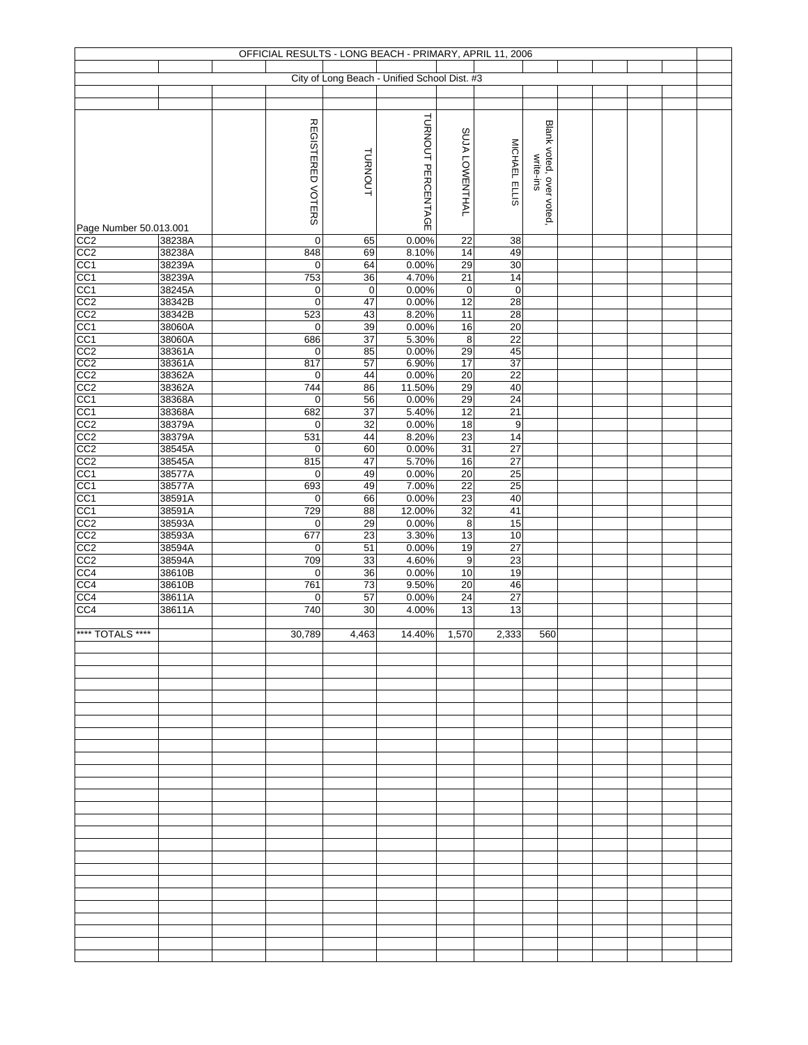| OFFICIAL RESULTS - LONG BEACH - PRIMARY, APRIL 11, 2006 |                  |  |                   |                       |                                              |                               |                       |                                       |  |  |  |  |  |
|---------------------------------------------------------|------------------|--|-------------------|-----------------------|----------------------------------------------|-------------------------------|-----------------------|---------------------------------------|--|--|--|--|--|
|                                                         |                  |  |                   |                       | City of Long Beach - Unified School Dist. #3 |                               |                       |                                       |  |  |  |  |  |
|                                                         |                  |  |                   |                       |                                              |                               |                       |                                       |  |  |  |  |  |
|                                                         |                  |  |                   |                       |                                              |                               |                       |                                       |  |  |  |  |  |
|                                                         |                  |  |                   |                       | TURNOUT PERCENTAGE                           |                               |                       |                                       |  |  |  |  |  |
|                                                         |                  |  | REGISTERED VOTERS |                       |                                              | SUJA LOWENTHAL                |                       | Blank voted, over voted.<br>write-ins |  |  |  |  |  |
|                                                         |                  |  |                   |                       |                                              |                               |                       |                                       |  |  |  |  |  |
|                                                         |                  |  |                   | TURNOUT               |                                              |                               |                       |                                       |  |  |  |  |  |
|                                                         |                  |  |                   |                       |                                              |                               |                       |                                       |  |  |  |  |  |
|                                                         |                  |  |                   |                       |                                              |                               | MICHAEL ELLIS         |                                       |  |  |  |  |  |
|                                                         |                  |  |                   |                       |                                              |                               |                       |                                       |  |  |  |  |  |
| Page Number 50.013.001                                  |                  |  |                   |                       |                                              |                               |                       |                                       |  |  |  |  |  |
| CC2                                                     | 38238A           |  | 0                 | 65                    | 0.00%                                        | 22                            | 38                    |                                       |  |  |  |  |  |
| CC <sub>2</sub>                                         | 38238A           |  | 848               | 69                    | 8.10%                                        | 14                            | 49                    |                                       |  |  |  |  |  |
| CC <sub>1</sub><br>CC <sub>1</sub>                      | 38239A<br>38239A |  | 0<br>753          | 64<br>36              | 0.00%<br>4.70%                               | 29<br>$\overline{21}$         | 30<br>14              |                                       |  |  |  |  |  |
|                                                         | 38245A           |  | 0                 | $\mathbf 0$           | 0.00%                                        | $\pmb{0}$                     | $\mathbf 0$           |                                       |  |  |  |  |  |
| $\frac{CC1}{CC2}$                                       | 38342B           |  | $\mathbf 0$       | 47                    | 0.00%                                        | 12                            | 28                    |                                       |  |  |  |  |  |
| CC2                                                     | 38342B           |  | 523               | 43                    | 8.20%                                        | $\overline{11}$               | $\overline{28}$       |                                       |  |  |  |  |  |
| CC <sub>1</sub>                                         | 38060A           |  | 0                 | 39                    | 0.00%                                        | 16                            | 20                    |                                       |  |  |  |  |  |
| CC1<br>CC2<br>CC2<br>CC2                                | 38060A<br>38361A |  | 686<br>0          | $\overline{37}$<br>85 | 5.30%<br>0.00%                               | $\overline{\mathbf{8}}$<br>29 | 22<br>45              |                                       |  |  |  |  |  |
|                                                         | 38361A           |  | 817               | 57                    | 6.90%                                        | $\overline{17}$               | 37                    |                                       |  |  |  |  |  |
|                                                         | 38362A           |  | 0                 | 44                    | 0.00%                                        | 20                            | 22                    |                                       |  |  |  |  |  |
| CC2                                                     | 38362A           |  | 744               | 86                    | 11.50%                                       | 29                            | 40                    |                                       |  |  |  |  |  |
| CC1<br>CC <sub>1</sub>                                  | 38368A<br>38368A |  | 0<br>682          | 56<br>37              | 0.00%<br>5.40%                               | 29<br>$\overline{12}$         | 24<br>21              |                                       |  |  |  |  |  |
| CC2                                                     | 38379A           |  | 0                 | 32                    | 0.00%                                        | 18                            | $\boldsymbol{9}$      |                                       |  |  |  |  |  |
|                                                         | 38379A           |  | 531               | 44                    | 8.20%                                        | $\overline{23}$               | 14                    |                                       |  |  |  |  |  |
| CC <sub>2</sub>                                         | 38545A           |  | $\pmb{0}$         | 60                    | 0.00%                                        | 31                            | $\overline{27}$       |                                       |  |  |  |  |  |
| CC <sub>2</sub>                                         | 38545A           |  | 815               | 47                    | 5.70%                                        | 16                            | 27                    |                                       |  |  |  |  |  |
| $\frac{CC1}{CC1}$                                       | 38577A<br>38577A |  | 0<br>693          | 49<br>49              | 0.00%<br>7.00%                               | $20\,$<br>$\overline{22}$     | $\overline{25}$<br>25 |                                       |  |  |  |  |  |
| CC <sub>1</sub>                                         | 38591A           |  | 0                 | 66                    | 0.00%                                        | $\overline{23}$               | 40                    |                                       |  |  |  |  |  |
| CC <sub>1</sub>                                         | 38591A           |  | 729               | 88                    | 12.00%                                       | 32                            | 41                    |                                       |  |  |  |  |  |
| CC2                                                     | 38593A           |  | $\mathbf 0$       | 29                    | 0.00%                                        | 8                             | 15                    |                                       |  |  |  |  |  |
| $\overline{CC2}$<br>CC2                                 | 38593A<br>38594A |  | 677<br>0          | 23<br>51              | 3.30%<br>0.00%                               | 13<br>19                      | 10<br>27              |                                       |  |  |  |  |  |
| CC2                                                     | 38594A           |  | 709               | 33                    | 4.60%                                        | $\boldsymbol{9}$              | $\overline{23}$       |                                       |  |  |  |  |  |
| CC4                                                     | 38610B           |  | 0                 | $\overline{36}$       | 0.00%                                        | 10                            | 19                    |                                       |  |  |  |  |  |
| CC <sub>4</sub>                                         | 38610B           |  | 761               | 73                    | 9.50%                                        | 20                            | 46                    |                                       |  |  |  |  |  |
| CC4<br>CC4                                              | 38611A           |  | 0<br>740          | 57<br>30              | 0.00%<br>4.00%                               | $\overline{24}$<br>13         | $\overline{27}$<br>13 |                                       |  |  |  |  |  |
|                                                         | 38611A           |  |                   |                       |                                              |                               |                       |                                       |  |  |  |  |  |
| **** TOTALS ****                                        |                  |  | 30,789            | 4,463                 | 14.40%                                       | 1,570                         | 2,333                 | 560                                   |  |  |  |  |  |
|                                                         |                  |  |                   |                       |                                              |                               |                       |                                       |  |  |  |  |  |
|                                                         |                  |  |                   |                       |                                              |                               |                       |                                       |  |  |  |  |  |
|                                                         |                  |  |                   |                       |                                              |                               |                       |                                       |  |  |  |  |  |
|                                                         |                  |  |                   |                       |                                              |                               |                       |                                       |  |  |  |  |  |
|                                                         |                  |  |                   |                       |                                              |                               |                       |                                       |  |  |  |  |  |
|                                                         |                  |  |                   |                       |                                              |                               |                       |                                       |  |  |  |  |  |
|                                                         |                  |  |                   |                       |                                              |                               |                       |                                       |  |  |  |  |  |
|                                                         |                  |  |                   |                       |                                              |                               |                       |                                       |  |  |  |  |  |
|                                                         |                  |  |                   |                       |                                              |                               |                       |                                       |  |  |  |  |  |
|                                                         |                  |  |                   |                       |                                              |                               |                       |                                       |  |  |  |  |  |
|                                                         |                  |  |                   |                       |                                              |                               |                       |                                       |  |  |  |  |  |
|                                                         |                  |  |                   |                       |                                              |                               |                       |                                       |  |  |  |  |  |
|                                                         |                  |  |                   |                       |                                              |                               |                       |                                       |  |  |  |  |  |
|                                                         |                  |  |                   |                       |                                              |                               |                       |                                       |  |  |  |  |  |
|                                                         |                  |  |                   |                       |                                              |                               |                       |                                       |  |  |  |  |  |
|                                                         |                  |  |                   |                       |                                              |                               |                       |                                       |  |  |  |  |  |
|                                                         |                  |  |                   |                       |                                              |                               |                       |                                       |  |  |  |  |  |
|                                                         |                  |  |                   |                       |                                              |                               |                       |                                       |  |  |  |  |  |
|                                                         |                  |  |                   |                       |                                              |                               |                       |                                       |  |  |  |  |  |
|                                                         |                  |  |                   |                       |                                              |                               |                       |                                       |  |  |  |  |  |
|                                                         |                  |  |                   |                       |                                              |                               |                       |                                       |  |  |  |  |  |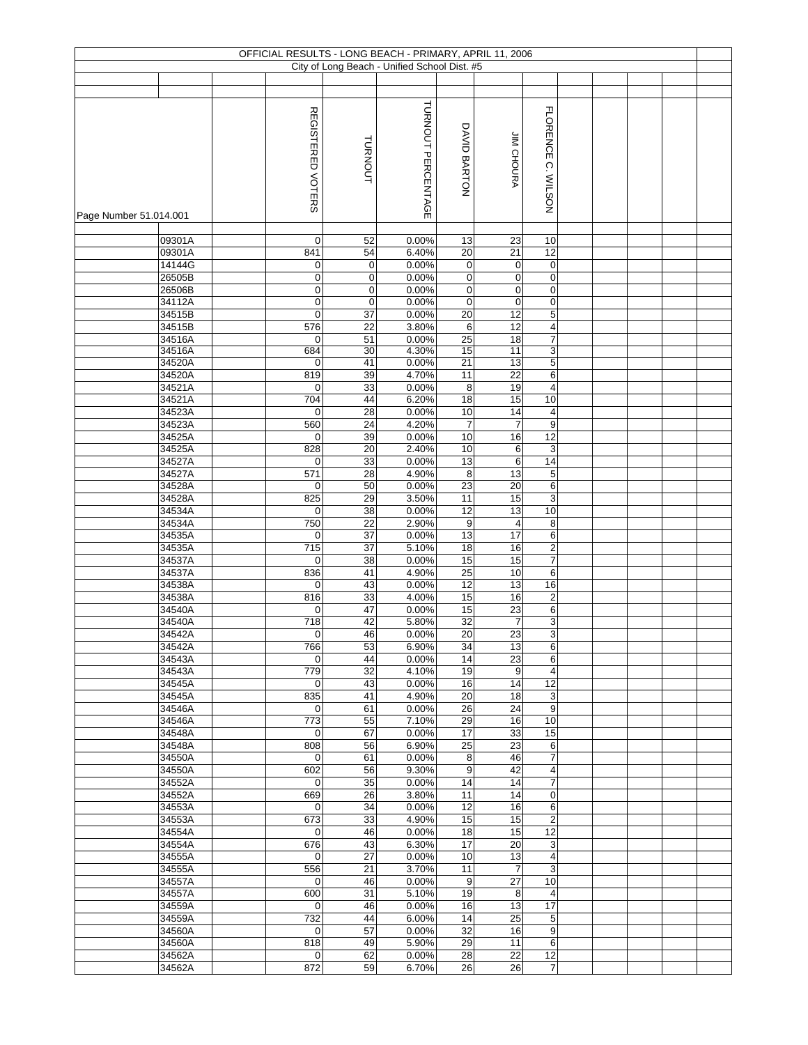| OFFICIAL RESULTS - LONG BEACH - PRIMARY, APRIL 11, 2006 |                  |  |                         |                   |                                              |                        |                      |                                |  |  |  |  |  |
|---------------------------------------------------------|------------------|--|-------------------------|-------------------|----------------------------------------------|------------------------|----------------------|--------------------------------|--|--|--|--|--|
|                                                         |                  |  |                         |                   | City of Long Beach - Unified School Dist. #5 |                        |                      |                                |  |  |  |  |  |
|                                                         |                  |  |                         |                   |                                              |                        |                      |                                |  |  |  |  |  |
|                                                         |                  |  |                         |                   | TURNOUT PERCENTAGE                           |                        |                      |                                |  |  |  |  |  |
|                                                         |                  |  | REGISTERED VOTERS       | TURNOUT           |                                              | DAVID BARTON           | <b>JIM CHOURA</b>    | FLORENCE C. WILSON             |  |  |  |  |  |
| Page Number 51.014.001                                  |                  |  |                         |                   |                                              |                        |                      |                                |  |  |  |  |  |
|                                                         | 09301A           |  | $\mathbf 0$             | 52                | 0.00%                                        | 13                     | 23                   | 10                             |  |  |  |  |  |
|                                                         | 09301A<br>14144G |  | 841<br>0                | 54<br>$\mathbf 0$ | 6.40%<br>0.00%                               | 20<br>$\pmb{0}$        | 21<br>0              | 12<br>$\mathbf 0$              |  |  |  |  |  |
|                                                         | 26505B           |  | $\pmb{0}$               | $\mathbf 0$       | 0.00%                                        | $\pmb{0}$              | $\pmb{0}$            | $\mathbf 0$                    |  |  |  |  |  |
|                                                         | 26506B           |  | 0                       | $\mathbf 0$       | 0.00%                                        | $\pmb{0}$              | $\mathbf 0$          | $\mathbf 0$                    |  |  |  |  |  |
|                                                         | 34112A           |  | 0                       | $\mathbf 0$       | 0.00%                                        | $\mathbf 0$            | $\pmb{0}$            | 0                              |  |  |  |  |  |
|                                                         | 34515B           |  | $\pmb{0}$               | 37                | 0.00%                                        | 20                     | 12                   | 5                              |  |  |  |  |  |
|                                                         | 34515B           |  | 576                     | 22                | 3.80%                                        | 6                      | 12                   | 4                              |  |  |  |  |  |
|                                                         | 34516A<br>34516A |  | $\mathbf 0$<br>684      | 51<br>30          | 0.00%<br>4.30%                               | 25<br>15               | 18<br>11             | $\overline{\mathfrak{c}}$<br>3 |  |  |  |  |  |
|                                                         | 34520A           |  | $\boldsymbol{0}$        | 41                | 0.00%                                        | 21                     | 13                   | 5                              |  |  |  |  |  |
|                                                         | 34520A           |  | 819                     | 39                | 4.70%                                        | 11                     | 22                   | 6                              |  |  |  |  |  |
|                                                         | 34521A           |  | $\mathbf 0$             | 33                | 0.00%                                        | 8                      | 19                   | $\overline{\mathbf{4}}$        |  |  |  |  |  |
|                                                         | 34521A           |  | 704                     | 44                | 6.20%                                        | 18                     | 15                   | 10                             |  |  |  |  |  |
|                                                         | 34523A           |  | $\mathbf 0$             | 28                | 0.00%                                        | 10                     | 14                   | 4                              |  |  |  |  |  |
|                                                         | 34523A<br>34525A |  | 560<br>$\mathbf 0$      | 24<br>39          | 4.20%<br>0.00%                               | $\boldsymbol{7}$<br>10 | $\overline{7}$<br>16 | 9<br>12                        |  |  |  |  |  |
|                                                         | 34525A           |  | 828                     | 20                | 2.40%                                        | 10                     | 6                    | $\mathbf{3}$                   |  |  |  |  |  |
|                                                         | 34527A           |  | 0                       | 33                | 0.00%                                        | 13                     | $\,6$                | 14                             |  |  |  |  |  |
|                                                         | 34527A           |  | 571                     | 28                | 4.90%                                        | 8                      | 13                   | $\sqrt{5}$                     |  |  |  |  |  |
|                                                         | 34528A           |  | $\mathbf 0$             | 50                | 0.00%                                        | 23                     | $\overline{20}$      | 6                              |  |  |  |  |  |
|                                                         | 34528A           |  | 825                     | 29                | 3.50%                                        | 11                     | 15                   | 3                              |  |  |  |  |  |
|                                                         | 34534A           |  | $\mathbf 0$             | 38                | 0.00%                                        | $\overline{12}$        | 13                   | 10                             |  |  |  |  |  |
|                                                         | 34534A<br>34535A |  | 750<br>$\boldsymbol{0}$ | 22<br>37          | 2.90%<br>0.00%                               | 9<br>13                | 4<br>$\overline{17}$ | 8<br>6                         |  |  |  |  |  |
|                                                         | 34535A           |  | 715                     | 37                | 5.10%                                        | 18                     | 16                   | 2                              |  |  |  |  |  |
|                                                         | 34537A           |  | $\mathbf 0$             | 38                | 0.00%                                        | 15                     | 15                   | $\overline{7}$                 |  |  |  |  |  |
|                                                         | 34537A           |  | 836                     | 41                | 4.90%                                        | $\overline{25}$        | 10                   | 6                              |  |  |  |  |  |
|                                                         | 34538A           |  | $\mathbf 0$             | 43                | 0.00%                                        | $\overline{12}$        | 13                   | 16                             |  |  |  |  |  |
|                                                         | 34538A           |  | 816                     | 33<br>47          | 4.00%<br>0.00%                               | 15<br>15               | 16<br>23             | $\boldsymbol{2}$<br>6          |  |  |  |  |  |
|                                                         | 34540A<br>34540A |  | 0<br>718                | 42                | 5.80%                                        | 32                     | $\boldsymbol{7}$     | 3                              |  |  |  |  |  |
|                                                         | 34542A           |  | $\overline{0}$          | 46                | 0.00%                                        | $\overline{20}$        | 23                   | 3                              |  |  |  |  |  |
|                                                         | 34542A           |  | 766                     | 53                | 6.90%                                        | 34                     | 13                   | 6                              |  |  |  |  |  |
|                                                         | 34543A           |  | $\mathbf 0$             | 44                | 0.00%                                        | 14                     | 23                   | 6                              |  |  |  |  |  |
|                                                         | 34543A           |  | 779                     | 32                | 4.10%                                        | 19                     | 9                    | $\overline{\mathbf{4}}$        |  |  |  |  |  |
|                                                         | 34545A<br>34545A |  | $\overline{0}$<br>835   | 43<br>41          | 0.00%<br>4.90%                               | 16<br>20               | 14<br>18             | 12                             |  |  |  |  |  |
|                                                         | 34546A           |  | $\mathbf 0$             | 61                | 0.00%                                        | 26                     | 24                   | 3<br>9                         |  |  |  |  |  |
|                                                         | 34546A           |  | 773                     | 55                | 7.10%                                        | 29                     | 16                   | 10                             |  |  |  |  |  |
|                                                         | 34548A           |  | $\mathbf 0$             | 67                | 0.00%                                        | 17                     | 33                   | 15                             |  |  |  |  |  |
|                                                         | 34548A           |  | 808                     | 56                | 6.90%                                        | 25                     | 23                   | 6                              |  |  |  |  |  |
|                                                         | 34550A           |  | $\mathbf 0$             | 61                | 0.00%                                        | 8                      | 46                   | 7                              |  |  |  |  |  |
|                                                         | 34550A<br>34552A |  | 602<br>$\mathbf 0$      | 56<br>35          | 9.30%<br>0.00%                               | 9<br>14                | 42<br>14             | 4<br>$\overline{7}$            |  |  |  |  |  |
|                                                         | 34552A           |  | 669                     | 26                | 3.80%                                        | 11                     | 14                   | 0                              |  |  |  |  |  |
|                                                         | 34553A           |  | $\mathbf 0$             | 34                | 0.00%                                        | 12                     | 16                   | 6                              |  |  |  |  |  |
|                                                         | 34553A           |  | 673                     | 33                | 4.90%                                        | 15                     | 15                   | $\overline{2}$                 |  |  |  |  |  |
|                                                         | 34554A           |  | $\overline{0}$          | 46                | 0.00%                                        | 18                     | 15                   | 12                             |  |  |  |  |  |
|                                                         | 34554A           |  | 676                     | 43                | 6.30%                                        | 17                     | 20                   | 3                              |  |  |  |  |  |
|                                                         | 34555A<br>34555A |  | 0<br>556                | 27<br>21          | 0.00%<br>3.70%                               | 10<br>11               | 13<br>$\overline{7}$ | 4<br>3                         |  |  |  |  |  |
|                                                         | 34557A           |  | $\mathbf 0$             | 46                | 0.00%                                        | 9                      | 27                   | 10                             |  |  |  |  |  |
|                                                         | 34557A           |  | 600                     | 31                | 5.10%                                        | 19                     | 8                    | 4                              |  |  |  |  |  |
|                                                         | 34559A           |  | $\mathbf 0$             | 46                | 0.00%                                        | 16                     | 13                   | 17                             |  |  |  |  |  |
|                                                         | 34559A           |  | 732                     | 44                | 6.00%                                        | 14                     | 25                   | 5                              |  |  |  |  |  |
|                                                         | 34560A           |  | $\mathbf 0$<br>818      | 57                | 0.00%                                        | 32                     | 16                   | 9                              |  |  |  |  |  |
|                                                         | 34560A<br>34562A |  | $\mathbf 0$             | 49<br>62          | 5.90%<br>0.00%                               | 29<br>28               | 11<br>22             | 6<br>12                        |  |  |  |  |  |
|                                                         | 34562A           |  | 872                     | 59                | 6.70%                                        | 26                     | 26                   | $\overline{7}$                 |  |  |  |  |  |
|                                                         |                  |  |                         |                   |                                              |                        |                      |                                |  |  |  |  |  |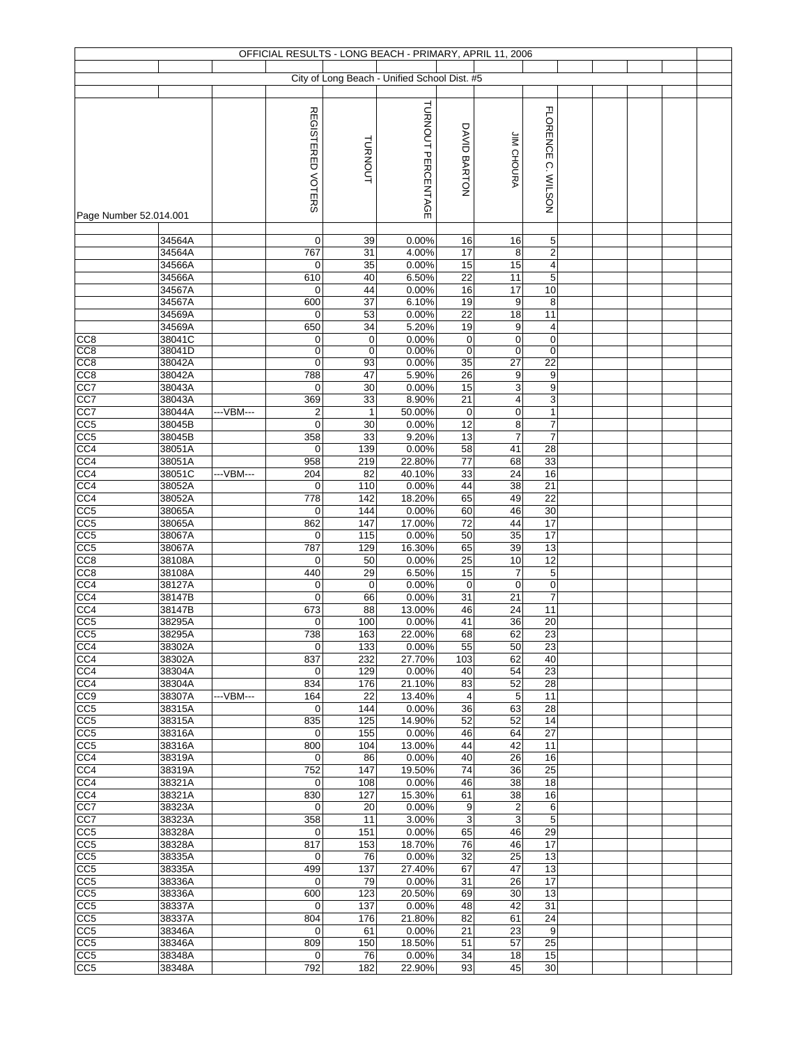| OFFICIAL RESULTS - LONG BEACH - PRIMARY, APRIL 11, 2006 |                  |           |                         |                   |                                              |              |                         |                                        |  |  |  |  |  |
|---------------------------------------------------------|------------------|-----------|-------------------------|-------------------|----------------------------------------------|--------------|-------------------------|----------------------------------------|--|--|--|--|--|
|                                                         |                  |           |                         |                   | City of Long Beach - Unified School Dist. #5 |              |                         |                                        |  |  |  |  |  |
|                                                         |                  |           |                         |                   |                                              |              |                         |                                        |  |  |  |  |  |
|                                                         |                  |           |                         |                   |                                              |              |                         |                                        |  |  |  |  |  |
|                                                         |                  |           | REGISTERED VOTERS       |                   | TURNOUT PERCENTAGE                           |              |                         | <b>FLORENCE</b>                        |  |  |  |  |  |
|                                                         |                  |           |                         |                   |                                              | DAVID BARTON |                         |                                        |  |  |  |  |  |
|                                                         |                  |           |                         |                   |                                              |              |                         |                                        |  |  |  |  |  |
|                                                         |                  |           |                         | TURNOUT           |                                              |              | JIM CHOURA              |                                        |  |  |  |  |  |
|                                                         |                  |           |                         |                   |                                              |              |                         |                                        |  |  |  |  |  |
|                                                         |                  |           |                         |                   |                                              |              |                         |                                        |  |  |  |  |  |
|                                                         |                  |           |                         |                   |                                              |              |                         | C. WILSON                              |  |  |  |  |  |
| Page Number 52.014.001                                  |                  |           |                         |                   |                                              |              |                         |                                        |  |  |  |  |  |
|                                                         |                  |           |                         |                   |                                              |              |                         |                                        |  |  |  |  |  |
|                                                         | 34564A           |           | 0                       | 39                | 0.00%                                        | 16           | 16                      | 5                                      |  |  |  |  |  |
|                                                         | 34564A           |           | 767                     | 31                | 4.00%                                        | 17           | 8<br>15                 | $\mathbf 2$<br>$\overline{\mathbf{4}}$ |  |  |  |  |  |
|                                                         | 34566A<br>34566A |           | 0<br>610                | 35<br>40          | 0.00%<br>6.50%                               | 15<br>22     | 11                      | 5                                      |  |  |  |  |  |
|                                                         | 34567A           |           | 0                       | 44                | 0.00%                                        | 16           | 17                      | 10                                     |  |  |  |  |  |
|                                                         | 34567A           |           | 600                     | 37                | 6.10%                                        | 19           | 9                       | 8                                      |  |  |  |  |  |
|                                                         | 34569A           |           | $\mathbf 0$             | 53                | 0.00%                                        | 22           | $\overline{18}$         | 11                                     |  |  |  |  |  |
|                                                         | 34569A           |           | 650                     | 34                | 5.20%                                        | 19           | 9                       | $\overline{4}$                         |  |  |  |  |  |
| CC <sub>8</sub>                                         | 38041C           |           | 0                       | $\mathbf 0$       | 0.00%                                        | $\pmb{0}$    | 0                       | $\mathbf 0$                            |  |  |  |  |  |
| CC <sub>8</sub><br>CC <sub>8</sub>                      | 38041D<br>38042A |           | 0<br>0                  | $\mathbf 0$<br>93 | 0.00%<br>0.00%                               | 0<br>35      | 0<br>$\overline{27}$    | $\mathbf 0$<br>22                      |  |  |  |  |  |
| CC8                                                     | 38042A           |           | 788                     | 47                | 5.90%                                        | 26           | 9                       | $\boldsymbol{9}$                       |  |  |  |  |  |
| CC7                                                     | 38043A           |           | 0                       | 30                | 0.00%                                        | 15           | 3                       | $\boldsymbol{9}$                       |  |  |  |  |  |
| CC7                                                     | 38043A           |           | 369                     | 33                | 8.90%                                        | 21           | $\overline{\mathbf{4}}$ | 3                                      |  |  |  |  |  |
| CC7                                                     | 38044A           | ---VBM--- | $\overline{\mathbf{c}}$ | $\mathbf{1}$      | 50.00%                                       | 0            | $\pmb{0}$               | $\mathbf{1}$                           |  |  |  |  |  |
| CC5                                                     | 38045B           |           | 0                       | 30                | 0.00%                                        | 12           | 8                       | $\overline{7}$                         |  |  |  |  |  |
| CC5                                                     | 38045B           |           | 358                     | 33                | 9.20%                                        | 13           | $\overline{7}$          | $\overline{7}$                         |  |  |  |  |  |
| CC4                                                     | 38051A           |           | $\mathbf 0$             | 139               | 0.00%                                        | 58           | 41                      | 28                                     |  |  |  |  |  |
| CC <sub>4</sub><br>CC4                                  | 38051A<br>38051C | ---VBM--- | 958<br>204              | 219<br>82         | 22.80%<br>40.10%                             | 77<br>33     | 68<br>24                | 33<br>16                               |  |  |  |  |  |
| CC <sub>4</sub>                                         | 38052A           |           | 0                       | 110               | 0.00%                                        | 44           | 38                      | 21                                     |  |  |  |  |  |
| CC4                                                     | 38052A           |           | 778                     | 142               | 18.20%                                       | 65           | 49                      | 22                                     |  |  |  |  |  |
| CC <sub>5</sub>                                         | 38065A           |           | 0                       | 144               | 0.00%                                        | 60           | 46                      | 30                                     |  |  |  |  |  |
| CC5                                                     | 38065A           |           | 862                     | 147               | 17.00%                                       | 72           | 44                      | 17                                     |  |  |  |  |  |
| CC5                                                     | 38067A           |           | 0                       | 115               | 0.00%                                        | 50           | 35                      | $\overline{17}$                        |  |  |  |  |  |
| CC5                                                     | 38067A           |           | 787                     | 129               | 16.30%                                       | 65           | 39<br>10                | 13<br>12                               |  |  |  |  |  |
| CC <sub>8</sub><br>CC <sub>8</sub>                      | 38108A<br>38108A |           | 0<br>440                | 50<br>29          | 0.00%<br>6.50%                               | 25<br>15     | 7                       | 5                                      |  |  |  |  |  |
| CC4                                                     | 38127A           |           | 0                       | $\mathbf 0$       | 0.00%                                        | $\mathsf 0$  | $\pmb{0}$               | $\mathbf 0$                            |  |  |  |  |  |
| CC <sub>4</sub>                                         | 38147B           |           | 0                       | 66                | 0.00%                                        | 31           | 21                      | $\overline{7}$                         |  |  |  |  |  |
| CC4                                                     | 38147B           |           | 673                     | 88                | 13.00%                                       | 46           | 24                      | 11                                     |  |  |  |  |  |
| CC5                                                     | 38295A           |           | 0                       | 100               | 0.00%                                        | 41           | 36                      | 20                                     |  |  |  |  |  |
| CC <sub>5</sub>                                         | 38295A           |           | 738                     | 163               | 22.00%                                       | 68           | 62                      | 23                                     |  |  |  |  |  |
| CC4<br>CC4                                              | 38302A<br>38302A |           | 0<br>837                | 133<br>232        | 0.00%<br>27.70%                              | 55<br>103    | 50<br>62                | 23<br>40                               |  |  |  |  |  |
| CC4                                                     | 38304A           |           | 0                       | 129               | 0.00%                                        | 40           | 54                      | 23                                     |  |  |  |  |  |
| CC4                                                     | 38304A           |           | 834                     | 176               | 21.10%                                       | 83           | 52                      | 28                                     |  |  |  |  |  |
| CC9                                                     | 38307A           | ---VBM--- | 164                     | 22                | 13.40%                                       | 4            | 5                       | 11                                     |  |  |  |  |  |
| CC <sub>5</sub>                                         | 38315A           |           | 0                       | 144               | 0.00%                                        | 36           | 63                      | 28                                     |  |  |  |  |  |
| CC <sub>5</sub>                                         | 38315A           |           | 835                     | 125               | 14.90%                                       | 52           | 52                      | 14                                     |  |  |  |  |  |
| CC5<br>CC <sub>5</sub>                                  | 38316A<br>38316A |           | 0<br>800                | 155<br>104        | 0.00%<br>13.00%                              | 46<br>44     | 64<br>42                | 27<br>11                               |  |  |  |  |  |
| CC4                                                     | 38319A           |           | $\mathbf 0$             | 86                | 0.00%                                        | 40           | 26                      | 16                                     |  |  |  |  |  |
| CC4                                                     | 38319A           |           | 752                     | 147               | 19.50%                                       | 74           | 36                      | 25                                     |  |  |  |  |  |
| CC4                                                     | 38321A           |           | 0                       | 108               | 0.00%                                        | 46           | 38                      | 18                                     |  |  |  |  |  |
| CC4                                                     | 38321A           |           | 830                     | 127               | 15.30%                                       | 61           | 38                      | 16                                     |  |  |  |  |  |
| CC7                                                     | 38323A           |           | $\mathbf 0$             | 20                | 0.00%                                        | 9            | $\overline{\mathbf{c}}$ | 6                                      |  |  |  |  |  |
| CC7                                                     | 38323A           |           | 358                     | 11                | 3.00%                                        | 3            | 3                       | 5                                      |  |  |  |  |  |
| CC <sub>5</sub><br>CC <sub>5</sub>                      | 38328A<br>38328A |           | 0<br>817                | 151<br>153        | 0.00%<br>18.70%                              | 65<br>76     | 46<br>46                | 29<br>17                               |  |  |  |  |  |
| CC5                                                     | 38335A           |           | $\mathbf 0$             | 76                | 0.00%                                        | 32           | 25                      | 13                                     |  |  |  |  |  |
| CC5                                                     | 38335A           |           | 499                     | 137               | 27.40%                                       | 67           | 47                      | 13                                     |  |  |  |  |  |
| CC5                                                     | 38336A           |           | $\mathbf 0$             | 79                | 0.00%                                        | 31           | 26                      | 17                                     |  |  |  |  |  |
| CC <sub>5</sub>                                         | 38336A           |           | 600                     | 123               | 20.50%                                       | 69           | 30                      | $\overline{13}$                        |  |  |  |  |  |
| CC <sub>5</sub>                                         | 38337A           |           | 0                       | 137               | 0.00%                                        | 48           | 42                      | 31                                     |  |  |  |  |  |
| CC <sub>5</sub><br>CC <sub>5</sub>                      | 38337A<br>38346A |           | 804<br>0                | 176<br>61         | 21.80%<br>0.00%                              | 82<br>21     | 61<br>23                | 24<br>9                                |  |  |  |  |  |
| CC <sub>5</sub>                                         | 38346A           |           | 809                     | 150               | 18.50%                                       | 51           | 57                      | 25                                     |  |  |  |  |  |
| CC <sub>5</sub>                                         | 38348A           |           | 0                       | 76                | 0.00%                                        | 34           | 18                      | 15                                     |  |  |  |  |  |
| CC <sub>5</sub>                                         | 38348A           |           | 792                     | 182               | 22.90%                                       | 93           | 45                      | 30                                     |  |  |  |  |  |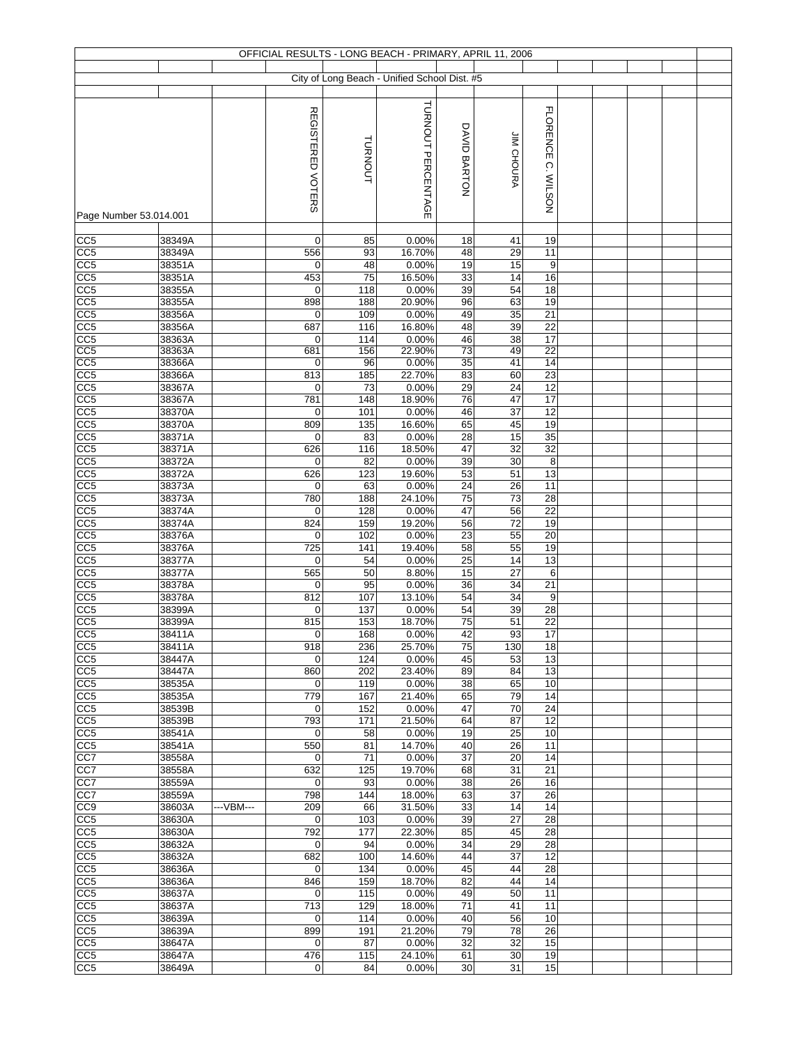| OFFICIAL RESULTS - LONG BEACH - PRIMARY, APRIL 11, 2006 |                  |           |                    |            |                                              |              |                   |                  |  |  |  |  |  |
|---------------------------------------------------------|------------------|-----------|--------------------|------------|----------------------------------------------|--------------|-------------------|------------------|--|--|--|--|--|
|                                                         |                  |           |                    |            |                                              |              |                   |                  |  |  |  |  |  |
|                                                         |                  |           |                    |            | City of Long Beach - Unified School Dist. #5 |              |                   |                  |  |  |  |  |  |
|                                                         |                  |           |                    |            |                                              |              |                   |                  |  |  |  |  |  |
|                                                         |                  |           |                    |            | TURNOUT PERCENTAGE                           |              |                   |                  |  |  |  |  |  |
|                                                         |                  |           | REGISTERED VOTERS  |            |                                              |              |                   | <b>FLORENCE</b>  |  |  |  |  |  |
|                                                         |                  |           |                    |            |                                              | DAVID BARTON |                   |                  |  |  |  |  |  |
|                                                         |                  |           |                    |            |                                              |              |                   |                  |  |  |  |  |  |
|                                                         |                  |           |                    | TURNOUT    |                                              |              | <b>JIM CHOURA</b> |                  |  |  |  |  |  |
|                                                         |                  |           |                    |            |                                              |              |                   |                  |  |  |  |  |  |
|                                                         |                  |           |                    |            |                                              |              |                   |                  |  |  |  |  |  |
|                                                         |                  |           |                    |            |                                              |              |                   | C. WILSON        |  |  |  |  |  |
| Page Number 53.014.001                                  |                  |           |                    |            |                                              |              |                   |                  |  |  |  |  |  |
|                                                         |                  |           |                    |            |                                              |              |                   |                  |  |  |  |  |  |
| CC <sub>5</sub>                                         | 38349A           |           | 0                  | 85         | 0.00%                                        | 18           | 41                | 19               |  |  |  |  |  |
| CC5                                                     | 38349A           |           | 556                | 93         | 16.70%                                       | 48           | 29                | 11               |  |  |  |  |  |
| CC5                                                     | 38351A           |           | 0                  | 48         | 0.00%                                        | 19           | 15                | 9                |  |  |  |  |  |
| CC5                                                     | 38351A           |           | 453                | 75         | 16.50%                                       | 33           | 14                | 16               |  |  |  |  |  |
| CC <sub>5</sub>                                         | 38355A           |           | 0                  | 118        | 0.00%                                        | 39           | 54                | 18               |  |  |  |  |  |
| CC5                                                     | 38355A           |           | 898                | 188        | 20.90%                                       | 96           | 63                | 19               |  |  |  |  |  |
| CC <sub>5</sub>                                         | 38356A           |           | $\mathbf 0$        | 109        | 0.00%                                        | 49           | 35                | $\overline{21}$  |  |  |  |  |  |
| CC5                                                     | 38356A           |           | 687                | 116        | 16.80%                                       | 48           | 39                | 22<br>17         |  |  |  |  |  |
| CC <sub>5</sub><br>CC <sub>5</sub>                      | 38363A<br>38363A |           | 0<br>681           | 114<br>156 | 0.00%<br>22.90%                              | 46<br>73     | 38<br>49          | 22               |  |  |  |  |  |
| CC5                                                     | 38366A           |           | 0                  | 96         | 0.00%                                        | 35           | 41                | 14               |  |  |  |  |  |
| CC5                                                     | 38366A           |           | 813                | 185        | 22.70%                                       | 83           | 60                | 23               |  |  |  |  |  |
| CC5                                                     | 38367A           |           | 0                  | 73         | 0.00%                                        | 29           | 24                | 12               |  |  |  |  |  |
| CC5                                                     | 38367A           |           | 781                | 148        | 18.90%                                       | 76           | 47                | 17               |  |  |  |  |  |
| CC5                                                     | 38370A           |           | $\mathbf 0$        | 101        | 0.00%                                        | 46           | 37                | 12               |  |  |  |  |  |
| CC <sub>5</sub>                                         | 38370A           |           | 809                | 135        | 16.60%                                       | 65           | 45                | 19               |  |  |  |  |  |
| CC5                                                     | 38371A           |           | 0                  | 83         | 0.00%                                        | 28           | 15                | 35               |  |  |  |  |  |
| CC <sub>5</sub>                                         | 38371A           |           | 626                | 116        | 18.50%                                       | 47           | 32                | 32               |  |  |  |  |  |
| CC5                                                     | 38372A           |           | 0                  | 82         | 0.00%                                        | 39           | 30                | 8                |  |  |  |  |  |
| CC <sub>5</sub>                                         | 38372A           |           | 626                | 123        | 19.60%                                       | 53           | 51                | 13               |  |  |  |  |  |
| CC5                                                     | 38373A           |           | 0                  | 63         | 0.00%                                        | 24           | 26                | 11               |  |  |  |  |  |
| CC5                                                     | 38373A           |           | 780                | 188        | 24.10%                                       | 75           | 73                | 28               |  |  |  |  |  |
| CC <sub>5</sub>                                         | 38374A           |           | 0                  | 128        | 0.00%                                        | 47           | 56                | 22               |  |  |  |  |  |
| CC <sub>5</sub>                                         | 38374A           |           | 824                | 159        | 19.20%                                       | 56           | 72                | 19               |  |  |  |  |  |
| $\overline{CC5}$                                        | 38376A           |           | 0                  | 102        | 0.00%                                        | 23           | 55                | 20               |  |  |  |  |  |
| CC5<br>CC5                                              | 38376A<br>38377A |           | 725<br>0           | 141<br>54  | 19.40%<br>0.00%                              | 58<br>25     | 55<br>14          | 19<br>13         |  |  |  |  |  |
| CC <sub>5</sub>                                         | 38377A           |           | 565                | 50         | 8.80%                                        | 15           | $\overline{27}$   | 6                |  |  |  |  |  |
| CC5                                                     | 38378A           |           | $\mathbf 0$        | 95         | 0.00%                                        | 36           | 34                | $\overline{21}$  |  |  |  |  |  |
| CC <sub>5</sub>                                         | 38378A           |           | 812                | 107        | 13.10%                                       | 54           | 34                | $\boldsymbol{9}$ |  |  |  |  |  |
| CC5                                                     | 38399A           |           | 0                  | 137        | 0.00%                                        | 54           | 39                | 28               |  |  |  |  |  |
| CC5                                                     | 38399A           |           | 815                | 153        | 18.70%                                       | 75           | 51                | 22               |  |  |  |  |  |
| CC <sub>5</sub>                                         | 38411A           |           | $\overline{0}$     | 168        | 0.00%                                        | 42           | 93                | 17               |  |  |  |  |  |
| CC <sub>5</sub>                                         | 38411A           |           | 918                | 236        | 25.70%                                       | 75           | 130               | 18               |  |  |  |  |  |
| CC <sub>5</sub>                                         | 38447A           |           | 0                  | 124        | 0.00%                                        | 45           | 53                | 13               |  |  |  |  |  |
| CC5                                                     | 38447A           |           | 860                | 202        | 23.40%                                       | 89           | 84                | 13               |  |  |  |  |  |
| CC <sub>5</sub>                                         | 38535A           |           | 0                  | 119        | 0.00%                                        | 38           | 65                | 10               |  |  |  |  |  |
| CC <sub>5</sub>                                         | 38535A           |           | 779                | 167        | 21.40%                                       | 65           | 79                | 14               |  |  |  |  |  |
| CC <sub>5</sub>                                         | 38539B           |           | 0                  | 152        | 0.00%                                        | 47           | 70                | 24               |  |  |  |  |  |
| CC <sub>5</sub>                                         | 38539B           |           | 793                | 171        | 21.50%                                       | 64           | 87                | 12               |  |  |  |  |  |
| CC <sub>5</sub>                                         | 38541A           |           | 0                  | 58         | 0.00%                                        | 19           | 25                | 10               |  |  |  |  |  |
| CC <sub>5</sub><br>CC7                                  | 38541A<br>38558A |           | 550<br>$\mathbf 0$ | 81<br>71   | 14.70%<br>0.00%                              | 40<br>37     | 26<br>20          | 11<br>14         |  |  |  |  |  |
| CC7                                                     | 38558A           |           | 632                | 125        | 19.70%                                       | 68           | 31                | 21               |  |  |  |  |  |
| CC7                                                     | 38559A           |           | 0                  | 93         | 0.00%                                        | 38           | 26                | 16               |  |  |  |  |  |
| CC7                                                     | 38559A           |           | 798                | 144        | 18.00%                                       | 63           | 37                | 26               |  |  |  |  |  |
| CC <sub>9</sub>                                         | 38603A           | ---VBM--- | 209                | 66         | 31.50%                                       | 33           | 14                | 14               |  |  |  |  |  |
| CC <sub>5</sub>                                         | 38630A           |           | 0                  | 103        | 0.00%                                        | 39           | 27                | 28               |  |  |  |  |  |
| CC <sub>5</sub>                                         | 38630A           |           | 792                | 177        | 22.30%                                       | 85           | 45                | 28               |  |  |  |  |  |
| CC <sub>5</sub>                                         | 38632A           |           | $\mathbf 0$        | 94         | 0.00%                                        | 34           | 29                | 28               |  |  |  |  |  |
| CC <sub>5</sub>                                         | 38632A           |           | 682                | 100        | 14.60%                                       | 44           | 37                | 12               |  |  |  |  |  |
| CC5                                                     | 38636A           |           | 0                  | 134        | 0.00%                                        | 45           | 44                | 28               |  |  |  |  |  |
| CC <sub>5</sub>                                         | 38636A           |           | 846                | 159        | 18.70%                                       | 82           | 44                | 14               |  |  |  |  |  |
| CC <sub>5</sub>                                         | 38637A           |           | 0                  | 115        | 0.00%                                        | 49           | 50                | 11               |  |  |  |  |  |
| CC <sub>5</sub>                                         | 38637A           |           | 713                | 129        | 18.00%                                       | 71           | 41                | 11               |  |  |  |  |  |
| CC <sub>5</sub>                                         | 38639A           |           | 0                  | 114        | 0.00%                                        | 40           | 56                | 10               |  |  |  |  |  |
| CC <sub>5</sub>                                         | 38639A           |           | 899                | 191        | 21.20%                                       | 79           | 78                | 26               |  |  |  |  |  |
| CC <sub>5</sub>                                         | 38647A           |           | 0                  | 87         | 0.00%                                        | 32           | 32                | 15               |  |  |  |  |  |
| CC <sub>5</sub>                                         | 38647A           |           | 476                | 115        | 24.10%                                       | 61           | 30                | 19               |  |  |  |  |  |
| CC <sub>5</sub>                                         | 38649A           |           | 0                  | 84         | 0.00%                                        | 30           | 31                | 15               |  |  |  |  |  |